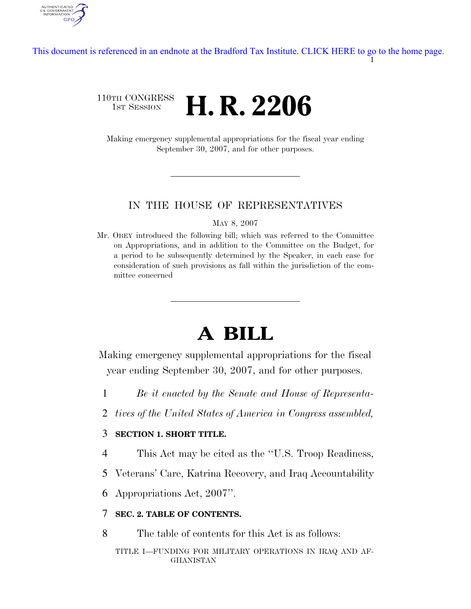I [This document is referenced in an endnote at the Bradford Tax Institute. CLICK HERE to go to the home page.](http://www.bradfordtaxinstitute.com/)

# 110TH CONGRESS **HE CONGRESS H. R. 2206**

AUTHENTICATED<br>U.S. GOVERNMENT<br>INFORMATION

**GPO** 

Making emergency supplemental appropriations for the fiscal year ending September 30, 2007, and for other purposes.

#### IN THE HOUSE OF REPRESENTATIVES

MAY 8, 2007

Mr. OBEY introduced the following bill; which was referred to the Committee on Appropriations, and in addition to the Committee on the Budget, for a period to be subsequently determined by the Speaker, in each case for consideration of such provisions as fall within the jurisdiction of the committee concerned

# **A BILL**

Making emergency supplemental appropriations for the fiscal year ending September 30, 2007, and for other purposes.

- 1 *Be it enacted by the Senate and House of Representa-*
- 2 *tives of the United States of America in Congress assembled,*

### 3 **SECTION 1. SHORT TITLE.**

- 4 This Act may be cited as the ''U.S. Troop Readiness,
- 5 Veterans' Care, Katrina Recovery, and Iraq Accountability

6 Appropriations Act, 2007''.

# 7 **SEC. 2. TABLE OF CONTENTS.**

8 The table of contents for this Act is as follows:

TITLE I—FUNDING FOR MILITARY OPERATIONS IN IRAQ AND AF-GHANISTAN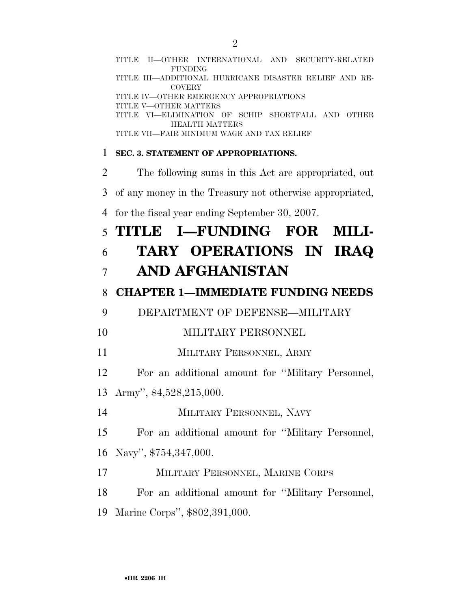|                | TITLE II—OTHER INTERNATIONAL AND SECURITY-RELATED<br><b>FUNDING</b>     |
|----------------|-------------------------------------------------------------------------|
|                | TITLE III—ADDITIONAL HURRICANE DISASTER RELIEF AND RE-<br><b>COVERY</b> |
|                | TITLE IV-OTHER EMERGENCY APPROPRIATIONS<br>TITLE V-OTHER MATTERS        |
|                | TITLE VI-ELIMINATION OF SCHIP SHORTFALL AND OTHER                       |
|                | <b>HEALTH MATTERS</b><br>TITLE VII—FAIR MINIMUM WAGE AND TAX RELIEF     |
| 1              | <b>SEC. 3. STATEMENT OF APPROPRIATIONS.</b>                             |
| $\overline{2}$ | The following sums in this Act are appropriated, out                    |
| 3              | of any money in the Treasury not otherwise appropriated,                |
| 4              | for the fiscal year ending September 30, 2007.                          |
| 5              | TITLE I-FUNDING FOR MILI-                                               |
| 6              | TARY OPERATIONS IN IRAQ                                                 |
| 7              | AND AFGHANISTAN                                                         |
| 8              | <b>CHAPTER 1-IMMEDIATE FUNDING NEEDS</b>                                |
| 9              | DEPARTMENT OF DEFENSE-MILITARY                                          |
| 10             | MILITARY PERSONNEL                                                      |
| 11             | MILITARY PERSONNEL, ARMY                                                |
| 12             | For an additional amount for "Military Personnel,                       |
| 13             | Army", $$4,528,215,000$ .                                               |
| 14             | MILITARY PERSONNEL, NAVY                                                |
| 15             | For an additional amount for "Military Personnel,                       |
| 16             | Navy", \$754,347,000.                                                   |
| 17             | MILITARY PERSONNEL, MARINE CORPS                                        |
| 18             | For an additional amount for "Military Personnel,                       |
| 19             | Marine Corps", \$802,391,000.                                           |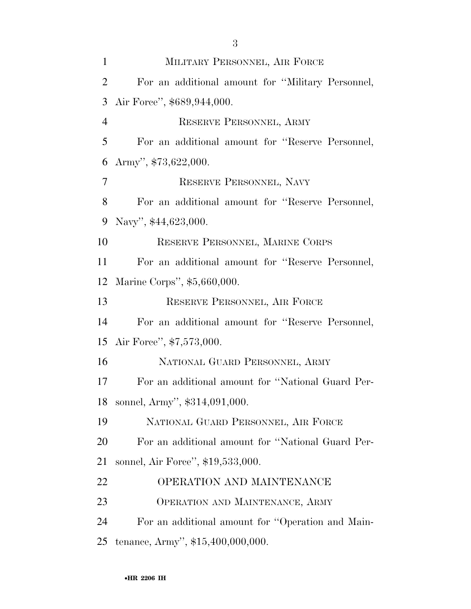| $\mathbf{1}$   | MILITARY PERSONNEL, AIR FORCE                     |
|----------------|---------------------------------------------------|
| $\overline{2}$ | For an additional amount for "Military Personnel, |
| 3              | Air Force", \$689,944,000.                        |
| $\overline{4}$ | RESERVE PERSONNEL, ARMY                           |
| 5              | For an additional amount for "Reserve Personnel,  |
| 6              | Army", $$73,622,000$ .                            |
| 7              | RESERVE PERSONNEL, NAVY                           |
| 8              | For an additional amount for "Reserve Personnel,  |
| 9              | Navy", \$44,623,000.                              |
| 10             | RESERVE PERSONNEL, MARINE CORPS                   |
| 11             | For an additional amount for "Reserve Personnel,  |
| 12             | Marine Corps", \$5,660,000.                       |
| 13             | RESERVE PERSONNEL, AIR FORCE                      |
| 14             | For an additional amount for "Reserve Personnel,  |
| 15             | Air Force", \$7,573,000.                          |
| 16             | NATIONAL GUARD PERSONNEL, ARMY                    |
| 17             | For an additional amount for "National Guard Per- |
| 18             | sonnel, Army", \$314,091,000.                     |
| 19             | NATIONAL GUARD PERSONNEL, AIR FORCE               |
| 20             | For an additional amount for "National Guard Per- |
| 21             | sonnel, Air Force", \$19,533,000.                 |
| 22             | OPERATION AND MAINTENANCE                         |
| 23             | OPERATION AND MAINTENANCE, ARMY                   |
| 24             | For an additional amount for "Operation and Main- |
| 25             | tenance, Army", \$15,400,000,000.                 |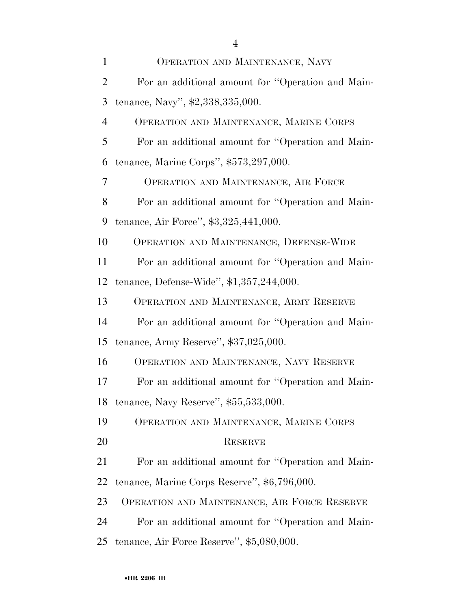| $\mathbf{1}$   | OPERATION AND MAINTENANCE, NAVY                   |
|----------------|---------------------------------------------------|
| $\overline{2}$ | For an additional amount for "Operation and Main- |
| 3              | tenance, Navy", \$2,338,335,000.                  |
| $\overline{4}$ | OPERATION AND MAINTENANCE, MARINE CORPS           |
| 5              | For an additional amount for "Operation and Main- |
| 6              | tenance, Marine Corps", $$573,297,000$ .          |
| 7              | OPERATION AND MAINTENANCE, AIR FORCE              |
| 8              | For an additional amount for "Operation and Main- |
| 9              | tenance, Air Force", \$3,325,441,000.             |
| 10             | OPERATION AND MAINTENANCE, DEFENSE-WIDE           |
| 11             | For an additional amount for "Operation and Main- |
| 12             | tenance, Defense-Wide", \$1,357,244,000.          |
| 13             | OPERATION AND MAINTENANCE, ARMY RESERVE           |
| 14             | For an additional amount for "Operation and Main- |
| 15             | tenance, Army Reserve", $$37,025,000$ .           |
| 16             | OPERATION AND MAINTENANCE, NAVY RESERVE           |
| 17             | For an additional amount for "Operation and Main- |
| 18             | tenance, Navy Reserve", \$55,533,000.             |
| 19             | OPERATION AND MAINTENANCE, MARINE CORPS           |
| 20             | <b>RESERVE</b>                                    |
| 21             | For an additional amount for "Operation and Main- |
| 22             | tenance, Marine Corps Reserve", \$6,796,000.      |
| 23             | OPERATION AND MAINTENANCE, AIR FORCE RESERVE      |
| 24             | For an additional amount for "Operation and Main- |
| 25             | tenance, Air Force Reserve", \$5,080,000.         |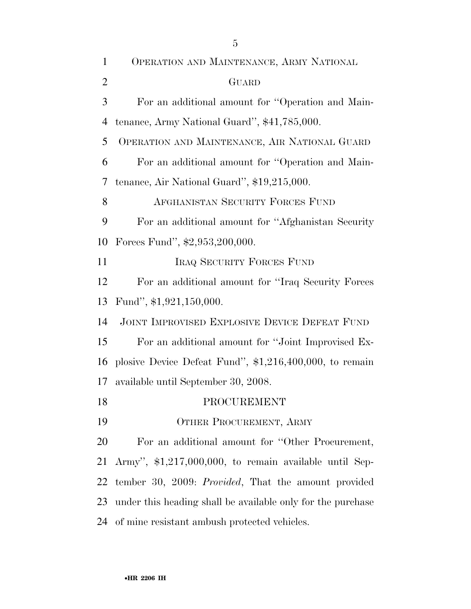| $\mathbf{1}$   | OPERATION AND MAINTENANCE, ARMY NATIONAL                    |
|----------------|-------------------------------------------------------------|
| $\overline{2}$ | GUARD                                                       |
| 3              | For an additional amount for "Operation and Main-           |
| $\overline{4}$ | tenance, Army National Guard", \$41,785,000.                |
| 5              | OPERATION AND MAINTENANCE, AIR NATIONAL GUARD               |
| 6              | For an additional amount for "Operation and Main-           |
| 7              | tenance, Air National Guard", \$19,215,000.                 |
| 8              | AFGHANISTAN SECURITY FORCES FUND                            |
| 9              | For an additional amount for "Afghanistan Security"         |
| 10             | Forces Fund", \$2,953,200,000.                              |
| 11             | <b>IRAQ SECURITY FORCES FUND</b>                            |
| 12             | For an additional amount for "Iraq Security Forces"         |
| 13             | Fund", \$1,921,150,000.                                     |
| 14             | JOINT IMPROVISED EXPLOSIVE DEVICE DEFEAT FUND               |
| 15             | For an additional amount for "Joint Improvised Ex-          |
| 16             | plosive Device Defeat Fund", $$1,216,400,000$ , to remain   |
| 17             | available until September 30, 2008.                         |
| 18             | PROCUREMENT                                                 |
| 19             | OTHER PROCUREMENT, ARMY                                     |
| 20             | For an additional amount for "Other Procurement,            |
| 21             | Army", \$1,217,000,000, to remain available until Sep-      |
| 22             | tember 30, 2009: Provided, That the amount provided         |
| 23             | under this heading shall be available only for the purchase |
| 24             | of mine resistant ambush protected vehicles.                |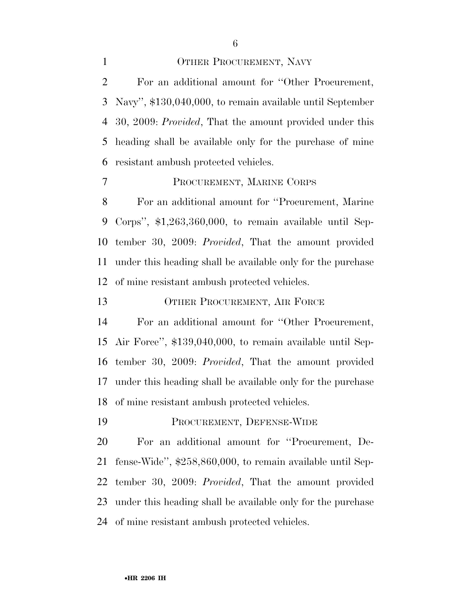#### 1 OTHER PROCUREMENT, NAVY

 For an additional amount for ''Other Procurement, Navy'', \$130,040,000, to remain available until September 30, 2009: *Provided*, That the amount provided under this heading shall be available only for the purchase of mine resistant ambush protected vehicles.

# PROCUREMENT, MARINE CORPS

 For an additional amount for ''Procurement, Marine Corps'', \$1,263,360,000, to remain available until Sep- tember 30, 2009: *Provided*, That the amount provided under this heading shall be available only for the purchase of mine resistant ambush protected vehicles.

13 OTHER PROCUREMENT, AIR FORCE

 For an additional amount for ''Other Procurement, Air Force'', \$139,040,000, to remain available until Sep- tember 30, 2009: *Provided*, That the amount provided under this heading shall be available only for the purchase of mine resistant ambush protected vehicles.

PROCUREMENT, DEFENSE-WIDE

 For an additional amount for ''Procurement, De- fense-Wide'', \$258,860,000, to remain available until Sep- tember 30, 2009: *Provided*, That the amount provided under this heading shall be available only for the purchase of mine resistant ambush protected vehicles.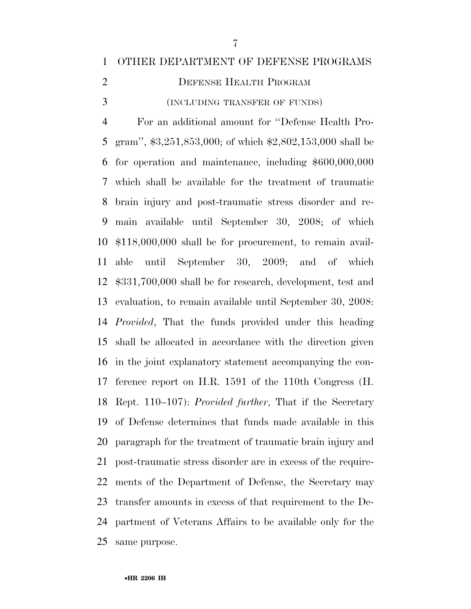## OTHER DEPARTMENT OF DEFENSE PROGRAMS

2 DEFENSE HEALTH PROGRAM

(INCLUDING TRANSFER OF FUNDS)

 For an additional amount for ''Defense Health Pro- gram'', \$3,251,853,000; of which \$2,802,153,000 shall be for operation and maintenance, including \$600,000,000 which shall be available for the treatment of traumatic brain injury and post-traumatic stress disorder and re- main available until September 30, 2008; of which \$118,000,000 shall be for procurement, to remain avail- able until September 30, 2009; and of which \$331,700,000 shall be for research, development, test and evaluation, to remain available until September 30, 2008: *Provided*, That the funds provided under this heading shall be allocated in accordance with the direction given in the joint explanatory statement accompanying the con- ference report on H.R. 1591 of the 110th Congress (H. Rept. 110–107): *Provided further*, That if the Secretary of Defense determines that funds made available in this paragraph for the treatment of traumatic brain injury and post-traumatic stress disorder are in excess of the require- ments of the Department of Defense, the Secretary may transfer amounts in excess of that requirement to the De- partment of Veterans Affairs to be available only for the same purpose.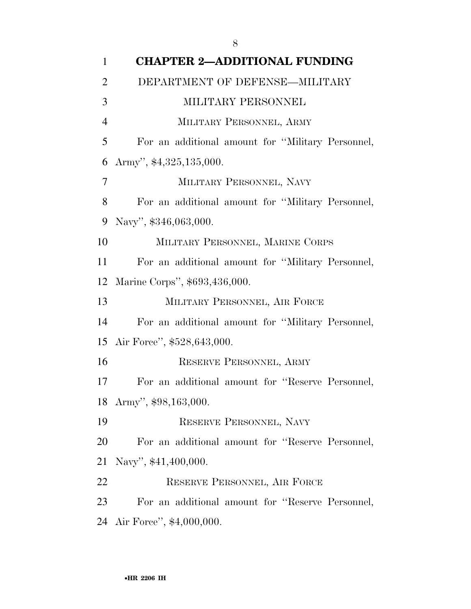| $\mathbf{1}$   | <b>CHAPTER 2-ADDITIONAL FUNDING</b>               |
|----------------|---------------------------------------------------|
| $\overline{2}$ | DEPARTMENT OF DEFENSE-MILITARY                    |
| 3              | MILITARY PERSONNEL                                |
| $\overline{4}$ | MILITARY PERSONNEL, ARMY                          |
| 5              | For an additional amount for "Military Personnel, |
| 6              | Army", $$4,325,135,000$ .                         |
| $\overline{7}$ | MILITARY PERSONNEL, NAVY                          |
| 8              | For an additional amount for "Military Personnel, |
| 9              | Navy", \$346,063,000.                             |
| 10             | MILITARY PERSONNEL, MARINE CORPS                  |
| 11             | For an additional amount for "Military Personnel, |
| 12             | Marine Corps", \$693,436,000.                     |
| 13             | MILITARY PERSONNEL, AIR FORCE                     |
| 14             | For an additional amount for "Military Personnel, |
|                | 15 Air Force", \$528,643,000.                     |
| 16             | RESERVE PERSONNEL, ARMY                           |
| 17             | For an additional amount for "Reserve Personnel,  |
|                | 18 Army", \$98,163,000.                           |
| 19             | RESERVE PERSONNEL, NAVY                           |
| 20             | For an additional amount for "Reserve Personnel,  |
| 21             | Navy", \$41,400,000.                              |
| 22             | RESERVE PERSONNEL, AIR FORCE                      |
| 23             | For an additional amount for "Reserve Personnel,  |
|                | 24 Air Force", \$4,000,000.                       |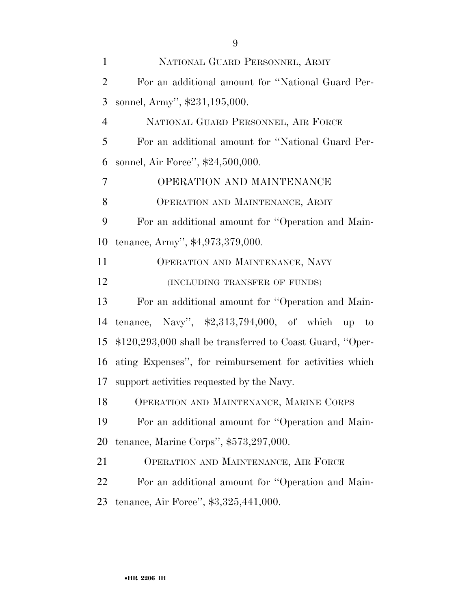| $\mathbf{1}$   | NATIONAL GUARD PERSONNEL, ARMY                             |
|----------------|------------------------------------------------------------|
| $\overline{2}$ | For an additional amount for "National Guard Per-          |
| 3              | sonnel, Army", \$231,195,000.                              |
| $\overline{4}$ | NATIONAL GUARD PERSONNEL, AIR FORCE                        |
| 5              | For an additional amount for "National Guard Per-          |
| 6              | sonnel, Air Force", \$24,500,000.                          |
| 7              | OPERATION AND MAINTENANCE                                  |
| 8              | OPERATION AND MAINTENANCE, ARMY                            |
| 9              | For an additional amount for "Operation and Main-          |
| 10             | tenance, Army", \$4,973,379,000.                           |
| 11             | OPERATION AND MAINTENANCE, NAVY                            |
| 12             | (INCLUDING TRANSFER OF FUNDS)                              |
| 13             | For an additional amount for "Operation and Main-          |
| 14             | tenance, Navy", $\text{$}2,313,794,000$ , of which up to   |
| 15             | $$120,293,000$ shall be transferred to Coast Guard, "Oper- |
| 16             | ating Expenses", for reimbursement for activities which    |
| 17             | support activities requested by the Navy.                  |
| 18             | OPERATION AND MAINTENANCE, MARINE CORPS                    |
| 19             | For an additional amount for "Operation and Main-          |
| 20             | tenance, Marine Corps", $$573,297,000$ .                   |
| 21             | OPERATION AND MAINTENANCE, AIR FORCE                       |
| 22             | For an additional amount for "Operation and Main-          |
| 23             | tenance, Air Force", \$3,325,441,000.                      |
|                |                                                            |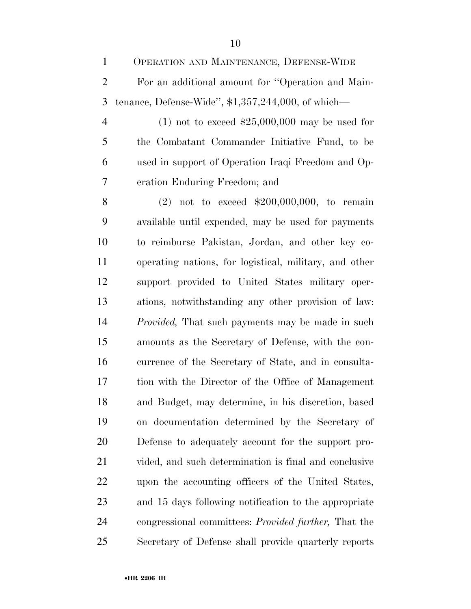- OPERATION AND MAINTENANCE, DEFENSE-WIDE For an additional amount for ''Operation and Main-tenance, Defense-Wide'', \$1,357,244,000, of which—
- (1) not to exceed \$25,000,000 may be used for the Combatant Commander Initiative Fund, to be used in support of Operation Iraqi Freedom and Op-eration Enduring Freedom; and

 (2) not to exceed \$200,000,000, to remain available until expended, may be used for payments to reimburse Pakistan, Jordan, and other key co- operating nations, for logistical, military, and other support provided to United States military oper- ations, notwithstanding any other provision of law: *Provided,* That such payments may be made in such amounts as the Secretary of Defense, with the con- currence of the Secretary of State, and in consulta- tion with the Director of the Office of Management and Budget, may determine, in his discretion, based on documentation determined by the Secretary of Defense to adequately account for the support pro- vided, and such determination is final and conclusive upon the accounting officers of the United States, and 15 days following notification to the appropriate congressional committees: *Provided further,* That the Secretary of Defense shall provide quarterly reports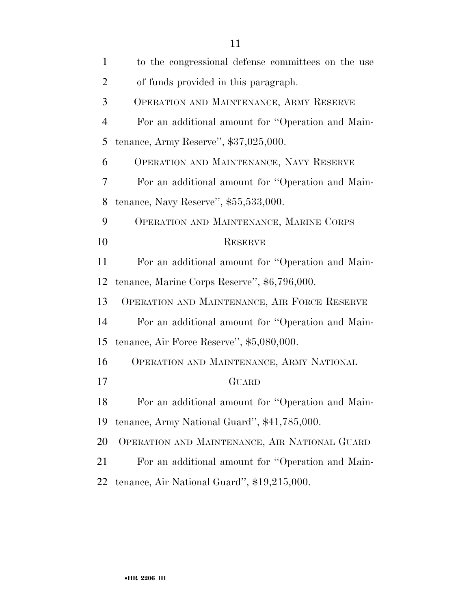| $\mathbf{1}$   | to the congressional defense committees on the use |
|----------------|----------------------------------------------------|
| $\overline{2}$ | of funds provided in this paragraph.               |
| 3              | OPERATION AND MAINTENANCE, ARMY RESERVE            |
| $\overline{4}$ | For an additional amount for "Operation and Main-  |
| 5              | tenance, Army Reserve", $$37,025,000$ .            |
| 6              | OPERATION AND MAINTENANCE, NAVY RESERVE            |
| 7              | For an additional amount for "Operation and Main-  |
| 8              | tenance, Navy Reserve", $$55,533,000$ .            |
| 9              | OPERATION AND MAINTENANCE, MARINE CORPS            |
| 10             | <b>RESERVE</b>                                     |
| 11             | For an additional amount for "Operation and Main-  |
| 12             | tenance, Marine Corps Reserve", \$6,796,000.       |
| 13             | OPERATION AND MAINTENANCE, AIR FORCE RESERVE       |
| 14             | For an additional amount for "Operation and Main-  |
| 15             | tenance, Air Force Reserve", \$5,080,000.          |
| 16             | OPERATION AND MAINTENANCE, ARMY NATIONAL           |
| 17             | GUARD                                              |
| 18             | For an additional amount for "Operation and Main-  |
| 19             | tenance, Army National Guard", \$41,785,000.       |
| 20             | OPERATION AND MAINTENANCE, AIR NATIONAL GUARD      |
| 21             | For an additional amount for "Operation and Main-  |
| 22             | tenance, Air National Guard", \$19,215,000.        |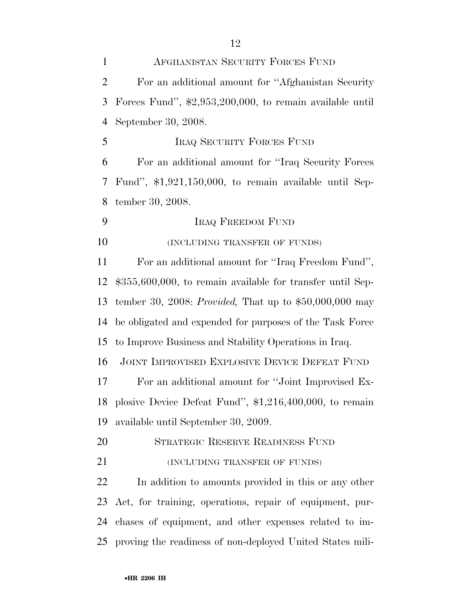| $\mathbf{1}$   | AFGHANISTAN SECURITY FORCES FUND                                  |
|----------------|-------------------------------------------------------------------|
| $\overline{2}$ | For an additional amount for "Afghanistan Security"               |
| 3              | Forces Fund", $\text{$}2,953,200,000$ , to remain available until |
| $\overline{4}$ | September 30, 2008.                                               |
| 5              | <b>IRAQ SECURITY FORCES FUND</b>                                  |
| 6              | For an additional amount for "Iraq Security Forces"               |
| 7              | Fund", $$1,921,150,000$ , to remain available until Sep-          |
| 8              | tember 30, 2008.                                                  |
| 9              | <b>IRAQ FREEDOM FUND</b>                                          |
| 10             | (INCLUDING TRANSFER OF FUNDS)                                     |
| 11             | For an additional amount for "Iraq Freedom Fund",                 |
| 12             | $$355,600,000$ , to remain available for transfer until Sep-      |
| 13             | tember 30, 2008: <i>Provided</i> , That up to $$50,000,000$ may   |
| 14             | be obligated and expended for purposes of the Task Force          |
| 15             | to Improve Business and Stability Operations in Iraq.             |
| 16             | JOINT IMPROVISED EXPLOSIVE DEVICE DEFEAT FUND                     |
| 17             | For an additional amount for "Joint Improvised Ex-                |
|                | 18 plosive Device Defeat Fund", \$1,216,400,000, to remain        |
| 19             | available until September 30, 2009.                               |
| 20             | STRATEGIC RESERVE READINESS FUND                                  |
| 21             | (INCLUDING TRANSFER OF FUNDS)                                     |
| 22             | In addition to amounts provided in this or any other              |
| 23             | Act, for training, operations, repair of equipment, pur-          |
| 24             | chases of equipment, and other expenses related to im-            |
|                | 25 proving the readiness of non-deployed United States mili-      |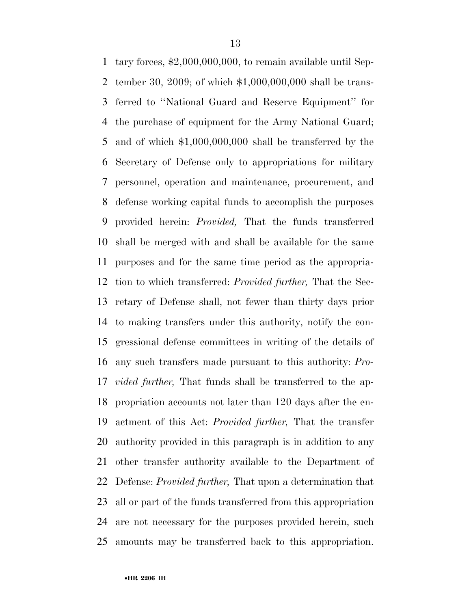tary forces, \$2,000,000,000, to remain available until Sep- tember 30, 2009; of which \$1,000,000,000 shall be trans- ferred to ''National Guard and Reserve Equipment'' for the purchase of equipment for the Army National Guard; and of which \$1,000,000,000 shall be transferred by the Secretary of Defense only to appropriations for military personnel, operation and maintenance, procurement, and defense working capital funds to accomplish the purposes provided herein: *Provided,* That the funds transferred shall be merged with and shall be available for the same purposes and for the same time period as the appropria- tion to which transferred: *Provided further,* That the Sec- retary of Defense shall, not fewer than thirty days prior to making transfers under this authority, notify the con- gressional defense committees in writing of the details of any such transfers made pursuant to this authority: *Pro- vided further,* That funds shall be transferred to the ap- propriation accounts not later than 120 days after the en- actment of this Act: *Provided further,* That the transfer authority provided in this paragraph is in addition to any other transfer authority available to the Department of Defense: *Provided further,* That upon a determination that all or part of the funds transferred from this appropriation are not necessary for the purposes provided herein, such amounts may be transferred back to this appropriation.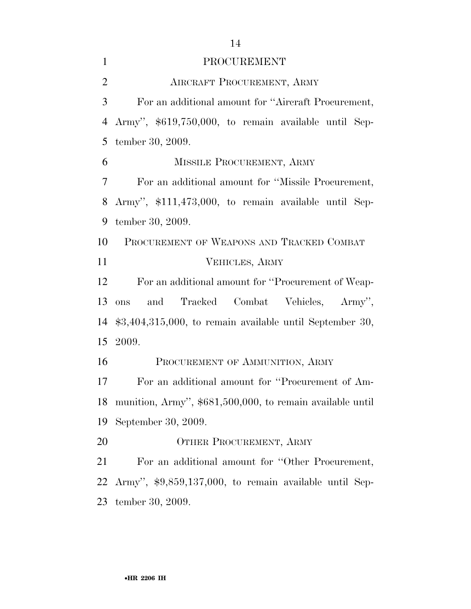| $\mathbf{1}$   | PROCUREMENT                                                |
|----------------|------------------------------------------------------------|
| $\overline{2}$ | AIRCRAFT PROCUREMENT, ARMY                                 |
| 3              | For an additional amount for "Aircraft Procurement,        |
| $\overline{4}$ | Army", \$619,750,000, to remain available until Sep-       |
| 5              | tember 30, 2009.                                           |
| 6              | MISSILE PROCUREMENT, ARMY                                  |
| 7              | For an additional amount for "Missile Procurement,         |
| 8              | Army", \$111,473,000, to remain available until Sep-       |
| 9              | tember 30, 2009.                                           |
| 10             | PROCUREMENT OF WEAPONS AND TRACKED COMBAT                  |
| 11             | VEHICLES, ARMY                                             |
| 12             | For an additional amount for "Procurement of Weap-         |
| 13             | and Tracked Combat Vehicles, Army",<br>ons                 |
| 14             | $$3,404,315,000$ , to remain available until September 30, |
| 15             | 2009.                                                      |
| 16             | PROCUREMENT OF AMMUNITION, ARMY                            |
| 17             | For an additional amount for "Procurement of Am-           |
| 18             | munition, Army", \$681,500,000, to remain available until  |
| 19             | September 30, 2009.                                        |
| 20             | OTHER PROCUREMENT, ARMY                                    |
| 21             | For an additional amount for "Other Procurement,           |
| 22             | Army", \$9,859,137,000, to remain available until Sep-     |
| 23             | tember 30, 2009.                                           |

•**HR 2206 IH**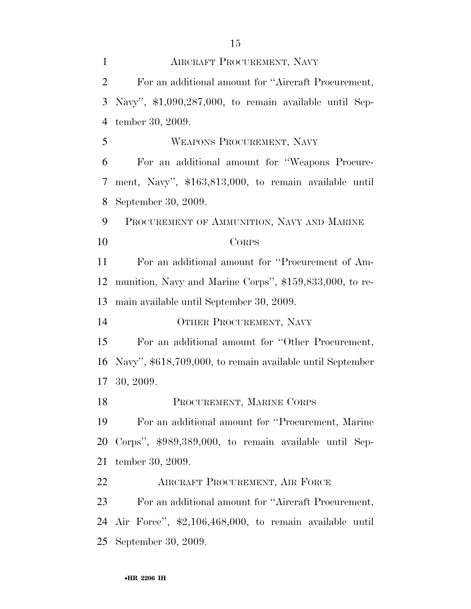| $\mathbf{1}$   | AIRCRAFT PROCUREMENT, NAVY                                |
|----------------|-----------------------------------------------------------|
| $\overline{2}$ | For an additional amount for "Aircraft Procurement,       |
| 3              | Navy", $$1,090,287,000$ , to remain available until Sep-  |
| $\overline{4}$ | tember 30, 2009.                                          |
| 5              | WEAPONS PROCUREMENT, NAVY                                 |
| 6              | For an additional amount for "Weapons Procure-            |
| 7              | ment, Navy", \$163,813,000, to remain available until     |
| 8              | September 30, 2009.                                       |
| 9              | PROCUREMENT OF AMMUNITION, NAVY AND MARINE                |
| 10             | <b>CORPS</b>                                              |
| 11             | For an additional amount for "Procurement of Am-          |
| 12             | munition, Navy and Marine Corps'', \$159,833,000, to re-  |
| 13             | main available until September 30, 2009.                  |
| 14             | OTHER PROCUREMENT, NAVY                                   |
| 15             | For an additional amount for "Other Procurement,          |
| 16             | Navy", \$618,709,000, to remain available until September |
| 17             | 30, 2009.                                                 |
| 18             | PROCUREMENT, MARINE CORPS                                 |
| 19             | For an additional amount for "Procurement, Marine"        |
| 20             | Corps", \$989,389,000, to remain available until Sep-     |
| 21             | tember 30, 2009.                                          |
| 22             | AIRCRAFT PROCUREMENT, AIR FORCE                           |
| 23             | For an additional amount for "Aircraft Procurement,       |
| 24             | Air Force", \$2,106,468,000, to remain available until    |
| 25             | September 30, 2009.                                       |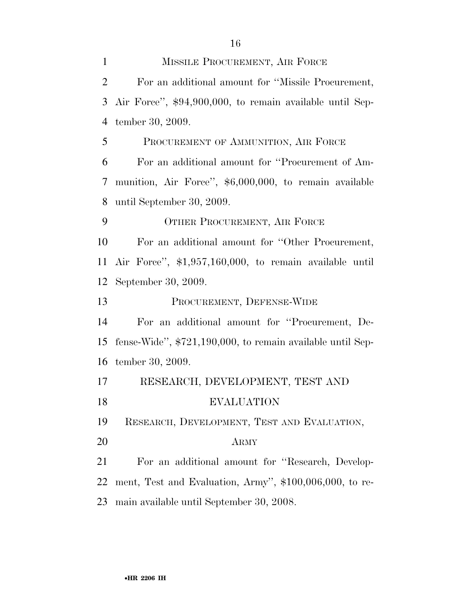| $\mathbf{1}$   | MISSILE PROCUREMENT, AIR FORCE                               |
|----------------|--------------------------------------------------------------|
| $\overline{2}$ | For an additional amount for "Missile Procurement,           |
| 3              | Air Force", \$94,900,000, to remain available until Sep-     |
| $\overline{4}$ | tember 30, 2009.                                             |
| 5              | PROCUREMENT OF AMMUNITION, AIR FORCE                         |
| 6              | For an additional amount for "Procurement of Am-             |
| 7              | munition, Air Force", \$6,000,000, to remain available       |
| 8              | until September 30, 2009.                                    |
| 9              | OTHER PROCUREMENT, AIR FORCE                                 |
| 10             | For an additional amount for "Other Procurement,             |
| 11             | Air Force", \$1,957,160,000, to remain available until       |
| 12             | September 30, 2009.                                          |
| 13             | PROCUREMENT, DEFENSE-WIDE                                    |
| 14             | For an additional amount for "Procurement, De-               |
| 15             | fense-Wide", $$721,190,000$ , to remain available until Sep- |
| 16             | tember 30, 2009.                                             |
| 17             | RESEARCH, DEVELOPMENT, TEST AND                              |
| 18             | <b>EVALUATION</b>                                            |
| 19             | RESEARCH, DEVELOPMENT, TEST AND EVALUATION,                  |
| 20             | <b>ARMY</b>                                                  |
| 21             | For an additional amount for "Research, Develop-             |
| 22             | ment, Test and Evaluation, Army", \$100,006,000, to re-      |
| 23             | main available until September 30, 2008.                     |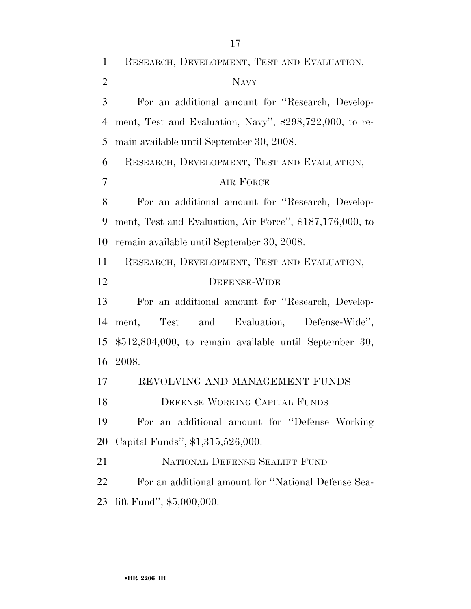RESEARCH, DEVELOPMENT, TEST AND EVALUATION, NAVY For an additional amount for ''Research, Develop- ment, Test and Evaluation, Navy'', \$298,722,000, to re- main available until September 30, 2008. RESEARCH, DEVELOPMENT, TEST AND EVALUATION, AIR FORCE For an additional amount for ''Research, Develop- ment, Test and Evaluation, Air Force'', \$187,176,000, to remain available until September 30, 2008. RESEARCH, DEVELOPMENT, TEST AND EVALUATION, DEFENSE-WIDE For an additional amount for ''Research, Develop- ment, Test and Evaluation, Defense-Wide'', \$512,804,000, to remain available until September 30, 2008. REVOLVING AND MANAGEMENT FUNDS DEFENSE WORKING CAPITAL FUNDS For an additional amount for ''Defense Working Capital Funds'', \$1,315,526,000. NATIONAL DEFENSE SEALIFT FUND For an additional amount for ''National Defense Sea-lift Fund'', \$5,000,000.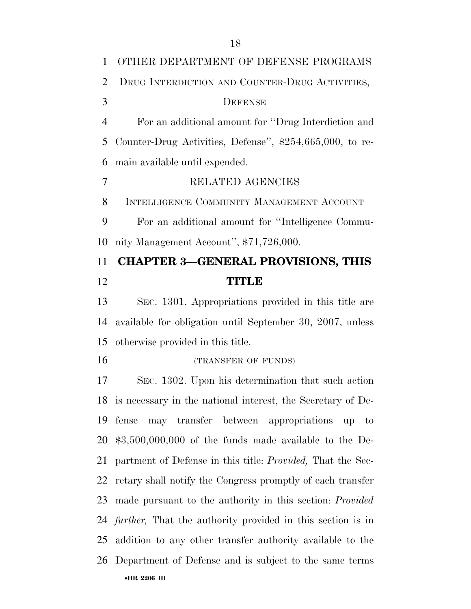| 1              | OTHER DEPARTMENT OF DEFENSE PROGRAMS                      |
|----------------|-----------------------------------------------------------|
| 2              | DRUG INTERDICTION AND COUNTER-DRUG ACTIVITIES,            |
| 3              | DEFENSE                                                   |
| 4              | For an additional amount for "Drug Interdiction and       |
| 5              | Counter-Drug Activities, Defense'', \$254,665,000, to re- |
| 6              | main available until expended.                            |
| $\overline{7}$ | RELATED AGENCIES                                          |
| 8              | INTELLIGENCE COMMUNITY MANAGEMENT ACCOUNT                 |
| 9              | For an additional amount for "Intelligence Commu-         |
| 10             | nity Management Account", \$71,726,000.                   |
| 11             | <b>CHAPTER 3-GENERAL PROVISIONS, THIS</b>                 |
| 12             | <b>TITLE</b>                                              |
| 13             | SEC. 1301. Appropriations provided in this title are      |
| 14             | available for obligation until September 30, 2007, unless |

otherwise provided in this title.

16 (TRANSFER OF FUNDS)

•**HR 2206 IH**  SEC. 1302. Upon his determination that such action is necessary in the national interest, the Secretary of De- fense may transfer between appropriations up to \$3,500,000,000 of the funds made available to the De- partment of Defense in this title: *Provided,* That the Sec- retary shall notify the Congress promptly of each transfer made pursuant to the authority in this section: *Provided further,* That the authority provided in this section is in addition to any other transfer authority available to the Department of Defense and is subject to the same terms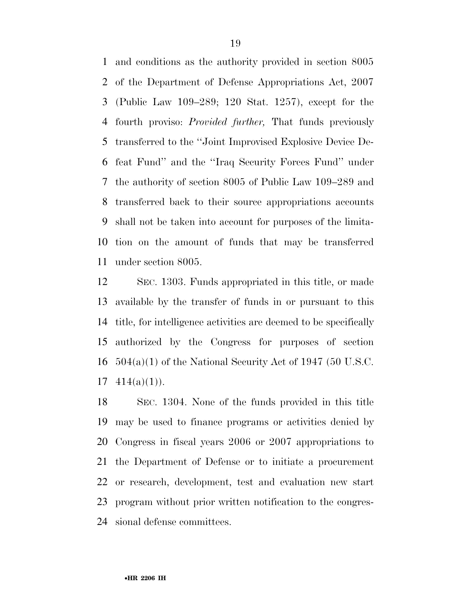and conditions as the authority provided in section 8005 of the Department of Defense Appropriations Act, 2007 (Public Law 109–289; 120 Stat. 1257), except for the fourth proviso: *Provided further,* That funds previously transferred to the ''Joint Improvised Explosive Device De- feat Fund'' and the ''Iraq Security Forces Fund'' under the authority of section 8005 of Public Law 109–289 and transferred back to their source appropriations accounts shall not be taken into account for purposes of the limita- tion on the amount of funds that may be transferred under section 8005.

 SEC. 1303. Funds appropriated in this title, or made available by the transfer of funds in or pursuant to this title, for intelligence activities are deemed to be specifically authorized by the Congress for purposes of section 504(a)(1) of the National Security Act of 1947 (50 U.S.C.  $17 \quad 414(a)(1)$ ).

 SEC. 1304. None of the funds provided in this title may be used to finance programs or activities denied by Congress in fiscal years 2006 or 2007 appropriations to the Department of Defense or to initiate a procurement or research, development, test and evaluation new start program without prior written notification to the congres-sional defense committees.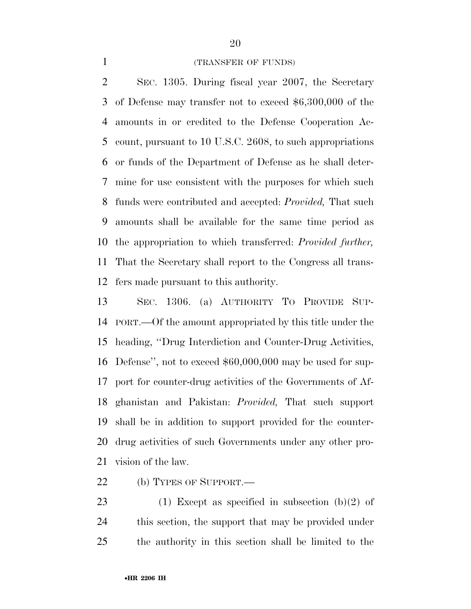#### (TRANSFER OF FUNDS)

 SEC. 1305. During fiscal year 2007, the Secretary of Defense may transfer not to exceed \$6,300,000 of the amounts in or credited to the Defense Cooperation Ac- count, pursuant to 10 U.S.C. 2608, to such appropriations or funds of the Department of Defense as he shall deter- mine for use consistent with the purposes for which such funds were contributed and accepted: *Provided,* That such amounts shall be available for the same time period as the appropriation to which transferred: *Provided further,*  That the Secretary shall report to the Congress all trans-fers made pursuant to this authority.

 SEC. 1306. (a) AUTHORITY TO PROVIDE SUP- PORT.—Of the amount appropriated by this title under the heading, ''Drug Interdiction and Counter-Drug Activities, Defense'', not to exceed \$60,000,000 may be used for sup- port for counter-drug activities of the Governments of Af- ghanistan and Pakistan: *Provided,* That such support shall be in addition to support provided for the counter- drug activities of such Governments under any other pro-vision of the law.

22 (b) TYPES OF SUPPORT.—

23 (1) Except as specified in subsection  $(b)(2)$  of this section, the support that may be provided under the authority in this section shall be limited to the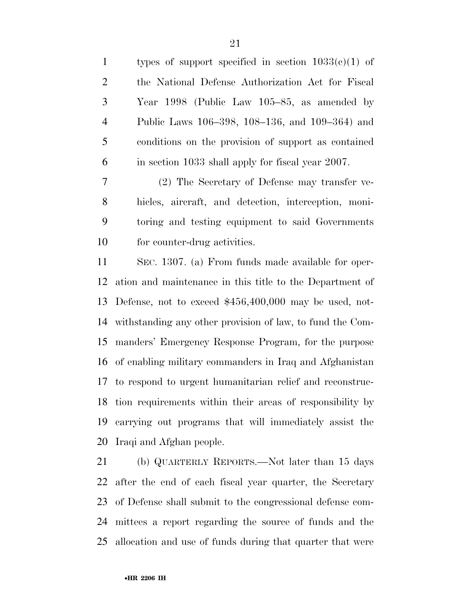| $\mathbf{1}$   | types of support specified in section $1033(c)(1)$ of |
|----------------|-------------------------------------------------------|
| 2              | the National Defense Authorization Act for Fiscal     |
| 3              | Year 1998 (Public Law $105-85$ , as amended by        |
| $\overline{4}$ | Public Laws 106–398, 108–136, and 109–364) and        |
| 5              | conditions on the provision of support as contained   |
| 6              | in section 1033 shall apply for fiscal year 2007.     |

 (2) The Secretary of Defense may transfer ve- hicles, aircraft, and detection, interception, moni- toring and testing equipment to said Governments for counter-drug activities.

 SEC. 1307. (a) From funds made available for oper- ation and maintenance in this title to the Department of Defense, not to exceed \$456,400,000 may be used, not- withstanding any other provision of law, to fund the Com- manders' Emergency Response Program, for the purpose of enabling military commanders in Iraq and Afghanistan to respond to urgent humanitarian relief and reconstruc- tion requirements within their areas of responsibility by carrying out programs that will immediately assist the Iraqi and Afghan people.

 (b) QUARTERLY REPORTS.—Not later than 15 days after the end of each fiscal year quarter, the Secretary of Defense shall submit to the congressional defense com- mittees a report regarding the source of funds and the allocation and use of funds during that quarter that were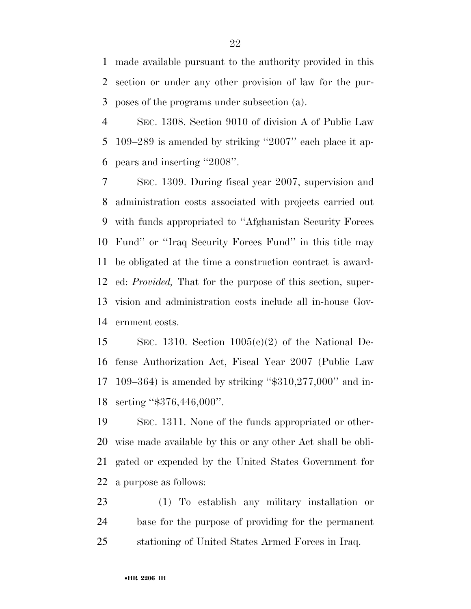made available pursuant to the authority provided in this section or under any other provision of law for the pur-poses of the programs under subsection (a).

 SEC. 1308. Section 9010 of division A of Public Law 109–289 is amended by striking ''2007'' each place it ap-pears and inserting ''2008''.

 SEC. 1309. During fiscal year 2007, supervision and administration costs associated with projects carried out with funds appropriated to ''Afghanistan Security Forces Fund'' or ''Iraq Security Forces Fund'' in this title may be obligated at the time a construction contract is award- ed: *Provided,* That for the purpose of this section, super- vision and administration costs include all in-house Gov-ernment costs.

15 SEC. 1310. Section  $1005(c)(2)$  of the National De- fense Authorization Act, Fiscal Year 2007 (Public Law 109–364) is amended by striking ''\$310,277,000'' and in-serting ''\$376,446,000''.

 SEC. 1311. None of the funds appropriated or other- wise made available by this or any other Act shall be obli- gated or expended by the United States Government for a purpose as follows:

 (1) To establish any military installation or base for the purpose of providing for the permanent stationing of United States Armed Forces in Iraq.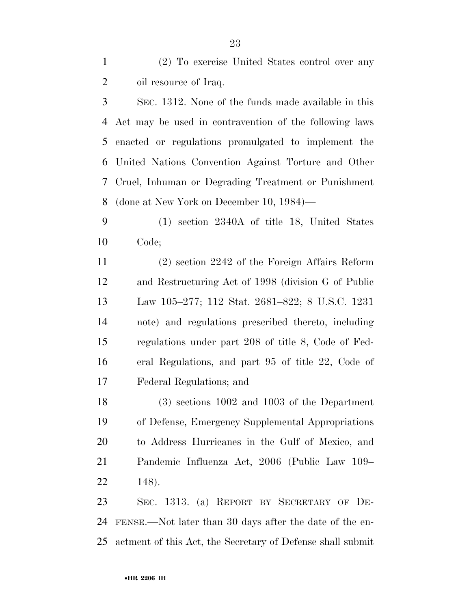(2) To exercise United States control over any 2 oil resource of Iraq.

 SEC. 1312. None of the funds made available in this Act may be used in contravention of the following laws enacted or regulations promulgated to implement the United Nations Convention Against Torture and Other Cruel, Inhuman or Degrading Treatment or Punishment (done at New York on December 10, 1984)—

 (1) section 2340A of title 18, United States Code;

 (2) section 2242 of the Foreign Affairs Reform and Restructuring Act of 1998 (division G of Public Law 105–277; 112 Stat. 2681–822; 8 U.S.C. 1231 note) and regulations prescribed thereto, including regulations under part 208 of title 8, Code of Fed- eral Regulations, and part 95 of title 22, Code of Federal Regulations; and

 (3) sections 1002 and 1003 of the Department of Defense, Emergency Supplemental Appropriations to Address Hurricanes in the Gulf of Mexico, and Pandemic Influenza Act, 2006 (Public Law 109– 148).

 SEC. 1313. (a) REPORT BY SECRETARY OF DE- FENSE.—Not later than 30 days after the date of the en-actment of this Act, the Secretary of Defense shall submit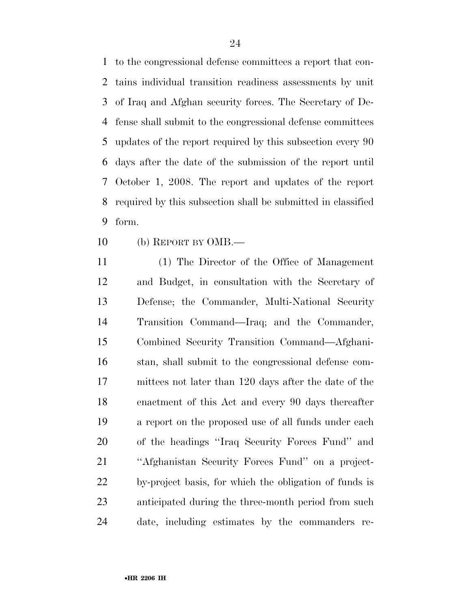to the congressional defense committees a report that con- tains individual transition readiness assessments by unit of Iraq and Afghan security forces. The Secretary of De- fense shall submit to the congressional defense committees updates of the report required by this subsection every 90 days after the date of the submission of the report until October 1, 2008. The report and updates of the report required by this subsection shall be submitted in classified form.

(b) REPORT BY OMB.—

 (1) The Director of the Office of Management and Budget, in consultation with the Secretary of Defense; the Commander, Multi-National Security Transition Command—Iraq; and the Commander, Combined Security Transition Command—Afghani- stan, shall submit to the congressional defense com- mittees not later than 120 days after the date of the enactment of this Act and every 90 days thereafter a report on the proposed use of all funds under each of the headings ''Iraq Security Forces Fund'' and ''Afghanistan Security Forces Fund'' on a project- by-project basis, for which the obligation of funds is anticipated during the three-month period from such date, including estimates by the commanders re-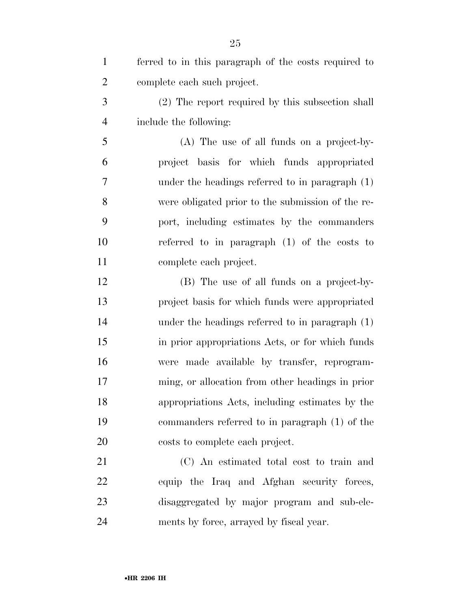| $\mathbf{1}$   | ferred to in this paragraph of the costs required to |
|----------------|------------------------------------------------------|
| $\overline{2}$ | complete each such project.                          |
| 3              | (2) The report required by this subsection shall     |
| $\overline{4}$ | include the following:                               |
| 5              | (A) The use of all funds on a project-by-            |
| 6              | project basis for which funds appropriated           |
| 7              | under the headings referred to in paragraph (1)      |
| 8              | were obligated prior to the submission of the re-    |
| 9              | port, including estimates by the commanders          |
| 10             | referred to in paragraph $(1)$ of the costs to       |
| 11             | complete each project.                               |
| 12             | (B) The use of all funds on a project-by-            |
| 13             | project basis for which funds were appropriated      |
| 14             | under the headings referred to in paragraph (1)      |
| 15             | in prior appropriations Acts, or for which funds     |
| 16             | were made available by transfer, reprogram-          |
| 17             | ming, or allocation from other headings in prior     |
| 18             | appropriations Acts, including estimates by the      |
| 19             | commanders referred to in paragraph (1) of the       |
| 20             | costs to complete each project.                      |
| 21             | (C) An estimated total cost to train and             |
| 22             | equip the Iraq and Afghan security forces,           |
| 23             | disaggregated by major program and sub-ele-          |
| 24             | ments by force, arrayed by fiscal year.              |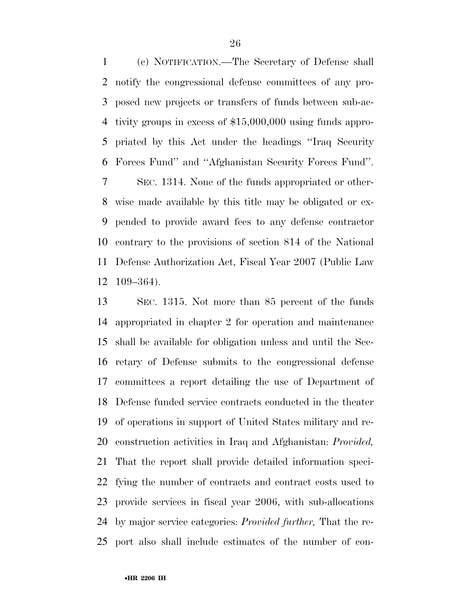(c) NOTIFICATION.—The Secretary of Defense shall notify the congressional defense committees of any pro- posed new projects or transfers of funds between sub-ac- tivity groups in excess of \$15,000,000 using funds appro- priated by this Act under the headings ''Iraq Security Forces Fund'' and ''Afghanistan Security Forces Fund''.

 SEC. 1314. None of the funds appropriated or other- wise made available by this title may be obligated or ex- pended to provide award fees to any defense contractor contrary to the provisions of section 814 of the National Defense Authorization Act, Fiscal Year 2007 (Public Law 109–364).

 SEC. 1315. Not more than 85 percent of the funds appropriated in chapter 2 for operation and maintenance shall be available for obligation unless and until the Sec- retary of Defense submits to the congressional defense committees a report detailing the use of Department of Defense funded service contracts conducted in the theater of operations in support of United States military and re- construction activities in Iraq and Afghanistan: *Provided,*  That the report shall provide detailed information speci- fying the number of contracts and contract costs used to provide services in fiscal year 2006, with sub-allocations by major service categories: *Provided further,* That the re-port also shall include estimates of the number of con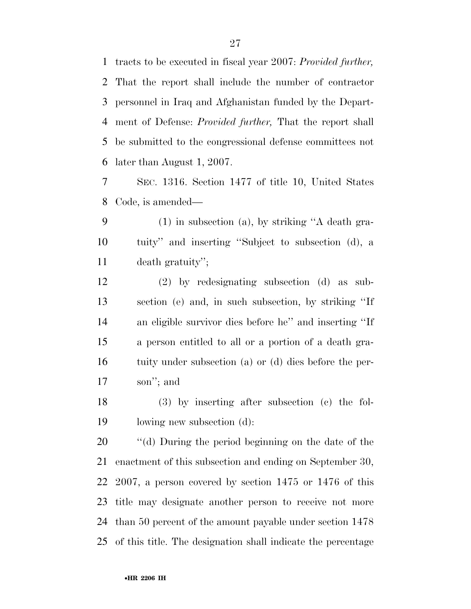tracts to be executed in fiscal year 2007: *Provided further,*  That the report shall include the number of contractor personnel in Iraq and Afghanistan funded by the Depart- ment of Defense: *Provided further,* That the report shall be submitted to the congressional defense committees not later than August 1, 2007.

 SEC. 1316. Section 1477 of title 10, United States Code, is amended—

 (1) in subsection (a), by striking ''A death gra- tuity'' and inserting ''Subject to subsection (d), a death gratuity'';

 (2) by redesignating subsection (d) as sub- section (e) and, in such subsection, by striking ''If an eligible survivor dies before he'' and inserting ''If a person entitled to all or a portion of a death gra- tuity under subsection (a) or (d) dies before the per-son''; and

 (3) by inserting after subsection (c) the fol-lowing new subsection (d):

 ''(d) During the period beginning on the date of the enactment of this subsection and ending on September 30, 2007, a person covered by section 1475 or 1476 of this title may designate another person to receive not more than 50 percent of the amount payable under section 1478 of this title. The designation shall indicate the percentage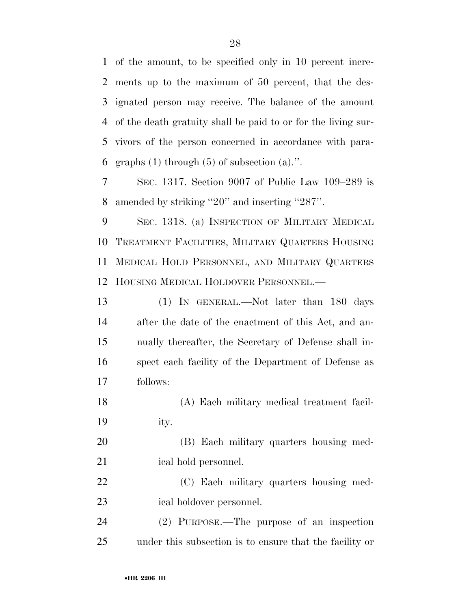of the amount, to be specified only in 10 percent incre- ments up to the maximum of 50 percent, that the des- ignated person may receive. The balance of the amount of the death gratuity shall be paid to or for the living sur- vivors of the person concerned in accordance with para-6 graphs  $(1)$  through  $(5)$  of subsection  $(a)$ .".

 SEC. 1317. Section 9007 of Public Law 109–289 is amended by striking ''20'' and inserting ''287''.

 SEC. 1318. (a) INSPECTION OF MILITARY MEDICAL TREATMENT FACILITIES, MILITARY QUARTERS HOUSING MEDICAL HOLD PERSONNEL, AND MILITARY QUARTERS HOUSING MEDICAL HOLDOVER PERSONNEL.—

 (1) IN GENERAL.—Not later than 180 days after the date of the enactment of this Act, and an- nually thereafter, the Secretary of Defense shall in- spect each facility of the Department of Defense as follows:

 (A) Each military medical treatment facil-ity.

 (B) Each military quarters housing med-21 ical hold personnel.

 (C) Each military quarters housing med-ical holdover personnel.

 (2) PURPOSE.—The purpose of an inspection under this subsection is to ensure that the facility or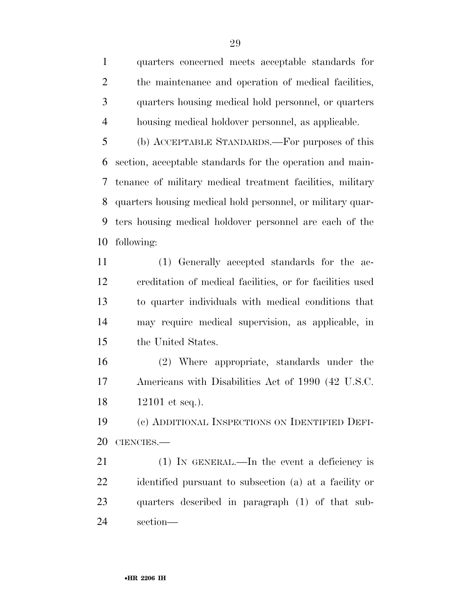quarters concerned meets acceptable standards for the maintenance and operation of medical facilities, quarters housing medical hold personnel, or quarters housing medical holdover personnel, as applicable.

 (b) ACCEPTABLE STANDARDS.—For purposes of this section, acceptable standards for the operation and main- tenance of military medical treatment facilities, military quarters housing medical hold personnel, or military quar- ters housing medical holdover personnel are each of the following:

 (1) Generally accepted standards for the ac- creditation of medical facilities, or for facilities used to quarter individuals with medical conditions that may require medical supervision, as applicable, in the United States.

 (2) Where appropriate, standards under the Americans with Disabilities Act of 1990 (42 U.S.C. 12101 et seq.).

 (c) ADDITIONAL INSPECTIONS ON IDENTIFIED DEFI-CIENCIES.—

21 (1) IN GENERAL.—In the event a deficiency is identified pursuant to subsection (a) at a facility or quarters described in paragraph (1) of that sub-section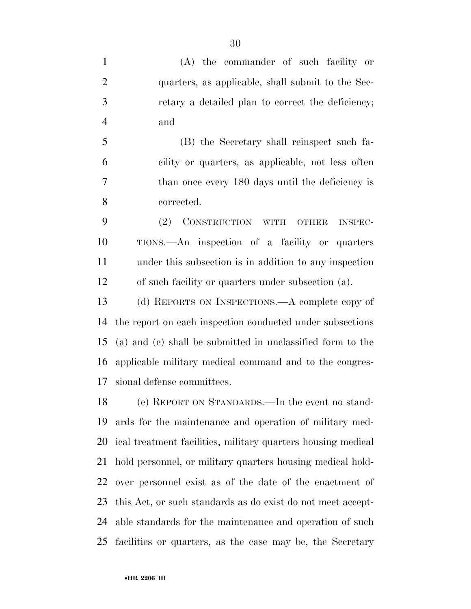(A) the commander of such facility or quarters, as applicable, shall submit to the Sec- retary a detailed plan to correct the deficiency; and

 (B) the Secretary shall reinspect such fa- cility or quarters, as applicable, not less often than once every 180 days until the deficiency is corrected.

 (2) CONSTRUCTION WITH OTHER INSPEC- TIONS.—An inspection of a facility or quarters under this subsection is in addition to any inspection of such facility or quarters under subsection (a).

 (d) REPORTS ON INSPECTIONS.—A complete copy of the report on each inspection conducted under subsections (a) and (c) shall be submitted in unclassified form to the applicable military medical command and to the congres-sional defense committees.

 (e) REPORT ON STANDARDS.—In the event no stand- ards for the maintenance and operation of military med- ical treatment facilities, military quarters housing medical hold personnel, or military quarters housing medical hold- over personnel exist as of the date of the enactment of this Act, or such standards as do exist do not meet accept- able standards for the maintenance and operation of such facilities or quarters, as the case may be, the Secretary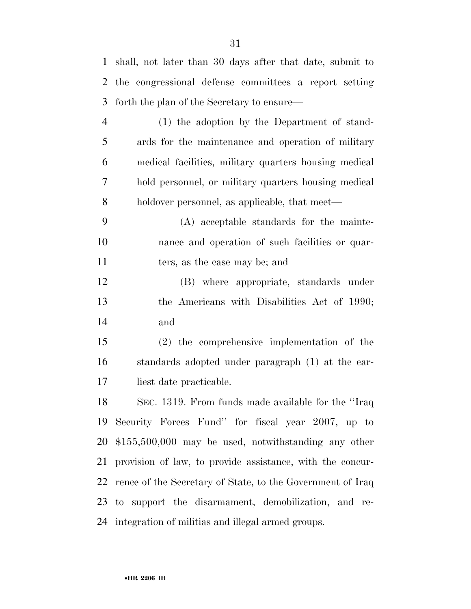shall, not later than 30 days after that date, submit to

| $\overline{2}$ | the congressional defense committees a report setting      |
|----------------|------------------------------------------------------------|
| 3              | forth the plan of the Secretary to ensure—                 |
| $\overline{4}$ | $(1)$ the adoption by the Department of stand-             |
| 5              | ards for the maintenance and operation of military         |
| 6              | medical facilities, military quarters housing medical      |
| 7              | hold personnel, or military quarters housing medical       |
| 8              | holdover personnel, as applicable, that meet—              |
| 9              | (A) acceptable standards for the mainte-                   |
| 10             | nance and operation of such facilities or quar-            |
| 11             | ters, as the case may be; and                              |
| 12             | (B) where appropriate, standards under                     |
| 13             | the Americans with Disabilities Act of 1990;               |
| 14             | and                                                        |
| 15             | $(2)$ the comprehensive implementation of the              |
| 16             | standards adopted under paragraph (1) at the ear-          |
| 17             | liest date practicable.                                    |
| 18             | SEC. 1319. From funds made available for the "Iraq"        |
|                | 19 Security Forces Fund" for fiscal year 2007, up to       |
| 20             | $$155,500,000$ may be used, notwithstanding any other      |
| 21             | provision of law, to provide assistance, with the concur-  |
| 22             | rence of the Secretary of State, to the Government of Iraq |
|                | 23 to support the disarmament, demobilization, and re-     |
|                | 24 integration of militias and illegal armed groups.       |
|                |                                                            |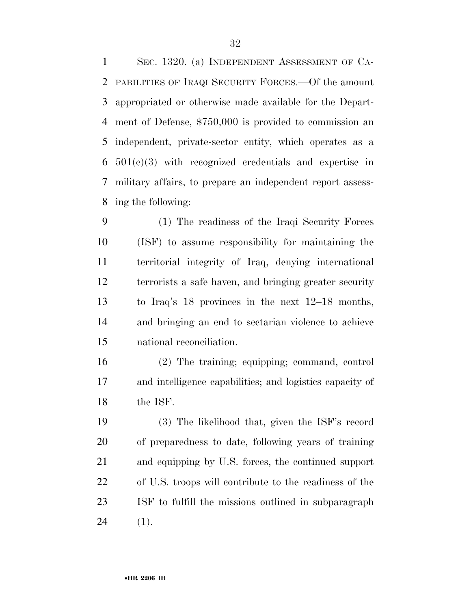SEC. 1320. (a) INDEPENDENT ASSESSMENT OF CA- PABILITIES OF IRAQI SECURITY FORCES.—Of the amount appropriated or otherwise made available for the Depart- ment of Defense, \$750,000 is provided to commission an independent, private-sector entity, which operates as a 501(c)(3) with recognized credentials and expertise in military affairs, to prepare an independent report assess-ing the following:

 (1) The readiness of the Iraqi Security Forces (ISF) to assume responsibility for maintaining the territorial integrity of Iraq, denying international terrorists a safe haven, and bringing greater security to Iraq's 18 provinces in the next 12–18 months, and bringing an end to sectarian violence to achieve national reconciliation.

 (2) The training; equipping; command, control and intelligence capabilities; and logistics capacity of the ISF.

 (3) The likelihood that, given the ISF's record of preparedness to date, following years of training and equipping by U.S. forces, the continued support of U.S. troops will contribute to the readiness of the ISF to fulfill the missions outlined in subparagraph (1).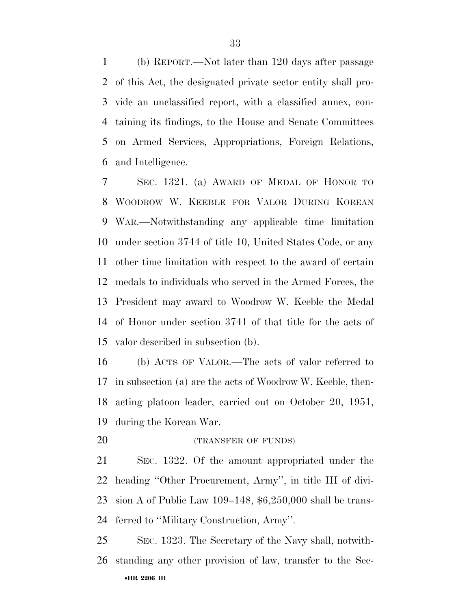(b) REPORT.—Not later than 120 days after passage of this Act, the designated private sector entity shall pro- vide an unclassified report, with a classified annex, con- taining its findings, to the House and Senate Committees on Armed Services, Appropriations, Foreign Relations, and Intelligence.

 SEC. 1321. (a) AWARD OF MEDAL OF HONOR TO WOODROW W. KEEBLE FOR VALOR DURING KOREAN WAR.—Notwithstanding any applicable time limitation under section 3744 of title 10, United States Code, or any other time limitation with respect to the award of certain medals to individuals who served in the Armed Forces, the President may award to Woodrow W. Keeble the Medal of Honor under section 3741 of that title for the acts of valor described in subsection (b).

 (b) ACTS OF VALOR.—The acts of valor referred to in subsection (a) are the acts of Woodrow W. Keeble, then- acting platoon leader, carried out on October 20, 1951, during the Korean War.

20 (TRANSFER OF FUNDS)

 SEC. 1322. Of the amount appropriated under the heading ''Other Procurement, Army'', in title III of divi- sion A of Public Law 109–148, \$6,250,000 shall be trans-ferred to ''Military Construction, Army''.

•**HR 2206 IH**  SEC. 1323. The Secretary of the Navy shall, notwith-standing any other provision of law, transfer to the Sec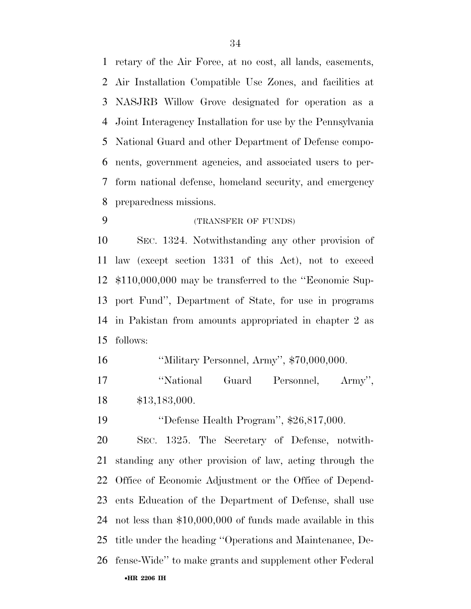retary of the Air Force, at no cost, all lands, easements, Air Installation Compatible Use Zones, and facilities at NASJRB Willow Grove designated for operation as a Joint Interagency Installation for use by the Pennsylvania National Guard and other Department of Defense compo- nents, government agencies, and associated users to per- form national defense, homeland security, and emergency preparedness missions.

(TRANSFER OF FUNDS)

 SEC. 1324. Notwithstanding any other provision of law (except section 1331 of this Act), not to exceed \$110,000,000 may be transferred to the ''Economic Sup- port Fund'', Department of State, for use in programs in Pakistan from amounts appropriated in chapter 2 as follows:

''Military Personnel, Army'', \$70,000,000.

17 "National Guard Personnel, Army", \$13,183,000.

''Defense Health Program'', \$26,817,000.

•**HR 2206 IH**  SEC. 1325. The Secretary of Defense, notwith- standing any other provision of law, acting through the Office of Economic Adjustment or the Office of Depend- ents Education of the Department of Defense, shall use not less than \$10,000,000 of funds made available in this title under the heading ''Operations and Maintenance, De-fense-Wide'' to make grants and supplement other Federal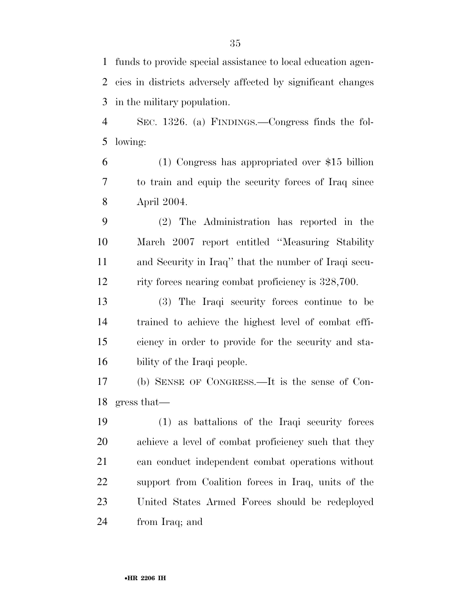funds to provide special assistance to local education agen- cies in districts adversely affected by significant changes in the military population.

 SEC. 1326. (a) FINDINGS.—Congress finds the fol-lowing:

 (1) Congress has appropriated over \$15 billion to train and equip the security forces of Iraq since April 2004.

 (2) The Administration has reported in the March 2007 report entitled ''Measuring Stability and Security in Iraq'' that the number of Iraqi secu-rity forces nearing combat proficiency is 328,700.

 (3) The Iraqi security forces continue to be trained to achieve the highest level of combat effi- ciency in order to provide for the security and sta-bility of the Iraqi people.

 (b) SENSE OF CONGRESS.—It is the sense of Con-gress that—

 (1) as battalions of the Iraqi security forces achieve a level of combat proficiency such that they can conduct independent combat operations without support from Coalition forces in Iraq, units of the United States Armed Forces should be redeployed from Iraq; and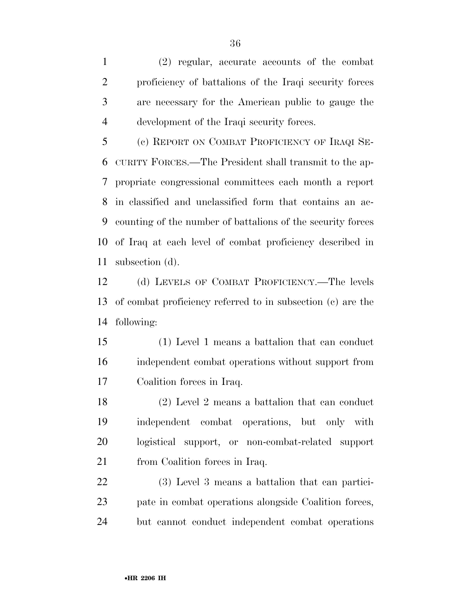(2) regular, accurate accounts of the combat proficiency of battalions of the Iraqi security forces are necessary for the American public to gauge the development of the Iraqi security forces.

 (c) REPORT ON COMBAT PROFICIENCY OF IRAQI SE- CURITY FORCES.—The President shall transmit to the ap- propriate congressional committees each month a report in classified and unclassified form that contains an ac- counting of the number of battalions of the security forces of Iraq at each level of combat proficiency described in subsection (d).

 (d) LEVELS OF COMBAT PROFICIENCY.—The levels of combat proficiency referred to in subsection (c) are the following:

 (1) Level 1 means a battalion that can conduct independent combat operations without support from Coalition forces in Iraq.

 (2) Level 2 means a battalion that can conduct independent combat operations, but only with logistical support, or non-combat-related support 21 from Coalition forces in Iraq.

 (3) Level 3 means a battalion that can partici- pate in combat operations alongside Coalition forces, but cannot conduct independent combat operations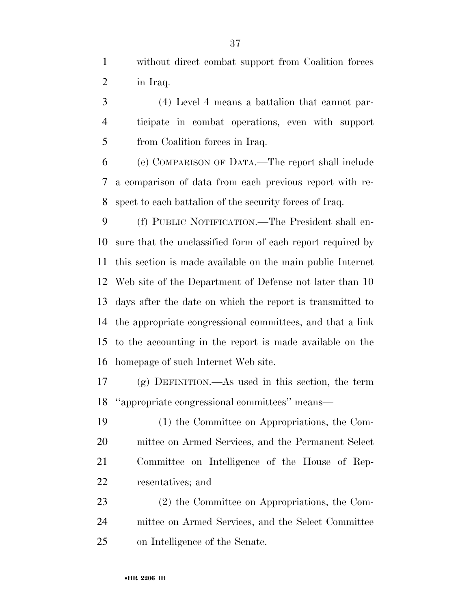without direct combat support from Coalition forces in Iraq.

 (4) Level 4 means a battalion that cannot par- ticipate in combat operations, even with support from Coalition forces in Iraq.

 (e) COMPARISON OF DATA.—The report shall include a comparison of data from each previous report with re-spect to each battalion of the security forces of Iraq.

 (f) PUBLIC NOTIFICATION.—The President shall en- sure that the unclassified form of each report required by this section is made available on the main public Internet Web site of the Department of Defense not later than 10 days after the date on which the report is transmitted to the appropriate congressional committees, and that a link to the accounting in the report is made available on the homepage of such Internet Web site.

 (g) DEFINITION.—As used in this section, the term ''appropriate congressional committees'' means—

 (1) the Committee on Appropriations, the Com- mittee on Armed Services, and the Permanent Select Committee on Intelligence of the House of Rep-resentatives; and

 (2) the Committee on Appropriations, the Com- mittee on Armed Services, and the Select Committee on Intelligence of the Senate.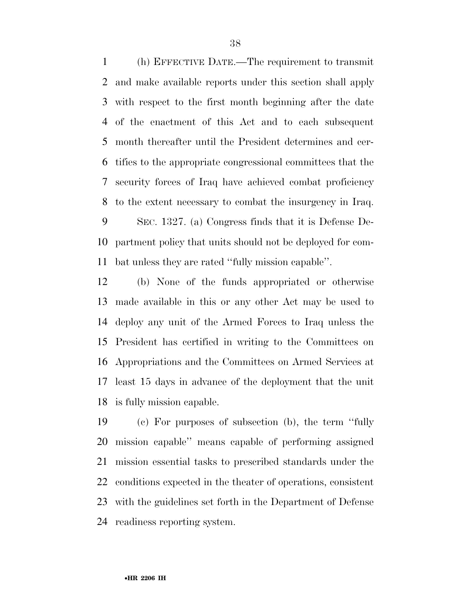(h) EFFECTIVE DATE.—The requirement to transmit and make available reports under this section shall apply with respect to the first month beginning after the date of the enactment of this Act and to each subsequent month thereafter until the President determines and cer- tifies to the appropriate congressional committees that the security forces of Iraq have achieved combat proficiency to the extent necessary to combat the insurgency in Iraq. SEC. 1327. (a) Congress finds that it is Defense De-partment policy that units should not be deployed for com-

bat unless they are rated ''fully mission capable''.

 (b) None of the funds appropriated or otherwise made available in this or any other Act may be used to deploy any unit of the Armed Forces to Iraq unless the President has certified in writing to the Committees on Appropriations and the Committees on Armed Services at least 15 days in advance of the deployment that the unit is fully mission capable.

 (c) For purposes of subsection (b), the term ''fully mission capable'' means capable of performing assigned mission essential tasks to prescribed standards under the conditions expected in the theater of operations, consistent with the guidelines set forth in the Department of Defense readiness reporting system.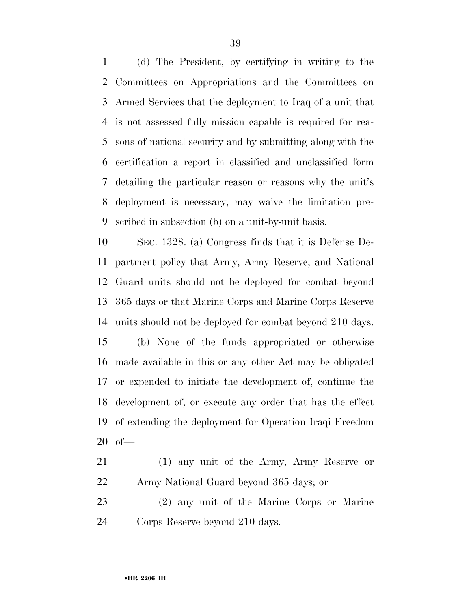(d) The President, by certifying in writing to the Committees on Appropriations and the Committees on Armed Services that the deployment to Iraq of a unit that is not assessed fully mission capable is required for rea- sons of national security and by submitting along with the certification a report in classified and unclassified form detailing the particular reason or reasons why the unit's deployment is necessary, may waive the limitation pre-scribed in subsection (b) on a unit-by-unit basis.

 SEC. 1328. (a) Congress finds that it is Defense De- partment policy that Army, Army Reserve, and National Guard units should not be deployed for combat beyond 365 days or that Marine Corps and Marine Corps Reserve units should not be deployed for combat beyond 210 days. (b) None of the funds appropriated or otherwise made available in this or any other Act may be obligated or expended to initiate the development of, continue the development of, or execute any order that has the effect of extending the deployment for Operation Iraqi Freedom of—

 (1) any unit of the Army, Army Reserve or Army National Guard beyond 365 days; or

 (2) any unit of the Marine Corps or Marine Corps Reserve beyond 210 days.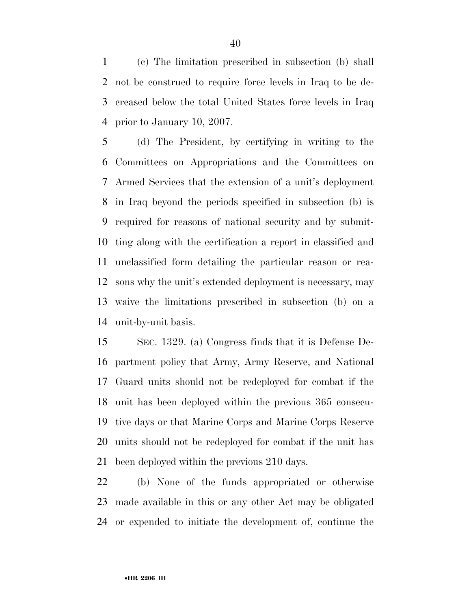(c) The limitation prescribed in subsection (b) shall not be construed to require force levels in Iraq to be de- creased below the total United States force levels in Iraq prior to January 10, 2007.

 (d) The President, by certifying in writing to the Committees on Appropriations and the Committees on Armed Services that the extension of a unit's deployment in Iraq beyond the periods specified in subsection (b) is required for reasons of national security and by submit- ting along with the certification a report in classified and unclassified form detailing the particular reason or rea- sons why the unit's extended deployment is necessary, may waive the limitations prescribed in subsection (b) on a unit-by-unit basis.

 SEC. 1329. (a) Congress finds that it is Defense De- partment policy that Army, Army Reserve, and National Guard units should not be redeployed for combat if the unit has been deployed within the previous 365 consecu- tive days or that Marine Corps and Marine Corps Reserve units should not be redeployed for combat if the unit has been deployed within the previous 210 days.

 (b) None of the funds appropriated or otherwise made available in this or any other Act may be obligated or expended to initiate the development of, continue the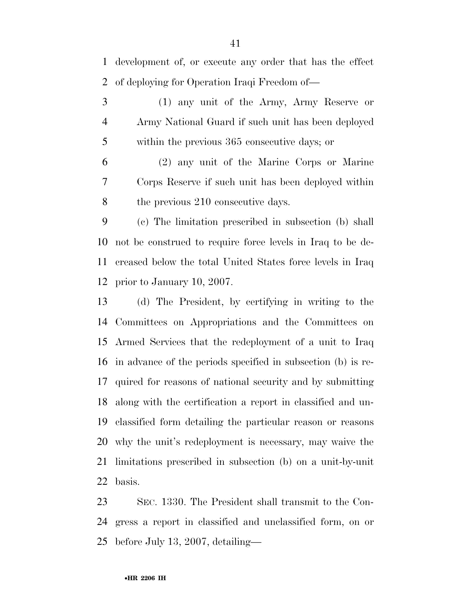development of, or execute any order that has the effect of deploying for Operation Iraqi Freedom of—

 (1) any unit of the Army, Army Reserve or Army National Guard if such unit has been deployed within the previous 365 consecutive days; or

 (2) any unit of the Marine Corps or Marine Corps Reserve if such unit has been deployed within 8 the previous 210 consecutive days.

 (c) The limitation prescribed in subsection (b) shall not be construed to require force levels in Iraq to be de- creased below the total United States force levels in Iraq prior to January 10, 2007.

 (d) The President, by certifying in writing to the Committees on Appropriations and the Committees on Armed Services that the redeployment of a unit to Iraq in advance of the periods specified in subsection (b) is re- quired for reasons of national security and by submitting along with the certification a report in classified and un- classified form detailing the particular reason or reasons why the unit's redeployment is necessary, may waive the limitations prescribed in subsection (b) on a unit-by-unit basis.

 SEC. 1330. The President shall transmit to the Con- gress a report in classified and unclassified form, on or before July 13, 2007, detailing—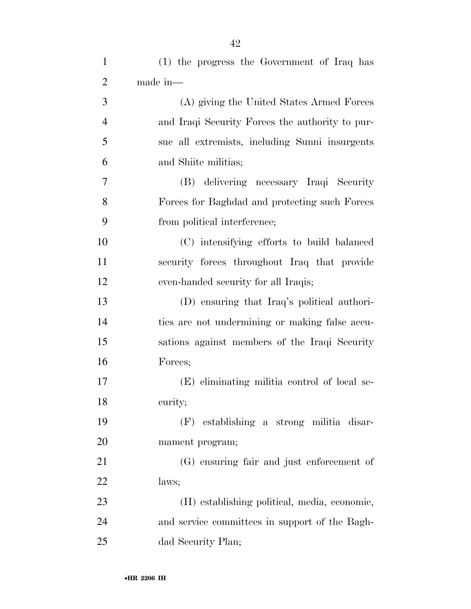| $\mathbf{1}$   | (1) the progress the Government of Iraq has     |
|----------------|-------------------------------------------------|
| $\overline{2}$ | made in-                                        |
| 3              | (A) giving the United States Armed Forces       |
| $\overline{4}$ | and Iraqi Security Forces the authority to pur- |
| 5              | sue all extremists, including Sunni insurgents  |
| 6              | and Shiite militias;                            |
| 7              | (B) delivering necessary Iraqi Security         |
| 8              | Forces for Baghdad and protecting such Forces   |
| 9              | from political interference;                    |
| 10             | (C) intensifying efforts to build balanced      |
| 11             | security forces throughout Iraq that provide    |
| 12             | even-handed security for all Iraqis;            |
| 13             | (D) ensuring that Iraq's political authori-     |
| 14             | ties are not undermining or making false accu-  |
| 15             | sations against members of the Iraqi Security   |
| 16             | Forces;                                         |
| 17             | (E) eliminating militia control of local se-    |
| 18             | curity;                                         |
| 19             | (F) establishing a strong militia disar-        |
| 20             | mament program;                                 |
| 21             | (G) ensuring fair and just enforcement of       |
| 22             | laws;                                           |
| 23             | (H) establishing political, media, economic,    |
| 24             | and service committees in support of the Bagh-  |
|                |                                                 |

dad Security Plan;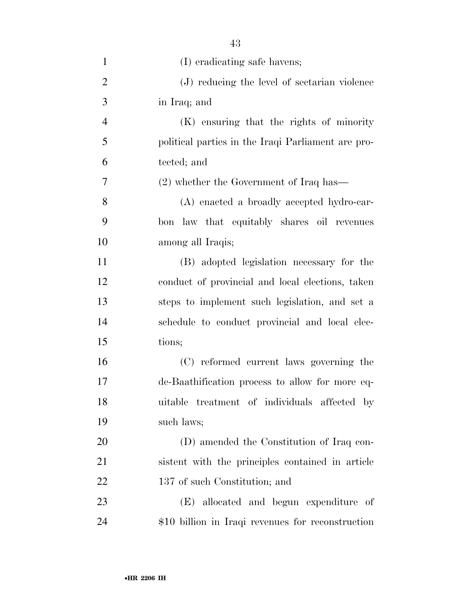| $\mathbf{1}$   | (I) eradicating safe havens;                       |
|----------------|----------------------------------------------------|
| $\overline{2}$ | (J) reducing the level of sectarian violence       |
| 3              | in Iraq; and                                       |
| $\overline{4}$ | (K) ensuring that the rights of minority           |
| 5              | political parties in the Iraqi Parliament are pro- |
| 6              | tected; and                                        |
| 7              | $(2)$ whether the Government of Iraq has—          |
| 8              | (A) enacted a broadly accepted hydro-car-          |
| 9              | bon law that equitably shares oil revenues         |
| 10             | among all Iraqis;                                  |
| 11             | (B) adopted legislation necessary for the          |
| 12             | conduct of provincial and local elections, taken   |
| 13             | steps to implement such legislation, and set a     |
| 14             | schedule to conduct provincial and local elec-     |
| 15             | tions;                                             |
| 16             | (C) reformed current laws governing the            |
| 17             | de-Baathification process to allow for more eq-    |
| 18             | uitable treatment of individuals affected by       |
| 19             | such laws;                                         |
| 20             | (D) amended the Constitution of Iraq con-          |
| 21             | sistent with the principles contained in article   |
| 22             | 137 of such Constitution; and                      |
| 23             | (E) allocated and begun expenditure of             |
| 24             | \$10 billion in Iraqi revenues for reconstruction  |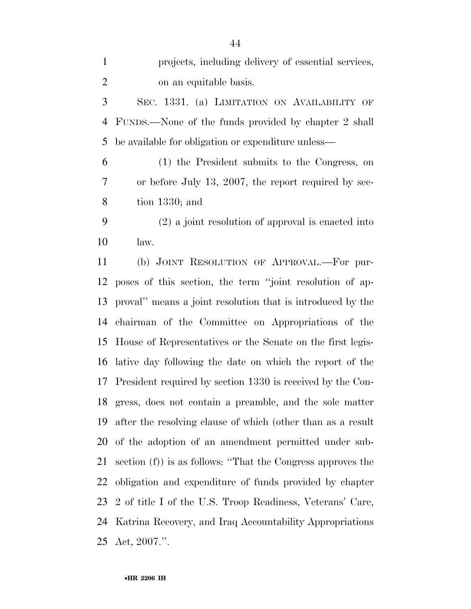| $\mathbf{1}$   | projects, including delivery of essential services,            |
|----------------|----------------------------------------------------------------|
| $\overline{2}$ | on an equitable basis.                                         |
| 3              | SEC. 1331. (a) LIMITATION ON AVAILABILITY OF                   |
| 4              | FUNDS.—None of the funds provided by chapter 2 shall           |
| 5              | be available for obligation or expenditure unless—             |
| 6              | (1) the President submits to the Congress, on                  |
| 7              | or before July 13, 2007, the report required by sec-           |
| 8              | tion $1330$ ; and                                              |
| 9              | $(2)$ a joint resolution of approval is enacted into           |
| 10             | law.                                                           |
| 11             | (b) JOINT RESOLUTION OF APPROVAL.—For pur-                     |
| 12             | poses of this section, the term "joint resolution of ap-       |
| 13             | proval" means a joint resolution that is introduced by the     |
| 14             | chairman of the Committee on Appropriations of the             |
| 15             | House of Representatives or the Senate on the first legis-     |
| 16             | lative day following the date on which the report of the       |
| 17             | President required by section 1330 is received by the Con-     |
| 18             | gress, does not contain a preamble, and the sole matter        |
| 19             | after the resolving clause of which (other than as a result    |
| 20             | of the adoption of an amendment permitted under sub-           |
| 21             | section $(f)$ ) is as follows: "That the Congress approves the |
| 22             | obligation and expenditure of funds provided by chapter        |
| 23             | 2 of title I of the U.S. Troop Readiness, Veterans' Care,      |
| 24             | Katrina Recovery, and Iraq Accountability Appropriations       |
| 25             | Act, $2007$ .".                                                |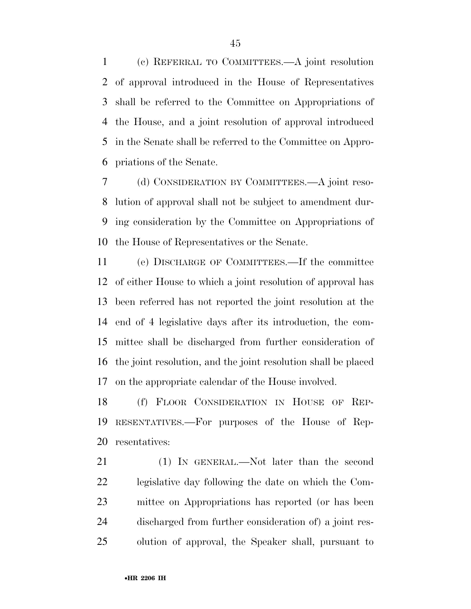(c) REFERRAL TO COMMITTEES.—A joint resolution of approval introduced in the House of Representatives shall be referred to the Committee on Appropriations of the House, and a joint resolution of approval introduced in the Senate shall be referred to the Committee on Appro-priations of the Senate.

 (d) CONSIDERATION BY COMMITTEES.—A joint reso- lution of approval shall not be subject to amendment dur- ing consideration by the Committee on Appropriations of the House of Representatives or the Senate.

 (e) DISCHARGE OF COMMITTEES.—If the committee of either House to which a joint resolution of approval has been referred has not reported the joint resolution at the end of 4 legislative days after its introduction, the com- mittee shall be discharged from further consideration of the joint resolution, and the joint resolution shall be placed on the appropriate calendar of the House involved.

 (f) FLOOR CONSIDERATION IN HOUSE OF REP- RESENTATIVES.—For purposes of the House of Rep-resentatives:

21 (1) IN GENERAL.—Not later than the second legislative day following the date on which the Com- mittee on Appropriations has reported (or has been discharged from further consideration of) a joint res-olution of approval, the Speaker shall, pursuant to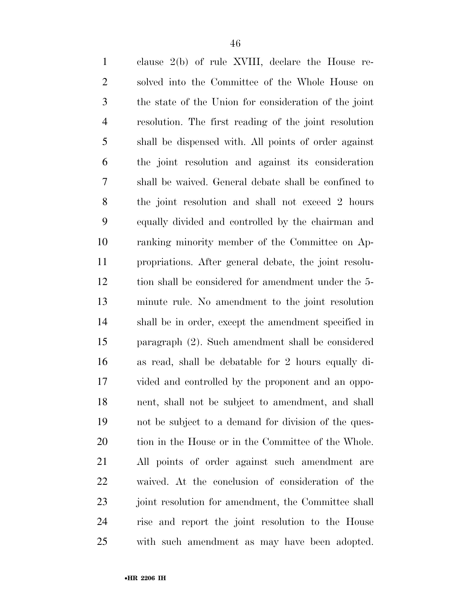| $\mathbf{1}$   | clause $2(b)$ of rule XVIII, declare the House re-    |
|----------------|-------------------------------------------------------|
| $\overline{2}$ | solved into the Committee of the Whole House on       |
| 3              | the state of the Union for consideration of the joint |
| $\overline{4}$ | resolution. The first reading of the joint resolution |
| 5              | shall be dispensed with. All points of order against  |
| 6              | the joint resolution and against its consideration    |
| 7              | shall be waived. General debate shall be confined to  |
| $8\,$          | the joint resolution and shall not exceed 2 hours     |
| 9              | equally divided and controlled by the chairman and    |
| 10             | ranking minority member of the Committee on Ap-       |
| 11             | propriations. After general debate, the joint resolu- |
| 12             | tion shall be considered for amendment under the 5-   |
| 13             | minute rule. No amendment to the joint resolution     |
| 14             | shall be in order, except the amendment specified in  |
| 15             | paragraph (2). Such amendment shall be considered     |
| 16             | as read, shall be debatable for 2 hours equally di-   |
| 17             | vided and controlled by the proponent and an oppo-    |
| 18             | nent, shall not be subject to amendment, and shall    |
| 19             | not be subject to a demand for division of the ques-  |
| 20             | tion in the House or in the Committee of the Whole.   |
| 21             | All points of order against such amendment are        |
| 22             | waived. At the conclusion of consideration of the     |
| 23             | joint resolution for amendment, the Committee shall   |
| 24             | rise and report the joint resolution to the House     |
| 25             | with such amendment as may have been adopted.         |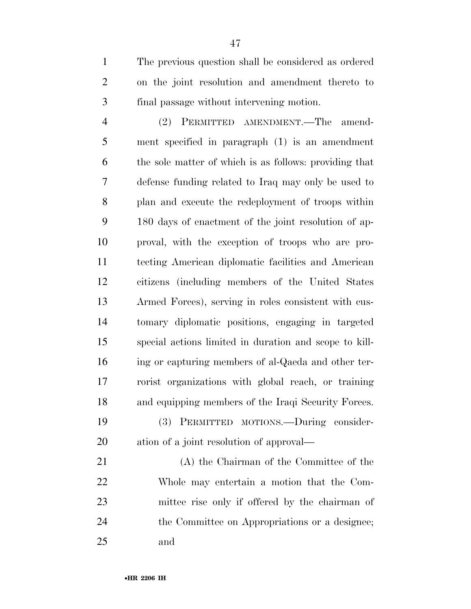The previous question shall be considered as ordered on the joint resolution and amendment thereto to final passage without intervening motion.

 (2) PERMITTED AMENDMENT.—The amend- ment specified in paragraph (1) is an amendment the sole matter of which is as follows: providing that defense funding related to Iraq may only be used to plan and execute the redeployment of troops within 180 days of enactment of the joint resolution of ap- proval, with the exception of troops who are pro- tecting American diplomatic facilities and American citizens (including members of the United States Armed Forces), serving in roles consistent with cus- tomary diplomatic positions, engaging in targeted special actions limited in duration and scope to kill- ing or capturing members of al-Qaeda and other ter- rorist organizations with global reach, or training and equipping members of the Iraqi Security Forces. (3) PERMITTED MOTIONS.—During consider-ation of a joint resolution of approval—

 (A) the Chairman of the Committee of the Whole may entertain a motion that the Com- mittee rise only if offered by the chairman of the Committee on Appropriations or a designee; and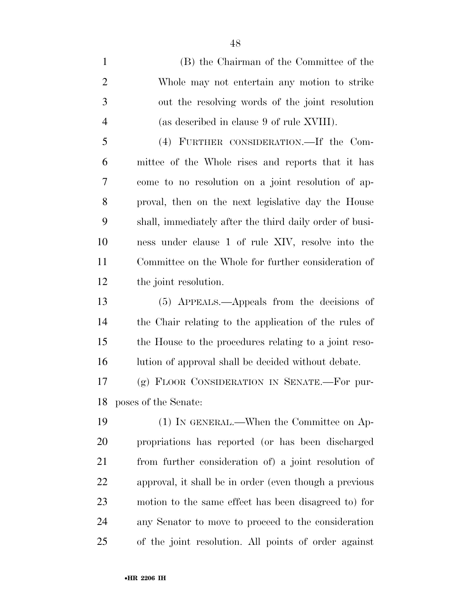(B) the Chairman of the Committee of the Whole may not entertain any motion to strike out the resolving words of the joint resolution (as described in clause 9 of rule XVIII).

 (4) FURTHER CONSIDERATION.—If the Com- mittee of the Whole rises and reports that it has come to no resolution on a joint resolution of ap- proval, then on the next legislative day the House shall, immediately after the third daily order of busi- ness under clause 1 of rule XIV, resolve into the Committee on the Whole for further consideration of the joint resolution.

 (5) APPEALS.—Appeals from the decisions of the Chair relating to the application of the rules of the House to the procedures relating to a joint reso-16 lution of approval shall be decided without debate.

 (g) FLOOR CONSIDERATION IN SENATE.—For pur-poses of the Senate:

 (1) IN GENERAL.—When the Committee on Ap- propriations has reported (or has been discharged from further consideration of) a joint resolution of approval, it shall be in order (even though a previous motion to the same effect has been disagreed to) for any Senator to move to proceed to the consideration of the joint resolution. All points of order against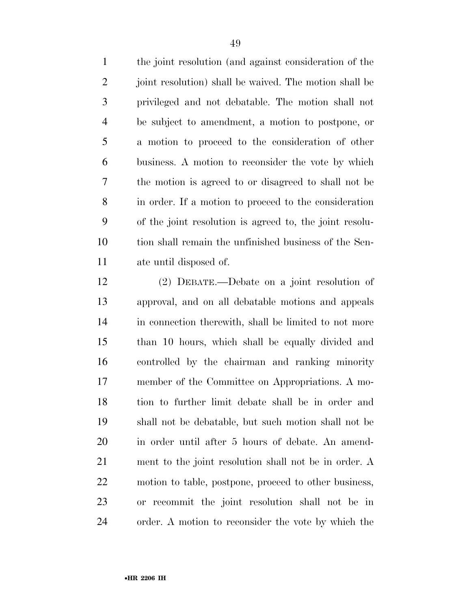the joint resolution (and against consideration of the 2 joint resolution) shall be waived. The motion shall be privileged and not debatable. The motion shall not be subject to amendment, a motion to postpone, or a motion to proceed to the consideration of other business. A motion to reconsider the vote by which the motion is agreed to or disagreed to shall not be in order. If a motion to proceed to the consideration of the joint resolution is agreed to, the joint resolu- tion shall remain the unfinished business of the Sen-ate until disposed of.

 (2) DEBATE.—Debate on a joint resolution of approval, and on all debatable motions and appeals in connection therewith, shall be limited to not more than 10 hours, which shall be equally divided and controlled by the chairman and ranking minority member of the Committee on Appropriations. A mo- tion to further limit debate shall be in order and shall not be debatable, but such motion shall not be in order until after 5 hours of debate. An amend- ment to the joint resolution shall not be in order. A motion to table, postpone, proceed to other business, or recommit the joint resolution shall not be in order. A motion to reconsider the vote by which the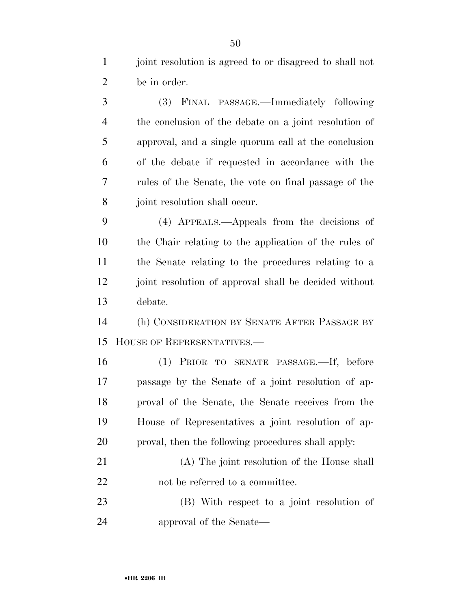joint resolution is agreed to or disagreed to shall not be in order.

 (3) FINAL PASSAGE.—Immediately following the conclusion of the debate on a joint resolution of approval, and a single quorum call at the conclusion of the debate if requested in accordance with the rules of the Senate, the vote on final passage of the joint resolution shall occur.

 (4) APPEALS.—Appeals from the decisions of the Chair relating to the application of the rules of the Senate relating to the procedures relating to a joint resolution of approval shall be decided without debate.

 (h) CONSIDERATION BY SENATE AFTER PASSAGE BY HOUSE OF REPRESENTATIVES.—

 (1) PRIOR TO SENATE PASSAGE.—If, before passage by the Senate of a joint resolution of ap- proval of the Senate, the Senate receives from the House of Representatives a joint resolution of ap-proval, then the following procedures shall apply:

 (A) The joint resolution of the House shall 22 not be referred to a committee.

 (B) With respect to a joint resolution of approval of the Senate—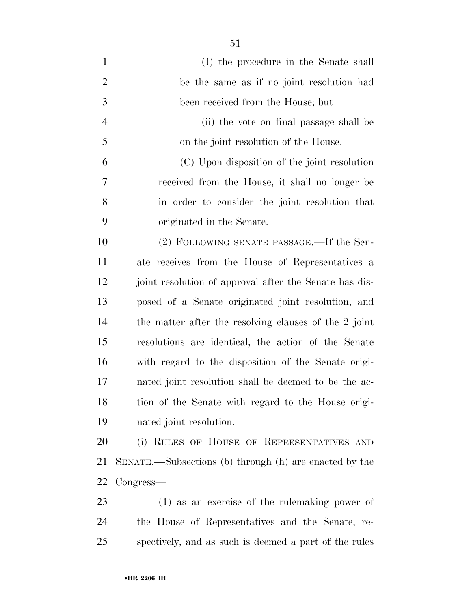(I) the procedure in the Senate shall be the same as if no joint resolution had been received from the House; but (ii) the vote on final passage shall be on the joint resolution of the House. (C) Upon disposition of the joint resolution received from the House, it shall no longer be in order to consider the joint resolution that originated in the Senate. (2) FOLLOWING SENATE PASSAGE.—If the Sen- ate receives from the House of Representatives a 12 joint resolution of approval after the Senate has dis- posed of a Senate originated joint resolution, and the matter after the resolving clauses of the 2 joint resolutions are identical, the action of the Senate with regard to the disposition of the Senate origi- nated joint resolution shall be deemed to be the ac- tion of the Senate with regard to the House origi- nated joint resolution. (i) RULES OF HOUSE OF REPRESENTATIVES AND SENATE.—Subsections (b) through (h) are enacted by the

- Congress—
- (1) as an exercise of the rulemaking power of the House of Representatives and the Senate, re-spectively, and as such is deemed a part of the rules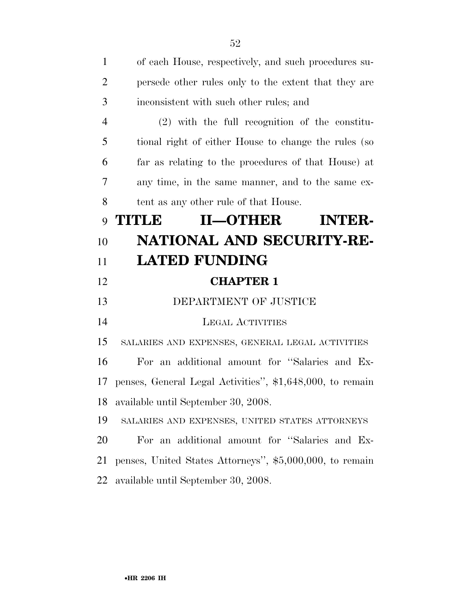| $\mathbf{1}$   | of each House, respectively, and such procedures su-      |
|----------------|-----------------------------------------------------------|
| $\overline{2}$ | persede other rules only to the extent that they are      |
| 3              | inconsistent with such other rules; and                   |
| $\overline{4}$ | $(2)$ with the full recognition of the constitu-          |
| 5              | tional right of either House to change the rules (so      |
| 6              | far as relating to the procedures of that House) at       |
| 7              | any time, in the same manner, and to the same ex-         |
| 8              | tent as any other rule of that House.                     |
| 9              | <b>TITLE</b><br>II-OTHER<br><b>INTER-</b>                 |
| 10             | NATIONAL AND SECURITY-RE-                                 |
| 11             | <b>LATED FUNDING</b>                                      |
| 12             | <b>CHAPTER 1</b>                                          |
| 13             | DEPARTMENT OF JUSTICE                                     |
| 14             | <b>LEGAL ACTIVITIES</b>                                   |
| 15             | SALARIES AND EXPENSES, GENERAL LEGAL ACTIVITIES           |
| 16             | For an additional amount for "Salaries and Ex-            |
| 17             | penses, General Legal Activities", \$1,648,000, to remain |
| 18             | available until September 30, 2008.                       |
| 19             | SALARIES AND EXPENSES, UNITED STATES ATTORNEYS            |
| 20             | For an additional amount for "Salaries and Ex-            |
| 21             | penses, United States Attorneys", \$5,000,000, to remain  |
|                |                                                           |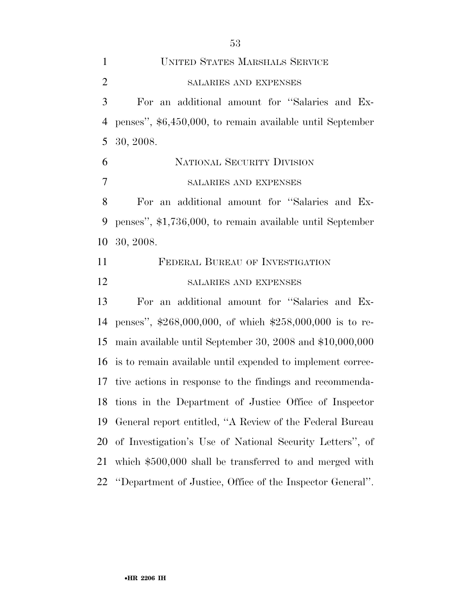UNITED STATES MARSHALS SERVICE SALARIES AND EXPENSES For an additional amount for ''Salaries and Ex- penses'', \$6,450,000, to remain available until September 30, 2008. NATIONAL SECURITY DIVISION SALARIES AND EXPENSES For an additional amount for ''Salaries and Ex- penses'', \$1,736,000, to remain available until September 30, 2008. FEDERAL BUREAU OF INVESTIGATION SALARIES AND EXPENSES For an additional amount for ''Salaries and Ex- penses'', \$268,000,000, of which \$258,000,000 is to re- main available until September 30, 2008 and \$10,000,000 is to remain available until expended to implement correc- tive actions in response to the findings and recommenda- tions in the Department of Justice Office of Inspector General report entitled, ''A Review of the Federal Bureau of Investigation's Use of National Security Letters'', of which \$500,000 shall be transferred to and merged with ''Department of Justice, Office of the Inspector General''.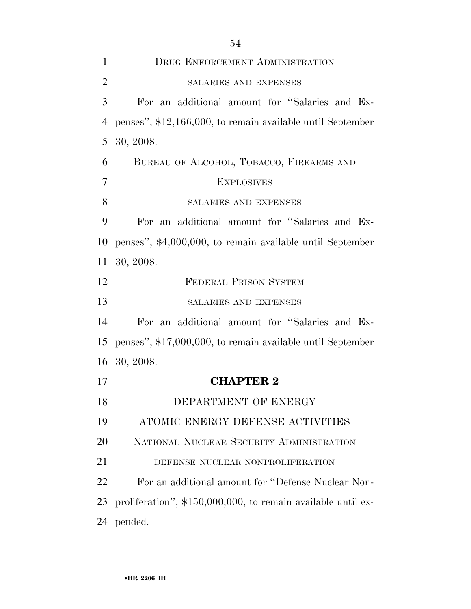| $\mathbf{1}$   | DRUG ENFORCEMENT ADMINISTRATION                              |
|----------------|--------------------------------------------------------------|
| $\overline{2}$ | SALARIES AND EXPENSES                                        |
| 3              | For an additional amount for "Salaries and Ex-               |
| $\overline{4}$ | penses", \$12,166,000, to remain available until September   |
| 5              | 30, 2008.                                                    |
| 6              | BUREAU OF ALCOHOL, TOBACCO, FIREARMS AND                     |
| $\overline{7}$ | <b>EXPLOSIVES</b>                                            |
| 8              | SALARIES AND EXPENSES                                        |
| 9              | For an additional amount for "Salaries and Ex-               |
| 10             | penses", \$4,000,000, to remain available until September    |
| 11             | 30, 2008.                                                    |
| 12             | <b>FEDERAL PRISON SYSTEM</b>                                 |
| 13             | SALARIES AND EXPENSES                                        |
| 14             | For an additional amount for "Salaries and Ex-               |
| 15             | penses", \$17,000,000, to remain available until September   |
| 16             | 30, 2008.                                                    |
| 17             | <b>CHAPTER 2</b>                                             |
| 18             | DEPARTMENT OF ENERGY                                         |
| 19             | ATOMIC ENERGY DEFENSE ACTIVITIES                             |
| 20             | NATIONAL NUCLEAR SECURITY ADMINISTRATION                     |
| 21             | DEFENSE NUCLEAR NONPROLIFERATION                             |
| 22             | For an additional amount for "Defense Nuclear Non-           |
| 23             | proliferation", \$150,000,000, to remain available until ex- |
| 24             | pended.                                                      |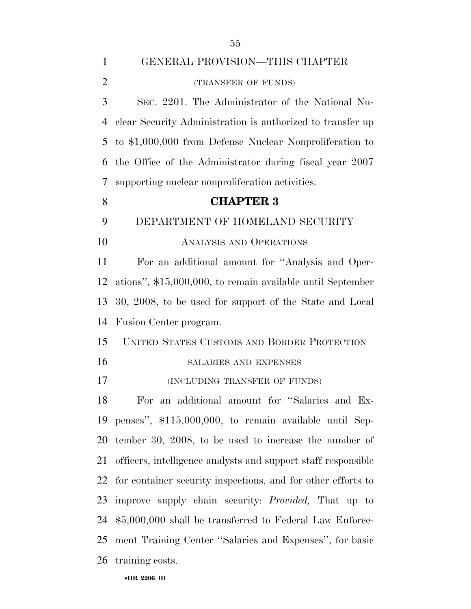| $\mathbf{1}$   | GENERAL PROVISION—THIS CHAPTER                                |
|----------------|---------------------------------------------------------------|
| $\overline{2}$ | (TRANSFER OF FUNDS)                                           |
| 3              | SEC. 2201. The Administrator of the National Nu-              |
| 4              | clear Security Administration is authorized to transfer up    |
| 5              | to \$1,000,000 from Defense Nuclear Nonproliferation to       |
| 6              | the Office of the Administrator during fiscal year 2007       |
| 7              | supporting nuclear nonproliferation activities.               |
| 8              | <b>CHAPTER 3</b>                                              |
| 9              | DEPARTMENT OF HOMELAND SECURITY                               |
| 10             | <b>ANALYSIS AND OPERATIONS</b>                                |
| 11             | For an additional amount for "Analysis and Oper-              |
| 12             | ations", \$15,000,000, to remain available until September    |
| 13             | 30, 2008, to be used for support of the State and Local       |
| 14             | Fusion Center program.                                        |
| 15             | UNITED STATES CUSTOMS AND BORDER PROTECTION                   |
| 16             | SALARIES AND EXPENSES                                         |
| 17             | (INCLUDING TRANSFER OF FUNDS)                                 |
| 18             | For an additional amount for "Salaries and Ex-                |
|                | 19 penses", \$115,000,000, to remain available until Sep-     |
| 20             | tember 30, 2008, to be used to increase the number of         |
| 21             | officers, intelligence analysts and support staff responsible |
| 22             | for container security inspections, and for other efforts to  |
| 23             | improve supply chain security: <i>Provided</i> , That up to   |
| 24             | \$5,000,000 shall be transferred to Federal Law Enforce-      |
| 25             | ment Training Center "Salaries and Expenses", for basic       |
| 26             | training costs.                                               |

#### •**HR 2206 IH**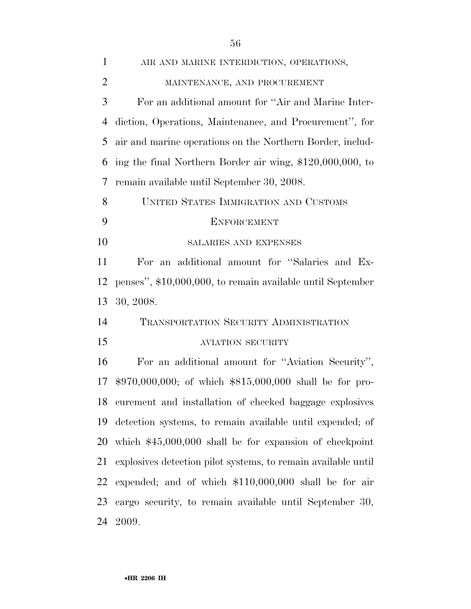| $\mathbf{1}$   | AIR AND MARINE INTERDICTION, OPERATIONS,                      |
|----------------|---------------------------------------------------------------|
| $\overline{2}$ | MAINTENANCE, AND PROCUREMENT                                  |
| 3              | For an additional amount for "Air and Marine Inter-           |
| $\overline{4}$ | diction, Operations, Maintenance, and Procurement", for       |
| 5              | air and marine operations on the Northern Border, includ-     |
| 6              | ing the final Northern Border air wing, \$120,000,000, to     |
| 7              | remain available until September 30, 2008.                    |
| 8              | UNITED STATES IMMIGRATION AND CUSTOMS                         |
| 9              | <b>ENFORCEMENT</b>                                            |
| 10             | SALARIES AND EXPENSES                                         |
| 11             | For an additional amount for "Salaries and Ex-                |
| 12             | penses", \$10,000,000, to remain available until September    |
| 13             | 30, 2008.                                                     |
| 14             | TRANSPORTATION SECURITY ADMINISTRATION                        |
| 15             | <b>AVIATION SECURITY</b>                                      |
| 16             | For an additional amount for "Aviation Security",             |
| 17             | $$970,000,000;$ of which $$815,000,000$ shall be for pro-     |
| 18             | curement and installation of checked baggage explosives       |
| 19             | detection systems, to remain available until expended; of     |
| 20             | which $$45,000,000$ shall be for expansion of checkpoint      |
| 21             | explosives detection pilot systems, to remain available until |
| 22             | expended; and of which $$110,000,000$ shall be for air        |
| 23             | cargo security, to remain available until September 30,       |
| 24             | 2009.                                                         |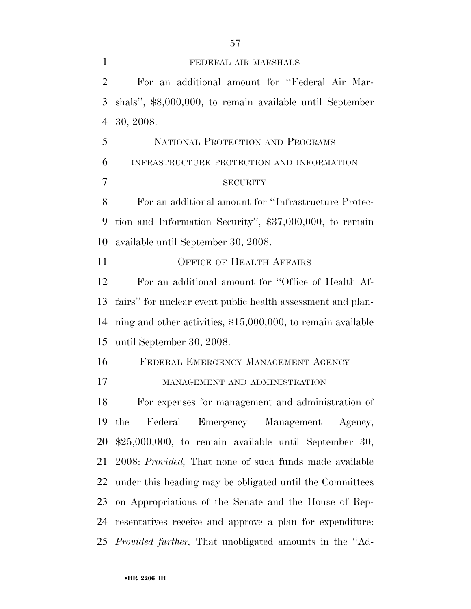FEDERAL AIR MARSHALS For an additional amount for ''Federal Air Mar- shals'', \$8,000,000, to remain available until September 30, 2008. NATIONAL PROTECTION AND PROGRAMS INFRASTRUCTURE PROTECTION AND INFORMATION SECURITY For an additional amount for ''Infrastructure Protec- tion and Information Security'', \$37,000,000, to remain available until September 30, 2008. OFFICE OF HEALTH AFFAIRS For an additional amount for ''Office of Health Af- fairs'' for nuclear event public health assessment and plan- ning and other activities, \$15,000,000, to remain available until September 30, 2008. FEDERAL EMERGENCY MANAGEMENT AGENCY MANAGEMENT AND ADMINISTRATION For expenses for management and administration of the Federal Emergency Management Agency, \$25,000,000, to remain available until September 30, 2008: *Provided,* That none of such funds made available under this heading may be obligated until the Committees on Appropriations of the Senate and the House of Rep- resentatives receive and approve a plan for expenditure: *Provided further,* That unobligated amounts in the ''Ad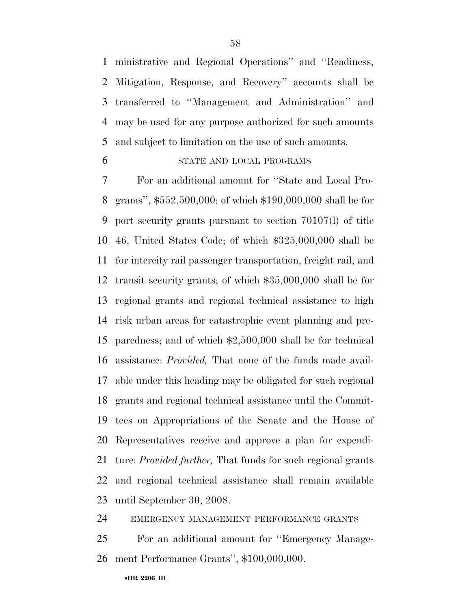ministrative and Regional Operations'' and ''Readiness, Mitigation, Response, and Recovery'' accounts shall be transferred to ''Management and Administration'' and may be used for any purpose authorized for such amounts and subject to limitation on the use of such amounts.

#### STATE AND LOCAL PROGRAMS

 For an additional amount for ''State and Local Pro- grams'', \$552,500,000; of which \$190,000,000 shall be for port security grants pursuant to section 70107(l) of title 46, United States Code; of which \$325,000,000 shall be for intercity rail passenger transportation, freight rail, and transit security grants; of which \$35,000,000 shall be for regional grants and regional technical assistance to high risk urban areas for catastrophic event planning and pre- paredness; and of which \$2,500,000 shall be for technical assistance: *Provided,* That none of the funds made avail- able under this heading may be obligated for such regional grants and regional technical assistance until the Commit- tees on Appropriations of the Senate and the House of Representatives receive and approve a plan for expendi- ture: *Provided further,* That funds for such regional grants and regional technical assistance shall remain available until September 30, 2008.

EMERGENCY MANAGEMENT PERFORMANCE GRANTS

 For an additional amount for ''Emergency Manage-ment Performance Grants'', \$100,000,000.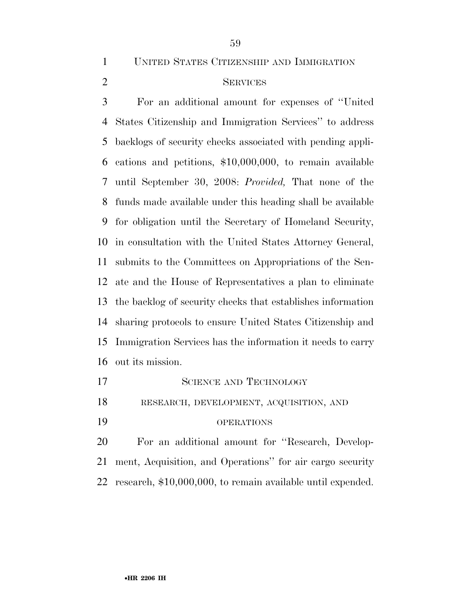UNITED STATES CITIZENSHIP AND IMMIGRATION

### SERVICES

 For an additional amount for expenses of ''United States Citizenship and Immigration Services'' to address backlogs of security checks associated with pending appli- cations and petitions, \$10,000,000, to remain available until September 30, 2008: *Provided,* That none of the funds made available under this heading shall be available for obligation until the Secretary of Homeland Security, in consultation with the United States Attorney General, submits to the Committees on Appropriations of the Sen- ate and the House of Representatives a plan to eliminate the backlog of security checks that establishes information sharing protocols to ensure United States Citizenship and Immigration Services has the information it needs to carry out its mission.

17 SCIENCE AND TECHNOLOGY RESEARCH, DEVELOPMENT, ACQUISITION, AND OPERATIONS For an additional amount for ''Research, Develop-ment, Acquisition, and Operations'' for air cargo security

research, \$10,000,000, to remain available until expended.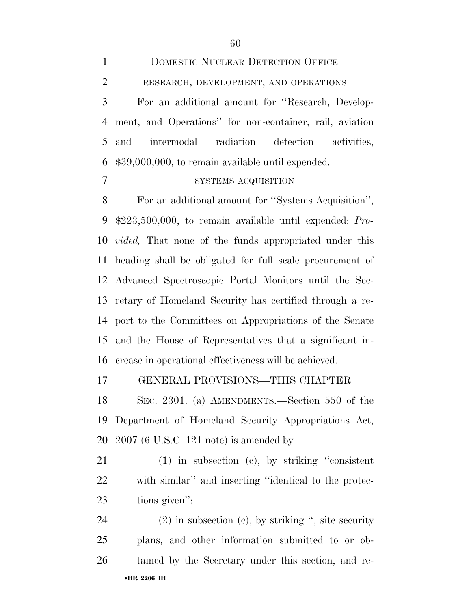| $\mathbf{1}$   | <b>DOMESTIC NUCLEAR DETECTION OFFICE</b>                      |
|----------------|---------------------------------------------------------------|
| $\overline{2}$ | RESEARCH, DEVELOPMENT, AND OPERATIONS                         |
| 3              | For an additional amount for "Research, Develop-              |
| $\overline{4}$ | ment, and Operations" for non-container, rail, aviation       |
| 5              | intermodal radiation detection activities,<br>and             |
| 6              | \$39,000,000, to remain available until expended.             |
| 7              | SYSTEMS ACQUISITION                                           |
| 8              | For an additional amount for "Systems Acquisition",           |
| 9              | $$223,500,000$ , to remain available until expended: Pro-     |
| 10             | <i>vided</i> , That none of the funds appropriated under this |
| 11             | heading shall be obligated for full scale procurement of      |
| 12             | Advanced Spectroscopic Portal Monitors until the Sec-         |
| 13             | retary of Homeland Security has certified through a re-       |
| 14             | port to the Committees on Appropriations of the Senate        |
| 15             | and the House of Representatives that a significant in-       |
| 16             | crease in operational effectiveness will be achieved.         |
| 17             | GENERAL PROVISIONS—THIS CHAPTER                               |
| 18             | SEC. 2301. (a) AMENDMENTS.—Section 550 of the                 |
| 19             | Department of Homeland Security Appropriations Act,           |
| 20             | $2007$ (6 U.S.C. 121 note) is amended by—                     |
| 21             | $(1)$ in subsection (c), by striking "consistent"             |

 with similar'' and inserting ''identical to the protec-tions given'';

•**HR 2206 IH**  (2) in subsection (c), by striking '', site security plans, and other information submitted to or ob-tained by the Secretary under this section, and re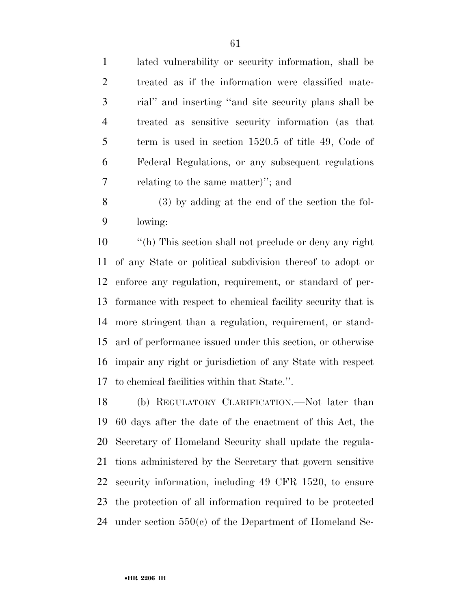lated vulnerability or security information, shall be treated as if the information were classified mate- rial'' and inserting ''and site security plans shall be treated as sensitive security information (as that term is used in section 1520.5 of title 49, Code of Federal Regulations, or any subsequent regulations relating to the same matter)''; and

 (3) by adding at the end of the section the fol-lowing:

 ''(h) This section shall not preclude or deny any right of any State or political subdivision thereof to adopt or enforce any regulation, requirement, or standard of per- formance with respect to chemical facility security that is more stringent than a regulation, requirement, or stand- ard of performance issued under this section, or otherwise impair any right or jurisdiction of any State with respect to chemical facilities within that State.''.

 (b) REGULATORY CLARIFICATION.—Not later than 60 days after the date of the enactment of this Act, the Secretary of Homeland Security shall update the regula- tions administered by the Secretary that govern sensitive security information, including 49 CFR 1520, to ensure the protection of all information required to be protected under section 550(c) of the Department of Homeland Se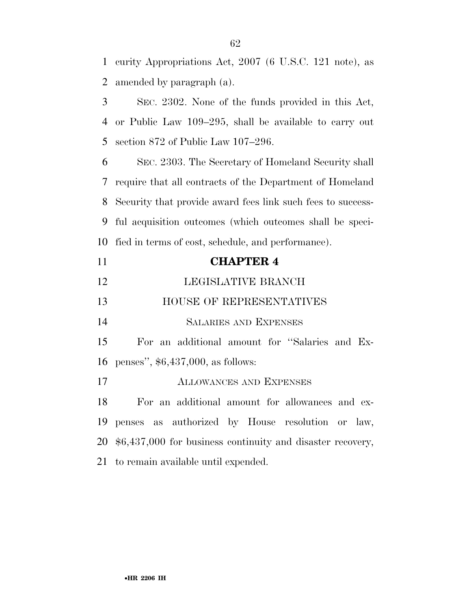curity Appropriations Act, 2007 (6 U.S.C. 121 note), as amended by paragraph (a).

 SEC. 2302. None of the funds provided in this Act, or Public Law 109–295, shall be available to carry out section 872 of Public Law 107–296.

 SEC. 2303. The Secretary of Homeland Security shall require that all contracts of the Department of Homeland Security that provide award fees link such fees to success- ful acquisition outcomes (which outcomes shall be speci-fied in terms of cost, schedule, and performance).

| 11 | <b>CHAPTER 4</b>                                              |
|----|---------------------------------------------------------------|
| 12 | LEGISLATIVE BRANCH                                            |
| 13 | HOUSE OF REPRESENTATIVES                                      |
| 14 | <b>SALARIES AND EXPENSES</b>                                  |
| 15 | For an additional amount for "Salaries and Ex-                |
|    | 16 penses", $$6,437,000$ , as follows:                        |
| 17 | <b>ALLOWANCES AND EXPENSES</b>                                |
| 18 | For an additional amount for allowances and ex-               |
| 19 | penses as authorized by House resolution or law,              |
|    | 20 \$6,437,000 for business continuity and disaster recovery, |
|    | 21 to remain available until expended.                        |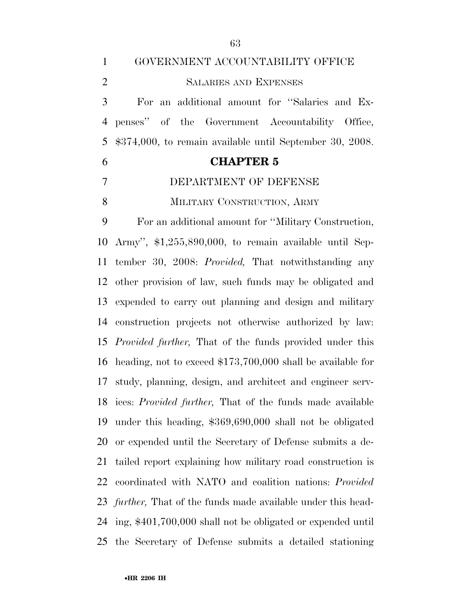| $\mathbf{1}$   | GOVERNMENT ACCOUNTABILITY OFFICE                                    |
|----------------|---------------------------------------------------------------------|
| $\overline{2}$ | <b>SALARIES AND EXPENSES</b>                                        |
| 3              | For an additional amount for "Salaries and Ex-                      |
| 4              | penses" of the Government Accountability Office,                    |
| 5              | $$374,000$ , to remain available until September 30, 2008.          |
| 6              | <b>CHAPTER 5</b>                                                    |
| 7              | DEPARTMENT OF DEFENSE                                               |
| 8              | MILITARY CONSTRUCTION, ARMY                                         |
| 9              | For an additional amount for "Military Construction,                |
| 10             | Army", \$1,255,890,000, to remain available until Sep-              |
| 11             | tember 30, 2008: <i>Provided</i> , That notwithstanding any         |
| 12             | other provision of law, such funds may be obligated and             |
| 13             | expended to carry out planning and design and military              |
| 14             | construction projects not otherwise authorized by law:              |
| 15             | <i>Provided further</i> , That of the funds provided under this     |
| 16             | heading, not to exceed $$173,700,000$ shall be available for        |
|                | 17 study, planning, design, and architect and engineer serv-        |
|                | 18 ices: <i>Provided further</i> , That of the funds made available |
| 19             | under this heading, \$369,690,000 shall not be obligated            |
| 20             | or expended until the Secretary of Defense submits a de-            |
| 21             | tailed report explaining how military road construction is          |
| 22             | coordinated with NATO and coalition nations: <i>Provided</i>        |
| 23             | <i>further</i> , That of the funds made available under this head-  |
| 24             | ing, \$401,700,000 shall not be obligated or expended until         |
| 25             | the Secretary of Defense submits a detailed stationing              |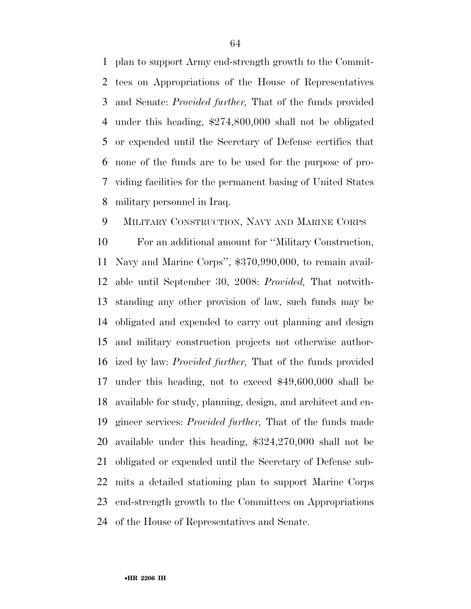plan to support Army end-strength growth to the Commit- tees on Appropriations of the House of Representatives and Senate: *Provided further,* That of the funds provided under this heading, \$274,800,000 shall not be obligated or expended until the Secretary of Defense certifies that none of the funds are to be used for the purpose of pro- viding facilities for the permanent basing of United States military personnel in Iraq.

#### MILITARY CONSTRUCTION, NAVY AND MARINE CORPS

 For an additional amount for ''Military Construction, Navy and Marine Corps'', \$370,990,000, to remain avail- able until September 30, 2008: *Provided,* That notwith- standing any other provision of law, such funds may be obligated and expended to carry out planning and design and military construction projects not otherwise author- ized by law: *Provided further,* That of the funds provided under this heading, not to exceed \$49,600,000 shall be available for study, planning, design, and architect and en- gineer services: *Provided further,* That of the funds made available under this heading, \$324,270,000 shall not be obligated or expended until the Secretary of Defense sub- mits a detailed stationing plan to support Marine Corps end-strength growth to the Committees on Appropriations of the House of Representatives and Senate.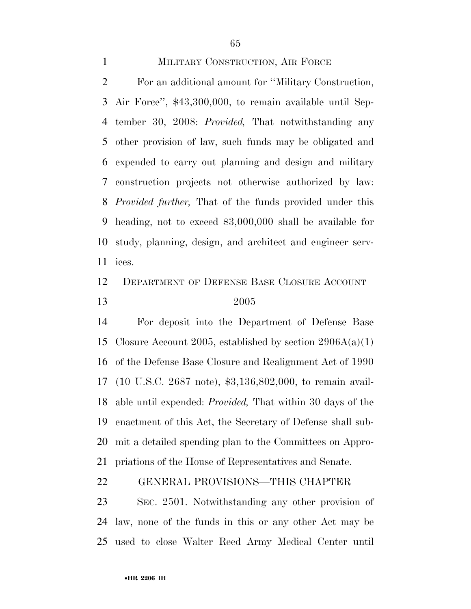### MILITARY CONSTRUCTION, AIR FORCE

 For an additional amount for ''Military Construction, Air Force'', \$43,300,000, to remain available until Sep- tember 30, 2008: *Provided,* That notwithstanding any other provision of law, such funds may be obligated and expended to carry out planning and design and military construction projects not otherwise authorized by law: *Provided further,* That of the funds provided under this heading, not to exceed \$3,000,000 shall be available for study, planning, design, and architect and engineer serv-ices.

## DEPARTMENT OF DEFENSE BASE CLOSURE ACCOUNT 2005

 For deposit into the Department of Defense Base 15 Closure Account 2005, established by section  $2906A(a)(1)$  of the Defense Base Closure and Realignment Act of 1990 (10 U.S.C. 2687 note), \$3,136,802,000, to remain avail- able until expended: *Provided,* That within 30 days of the enactment of this Act, the Secretary of Defense shall sub- mit a detailed spending plan to the Committees on Appro-priations of the House of Representatives and Senate.

#### GENERAL PROVISIONS—THIS CHAPTER

 SEC. 2501. Notwithstanding any other provision of law, none of the funds in this or any other Act may be used to close Walter Reed Army Medical Center until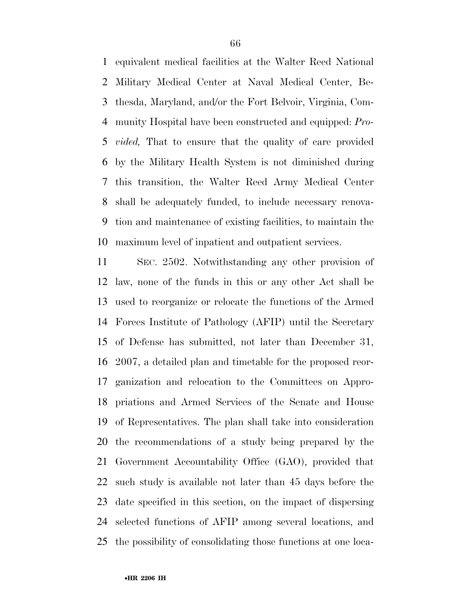equivalent medical facilities at the Walter Reed National Military Medical Center at Naval Medical Center, Be- thesda, Maryland, and/or the Fort Belvoir, Virginia, Com- munity Hospital have been constructed and equipped: *Pro- vided,* That to ensure that the quality of care provided by the Military Health System is not diminished during this transition, the Walter Reed Army Medical Center shall be adequately funded, to include necessary renova- tion and maintenance of existing facilities, to maintain the maximum level of inpatient and outpatient services.

 SEC. 2502. Notwithstanding any other provision of law, none of the funds in this or any other Act shall be used to reorganize or relocate the functions of the Armed Forces Institute of Pathology (AFIP) until the Secretary of Defense has submitted, not later than December 31, 2007, a detailed plan and timetable for the proposed reor- ganization and relocation to the Committees on Appro- priations and Armed Services of the Senate and House of Representatives. The plan shall take into consideration the recommendations of a study being prepared by the Government Accountability Office (GAO), provided that such study is available not later than 45 days before the date specified in this section, on the impact of dispersing selected functions of AFIP among several locations, and the possibility of consolidating those functions at one loca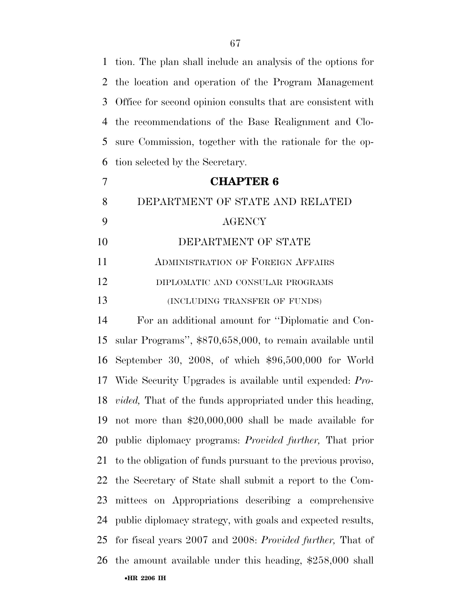tion. The plan shall include an analysis of the options for the location and operation of the Program Management Office for second opinion consults that are consistent with the recommendations of the Base Realignment and Clo- sure Commission, together with the rationale for the op-tion selected by the Secretary.

# **CHAPTER 6**  DEPARTMENT OF STATE AND RELATED AGENCY DEPARTMENT OF STATE ADMINISTRATION OF FOREIGN AFFAIRS DIPLOMATIC AND CONSULAR PROGRAMS 13 (INCLUDING TRANSFER OF FUNDS)

•**HR 2206 IH**  For an additional amount for ''Diplomatic and Con- sular Programs'', \$870,658,000, to remain available until September 30, 2008, of which \$96,500,000 for World Wide Security Upgrades is available until expended: *Pro- vided,* That of the funds appropriated under this heading, not more than \$20,000,000 shall be made available for public diplomacy programs: *Provided further,* That prior to the obligation of funds pursuant to the previous proviso, the Secretary of State shall submit a report to the Com- mittees on Appropriations describing a comprehensive public diplomacy strategy, with goals and expected results, for fiscal years 2007 and 2008: *Provided further,* That of the amount available under this heading, \$258,000 shall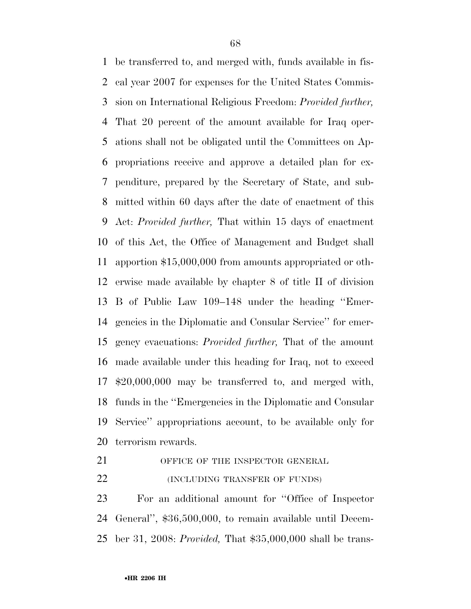be transferred to, and merged with, funds available in fis- cal year 2007 for expenses for the United States Commis- sion on International Religious Freedom: *Provided further,*  That 20 percent of the amount available for Iraq oper- ations shall not be obligated until the Committees on Ap- propriations receive and approve a detailed plan for ex- penditure, prepared by the Secretary of State, and sub- mitted within 60 days after the date of enactment of this Act: *Provided further,* That within 15 days of enactment of this Act, the Office of Management and Budget shall apportion \$15,000,000 from amounts appropriated or oth- erwise made available by chapter 8 of title II of division B of Public Law 109–148 under the heading ''Emer- gencies in the Diplomatic and Consular Service'' for emer- gency evacuations: *Provided further,* That of the amount made available under this heading for Iraq, not to exceed \$20,000,000 may be transferred to, and merged with, funds in the ''Emergencies in the Diplomatic and Consular Service'' appropriations account, to be available only for terrorism rewards.

21 OFFICE OF THE INSPECTOR GENERAL

**(INCLUDING TRANSFER OF FUNDS)** 

 For an additional amount for ''Office of Inspector General'', \$36,500,000, to remain available until Decem-ber 31, 2008: *Provided,* That \$35,000,000 shall be trans-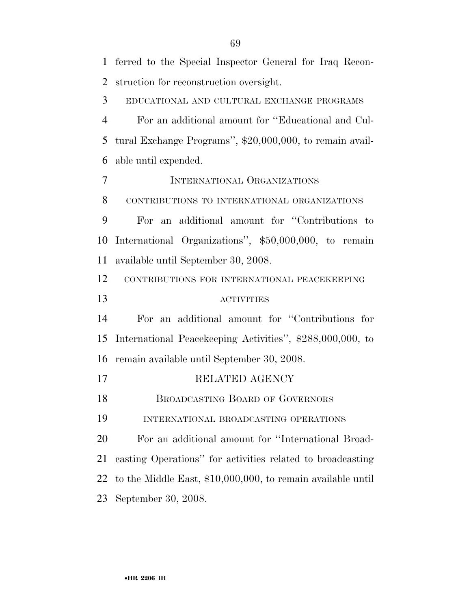ferred to the Special Inspector General for Iraq Recon- struction for reconstruction oversight. EDUCATIONAL AND CULTURAL EXCHANGE PROGRAMS For an additional amount for ''Educational and Cul- tural Exchange Programs'', \$20,000,000, to remain avail- able until expended. INTERNATIONAL ORGANIZATIONS CONTRIBUTIONS TO INTERNATIONAL ORGANIZATIONS For an additional amount for ''Contributions to International Organizations'', \$50,000,000, to remain available until September 30, 2008. CONTRIBUTIONS FOR INTERNATIONAL PEACEKEEPING ACTIVITIES For an additional amount for ''Contributions for International Peacekeeping Activities'', \$288,000,000, to remain available until September 30, 2008. 17 RELATED AGENCY 18 BROADCASTING BOARD OF GOVERNORS INTERNATIONAL BROADCASTING OPERATIONS For an additional amount for ''International Broad- casting Operations'' for activities related to broadcasting to the Middle East, \$10,000,000, to remain available until September 30, 2008.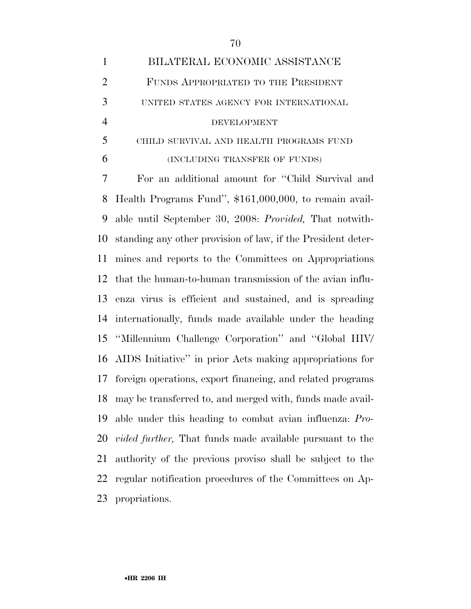|                             | BILATERAL ECONOMIC ASSISTANCE           |
|-----------------------------|-----------------------------------------|
| $\mathcal{D}_{\mathcal{L}}$ | FUNDS APPROPRIATED TO THE PRESIDENT     |
| 3                           | UNITED STATES AGENCY FOR INTERNATIONAL  |
|                             | DEVELOPMENT                             |
| 5                           | CHILD SURVIVAL AND HEALTH PROGRAMS FUND |

(INCLUDING TRANSFER OF FUNDS)

 For an additional amount for ''Child Survival and Health Programs Fund'', \$161,000,000, to remain avail- able until September 30, 2008: *Provided,* That notwith- standing any other provision of law, if the President deter- mines and reports to the Committees on Appropriations that the human-to-human transmission of the avian influ- enza virus is efficient and sustained, and is spreading internationally, funds made available under the heading ''Millennium Challenge Corporation'' and ''Global HIV/ AIDS Initiative'' in prior Acts making appropriations for foreign operations, export financing, and related programs may be transferred to, and merged with, funds made avail- able under this heading to combat avian influenza: *Pro- vided further,* That funds made available pursuant to the authority of the previous proviso shall be subject to the regular notification procedures of the Committees on Ap-propriations.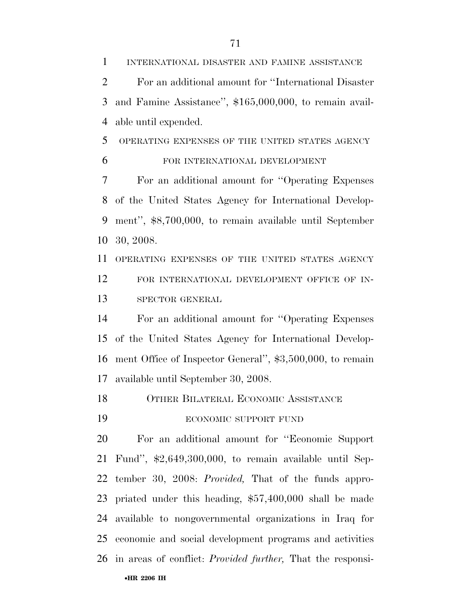INTERNATIONAL DISASTER AND FAMINE ASSISTANCE For an additional amount for ''International Disaster and Famine Assistance'', \$165,000,000, to remain avail-able until expended.

OPERATING EXPENSES OF THE UNITED STATES AGENCY

FOR INTERNATIONAL DEVELOPMENT

 For an additional amount for ''Operating Expenses of the United States Agency for International Develop- ment'', \$8,700,000, to remain available until September 30, 2008.

 OPERATING EXPENSES OF THE UNITED STATES AGENCY FOR INTERNATIONAL DEVELOPMENT OFFICE OF IN-SPECTOR GENERAL

 For an additional amount for ''Operating Expenses of the United States Agency for International Develop- ment Office of Inspector General'', \$3,500,000, to remain available until September 30, 2008.

OTHER BILATERAL ECONOMIC ASSISTANCE

19 ECONOMIC SUPPORT FUND

 For an additional amount for ''Economic Support Fund'', \$2,649,300,000, to remain available until Sep- tember 30, 2008: *Provided,* That of the funds appro- priated under this heading, \$57,400,000 shall be made available to nongovernmental organizations in Iraq for economic and social development programs and activities in areas of conflict: *Provided further,* That the responsi-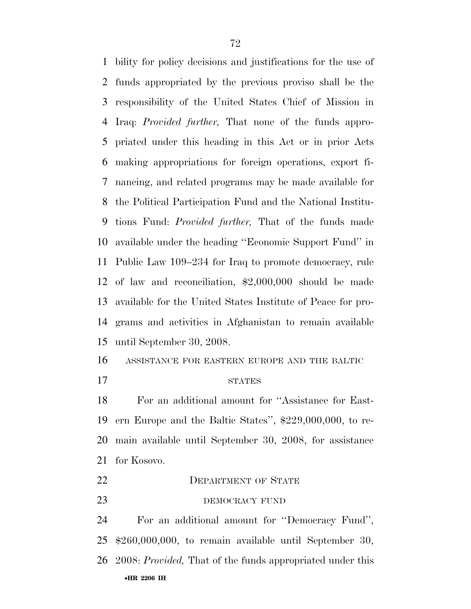bility for policy decisions and justifications for the use of funds appropriated by the previous proviso shall be the responsibility of the United States Chief of Mission in Iraq: *Provided further,* That none of the funds appro- priated under this heading in this Act or in prior Acts making appropriations for foreign operations, export fi- nancing, and related programs may be made available for the Political Participation Fund and the National Institu- tions Fund: *Provided further,* That of the funds made available under the heading ''Economic Support Fund'' in Public Law 109–234 for Iraq to promote democracy, rule of law and reconciliation, \$2,000,000 should be made available for the United States Institute of Peace for pro- grams and activities in Afghanistan to remain available until September 30, 2008.

ASSISTANCE FOR EASTERN EUROPE AND THE BALTIC

#### 17 STATES

 For an additional amount for ''Assistance for East- ern Europe and the Baltic States'', \$229,000,000, to re- main available until September 30, 2008, for assistance for Kosovo.

 DEPARTMENT OF STATE 23 DEMOCRACY FUND

•**HR 2206 IH**  For an additional amount for ''Democracy Fund'', \$260,000,000, to remain available until September 30, 2008: *Provided,* That of the funds appropriated under this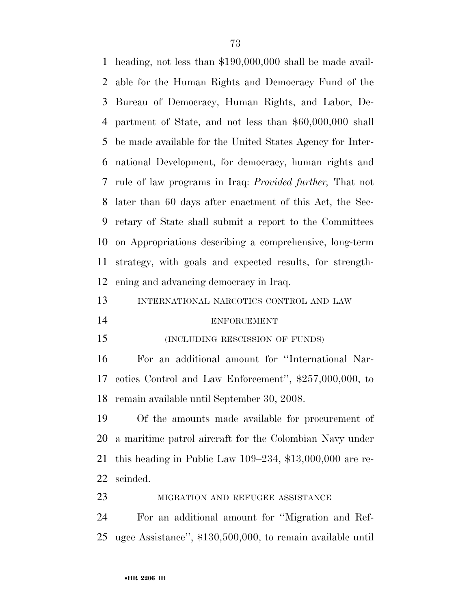heading, not less than \$190,000,000 shall be made avail- able for the Human Rights and Democracy Fund of the Bureau of Democracy, Human Rights, and Labor, De- partment of State, and not less than \$60,000,000 shall be made available for the United States Agency for Inter- national Development, for democracy, human rights and rule of law programs in Iraq: *Provided further,* That not later than 60 days after enactment of this Act, the Sec- retary of State shall submit a report to the Committees on Appropriations describing a comprehensive, long-term strategy, with goals and expected results, for strength-ening and advancing democracy in Iraq.

| 13 | INTERNATIONAL NARCOTICS CONTROL AND LAW |  |  |
|----|-----------------------------------------|--|--|
|    |                                         |  |  |

## ENFORCEMENT

(INCLUDING RESCISSION OF FUNDS)

 For an additional amount for ''International Nar- cotics Control and Law Enforcement'', \$257,000,000, to remain available until September 30, 2008.

 Of the amounts made available for procurement of a maritime patrol aircraft for the Colombian Navy under this heading in Public Law 109–234, \$13,000,000 are re-scinded.

23 MIGRATION AND REFUGEE ASSISTANCE

 For an additional amount for ''Migration and Ref-ugee Assistance'', \$130,500,000, to remain available until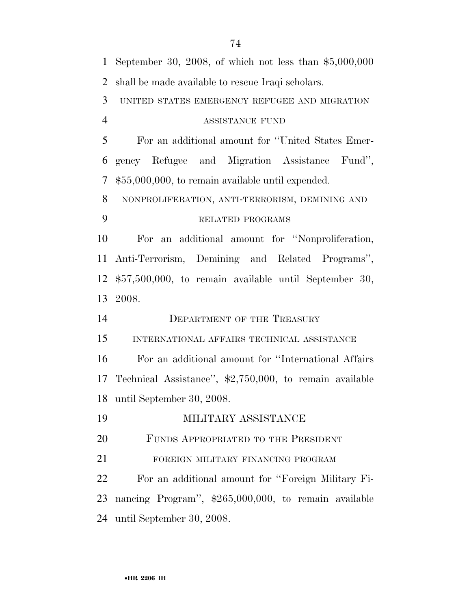| $\mathbf{1}$   | September 30, 2008, of which not less than $$5,000,000$ |
|----------------|---------------------------------------------------------|
| $\overline{2}$ | shall be made available to rescue Iraqi scholars.       |
| 3              | UNITED STATES EMERGENCY REFUGEE AND MIGRATION           |
| $\overline{4}$ | ASSISTANCE FUND                                         |
| 5              | For an additional amount for "United States Emer-       |
| 6              | gency Refugee and Migration Assistance Fund",           |
| $\tau$         | $$55,000,000$ , to remain available until expended.     |
| 8              | NONPROLIFERATION, ANTI-TERRORISM, DEMINING AND          |
| 9              | RELATED PROGRAMS                                        |
| 10             | For an additional amount for "Nonproliferation,         |
| 11             | Anti-Terrorism, Demining and Related Programs",         |
| 12             | $$57,500,000$ , to remain available until September 30, |
| 13             | 2008.                                                   |
| 14             | <b>DEPARTMENT OF THE TREASURY</b>                       |
| 15             | INTERNATIONAL AFFAIRS TECHNICAL ASSISTANCE              |
| 16             | For an additional amount for "International Affairs"    |
| 17             | Technical Assistance", \$2,750,000, to remain available |
| 18             | until September 30, 2008.                               |
| 19             | MILITARY ASSISTANCE                                     |
| 20             | FUNDS APPROPRIATED TO THE PRESIDENT                     |
| 21             | FOREIGN MILITARY FINANCING PROGRAM                      |
| 22             | For an additional amount for "Foreign Military Fi-      |
| 23             | nancing Program", \$265,000,000, to remain available    |
| 24             | until September 30, 2008.                               |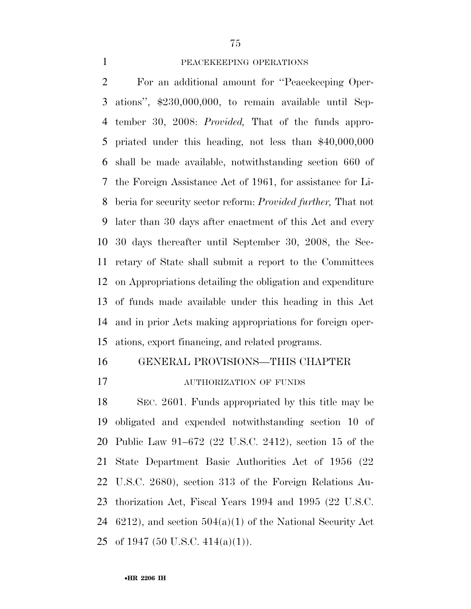#### PEACEKEEPING OPERATIONS

 For an additional amount for ''Peacekeeping Oper- ations'', \$230,000,000, to remain available until Sep- tember 30, 2008: *Provided,* That of the funds appro- priated under this heading, not less than \$40,000,000 shall be made available, notwithstanding section 660 of the Foreign Assistance Act of 1961, for assistance for Li- beria for security sector reform: *Provided further,* That not later than 30 days after enactment of this Act and every 30 days thereafter until September 30, 2008, the Sec- retary of State shall submit a report to the Committees on Appropriations detailing the obligation and expenditure of funds made available under this heading in this Act and in prior Acts making appropriations for foreign oper-ations, export financing, and related programs.

#### GENERAL PROVISIONS—THIS CHAPTER

AUTHORIZATION OF FUNDS

 SEC. 2601. Funds appropriated by this title may be obligated and expended notwithstanding section 10 of Public Law 91–672 (22 U.S.C. 2412), section 15 of the State Department Basic Authorities Act of 1956 (22 U.S.C. 2680), section 313 of the Foreign Relations Au- thorization Act, Fiscal Years 1994 and 1995 (22 U.S.C. 6212), and section 504(a)(1) of the National Security Act 25 of 1947 (50 U.S.C.  $414(a)(1)$ ).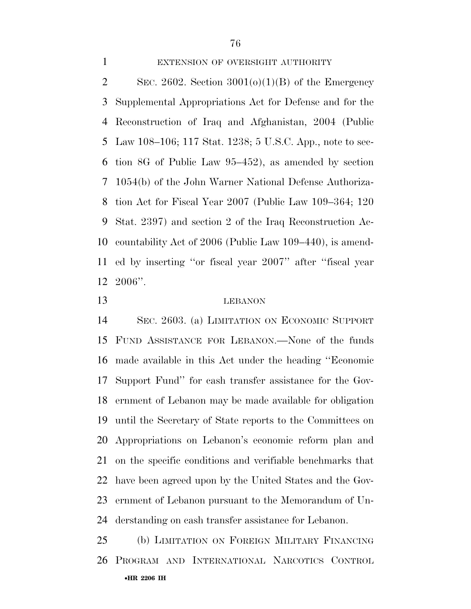## 1 EXTENSION OF OVERSIGHT AUTHORITY

2 SEC. 2602. Section  $3001(0)(1)(B)$  of the Emergency Supplemental Appropriations Act for Defense and for the Reconstruction of Iraq and Afghanistan, 2004 (Public Law 108–106; 117 Stat. 1238; 5 U.S.C. App., note to sec- tion 8G of Public Law 95–452), as amended by section 1054(b) of the John Warner National Defense Authoriza- tion Act for Fiscal Year 2007 (Public Law 109–364; 120 Stat. 2397) and section 2 of the Iraq Reconstruction Ac- countability Act of 2006 (Public Law 109–440), is amend- ed by inserting ''or fiscal year 2007'' after ''fiscal year 2006''.

## LEBANON

 SEC. 2603. (a) LIMITATION ON ECONOMIC SUPPORT FUND ASSISTANCE FOR LEBANON.—None of the funds made available in this Act under the heading ''Economic Support Fund'' for cash transfer assistance for the Gov- ernment of Lebanon may be made available for obligation until the Secretary of State reports to the Committees on Appropriations on Lebanon's economic reform plan and on the specific conditions and verifiable benchmarks that have been agreed upon by the United States and the Gov- ernment of Lebanon pursuant to the Memorandum of Un-derstanding on cash transfer assistance for Lebanon.

•**HR 2206 IH**  (b) LIMITATION ON FOREIGN MILITARY FINANCING PROGRAM AND INTERNATIONAL NARCOTICS CONTROL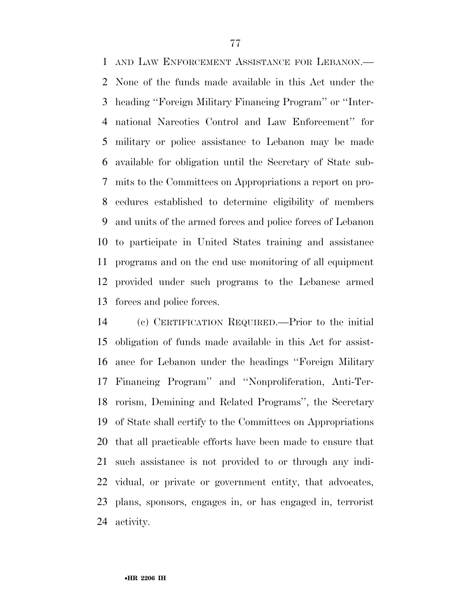AND LAW ENFORCEMENT ASSISTANCE FOR LEBANON.— None of the funds made available in this Act under the heading ''Foreign Military Financing Program'' or ''Inter- national Narcotics Control and Law Enforcement'' for military or police assistance to Lebanon may be made available for obligation until the Secretary of State sub- mits to the Committees on Appropriations a report on pro- cedures established to determine eligibility of members and units of the armed forces and police forces of Lebanon to participate in United States training and assistance programs and on the end use monitoring of all equipment provided under such programs to the Lebanese armed forces and police forces.

 (c) CERTIFICATION REQUIRED.—Prior to the initial obligation of funds made available in this Act for assist- ance for Lebanon under the headings ''Foreign Military Financing Program'' and ''Nonproliferation, Anti-Ter- rorism, Demining and Related Programs'', the Secretary of State shall certify to the Committees on Appropriations that all practicable efforts have been made to ensure that such assistance is not provided to or through any indi- vidual, or private or government entity, that advocates, plans, sponsors, engages in, or has engaged in, terrorist activity.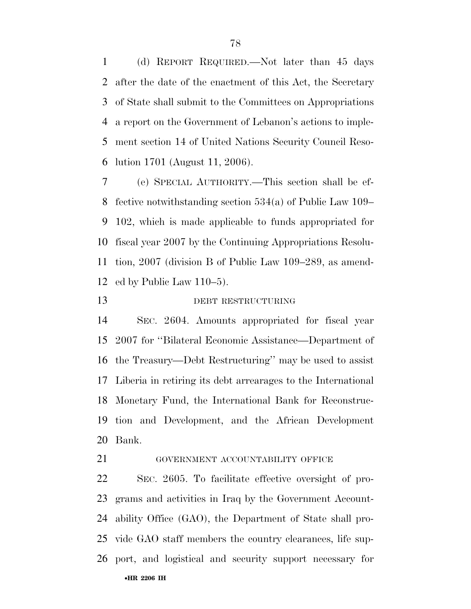(d) REPORT REQUIRED.—Not later than 45 days after the date of the enactment of this Act, the Secretary of State shall submit to the Committees on Appropriations a report on the Government of Lebanon's actions to imple- ment section 14 of United Nations Security Council Reso-lution 1701 (August 11, 2006).

 (e) SPECIAL AUTHORITY.—This section shall be ef- fective notwithstanding section 534(a) of Public Law 109– 102, which is made applicable to funds appropriated for fiscal year 2007 by the Continuing Appropriations Resolu- tion, 2007 (division B of Public Law 109–289, as amend-ed by Public Law 110–5).

## DEBT RESTRUCTURING

 SEC. 2604. Amounts appropriated for fiscal year 2007 for ''Bilateral Economic Assistance—Department of the Treasury—Debt Restructuring'' may be used to assist Liberia in retiring its debt arrearages to the International Monetary Fund, the International Bank for Reconstruc- tion and Development, and the African Development Bank.

**GOVERNMENT ACCOUNTABILITY OFFICE** 

•**HR 2206 IH**  SEC. 2605. To facilitate effective oversight of pro- grams and activities in Iraq by the Government Account- ability Office (GAO), the Department of State shall pro- vide GAO staff members the country clearances, life sup-port, and logistical and security support necessary for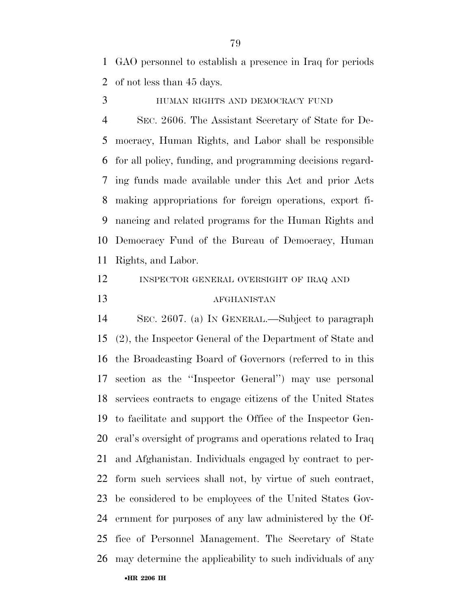GAO personnel to establish a presence in Iraq for periods of not less than 45 days.

HUMAN RIGHTS AND DEMOCRACY FUND

 SEC. 2606. The Assistant Secretary of State for De- mocracy, Human Rights, and Labor shall be responsible for all policy, funding, and programming decisions regard- ing funds made available under this Act and prior Acts making appropriations for foreign operations, export fi- nancing and related programs for the Human Rights and Democracy Fund of the Bureau of Democracy, Human Rights, and Labor.

INSPECTOR GENERAL OVERSIGHT OF IRAQ AND

## AFGHANISTAN

•**HR 2206 IH**  SEC. 2607. (a) IN GENERAL.—Subject to paragraph (2), the Inspector General of the Department of State and the Broadcasting Board of Governors (referred to in this section as the ''Inspector General'') may use personal services contracts to engage citizens of the United States to facilitate and support the Office of the Inspector Gen- eral's oversight of programs and operations related to Iraq and Afghanistan. Individuals engaged by contract to per- form such services shall not, by virtue of such contract, be considered to be employees of the United States Gov- ernment for purposes of any law administered by the Of- fice of Personnel Management. The Secretary of State may determine the applicability to such individuals of any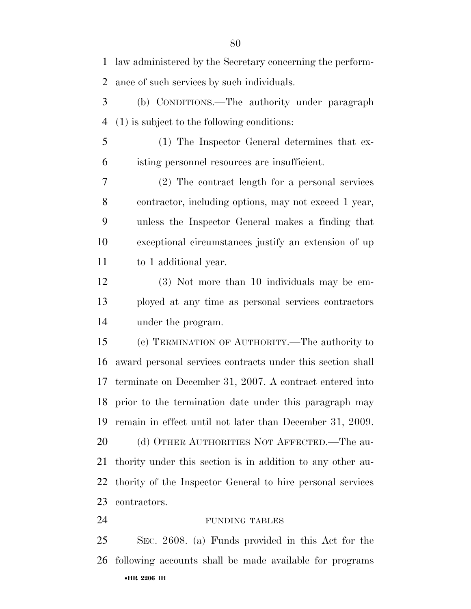•**HR 2206 IH**  law administered by the Secretary concerning the perform- ance of such services by such individuals. (b) CONDITIONS.—The authority under paragraph (1) is subject to the following conditions: (1) The Inspector General determines that ex- isting personnel resources are insufficient. (2) The contract length for a personal services contractor, including options, may not exceed 1 year, unless the Inspector General makes a finding that exceptional circumstances justify an extension of up 11 to 1 additional year. (3) Not more than 10 individuals may be em- ployed at any time as personal services contractors under the program. (c) TERMINATION OF AUTHORITY.—The authority to award personal services contracts under this section shall terminate on December 31, 2007. A contract entered into prior to the termination date under this paragraph may remain in effect until not later than December 31, 2009. 20 (d) OTHER AUTHORITIES NOT AFFECTED.—The au- thority under this section is in addition to any other au- thority of the Inspector General to hire personal services contractors. 24 FUNDING TABLES SEC. 2608. (a) Funds provided in this Act for the following accounts shall be made available for programs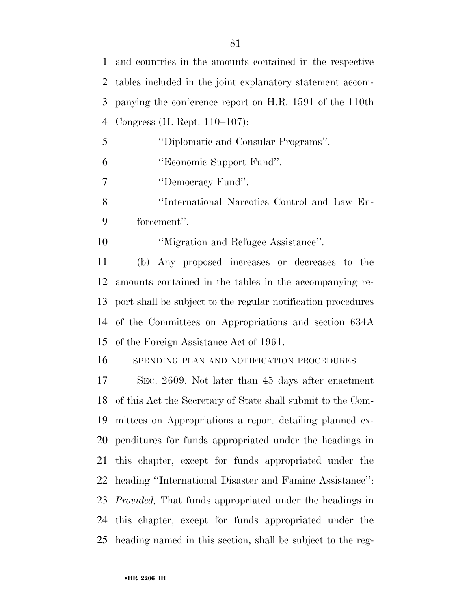| $\mathbf{1}$ | and countries in the amounts contained in the respective        |
|--------------|-----------------------------------------------------------------|
| 2            | tables included in the joint explanatory statement accom-       |
| 3            | panying the conference report on H.R. 1591 of the 110th         |
| 4            | Congress (H. Rept. 110–107):                                    |
| 5            | "Diplomatic and Consular Programs".                             |
| 6            | "Economic Support Fund".                                        |
| 7            | "Democracy Fund".                                               |
| 8            | "International Narcotics Control and Law En-                    |
| 9            | forcement".                                                     |
| 10           | "Migration and Refugee Assistance".                             |
| 11           | (b) Any proposed increases or decreases to the                  |
| 12           | amounts contained in the tables in the accompanying re-         |
| 13           | port shall be subject to the regular notification procedures    |
|              | 14 of the Committees on Appropriations and section 634A         |
| 15           | of the Foreign Assistance Act of 1961.                          |
| 16           | SPENDING PLAN AND NOTIFICATION PROCEDURES                       |
| 17           | SEC. 2609. Not later than 45 days after enactment               |
|              | 18 of this Act the Secretary of State shall submit to the Com-  |
| 19           | mittees on Appropriations a report detailing planned ex-        |
| 20           | penditures for funds appropriated under the headings in         |
| 21           | this chapter, except for funds appropriated under the           |
| 22           | heading "International Disaster and Famine Assistance":         |
| 23           | <i>Provided</i> , That funds appropriated under the headings in |
| 24           | this chapter, except for funds appropriated under the           |
| 25           | heading named in this section, shall be subject to the reg-     |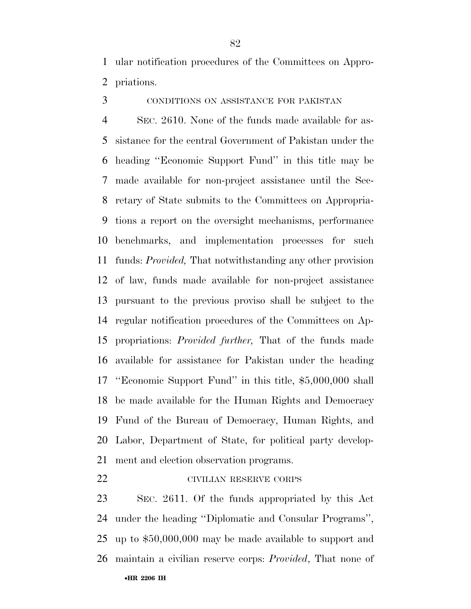ular notification procedures of the Committees on Appro-priations.

CONDITIONS ON ASSISTANCE FOR PAKISTAN

 SEC. 2610. None of the funds made available for as- sistance for the central Government of Pakistan under the heading ''Economic Support Fund'' in this title may be made available for non-project assistance until the Sec- retary of State submits to the Committees on Appropria- tions a report on the oversight mechanisms, performance benchmarks, and implementation processes for such funds: *Provided,* That notwithstanding any other provision of law, funds made available for non-project assistance pursuant to the previous proviso shall be subject to the regular notification procedures of the Committees on Ap- propriations: *Provided further,* That of the funds made available for assistance for Pakistan under the heading ''Economic Support Fund'' in this title, \$5,000,000 shall be made available for the Human Rights and Democracy Fund of the Bureau of Democracy, Human Rights, and Labor, Department of State, for political party develop-ment and election observation programs.

# CIVILIAN RESERVE CORPS

•**HR 2206 IH**  SEC. 2611. Of the funds appropriated by this Act under the heading ''Diplomatic and Consular Programs'', up to \$50,000,000 may be made available to support and maintain a civilian reserve corps: *Provided*, That none of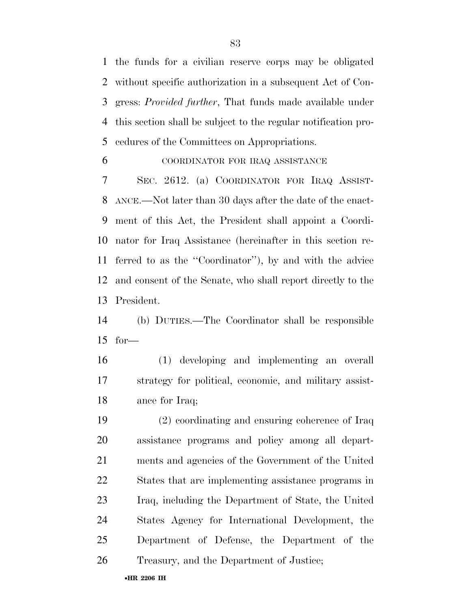the funds for a civilian reserve corps may be obligated without specific authorization in a subsequent Act of Con- gress: *Provided further*, That funds made available under this section shall be subject to the regular notification pro-cedures of the Committees on Appropriations.

#### COORDINATOR FOR IRAQ ASSISTANCE

 SEC. 2612. (a) COORDINATOR FOR IRAQ ASSIST- ANCE.—Not later than 30 days after the date of the enact- ment of this Act, the President shall appoint a Coordi- nator for Iraq Assistance (hereinafter in this section re- ferred to as the ''Coordinator''), by and with the advice and consent of the Senate, who shall report directly to the President.

 (b) DUTIES.—The Coordinator shall be responsible for—

 (1) developing and implementing an overall strategy for political, economic, and military assist-ance for Iraq;

 (2) coordinating and ensuring coherence of Iraq assistance programs and policy among all depart- ments and agencies of the Government of the United States that are implementing assistance programs in Iraq, including the Department of State, the United States Agency for International Development, the Department of Defense, the Department of the Treasury, and the Department of Justice;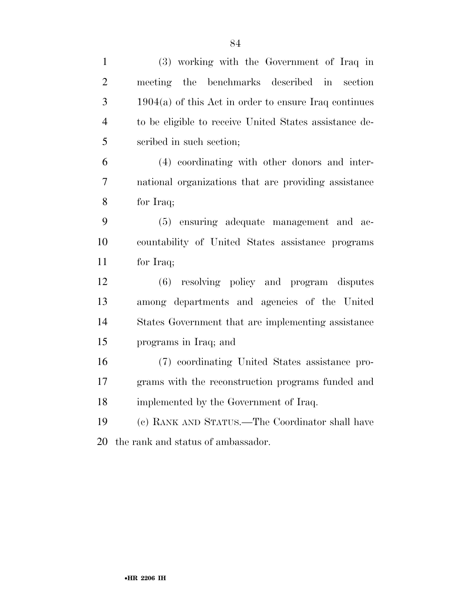| $\mathbf{1}$   | (3) working with the Government of Iraq in              |
|----------------|---------------------------------------------------------|
| $\overline{2}$ | meeting the benchmarks described in section             |
| 3              | $1904(a)$ of this Act in order to ensure Iraq continues |
| $\overline{4}$ | to be eligible to receive United States assistance de-  |
| 5              | scribed in such section;                                |
| 6              | (4) coordinating with other donors and inter-           |
| $\overline{7}$ | national organizations that are providing assistance    |
| 8              | for Iraq;                                               |
| 9              | (5) ensuring adequate management and ac-                |
| 10             | countability of United States assistance programs       |
| 11             | for Iraq;                                               |
| 12             | resolving policy and program disputes<br>(6)            |
| 13             | among departments and agencies of the United            |
| 14             | States Government that are implementing assistance      |
| 15             | programs in Iraq; and                                   |
| 16             | (7) coordinating United States assistance pro-          |
| 17             | grams with the reconstruction programs funded and       |
| 18             | implemented by the Government of Iraq.                  |
| 19             | (c) RANK AND STATUS.—The Coordinator shall have         |
| 20             | the rank and status of ambassador.                      |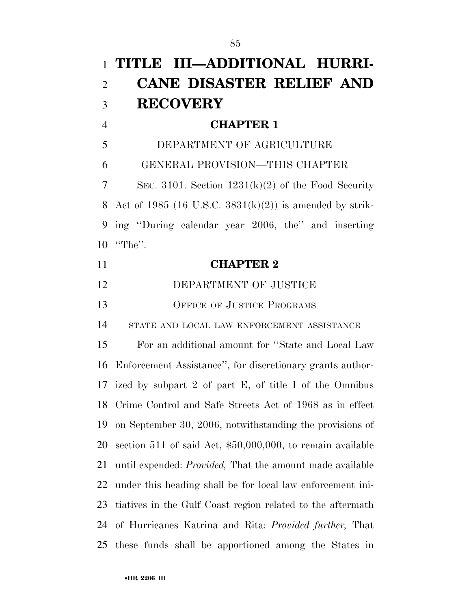|                | 1 TITLE III—ADDITIONAL HURRI-                                    |
|----------------|------------------------------------------------------------------|
| $\overline{2}$ | <b>CANE DISASTER RELIEF AND</b>                                  |
| 3              | <b>RECOVERY</b>                                                  |
| $\overline{4}$ | <b>CHAPTER 1</b>                                                 |
| 5              | DEPARTMENT OF AGRICULTURE                                        |
| 6              | GENERAL PROVISION-THIS CHAPTER                                   |
| 7              | SEC. 3101. Section $1231(k)(2)$ of the Food Security             |
| 8              | Act of 1985 (16 U.S.C. $3831(k)(2)$ ) is amended by strik-       |
| 9              | ing "During calendar year 2006, the" and inserting               |
| 10             | $"The"$ .                                                        |
| 11             | <b>CHAPTER 2</b>                                                 |
| 12             | DEPARTMENT OF JUSTICE                                            |
| 13             | OFFICE OF JUSTICE PROGRAMS                                       |
| 14             | STATE AND LOCAL LAW ENFORCEMENT ASSISTANCE                       |
| 15             | For an additional amount for "State and Local Law                |
| 16             | Enforcement Assistance", for discretionary grants author-        |
|                | 17 ized by subpart 2 of part E, of title I of the Omnibus        |
| 18             | Crime Control and Safe Streets Act of 1968 as in effect          |
| 19             | on September 30, 2006, notwithstanding the provisions of         |
| 20             | section 511 of said Act, \$50,000,000, to remain available       |
| 21             | until expended: <i>Provided</i> , That the amount made available |
| 22             | under this heading shall be for local law enforcement ini-       |
| 23             | tiatives in the Gulf Coast region related to the aftermath       |
| 24             | of Hurricanes Katrina and Rita: <i>Provided further</i> , That   |
| 25             | these funds shall be apportioned among the States in             |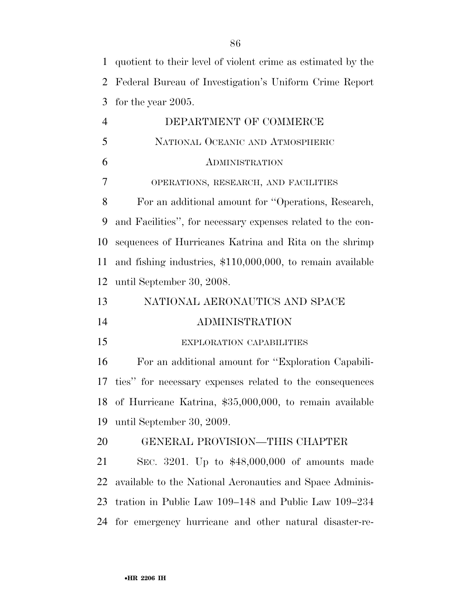| $\mathbf{1}$   | quotient to their level of violent crime as estimated by the |
|----------------|--------------------------------------------------------------|
| $\overline{2}$ | Federal Bureau of Investigation's Uniform Crime Report       |
| 3              | for the year $2005$ .                                        |
| $\overline{4}$ | DEPARTMENT OF COMMERCE                                       |
| 5              | NATIONAL OCEANIC AND ATMOSPHERIC                             |
| 6              | <b>ADMINISTRATION</b>                                        |
| 7              | OPERATIONS, RESEARCH, AND FACILITIES                         |
| 8              | For an additional amount for "Operations, Research,          |
| 9              | and Facilities", for necessary expenses related to the con-  |
| 10             | sequences of Hurricanes Katrina and Rita on the shrimp       |
| 11             | and fishing industries, \$110,000,000, to remain available   |
| 12             | until September 30, 2008.                                    |
| 13             | NATIONAL AERONAUTICS AND SPACE                               |
| 14             | <b>ADMINISTRATION</b>                                        |
|                |                                                              |
|                | EXPLORATION CAPABILITIES                                     |
| 15<br>16       | For an additional amount for "Exploration Capabili-          |
| 17             | ties" for necessary expenses related to the consequences     |
|                | 18 of Hurricane Katrina, \$35,000,000, to remain available   |
| 19             | until September 30, 2009.                                    |
|                | GENERAL PROVISION—THIS CHAPTER                               |
| 20<br>21       | SEC. 3201. Up to \$48,000,000 of amounts made                |
| 22             | available to the National Aeronautics and Space Adminis-     |
| 23             | tration in Public Law 109–148 and Public Law 109–234         |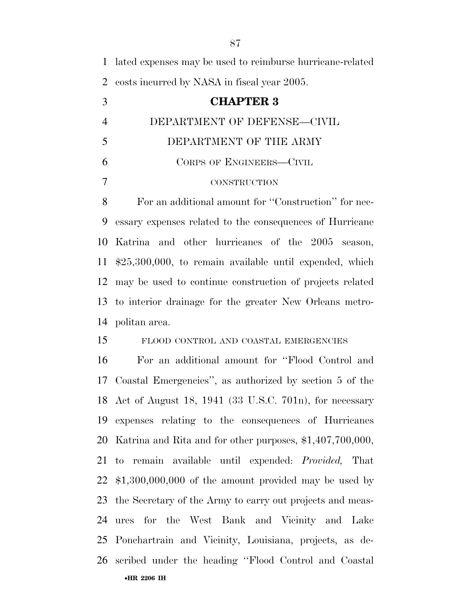lated expenses may be used to reimburse hurricane-related costs incurred by NASA in fiscal year 2005.

 **CHAPTER 3**  DEPARTMENT OF DEFENSE—CIVIL DEPARTMENT OF THE ARMY CORPS OF ENGINEERS—CIVIL

## CONSTRUCTION

 For an additional amount for ''Construction'' for nec- essary expenses related to the consequences of Hurricane Katrina and other hurricanes of the 2005 season, \$25,300,000, to remain available until expended, which may be used to continue construction of projects related to interior drainage for the greater New Orleans metro-politan area.

## FLOOD CONTROL AND COASTAL EMERGENCIES

•**HR 2206 IH**  For an additional amount for ''Flood Control and Coastal Emergencies'', as authorized by section 5 of the Act of August 18, 1941 (33 U.S.C. 701n), for necessary expenses relating to the consequences of Hurricanes Katrina and Rita and for other purposes, \$1,407,700,000, to remain available until expended: *Provided,* That \$1,300,000,000 of the amount provided may be used by the Secretary of the Army to carry out projects and meas- ures for the West Bank and Vicinity and Lake Ponchartrain and Vicinity, Louisiana, projects, as de-scribed under the heading ''Flood Control and Coastal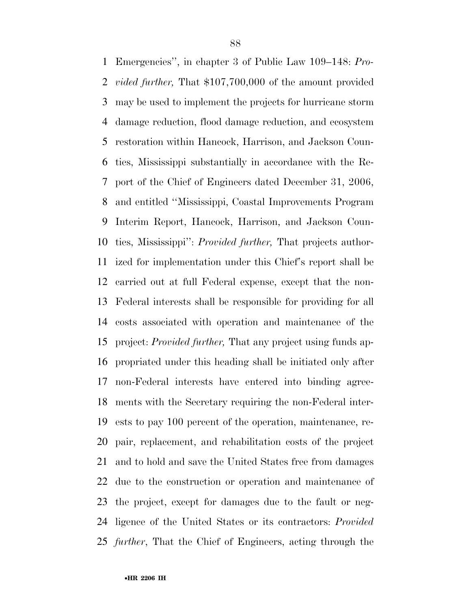Emergencies'', in chapter 3 of Public Law 109–148: *Pro- vided further,* That \$107,700,000 of the amount provided may be used to implement the projects for hurricane storm damage reduction, flood damage reduction, and ecosystem restoration within Hancock, Harrison, and Jackson Coun- ties, Mississippi substantially in accordance with the Re- port of the Chief of Engineers dated December 31, 2006, and entitled ''Mississippi, Coastal Improvements Program Interim Report, Hancock, Harrison, and Jackson Coun- ties, Mississippi'': *Provided further,* That projects author- ized for implementation under this Chief's report shall be carried out at full Federal expense, except that the non- Federal interests shall be responsible for providing for all costs associated with operation and maintenance of the project: *Provided further,* That any project using funds ap- propriated under this heading shall be initiated only after non-Federal interests have entered into binding agree- ments with the Secretary requiring the non-Federal inter- ests to pay 100 percent of the operation, maintenance, re- pair, replacement, and rehabilitation costs of the project and to hold and save the United States free from damages due to the construction or operation and maintenance of the project, except for damages due to the fault or neg- ligence of the United States or its contractors: *Provided further*, That the Chief of Engineers, acting through the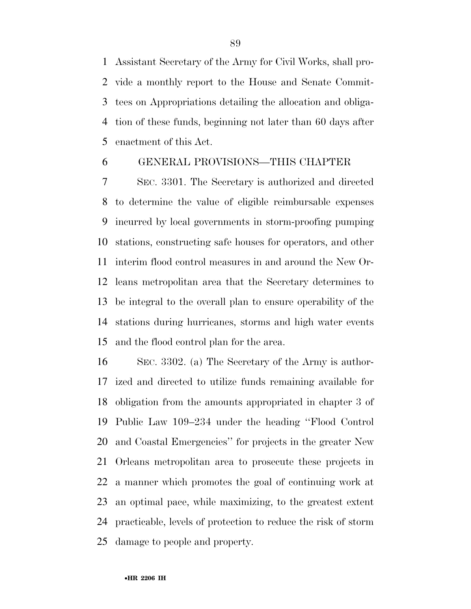Assistant Secretary of the Army for Civil Works, shall pro- vide a monthly report to the House and Senate Commit- tees on Appropriations detailing the allocation and obliga- tion of these funds, beginning not later than 60 days after enactment of this Act.

## GENERAL PROVISIONS—THIS CHAPTER

 SEC. 3301. The Secretary is authorized and directed to determine the value of eligible reimbursable expenses incurred by local governments in storm-proofing pumping stations, constructing safe houses for operators, and other interim flood control measures in and around the New Or- leans metropolitan area that the Secretary determines to be integral to the overall plan to ensure operability of the stations during hurricanes, storms and high water events and the flood control plan for the area.

 SEC. 3302. (a) The Secretary of the Army is author- ized and directed to utilize funds remaining available for obligation from the amounts appropriated in chapter 3 of Public Law 109–234 under the heading ''Flood Control and Coastal Emergencies'' for projects in the greater New Orleans metropolitan area to prosecute these projects in a manner which promotes the goal of continuing work at an optimal pace, while maximizing, to the greatest extent practicable, levels of protection to reduce the risk of storm damage to people and property.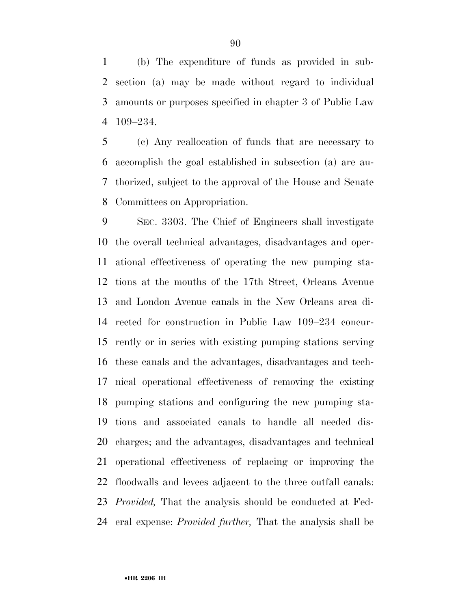(b) The expenditure of funds as provided in sub- section (a) may be made without regard to individual amounts or purposes specified in chapter 3 of Public Law 109–234.

 (c) Any reallocation of funds that are necessary to accomplish the goal established in subsection (a) are au- thorized, subject to the approval of the House and Senate Committees on Appropriation.

 SEC. 3303. The Chief of Engineers shall investigate the overall technical advantages, disadvantages and oper- ational effectiveness of operating the new pumping sta- tions at the mouths of the 17th Street, Orleans Avenue and London Avenue canals in the New Orleans area di- rected for construction in Public Law 109–234 concur- rently or in series with existing pumping stations serving these canals and the advantages, disadvantages and tech- nical operational effectiveness of removing the existing pumping stations and configuring the new pumping sta- tions and associated canals to handle all needed dis- charges; and the advantages, disadvantages and technical operational effectiveness of replacing or improving the floodwalls and levees adjacent to the three outfall canals: *Provided,* That the analysis should be conducted at Fed-eral expense: *Provided further,* That the analysis shall be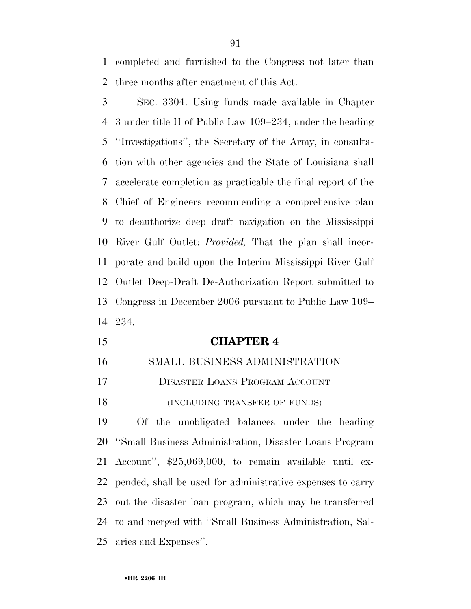completed and furnished to the Congress not later than three months after enactment of this Act.

 SEC. 3304. Using funds made available in Chapter 3 under title II of Public Law 109–234, under the heading ''Investigations'', the Secretary of the Army, in consulta- tion with other agencies and the State of Louisiana shall accelerate completion as practicable the final report of the Chief of Engineers recommending a comprehensive plan to deauthorize deep draft navigation on the Mississippi River Gulf Outlet: *Provided,* That the plan shall incor- porate and build upon the Interim Mississippi River Gulf Outlet Deep-Draft De-Authorization Report submitted to Congress in December 2006 pursuant to Public Law 109– 234.

- **CHAPTER 4**
- SMALL BUSINESS ADMINISTRATION
- DISASTER LOANS PROGRAM ACCOUNT
- 18 (INCLUDING TRANSFER OF FUNDS)

 Of the unobligated balances under the heading ''Small Business Administration, Disaster Loans Program Account'', \$25,069,000, to remain available until ex- pended, shall be used for administrative expenses to carry out the disaster loan program, which may be transferred to and merged with ''Small Business Administration, Sal-aries and Expenses''.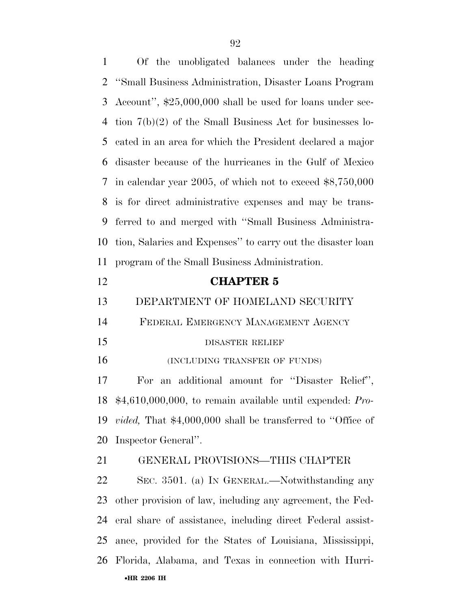Of the unobligated balances under the heading ''Small Business Administration, Disaster Loans Program Account'', \$25,000,000 shall be used for loans under sec- tion 7(b)(2) of the Small Business Act for businesses lo- cated in an area for which the President declared a major disaster because of the hurricanes in the Gulf of Mexico in calendar year 2005, of which not to exceed \$8,750,000 is for direct administrative expenses and may be trans- ferred to and merged with ''Small Business Administra- tion, Salaries and Expenses'' to carry out the disaster loan program of the Small Business Administration. **CHAPTER 5**  DEPARTMENT OF HOMELAND SECURITY FEDERAL EMERGENCY MANAGEMENT AGENCY 15 DISASTER RELIEF 16 (INCLUDING TRANSFER OF FUNDS) For an additional amount for ''Disaster Relief'', \$4,610,000,000, to remain available until expended: *Pro- vided,* That \$4,000,000 shall be transferred to ''Office of Inspector General''. GENERAL PROVISIONS—THIS CHAPTER SEC. 3501. (a) IN GENERAL.—Notwithstanding any other provision of law, including any agreement, the Fed-eral share of assistance, including direct Federal assist-

•**HR 2206 IH**  Florida, Alabama, and Texas in connection with Hurri-

ance, provided for the States of Louisiana, Mississippi,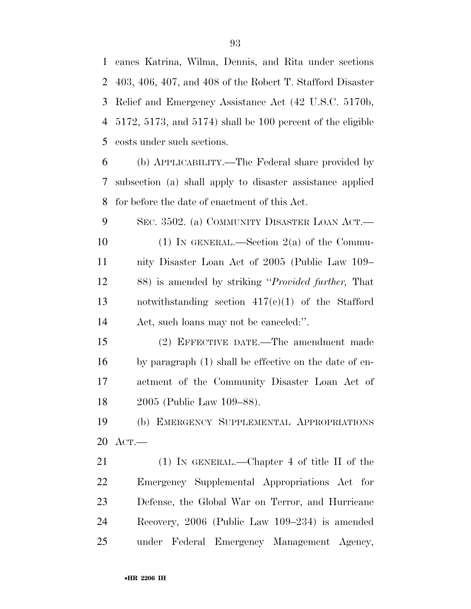canes Katrina, Wilma, Dennis, and Rita under sections 403, 406, 407, and 408 of the Robert T. Stafford Disaster Relief and Emergency Assistance Act (42 U.S.C. 5170b, 5172, 5173, and 5174) shall be 100 percent of the eligible costs under such sections.

 (b) APPLICABILITY.—The Federal share provided by subsection (a) shall apply to disaster assistance applied for before the date of enactment of this Act.

9 SEC. 3502. (a) COMMUNITY DISASTER LOAN ACT.— (1) IN GENERAL.—Section 2(a) of the Commu- nity Disaster Loan Act of 2005 (Public Law 109– 88) is amended by striking ''*Provided further,* That notwithstanding section 417(c)(1) of the Stafford Act, such loans may not be canceled:''.

 (2) EFFECTIVE DATE.—The amendment made by paragraph (1) shall be effective on the date of en- actment of the Community Disaster Loan Act of 2005 (Public Law 109–88).

 (b) EMERGENCY SUPPLEMENTAL APPROPRIATIONS ACT.—

 (1) IN GENERAL.—Chapter 4 of title II of the Emergency Supplemental Appropriations Act for Defense, the Global War on Terror, and Hurricane Recovery, 2006 (Public Law 109–234) is amended under Federal Emergency Management Agency,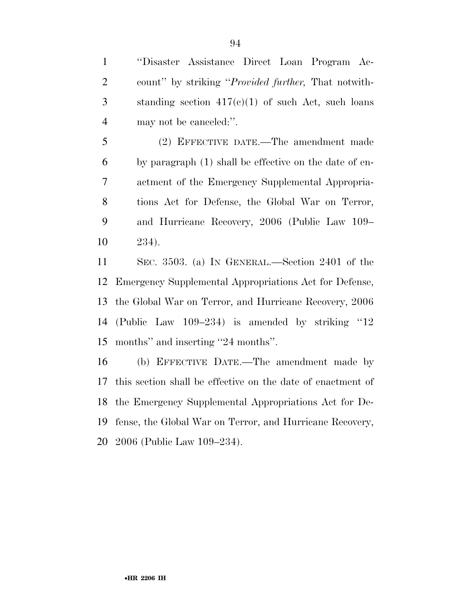''Disaster Assistance Direct Loan Program Ac- count'' by striking ''*Provided further,* That notwith-3 standing section  $417(c)(1)$  of such Act, such loans may not be canceled:''.

 (2) EFFECTIVE DATE.—The amendment made by paragraph (1) shall be effective on the date of en- actment of the Emergency Supplemental Appropria- tions Act for Defense, the Global War on Terror, and Hurricane Recovery, 2006 (Public Law 109– 234).

 SEC. 3503. (a) IN GENERAL.—Section 2401 of the Emergency Supplemental Appropriations Act for Defense, the Global War on Terror, and Hurricane Recovery, 2006 (Public Law 109–234) is amended by striking ''12 months'' and inserting ''24 months''.

 (b) EFFECTIVE DATE.—The amendment made by this section shall be effective on the date of enactment of the Emergency Supplemental Appropriations Act for De- fense, the Global War on Terror, and Hurricane Recovery, 2006 (Public Law 109–234).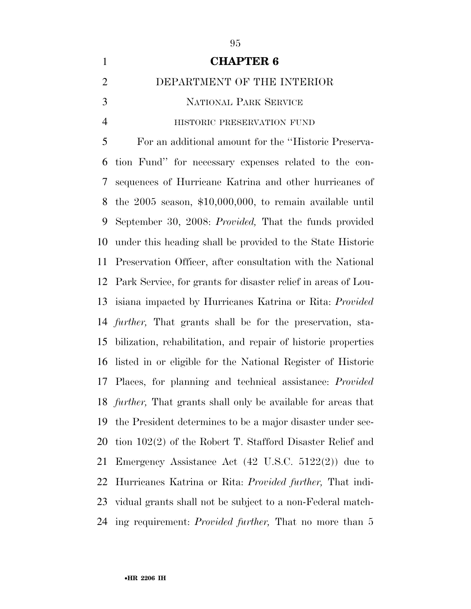| $\mathbf{1}$   | <b>CHAPTER 6</b>                                                       |
|----------------|------------------------------------------------------------------------|
| $\overline{2}$ | DEPARTMENT OF THE INTERIOR                                             |
| 3              | <b>NATIONAL PARK SERVICE</b>                                           |
| $\overline{4}$ | HISTORIC PRESERVATION FUND                                             |
| 5              | For an additional amount for the "Historic Preserva-                   |
| 6              | tion Fund" for necessary expenses related to the con-                  |
| 7              | sequences of Hurricane Katrina and other hurricanes of                 |
| 8              | the $2005$ season, $$10,000,000$ , to remain available until           |
| 9              | September 30, 2008: Provided, That the funds provided                  |
| 10             | under this heading shall be provided to the State Historic             |
| 11             | Preservation Officer, after consultation with the National             |
| 12             | Park Service, for grants for disaster relief in areas of Lou-          |
| 13             | isiana impacted by Hurricanes Katrina or Rita: Provided                |
| 14             | further, That grants shall be for the preservation, sta-               |
| 15             | bilization, rehabilitation, and repair of historic properties          |
| 16             | listed in or eligible for the National Register of Historic            |
| 17             | Places, for planning and technical assistance: <i>Provided</i>         |
|                | 18 <i>further</i> , That grants shall only be available for areas that |
| 19             | the President determines to be a major disaster under sec-             |
| 20             | tion 102(2) of the Robert T. Stafford Disaster Relief and              |
| 21             | Emergency Assistance Act $(42 \text{ U.S.C. } 5122(2))$ due to         |
| 22             | Hurricanes Katrina or Rita: <i>Provided further</i> , That indi-       |
| 23             | vidual grants shall not be subject to a non-Federal match-             |
| 24             | ing requirement: <i>Provided further</i> , That no more than 5         |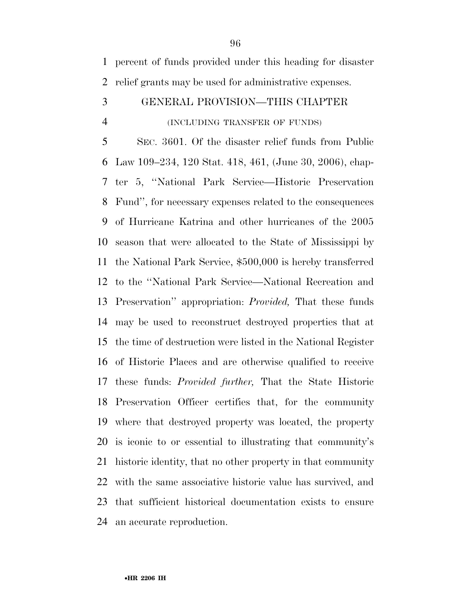percent of funds provided under this heading for disaster relief grants may be used for administrative expenses.

## GENERAL PROVISION—THIS CHAPTER

#### (INCLUDING TRANSFER OF FUNDS)

 SEC. 3601. Of the disaster relief funds from Public Law 109–234, 120 Stat. 418, 461, (June 30, 2006), chap- ter 5, ''National Park Service—Historic Preservation Fund'', for necessary expenses related to the consequences of Hurricane Katrina and other hurricanes of the 2005 season that were allocated to the State of Mississippi by the National Park Service, \$500,000 is hereby transferred to the ''National Park Service—National Recreation and Preservation'' appropriation: *Provided,* That these funds may be used to reconstruct destroyed properties that at the time of destruction were listed in the National Register of Historic Places and are otherwise qualified to receive these funds: *Provided further,* That the State Historic Preservation Officer certifies that, for the community where that destroyed property was located, the property is iconic to or essential to illustrating that community's historic identity, that no other property in that community with the same associative historic value has survived, and that sufficient historical documentation exists to ensure an accurate reproduction.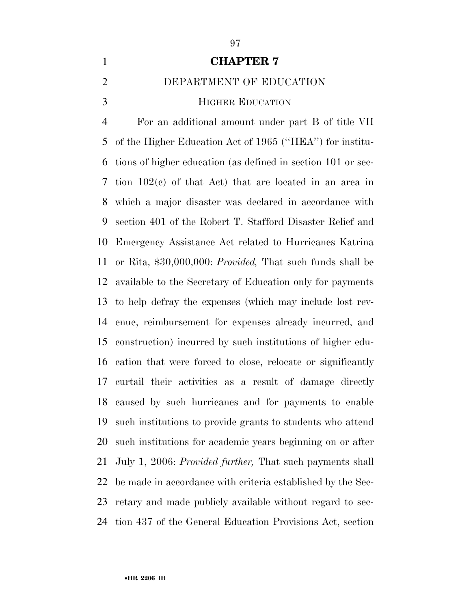## **CHAPTER 7**

## DEPARTMENT OF EDUCATION

#### **HIGHER EDUCATION**

 For an additional amount under part B of title VII of the Higher Education Act of 1965 (''HEA'') for institu- tions of higher education (as defined in section 101 or sec- tion 102(c) of that Act) that are located in an area in which a major disaster was declared in accordance with section 401 of the Robert T. Stafford Disaster Relief and Emergency Assistance Act related to Hurricanes Katrina or Rita, \$30,000,000: *Provided,* That such funds shall be available to the Secretary of Education only for payments to help defray the expenses (which may include lost rev- enue, reimbursement for expenses already incurred, and construction) incurred by such institutions of higher edu- cation that were forced to close, relocate or significantly curtail their activities as a result of damage directly caused by such hurricanes and for payments to enable such institutions to provide grants to students who attend such institutions for academic years beginning on or after July 1, 2006: *Provided further,* That such payments shall be made in accordance with criteria established by the Sec- retary and made publicly available without regard to sec-tion 437 of the General Education Provisions Act, section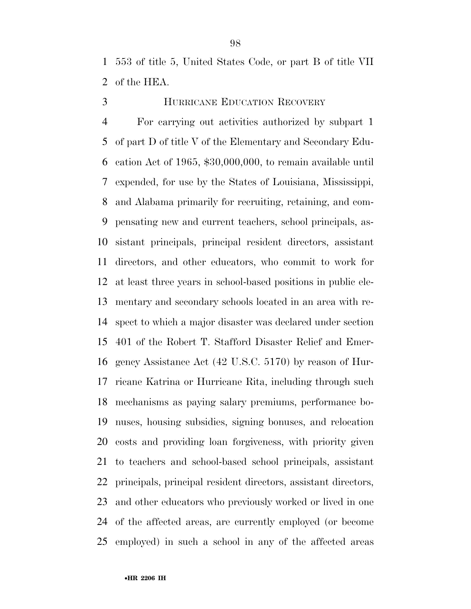553 of title 5, United States Code, or part B of title VII of the HEA.

# HURRICANE EDUCATION RECOVERY

 For carrying out activities authorized by subpart 1 of part D of title V of the Elementary and Secondary Edu- cation Act of 1965, \$30,000,000, to remain available until expended, for use by the States of Louisiana, Mississippi, and Alabama primarily for recruiting, retaining, and com- pensating new and current teachers, school principals, as- sistant principals, principal resident directors, assistant directors, and other educators, who commit to work for at least three years in school-based positions in public ele- mentary and secondary schools located in an area with re- spect to which a major disaster was declared under section 401 of the Robert T. Stafford Disaster Relief and Emer- gency Assistance Act (42 U.S.C. 5170) by reason of Hur- ricane Katrina or Hurricane Rita, including through such mechanisms as paying salary premiums, performance bo- nuses, housing subsidies, signing bonuses, and relocation costs and providing loan forgiveness, with priority given to teachers and school-based school principals, assistant principals, principal resident directors, assistant directors, and other educators who previously worked or lived in one of the affected areas, are currently employed (or become employed) in such a school in any of the affected areas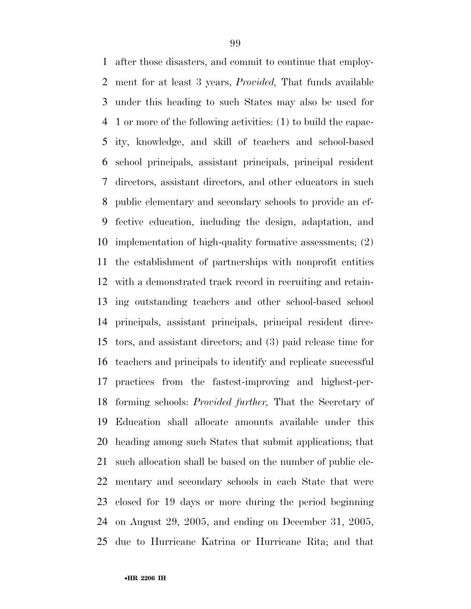after those disasters, and commit to continue that employ- ment for at least 3 years, *Provided,* That funds available under this heading to such States may also be used for 1 or more of the following activities: (1) to build the capac- ity, knowledge, and skill of teachers and school-based school principals, assistant principals, principal resident directors, assistant directors, and other educators in such public elementary and secondary schools to provide an ef- fective education, including the design, adaptation, and implementation of high-quality formative assessments; (2) the establishment of partnerships with nonprofit entities with a demonstrated track record in recruiting and retain- ing outstanding teachers and other school-based school principals, assistant principals, principal resident direc- tors, and assistant directors; and (3) paid release time for teachers and principals to identify and replicate successful practices from the fastest-improving and highest-per- forming schools: *Provided further,* That the Secretary of Education shall allocate amounts available under this heading among such States that submit applications; that such allocation shall be based on the number of public ele- mentary and secondary schools in each State that were closed for 19 days or more during the period beginning on August 29, 2005, and ending on December 31, 2005, due to Hurricane Katrina or Hurricane Rita; and that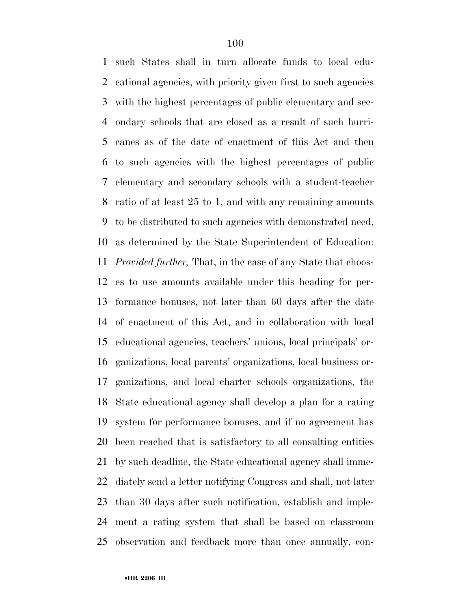such States shall in turn allocate funds to local edu- cational agencies, with priority given first to such agencies with the highest percentages of public elementary and sec- ondary schools that are closed as a result of such hurri- canes as of the date of enactment of this Act and then to such agencies with the highest percentages of public elementary and secondary schools with a student-teacher ratio of at least 25 to 1, and with any remaining amounts to be distributed to such agencies with demonstrated need, as determined by the State Superintendent of Education: *Provided further,* That, in the case of any State that choos- es to use amounts available under this heading for per- formance bonuses, not later than 60 days after the date of enactment of this Act, and in collaboration with local educational agencies, teachers' unions, local principals' or- ganizations, local parents' organizations, local business or- ganizations, and local charter schools organizations, the State educational agency shall develop a plan for a rating system for performance bonuses, and if no agreement has been reached that is satisfactory to all consulting entities by such deadline, the State educational agency shall imme- diately send a letter notifying Congress and shall, not later than 30 days after such notification, establish and imple- ment a rating system that shall be based on classroom observation and feedback more than once annually, con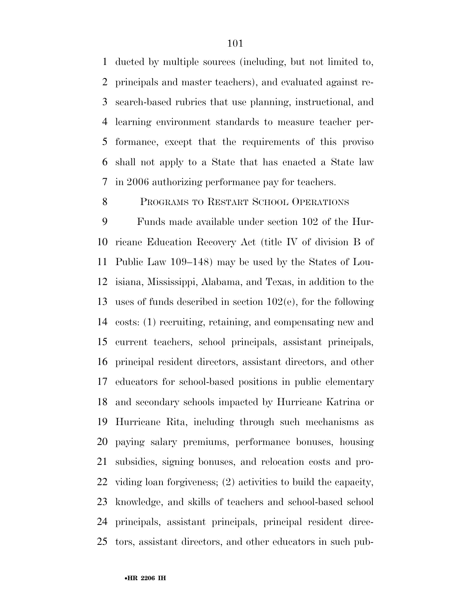ducted by multiple sources (including, but not limited to, principals and master teachers), and evaluated against re- search-based rubrics that use planning, instructional, and learning environment standards to measure teacher per- formance, except that the requirements of this proviso shall not apply to a State that has enacted a State law in 2006 authorizing performance pay for teachers.

#### 8 PROGRAMS TO RESTART SCHOOL OPERATIONS

 Funds made available under section 102 of the Hur- ricane Education Recovery Act (title IV of division B of Public Law 109–148) may be used by the States of Lou- isiana, Mississippi, Alabama, and Texas, in addition to the uses of funds described in section 102(e), for the following costs: (1) recruiting, retaining, and compensating new and current teachers, school principals, assistant principals, principal resident directors, assistant directors, and other educators for school-based positions in public elementary and secondary schools impacted by Hurricane Katrina or Hurricane Rita, including through such mechanisms as paying salary premiums, performance bonuses, housing subsidies, signing bonuses, and relocation costs and pro- viding loan forgiveness; (2) activities to build the capacity, knowledge, and skills of teachers and school-based school principals, assistant principals, principal resident direc-tors, assistant directors, and other educators in such pub-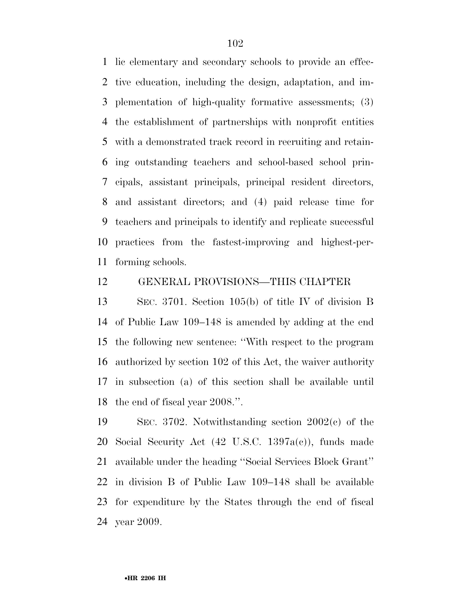lic elementary and secondary schools to provide an effec- tive education, including the design, adaptation, and im- plementation of high-quality formative assessments; (3) the establishment of partnerships with nonprofit entities with a demonstrated track record in recruiting and retain- ing outstanding teachers and school-based school prin- cipals, assistant principals, principal resident directors, and assistant directors; and (4) paid release time for teachers and principals to identify and replicate successful practices from the fastest-improving and highest-per-forming schools.

#### GENERAL PROVISIONS—THIS CHAPTER

 SEC. 3701. Section 105(b) of title IV of division B of Public Law 109–148 is amended by adding at the end the following new sentence: ''With respect to the program authorized by section 102 of this Act, the waiver authority in subsection (a) of this section shall be available until the end of fiscal year 2008.''.

 SEC. 3702. Notwithstanding section 2002(c) of the Social Security Act (42 U.S.C. 1397a(c)), funds made available under the heading ''Social Services Block Grant'' in division B of Public Law 109–148 shall be available for expenditure by the States through the end of fiscal year 2009.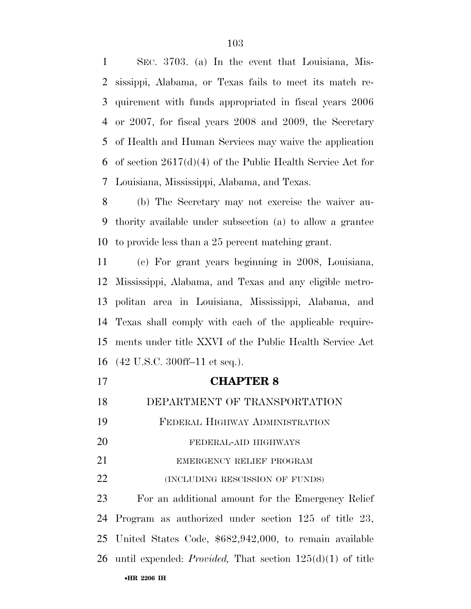SEC. 3703. (a) In the event that Louisiana, Mis- sissippi, Alabama, or Texas fails to meet its match re- quirement with funds appropriated in fiscal years 2006 or 2007, for fiscal years 2008 and 2009, the Secretary of Health and Human Services may waive the application of section 2617(d)(4) of the Public Health Service Act for Louisiana, Mississippi, Alabama, and Texas.

 (b) The Secretary may not exercise the waiver au- thority available under subsection (a) to allow a grantee to provide less than a 25 percent matching grant.

 (c) For grant years beginning in 2008, Louisiana, Mississippi, Alabama, and Texas and any eligible metro- politan area in Louisiana, Mississippi, Alabama, and Texas shall comply with each of the applicable require- ments under title XXVI of the Public Health Service Act (42 U.S.C. 300ff–11 et seq.).

 **CHAPTER 8**  DEPARTMENT OF TRANSPORTATION FEDERAL HIGHWAY ADMINISTRATION FEDERAL-AID HIGHWAYS 21 EMERGENCY RELIEF PROGRAM **(INCLUDING RESCISSION OF FUNDS)** For an additional amount for the Emergency Relief

•**HR 2206 IH**  Program as authorized under section 125 of title 23, United States Code, \$682,942,000, to remain available until expended: *Provided,* That section 125(d)(1) of title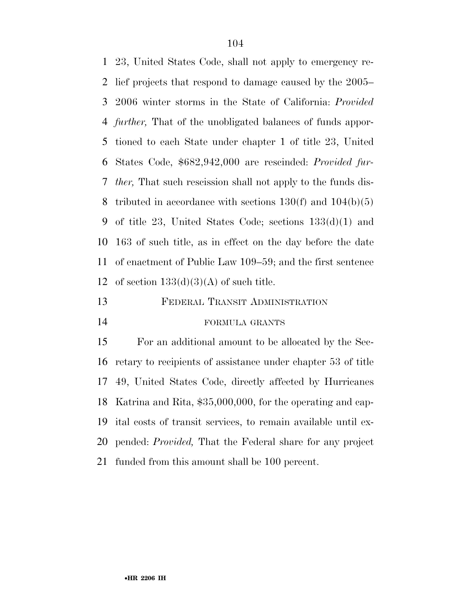23, United States Code, shall not apply to emergency re- lief projects that respond to damage caused by the 2005– 2006 winter storms in the State of California: *Provided further,* That of the unobligated balances of funds appor- tioned to each State under chapter 1 of title 23, United States Code, \$682,942,000 are rescinded: *Provided fur- ther,* That such rescission shall not apply to the funds dis-8 tributed in accordance with sections  $130(f)$  and  $104(b)(5)$  of title 23, United States Code; sections 133(d)(1) and 163 of such title, as in effect on the day before the date of enactment of Public Law 109–59; and the first sentence 12 of section  $133(d)(3)(A)$  of such title.

FEDERAL TRANSIT ADMINISTRATION

## FORMULA GRANTS

 For an additional amount to be allocated by the Sec- retary to recipients of assistance under chapter 53 of title 49, United States Code, directly affected by Hurricanes Katrina and Rita, \$35,000,000, for the operating and cap- ital costs of transit services, to remain available until ex- pended: *Provided,* That the Federal share for any project funded from this amount shall be 100 percent.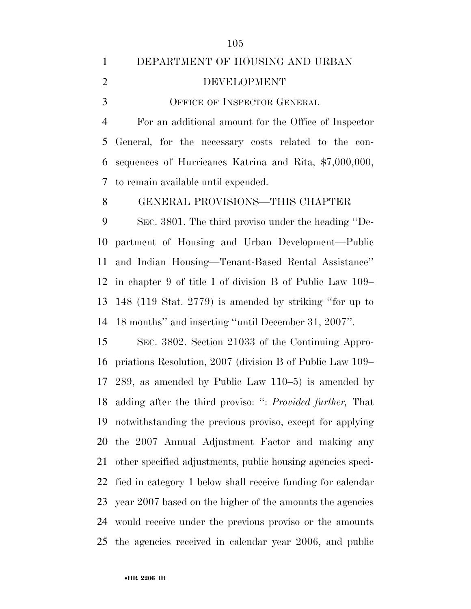# DEPARTMENT OF HOUSING AND URBAN DEVELOPMENT OFFICE OF INSPECTOR GENERAL

 For an additional amount for the Office of Inspector General, for the necessary costs related to the con- sequences of Hurricanes Katrina and Rita, \$7,000,000, to remain available until expended.

GENERAL PROVISIONS—THIS CHAPTER

 SEC. 3801. The third proviso under the heading ''De- partment of Housing and Urban Development—Public and Indian Housing—Tenant-Based Rental Assistance'' in chapter 9 of title I of division B of Public Law 109– 148 (119 Stat. 2779) is amended by striking ''for up to 18 months'' and inserting ''until December 31, 2007''.

 SEC. 3802. Section 21033 of the Continuing Appro- priations Resolution, 2007 (division B of Public Law 109– 289, as amended by Public Law 110–5) is amended by adding after the third proviso: '': *Provided further,* That notwithstanding the previous proviso, except for applying the 2007 Annual Adjustment Factor and making any other specified adjustments, public housing agencies speci- fied in category 1 below shall receive funding for calendar year 2007 based on the higher of the amounts the agencies would receive under the previous proviso or the amounts the agencies received in calendar year 2006, and public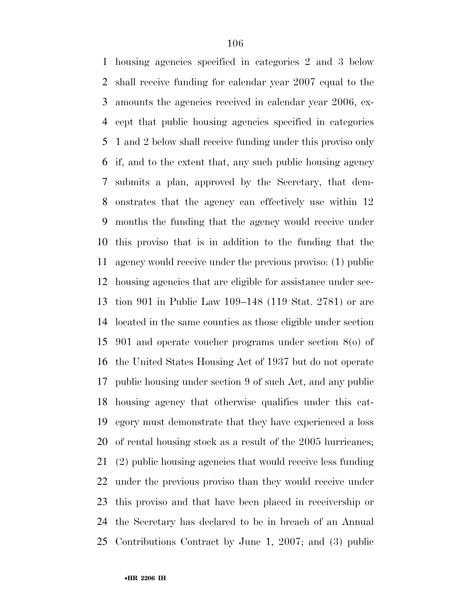housing agencies specified in categories 2 and 3 below shall receive funding for calendar year 2007 equal to the amounts the agencies received in calendar year 2006, ex- cept that public housing agencies specified in categories 1 and 2 below shall receive funding under this proviso only if, and to the extent that, any such public housing agency submits a plan, approved by the Secretary, that dem- onstrates that the agency can effectively use within 12 months the funding that the agency would receive under this proviso that is in addition to the funding that the agency would receive under the previous proviso: (1) public housing agencies that are eligible for assistance under sec- tion 901 in Public Law 109–148 (119 Stat. 2781) or are located in the same counties as those eligible under section 901 and operate voucher programs under section 8(o) of the United States Housing Act of 1937 but do not operate public housing under section 9 of such Act, and any public housing agency that otherwise qualifies under this cat- egory must demonstrate that they have experienced a loss of rental housing stock as a result of the 2005 hurricanes; (2) public housing agencies that would receive less funding under the previous proviso than they would receive under this proviso and that have been placed in receivership or the Secretary has declared to be in breach of an Annual Contributions Contract by June 1, 2007; and (3) public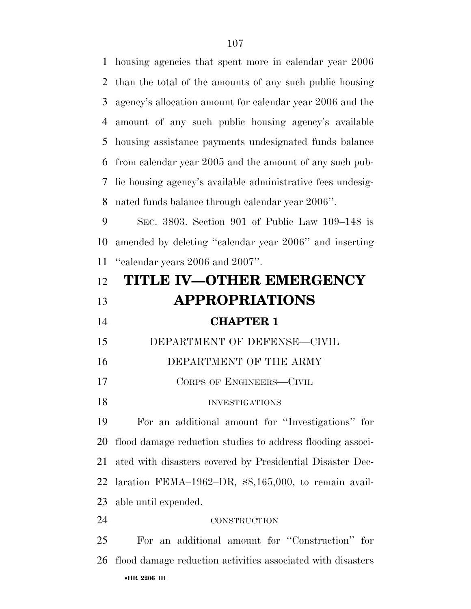housing agencies that spent more in calendar year 2006 than the total of the amounts of any such public housing agency's allocation amount for calendar year 2006 and the amount of any such public housing agency's available housing assistance payments undesignated funds balance from calendar year 2005 and the amount of any such pub- lic housing agency's available administrative fees undesig-nated funds balance through calendar year 2006''.

 SEC. 3803. Section 901 of Public Law 109–148 is amended by deleting ''calendar year 2006'' and inserting ''calendar years 2006 and 2007''.

| 12 | <b>TITLE IV-OTHER EMERGENCY</b>                             |
|----|-------------------------------------------------------------|
| 13 | <b>APPROPRIATIONS</b>                                       |
| 14 | <b>CHAPTER 1</b>                                            |
| 15 | DEPARTMENT OF DEFENSE-CIVIL                                 |
| 16 | DEPARTMENT OF THE ARMY                                      |
| 17 | CORPS OF ENGINEERS-CIVIL                                    |
| 18 | <b>INVESTIGATIONS</b>                                       |
| 19 | For an additional amount for "Investigations" for           |
| 20 | flood damage reduction studies to address flooding associ-  |
| 21 | ated with disasters covered by Presidential Disaster Dec-   |
| 22 | laration FEMA-1962-DR, $$8,165,000$ , to remain avail-      |
|    | 23 able until expended.                                     |
| 24 | <b>CONSTRUCTION</b>                                         |
| 25 | For an additional amount for "Construction" for             |
| 26 | flood damage reduction activities associated with disasters |
|    | •HR 2206 IH                                                 |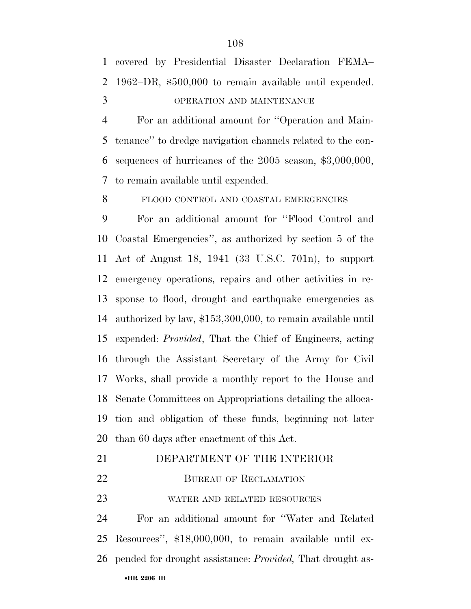For an additional amount for ''Operation and Main- tenance'' to dredge navigation channels related to the con- sequences of hurricanes of the 2005 season, \$3,000,000, to remain available until expended.

8 FLOOD CONTROL AND COASTAL EMERGENCIES

 For an additional amount for ''Flood Control and Coastal Emergencies'', as authorized by section 5 of the Act of August 18, 1941 (33 U.S.C. 701n), to support emergency operations, repairs and other activities in re- sponse to flood, drought and earthquake emergencies as authorized by law, \$153,300,000, to remain available until expended: *Provided*, That the Chief of Engineers, acting through the Assistant Secretary of the Army for Civil Works, shall provide a monthly report to the House and Senate Committees on Appropriations detailing the alloca- tion and obligation of these funds, beginning not later than 60 days after enactment of this Act.

- DEPARTMENT OF THE INTERIOR
- 22 BUREAU OF RECLAMATION

WATER AND RELATED RESOURCES

•**HR 2206 IH**  For an additional amount for ''Water and Related Resources'', \$18,000,000, to remain available until ex-pended for drought assistance: *Provided,* That drought as-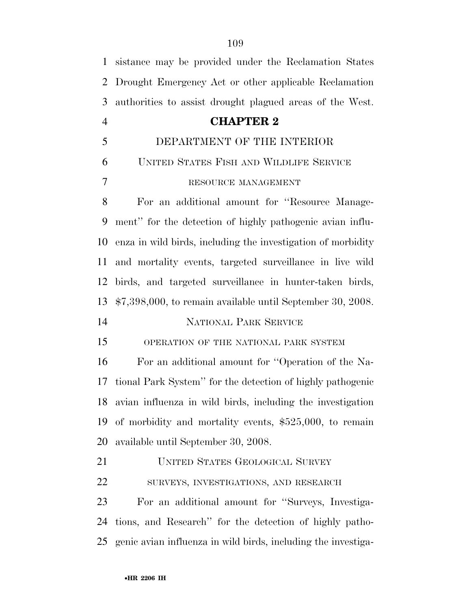| 1              | sistance may be provided under the Reclamation States         |
|----------------|---------------------------------------------------------------|
| $\overline{2}$ | Drought Emergency Act or other applicable Reclamation         |
| 3              | authorities to assist drought plagued areas of the West.      |
| $\overline{4}$ | <b>CHAPTER 2</b>                                              |
| 5              | DEPARTMENT OF THE INTERIOR                                    |
| 6              | UNITED STATES FISH AND WILDLIFE SERVICE                       |
| 7              | RESOURCE MANAGEMENT                                           |
| 8              | For an additional amount for "Resource Manage-                |
| 9              | ment" for the detection of highly pathogenic avian influ-     |
| 10             | enza in wild birds, including the investigation of morbidity  |
| 11             | and mortality events, targeted surveillance in live wild      |
| 12             | birds, and targeted surveillance in hunter-taken birds,       |
| 13             | $$7,398,000$ , to remain available until September 30, 2008.  |
| 14             | NATIONAL PARK SERVICE                                         |
| 15             | OPERATION OF THE NATIONAL PARK SYSTEM                         |
| 16             | For an additional amount for "Operation of the Na-            |
| 17             | tional Park System" for the detection of highly pathogenic    |
| 18             | avian influenza in wild birds, including the investigation    |
| 19             | of morbidity and mortality events, $$525,000$ , to remain     |
| 20             | available until September 30, 2008.                           |
| 21             | <b>UNITED STATES GEOLOGICAL SURVEY</b>                        |
| 22             | SURVEYS, INVESTIGATIONS, AND RESEARCH                         |
| 23             | For an additional amount for "Surveys, Investiga-             |
| 24             | tions, and Research" for the detection of highly patho-       |
| 25             | genic avian influenza in wild birds, including the investiga- |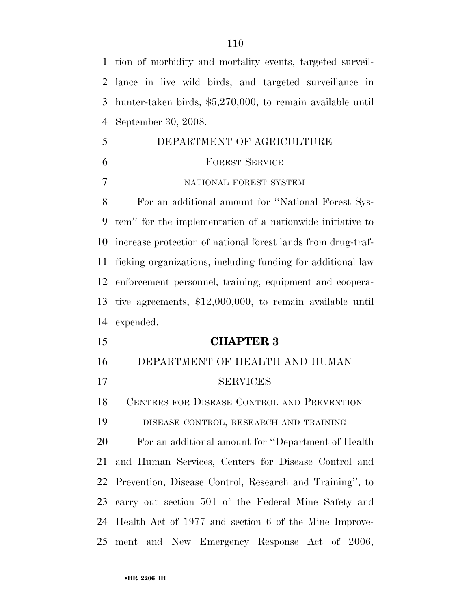tion of morbidity and mortality events, targeted surveil- lance in live wild birds, and targeted surveillance in hunter-taken birds, \$5,270,000, to remain available until September 30, 2008.

 DEPARTMENT OF AGRICULTURE FOREST SERVICE NATIONAL FOREST SYSTEM For an additional amount for ''National Forest Sys- tem'' for the implementation of a nationwide initiative to increase protection of national forest lands from drug-traf- ficking organizations, including funding for additional law enforcement personnel, training, equipment and coopera- tive agreements, \$12,000,000, to remain available until expended. **CHAPTER 3**  DEPARTMENT OF HEALTH AND HUMAN SERVICES CENTERS FOR DISEASE CONTROL AND PREVENTION DISEASE CONTROL, RESEARCH AND TRAINING For an additional amount for ''Department of Health and Human Services, Centers for Disease Control and Prevention, Disease Control, Research and Training'', to carry out section 501 of the Federal Mine Safety and Health Act of 1977 and section 6 of the Mine Improve-ment and New Emergency Response Act of 2006,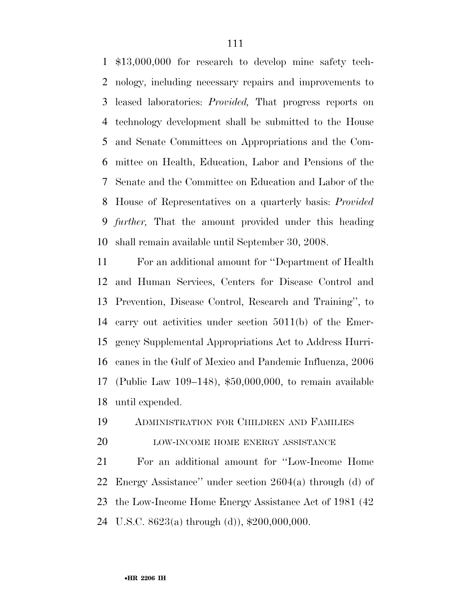\$13,000,000 for research to develop mine safety tech- nology, including necessary repairs and improvements to leased laboratories: *Provided,* That progress reports on technology development shall be submitted to the House and Senate Committees on Appropriations and the Com- mittee on Health, Education, Labor and Pensions of the Senate and the Committee on Education and Labor of the House of Representatives on a quarterly basis: *Provided further,* That the amount provided under this heading shall remain available until September 30, 2008.

 For an additional amount for ''Department of Health and Human Services, Centers for Disease Control and Prevention, Disease Control, Research and Training'', to carry out activities under section 5011(b) of the Emer- gency Supplemental Appropriations Act to Address Hurri- canes in the Gulf of Mexico and Pandemic Influenza, 2006 (Public Law 109–148), \$50,000,000, to remain available until expended.

ADMINISTRATION FOR CHILDREN AND FAMILIES

20 LOW-INCOME HOME ENERGY ASSISTANCE

 For an additional amount for ''Low-Income Home Energy Assistance'' under section 2604(a) through (d) of the Low-Income Home Energy Assistance Act of 1981 (42 U.S.C. 8623(a) through (d)), \$200,000,000.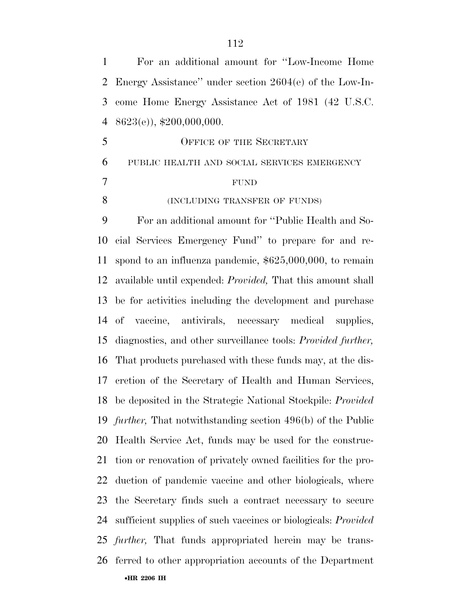| $\mathbf{1}$ | For an additional amount for "Low-Income Home                         |
|--------------|-----------------------------------------------------------------------|
| 2            | Energy Assistance" under section $2604(e)$ of the Low-In-             |
| 3            | come Home Energy Assistance Act of 1981 (42 U.S.C.                    |
| 4            | $8623(e)$ , \$200,000,000.                                            |
| 5            | <b>OFFICE OF THE SECRETARY</b>                                        |
| 6            | PUBLIC HEALTH AND SOCIAL SERVICES EMERGENCY                           |
| 7            | <b>FUND</b>                                                           |
| 8            | (INCLUDING TRANSFER OF FUNDS)                                         |
| 9            | For an additional amount for "Public Health and So-                   |
| 10           | cial Services Emergency Fund" to prepare for and re-                  |
| 11           | spond to an influenza pandemic, $$625,000,000$ , to remain            |
| 12           | available until expended: <i>Provided</i> , That this amount shall    |
| 13           | be for activities including the development and purchase              |
|              | 14 of vaccine, antivirals, necessary medical supplies,                |
| 15           | diagnostics, and other surveillance tools: <i>Provided further</i> ,  |
| 16           | That products purchased with these funds may, at the dis-             |
| 17           | cretion of the Secretary of Health and Human Services,                |
|              | 18 be deposited in the Strategic National Stockpile: <i>Provided</i>  |
|              | 19 <i>further</i> , That notwithstanding section 496(b) of the Public |
| 20           | Health Service Act, funds may be used for the construc-               |
| 21           | tion or renovation of privately owned facilities for the pro-         |
| 22           | duction of pandemic vaccine and other biologicals, where              |
| 23           | the Secretary finds such a contract necessary to secure               |
| 24           | sufficient supplies of such vaccines or biologicals: <i>Provided</i>  |
|              | 25 <i>further</i> , That funds appropriated herein may be trans-      |
| 26           | ferred to other appropriation accounts of the Department              |
|              | •HR 2206 IH                                                           |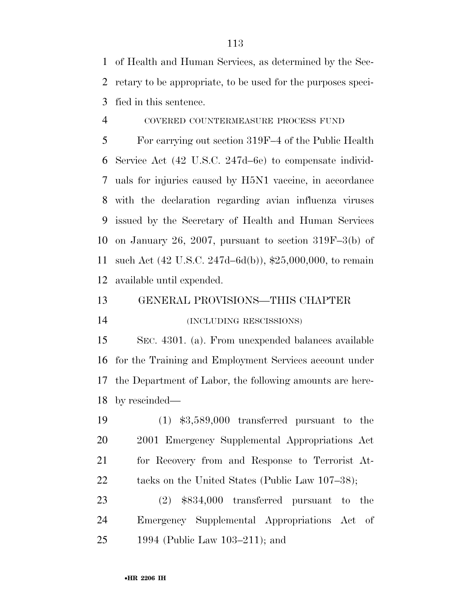of Health and Human Services, as determined by the Sec- retary to be appropriate, to be used for the purposes speci-fied in this sentence.

COVERED COUNTERMEASURE PROCESS FUND

 For carrying out section 319F–4 of the Public Health Service Act (42 U.S.C. 247d–6e) to compensate individ- uals for injuries caused by H5N1 vaccine, in accordance with the declaration regarding avian influenza viruses issued by the Secretary of Health and Human Services on January 26, 2007, pursuant to section 319F–3(b) of such Act (42 U.S.C. 247d–6d(b)), \$25,000,000, to remain available until expended.

GENERAL PROVISIONS—THIS CHAPTER

(INCLUDING RESCISSIONS)

 SEC. 4301. (a). From unexpended balances available for the Training and Employment Services account under the Department of Labor, the following amounts are here-by rescinded—

 (1) \$3,589,000 transferred pursuant to the 2001 Emergency Supplemental Appropriations Act for Recovery from and Response to Terrorist At-22 tacks on the United States (Public Law 107–38);

 (2) \$834,000 transferred pursuant to the Emergency Supplemental Appropriations Act of 1994 (Public Law 103–211); and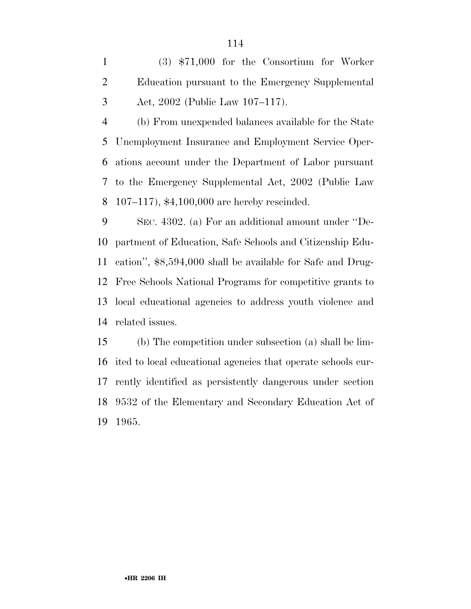(3) \$71,000 for the Consortium for Worker Education pursuant to the Emergency Supplemental Act, 2002 (Public Law 107–117).

 (b) From unexpended balances available for the State Unemployment Insurance and Employment Service Oper- ations account under the Department of Labor pursuant to the Emergency Supplemental Act, 2002 (Public Law 107–117), \$4,100,000 are hereby rescinded.

 SEC. 4302. (a) For an additional amount under ''De- partment of Education, Safe Schools and Citizenship Edu- cation'', \$8,594,000 shall be available for Safe and Drug- Free Schools National Programs for competitive grants to local educational agencies to address youth violence and related issues.

 (b) The competition under subsection (a) shall be lim- ited to local educational agencies that operate schools cur- rently identified as persistently dangerous under section 9532 of the Elementary and Secondary Education Act of 1965.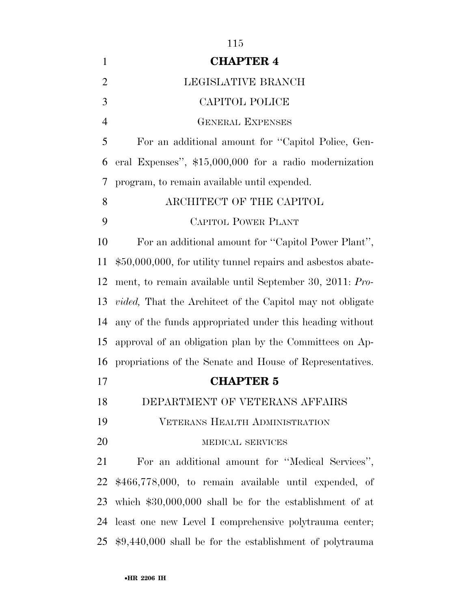| $\mathbf{1}$   | <b>CHAPTER 4</b>                                                  |
|----------------|-------------------------------------------------------------------|
| $\overline{2}$ | LEGISLATIVE BRANCH                                                |
| 3              | CAPITOL POLICE                                                    |
| $\overline{4}$ | <b>GENERAL EXPENSES</b>                                           |
| 5              | For an additional amount for "Capitol Police, Gen-                |
| 6              | eral Expenses", \$15,000,000 for a radio modernization            |
| 7              | program, to remain available until expended.                      |
| 8              | ARCHITECT OF THE CAPITOL                                          |
| 9              | <b>CAPITOL POWER PLANT</b>                                        |
| 10             | For an additional amount for "Capitol Power Plant",               |
| 11             | $$50,000,000$ , for utility tunnel repairs and asbestos abate-    |
| 12             | ment, to remain available until September 30, 2011: Pro-          |
| 13             | <i>vided</i> , That the Architect of the Capitol may not obligate |
| 14             | any of the funds appropriated under this heading without          |
| 15             | approval of an obligation plan by the Committees on Ap-           |
| 16             | propriations of the Senate and House of Representatives.          |
| 17             | <b>CHAPTER 5</b>                                                  |
| 18             | DEPARTMENT OF VETERANS AFFAIRS                                    |
| 19             | VETERANS HEALTH ADMINISTRATION                                    |
| 20             | MEDICAL SERVICES                                                  |
| 21             | For an additional amount for "Medical Services",                  |
| 22             | \$466,778,000, to remain available until expended, of             |
| 23             | which $$30,000,000$ shall be for the establishment of at          |
| 24             | least one new Level I comprehensive polytrauma center;            |
| 25             | $$9,440,000$ shall be for the establishment of polytrauma         |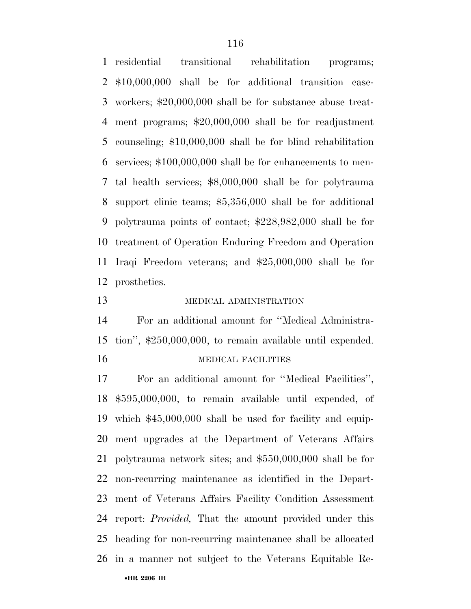residential transitional rehabilitation programs; \$10,000,000 shall be for additional transition case- workers; \$20,000,000 shall be for substance abuse treat- ment programs; \$20,000,000 shall be for readjustment counseling; \$10,000,000 shall be for blind rehabilitation services; \$100,000,000 shall be for enhancements to men- tal health services; \$8,000,000 shall be for polytrauma support clinic teams; \$5,356,000 shall be for additional polytrauma points of contact; \$228,982,000 shall be for treatment of Operation Enduring Freedom and Operation Iraqi Freedom veterans; and \$25,000,000 shall be for prosthetics.

#### 13 MEDICAL ADMINISTRATION

 For an additional amount for ''Medical Administra- tion'', \$250,000,000, to remain available until expended. 16 MEDICAL FACILITIES

•**HR 2206 IH**  For an additional amount for ''Medical Facilities'', \$595,000,000, to remain available until expended, of which \$45,000,000 shall be used for facility and equip- ment upgrades at the Department of Veterans Affairs polytrauma network sites; and \$550,000,000 shall be for non-recurring maintenance as identified in the Depart- ment of Veterans Affairs Facility Condition Assessment report: *Provided,* That the amount provided under this heading for non-recurring maintenance shall be allocated in a manner not subject to the Veterans Equitable Re-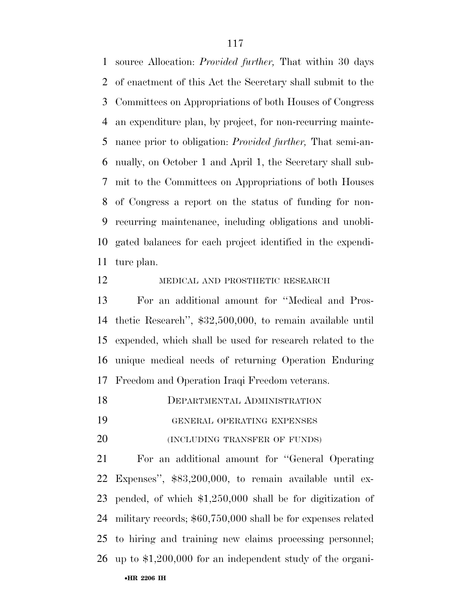source Allocation: *Provided further,* That within 30 days of enactment of this Act the Secretary shall submit to the Committees on Appropriations of both Houses of Congress an expenditure plan, by project, for non-recurring mainte- nance prior to obligation: *Provided further,* That semi-an- nually, on October 1 and April 1, the Secretary shall sub- mit to the Committees on Appropriations of both Houses of Congress a report on the status of funding for non- recurring maintenance, including obligations and unobli- gated balances for each project identified in the expendi-ture plan.

#### 12 MEDICAL AND PROSTHETIC RESEARCH

 For an additional amount for ''Medical and Pros- thetic Research'', \$32,500,000, to remain available until expended, which shall be used for research related to the unique medical needs of returning Operation Enduring Freedom and Operation Iraqi Freedom veterans.

DEPARTMENTAL ADMINISTRATION

GENERAL OPERATING EXPENSES

20 (INCLUDING TRANSFER OF FUNDS)

 For an additional amount for ''General Operating Expenses'', \$83,200,000, to remain available until ex- pended, of which \$1,250,000 shall be for digitization of military records; \$60,750,000 shall be for expenses related to hiring and training new claims processing personnel; up to \$1,200,000 for an independent study of the organi-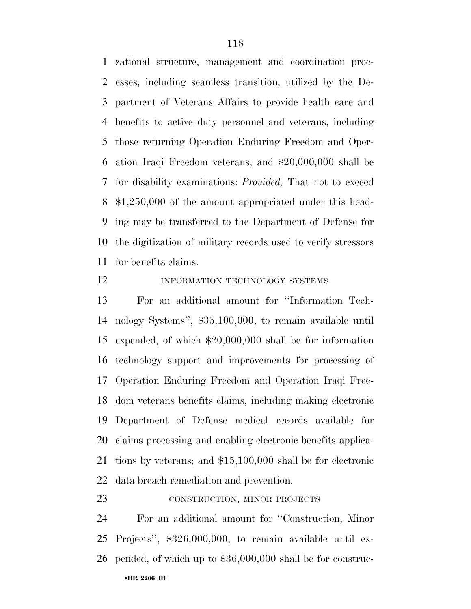zational structure, management and coordination proc- esses, including seamless transition, utilized by the De- partment of Veterans Affairs to provide health care and benefits to active duty personnel and veterans, including those returning Operation Enduring Freedom and Oper- ation Iraqi Freedom veterans; and \$20,000,000 shall be for disability examinations: *Provided,* That not to exceed \$1,250,000 of the amount appropriated under this head- ing may be transferred to the Department of Defense for the digitization of military records used to verify stressors for benefits claims.

#### 12 INFORMATION TECHNOLOGY SYSTEMS

 For an additional amount for ''Information Tech- nology Systems'', \$35,100,000, to remain available until expended, of which \$20,000,000 shall be for information technology support and improvements for processing of Operation Enduring Freedom and Operation Iraqi Free- dom veterans benefits claims, including making electronic Department of Defense medical records available for claims processing and enabling electronic benefits applica- tions by veterans; and \$15,100,000 shall be for electronic data breach remediation and prevention.

#### 23 CONSTRUCTION, MINOR PROJECTS

•**HR 2206 IH**  For an additional amount for ''Construction, Minor Projects'', \$326,000,000, to remain available until ex-pended, of which up to \$36,000,000 shall be for construc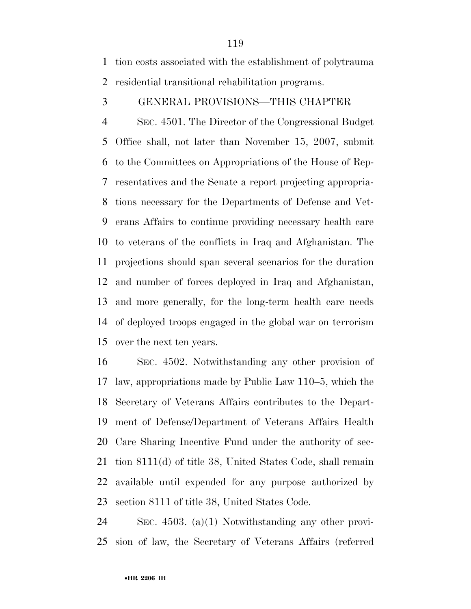tion costs associated with the establishment of polytrauma residential transitional rehabilitation programs.

GENERAL PROVISIONS—THIS CHAPTER

 SEC. 4501. The Director of the Congressional Budget Office shall, not later than November 15, 2007, submit to the Committees on Appropriations of the House of Rep- resentatives and the Senate a report projecting appropria- tions necessary for the Departments of Defense and Vet- erans Affairs to continue providing necessary health care to veterans of the conflicts in Iraq and Afghanistan. The projections should span several scenarios for the duration and number of forces deployed in Iraq and Afghanistan, and more generally, for the long-term health care needs of deployed troops engaged in the global war on terrorism over the next ten years.

 SEC. 4502. Notwithstanding any other provision of law, appropriations made by Public Law 110–5, which the Secretary of Veterans Affairs contributes to the Depart- ment of Defense/Department of Veterans Affairs Health Care Sharing Incentive Fund under the authority of sec- tion 8111(d) of title 38, United States Code, shall remain available until expended for any purpose authorized by section 8111 of title 38, United States Code.

 SEC. 4503. (a)(1) Notwithstanding any other provi-sion of law, the Secretary of Veterans Affairs (referred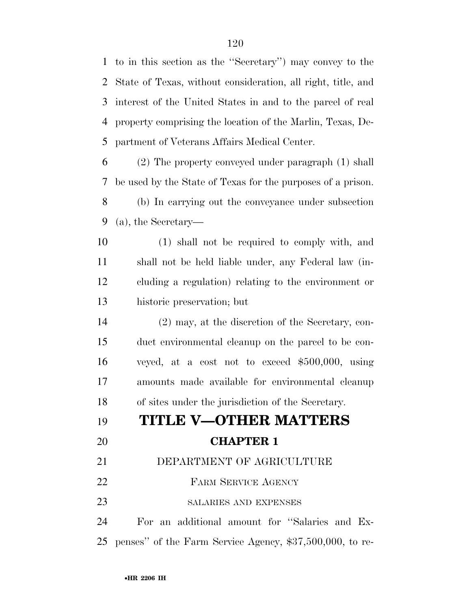to in this section as the ''Secretary'') may convey to the State of Texas, without consideration, all right, title, and interest of the United States in and to the parcel of real property comprising the location of the Marlin, Texas, De-partment of Veterans Affairs Medical Center.

 (2) The property conveyed under paragraph (1) shall be used by the State of Texas for the purposes of a prison. (b) In carrying out the conveyance under subsection (a), the Secretary—

 (1) shall not be required to comply with, and shall not be held liable under, any Federal law (in- cluding a regulation) relating to the environment or historic preservation; but

 (2) may, at the discretion of the Secretary, con- duct environmental cleanup on the parcel to be con- veyed, at a cost not to exceed \$500,000, using amounts made available for environmental cleanup of sites under the jurisdiction of the Secretary.

## **TITLE V—OTHER MATTERS**

## **CHAPTER 1**

### DEPARTMENT OF AGRICULTURE

- 22 FARM SERVICE AGENCY
- 23 SALARIES AND EXPENSES

 For an additional amount for ''Salaries and Ex-penses'' of the Farm Service Agency, \$37,500,000, to re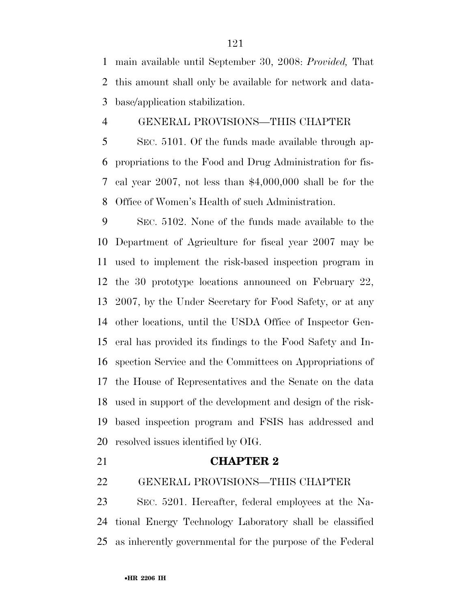main available until September 30, 2008: *Provided,* That this amount shall only be available for network and data-base/application stabilization.

#### GENERAL PROVISIONS—THIS CHAPTER

 SEC. 5101. Of the funds made available through ap- propriations to the Food and Drug Administration for fis- cal year 2007, not less than \$4,000,000 shall be for the Office of Women's Health of such Administration.

 SEC. 5102. None of the funds made available to the Department of Agriculture for fiscal year 2007 may be used to implement the risk-based inspection program in the 30 prototype locations announced on February 22, 2007, by the Under Secretary for Food Safety, or at any other locations, until the USDA Office of Inspector Gen- eral has provided its findings to the Food Safety and In- spection Service and the Committees on Appropriations of the House of Representatives and the Senate on the data used in support of the development and design of the risk- based inspection program and FSIS has addressed and resolved issues identified by OIG.

#### **CHAPTER 2**

GENERAL PROVISIONS—THIS CHAPTER

 SEC. 5201. Hereafter, federal employees at the Na- tional Energy Technology Laboratory shall be classified as inherently governmental for the purpose of the Federal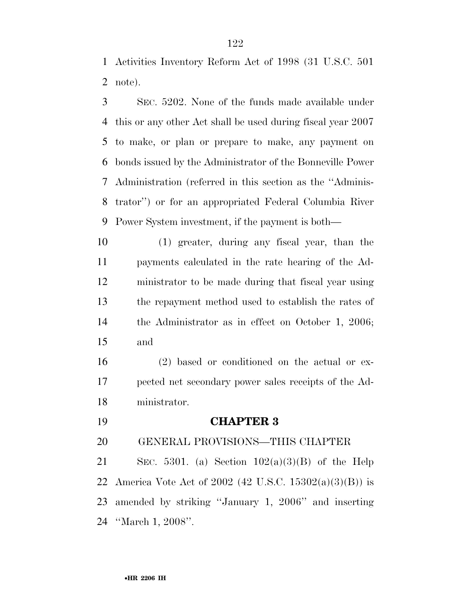Activities Inventory Reform Act of 1998 (31 U.S.C. 501 note).

 SEC. 5202. None of the funds made available under this or any other Act shall be used during fiscal year 2007 to make, or plan or prepare to make, any payment on bonds issued by the Administrator of the Bonneville Power Administration (referred in this section as the ''Adminis- trator'') or for an appropriated Federal Columbia River Power System investment, if the payment is both—

 (1) greater, during any fiscal year, than the payments calculated in the rate hearing of the Ad- ministrator to be made during that fiscal year using the repayment method used to establish the rates of the Administrator as in effect on October 1, 2006; and

 (2) based or conditioned on the actual or ex- pected net secondary power sales receipts of the Ad-ministrator.

**CHAPTER 3** 

GENERAL PROVISIONS—THIS CHAPTER

21 SEC. 5301. (a) Section  $102(a)(3)(B)$  of the Help America Vote Act of 2002 (42 U.S.C. 15302(a)(3)(B)) is amended by striking ''January 1, 2006'' and inserting ''March 1, 2008''.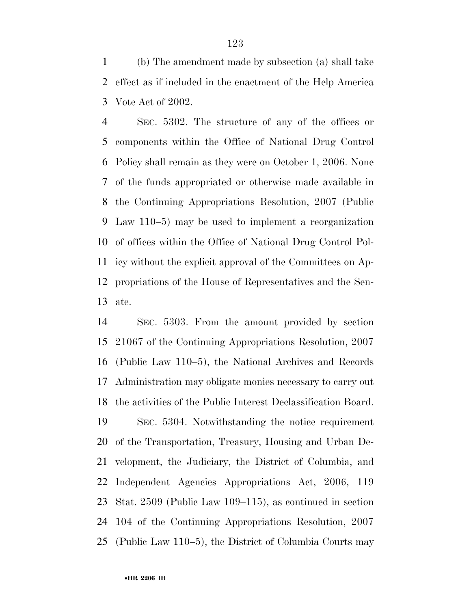(b) The amendment made by subsection (a) shall take effect as if included in the enactment of the Help America Vote Act of 2002.

 SEC. 5302. The structure of any of the offices or components within the Office of National Drug Control Policy shall remain as they were on October 1, 2006. None of the funds appropriated or otherwise made available in the Continuing Appropriations Resolution, 2007 (Public Law 110–5) may be used to implement a reorganization of offices within the Office of National Drug Control Pol- icy without the explicit approval of the Committees on Ap- propriations of the House of Representatives and the Sen-ate.

 SEC. 5303. From the amount provided by section 21067 of the Continuing Appropriations Resolution, 2007 (Public Law 110–5), the National Archives and Records Administration may obligate monies necessary to carry out the activities of the Public Interest Declassification Board. SEC. 5304. Notwithstanding the notice requirement of the Transportation, Treasury, Housing and Urban De- velopment, the Judiciary, the District of Columbia, and Independent Agencies Appropriations Act, 2006, 119 Stat. 2509 (Public Law 109–115), as continued in section 104 of the Continuing Appropriations Resolution, 2007 (Public Law 110–5), the District of Columbia Courts may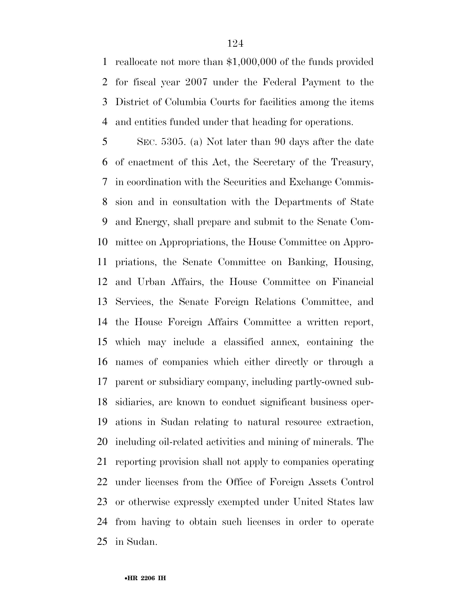reallocate not more than \$1,000,000 of the funds provided for fiscal year 2007 under the Federal Payment to the District of Columbia Courts for facilities among the items and entities funded under that heading for operations.

 SEC. 5305. (a) Not later than 90 days after the date of enactment of this Act, the Secretary of the Treasury, in coordination with the Securities and Exchange Commis- sion and in consultation with the Departments of State and Energy, shall prepare and submit to the Senate Com- mittee on Appropriations, the House Committee on Appro- priations, the Senate Committee on Banking, Housing, and Urban Affairs, the House Committee on Financial Services, the Senate Foreign Relations Committee, and the House Foreign Affairs Committee a written report, which may include a classified annex, containing the names of companies which either directly or through a parent or subsidiary company, including partly-owned sub- sidiaries, are known to conduct significant business oper- ations in Sudan relating to natural resource extraction, including oil-related activities and mining of minerals. The reporting provision shall not apply to companies operating under licenses from the Office of Foreign Assets Control or otherwise expressly exempted under United States law from having to obtain such licenses in order to operate in Sudan.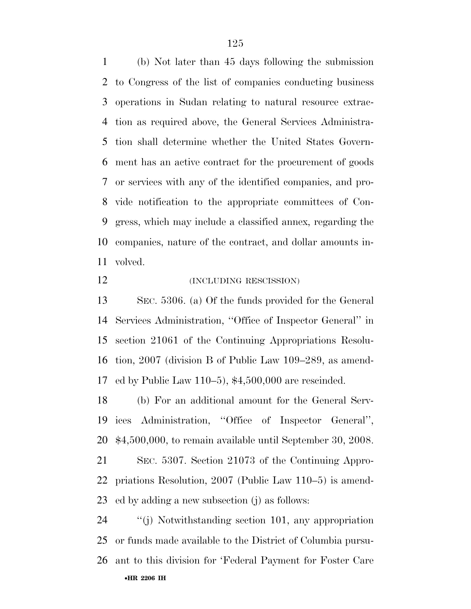(b) Not later than 45 days following the submission to Congress of the list of companies conducting business operations in Sudan relating to natural resource extrac- tion as required above, the General Services Administra- tion shall determine whether the United States Govern- ment has an active contract for the procurement of goods or services with any of the identified companies, and pro- vide notification to the appropriate committees of Con- gress, which may include a classified annex, regarding the companies, nature of the contract, and dollar amounts in-volved.

12 (INCLUDING RESCISSION)

 SEC. 5306. (a) Of the funds provided for the General Services Administration, ''Office of Inspector General'' in section 21061 of the Continuing Appropriations Resolu- tion, 2007 (division B of Public Law 109–289, as amend-ed by Public Law 110–5), \$4,500,000 are rescinded.

 (b) For an additional amount for the General Serv- ices Administration, ''Office of Inspector General'', \$4,500,000, to remain available until September 30, 2008.

 SEC. 5307. Section 21073 of the Continuing Appro- priations Resolution, 2007 (Public Law 110–5) is amend-ed by adding a new subsection (j) as follows:

•**HR 2206 IH**  ''(j) Notwithstanding section 101, any appropriation or funds made available to the District of Columbia pursu-ant to this division for 'Federal Payment for Foster Care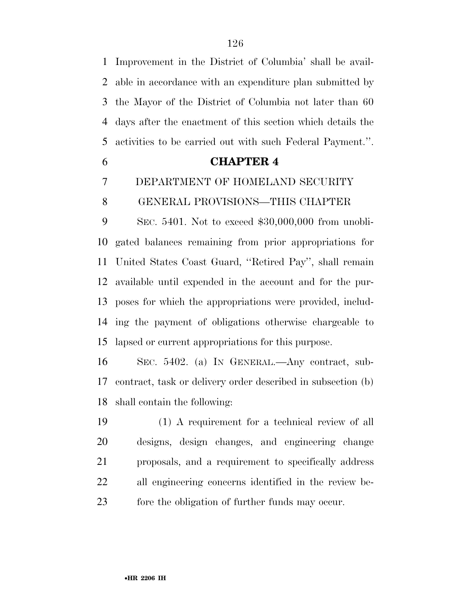Improvement in the District of Columbia' shall be avail- able in accordance with an expenditure plan submitted by the Mayor of the District of Columbia not later than 60 days after the enactment of this section which details the activities to be carried out with such Federal Payment.''.

# **CHAPTER 4**  DEPARTMENT OF HOMELAND SECURITY

#### GENERAL PROVISIONS—THIS CHAPTER

 SEC. 5401. Not to exceed \$30,000,000 from unobli- gated balances remaining from prior appropriations for United States Coast Guard, ''Retired Pay'', shall remain available until expended in the account and for the pur- poses for which the appropriations were provided, includ- ing the payment of obligations otherwise chargeable to lapsed or current appropriations for this purpose.

 SEC. 5402. (a) IN GENERAL.—Any contract, sub- contract, task or delivery order described in subsection (b) shall contain the following:

 (1) A requirement for a technical review of all designs, design changes, and engineering change proposals, and a requirement to specifically address all engineering concerns identified in the review be-fore the obligation of further funds may occur.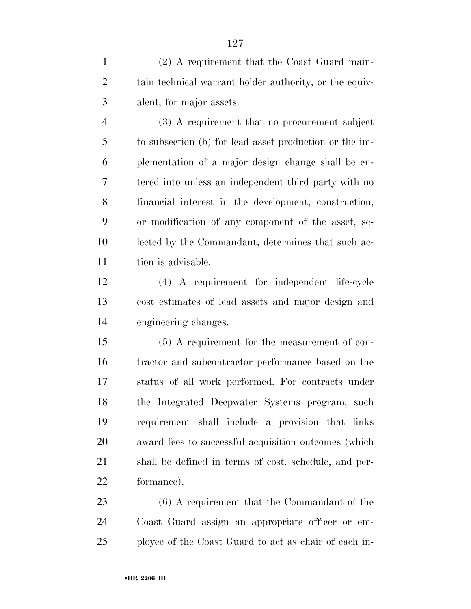(2) A requirement that the Coast Guard main- tain technical warrant holder authority, or the equiv-alent, for major assets.

 (3) A requirement that no procurement subject to subsection (b) for lead asset production or the im- plementation of a major design change shall be en- tered into unless an independent third party with no financial interest in the development, construction, or modification of any component of the asset, se- lected by the Commandant, determines that such ac-11 tion is advisable.

 (4) A requirement for independent life-cycle cost estimates of lead assets and major design and engineering changes.

 (5) A requirement for the measurement of con- tractor and subcontractor performance based on the status of all work performed. For contracts under the Integrated Deepwater Systems program, such requirement shall include a provision that links award fees to successful acquisition outcomes (which shall be defined in terms of cost, schedule, and per-formance).

 (6) A requirement that the Commandant of the Coast Guard assign an appropriate officer or em-ployee of the Coast Guard to act as chair of each in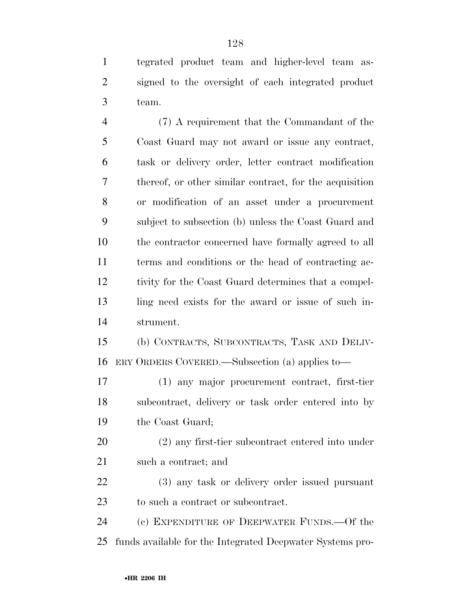tegrated product team and higher-level team as- signed to the oversight of each integrated product team.

 (7) A requirement that the Commandant of the Coast Guard may not award or issue any contract, task or delivery order, letter contract modification thereof, or other similar contract, for the acquisition or modification of an asset under a procurement subject to subsection (b) unless the Coast Guard and the contractor concerned have formally agreed to all terms and conditions or the head of contracting ac- tivity for the Coast Guard determines that a compel- ling need exists for the award or issue of such in-strument.

 (b) CONTRACTS, SUBCONTRACTS, TASK AND DELIV-ERY ORDERS COVERED.—Subsection (a) applies to—

 (1) any major procurement contract, first-tier subcontract, delivery or task order entered into by the Coast Guard;

 (2) any first-tier subcontract entered into under such a contract; and

 (3) any task or delivery order issued pursuant to such a contract or subcontract.

 (c) EXPENDITURE OF DEEPWATER FUNDS.—Of the funds available for the Integrated Deepwater Systems pro-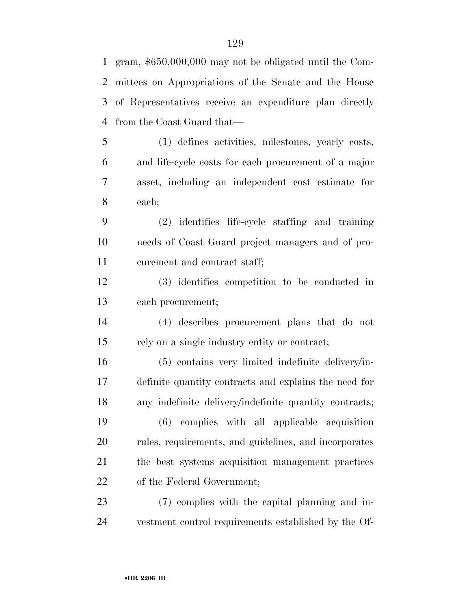mittees on Appropriations of the Senate and the House of Representatives receive an expenditure plan directly from the Coast Guard that— (1) defines activities, milestones, yearly costs, and life-cycle costs for each procurement of a major asset, including an independent cost estimate for each; (2) identifies life-cycle staffing and training needs of Coast Guard project managers and of pro- curement and contract staff; (3) identifies competition to be conducted in each procurement; (4) describes procurement plans that do not rely on a single industry entity or contract; (5) contains very limited indefinite delivery/in- definite quantity contracts and explains the need for any indefinite delivery/indefinite quantity contracts; (6) complies with all applicable acquisition rules, requirements, and guidelines, and incorporates the best systems acquisition management practices of the Federal Government;

 (7) complies with the capital planning and in-vestment control requirements established by the Of-

gram, \$650,000,000 may not be obligated until the Com-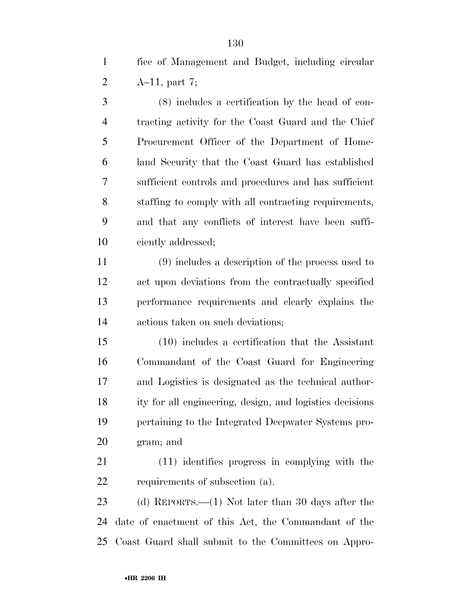fice of Management and Budget, including circular A–11, part 7;

 (8) includes a certification by the head of con- tracting activity for the Coast Guard and the Chief Procurement Officer of the Department of Home- land Security that the Coast Guard has established sufficient controls and procedures and has sufficient staffing to comply with all contracting requirements, and that any conflicts of interest have been suffi-ciently addressed;

 (9) includes a description of the process used to act upon deviations from the contractually specified performance requirements and clearly explains the actions taken on such deviations;

 (10) includes a certification that the Assistant Commandant of the Coast Guard for Engineering and Logistics is designated as the technical author- ity for all engineering, design, and logistics decisions pertaining to the Integrated Deepwater Systems pro-gram; and

 (11) identifies progress in complying with the requirements of subsection (a).

 (d) REPORTS.—(1) Not later than 30 days after the date of enactment of this Act, the Commandant of the Coast Guard shall submit to the Committees on Appro-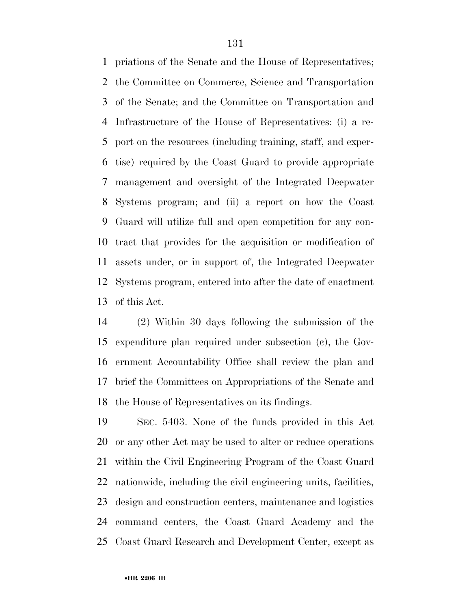priations of the Senate and the House of Representatives; the Committee on Commerce, Science and Transportation of the Senate; and the Committee on Transportation and Infrastructure of the House of Representatives: (i) a re- port on the resources (including training, staff, and exper- tise) required by the Coast Guard to provide appropriate management and oversight of the Integrated Deepwater Systems program; and (ii) a report on how the Coast Guard will utilize full and open competition for any con- tract that provides for the acquisition or modification of assets under, or in support of, the Integrated Deepwater Systems program, entered into after the date of enactment of this Act.

 (2) Within 30 days following the submission of the expenditure plan required under subsection (c), the Gov- ernment Accountability Office shall review the plan and brief the Committees on Appropriations of the Senate and the House of Representatives on its findings.

 SEC. 5403. None of the funds provided in this Act or any other Act may be used to alter or reduce operations within the Civil Engineering Program of the Coast Guard nationwide, including the civil engineering units, facilities, design and construction centers, maintenance and logistics command centers, the Coast Guard Academy and the Coast Guard Research and Development Center, except as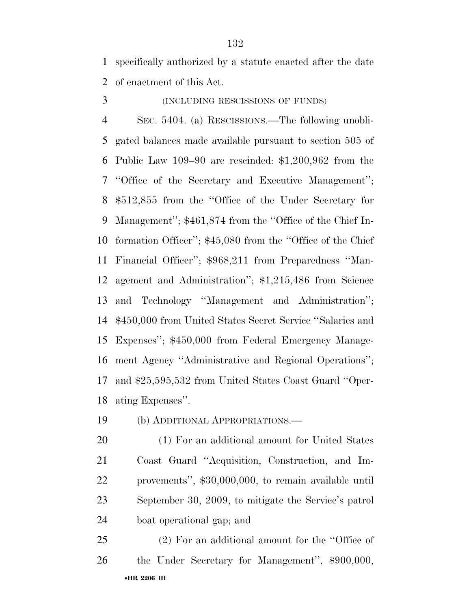specifically authorized by a statute enacted after the date of enactment of this Act.

(INCLUDING RESCISSIONS OF FUNDS)

 SEC. 5404. (a) RESCISSIONS.—The following unobli- gated balances made available pursuant to section 505 of Public Law 109–90 are rescinded: \$1,200,962 from the ''Office of the Secretary and Executive Management''; \$512,855 from the ''Office of the Under Secretary for Management''; \$461,874 from the ''Office of the Chief In- formation Officer''; \$45,080 from the ''Office of the Chief Financial Officer''; \$968,211 from Preparedness ''Man- agement and Administration''; \$1,215,486 from Science and Technology ''Management and Administration''; \$450,000 from United States Secret Service ''Salaries and Expenses''; \$450,000 from Federal Emergency Manage- ment Agency ''Administrative and Regional Operations''; and \$25,595,532 from United States Coast Guard ''Oper-ating Expenses''.

(b) ADDITIONAL APPROPRIATIONS.—

 (1) For an additional amount for United States Coast Guard ''Acquisition, Construction, and Im- provements'', \$30,000,000, to remain available until September 30, 2009, to mitigate the Service's patrol boat operational gap; and

•**HR 2206 IH**  (2) For an additional amount for the ''Office of the Under Secretary for Management'', \$900,000,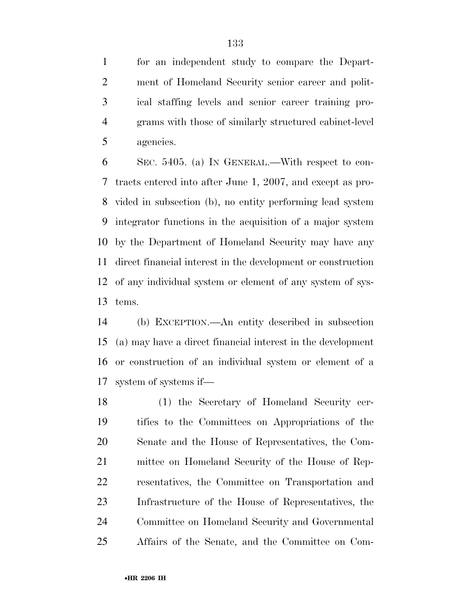for an independent study to compare the Depart- ment of Homeland Security senior career and polit- ical staffing levels and senior career training pro- grams with those of similarly structured cabinet-level agencies.

 SEC. 5405. (a) IN GENERAL.—With respect to con- tracts entered into after June 1, 2007, and except as pro- vided in subsection (b), no entity performing lead system integrator functions in the acquisition of a major system by the Department of Homeland Security may have any direct financial interest in the development or construction of any individual system or element of any system of sys-tems.

 (b) EXCEPTION.—An entity described in subsection (a) may have a direct financial interest in the development or construction of an individual system or element of a system of systems if—

 (1) the Secretary of Homeland Security cer- tifies to the Committees on Appropriations of the Senate and the House of Representatives, the Com- mittee on Homeland Security of the House of Rep- resentatives, the Committee on Transportation and Infrastructure of the House of Representatives, the Committee on Homeland Security and Governmental Affairs of the Senate, and the Committee on Com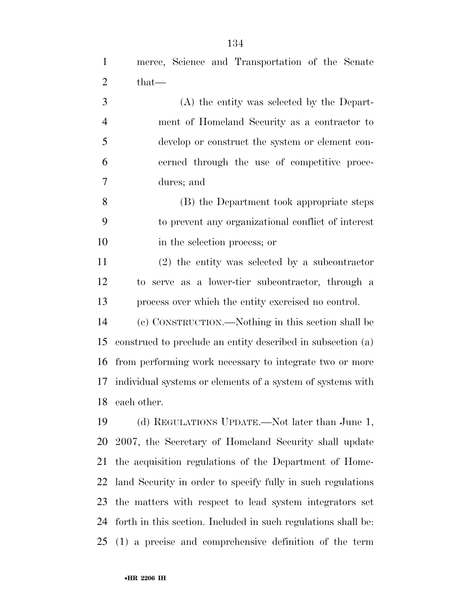(A) the entity was selected by the Depart- ment of Homeland Security as a contractor to develop or construct the system or element con- cerned through the use of competitive proce-dures; and

 (B) the Department took appropriate steps to prevent any organizational conflict of interest in the selection process; or

 (2) the entity was selected by a subcontractor to serve as a lower-tier subcontractor, through a process over which the entity exercised no control.

 (c) CONSTRUCTION.—Nothing in this section shall be construed to preclude an entity described in subsection (a) from performing work necessary to integrate two or more individual systems or elements of a system of systems with each other.

 (d) REGULATIONS UPDATE.—Not later than June 1, 2007, the Secretary of Homeland Security shall update the acquisition regulations of the Department of Home- land Security in order to specify fully in such regulations the matters with respect to lead system integrators set forth in this section. Included in such regulations shall be: (1) a precise and comprehensive definition of the term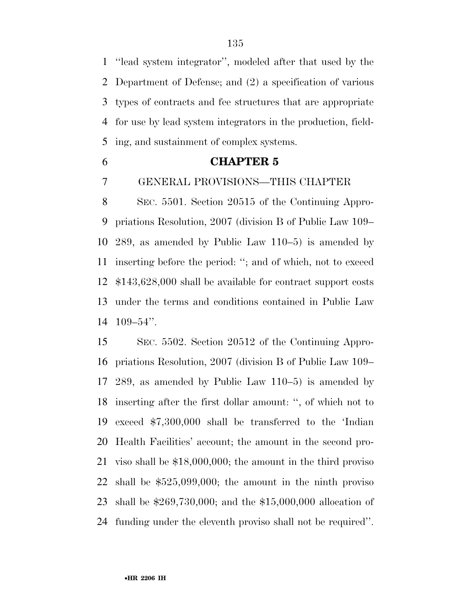''lead system integrator'', modeled after that used by the Department of Defense; and (2) a specification of various types of contracts and fee structures that are appropriate for use by lead system integrators in the production, field-ing, and sustainment of complex systems.

# **CHAPTER 5**

GENERAL PROVISIONS—THIS CHAPTER

 SEC. 5501. Section 20515 of the Continuing Appro- priations Resolution, 2007 (division B of Public Law 109– 289, as amended by Public Law 110–5) is amended by inserting before the period: ''; and of which, not to exceed \$143,628,000 shall be available for contract support costs under the terms and conditions contained in Public Law 109–54''.

 SEC. 5502. Section 20512 of the Continuing Appro- priations Resolution, 2007 (division B of Public Law 109– 289, as amended by Public Law 110–5) is amended by inserting after the first dollar amount: '', of which not to exceed \$7,300,000 shall be transferred to the 'Indian Health Facilities' account; the amount in the second pro- viso shall be \$18,000,000; the amount in the third proviso shall be \$525,099,000; the amount in the ninth proviso shall be \$269,730,000; and the \$15,000,000 allocation of funding under the eleventh proviso shall not be required''.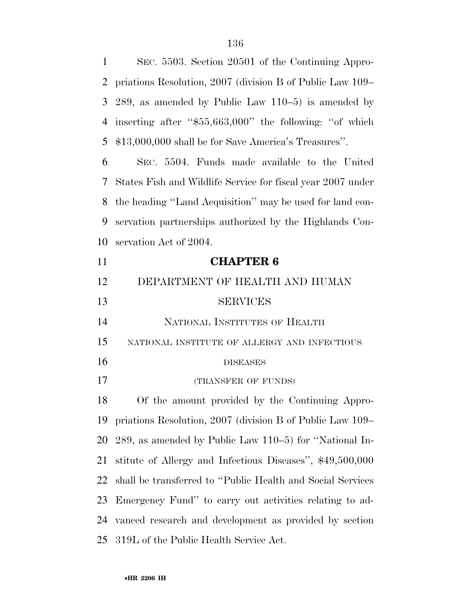SEC. 5503. Section 20501 of the Continuing Appro- priations Resolution, 2007 (division B of Public Law 109– 289, as amended by Public Law 110–5) is amended by inserting after ''\$55,663,000'' the following: ''of which \$13,000,000 shall be for Save America's Treasures''. SEC. 5504. Funds made available to the United States Fish and Wildlife Service for fiscal year 2007 under the heading ''Land Acquisition'' may be used for land con- servation partnerships authorized by the Highlands Con- servation Act of 2004. **CHAPTER 6**  DEPARTMENT OF HEALTH AND HUMAN SERVICES NATIONAL INSTITUTES OF HEALTH NATIONAL INSTITUTE OF ALLERGY AND INFECTIOUS DISEASES (TRANSFER OF FUNDS) Of the amount provided by the Continuing Appro- priations Resolution, 2007 (division B of Public Law 109– 289, as amended by Public Law 110–5) for ''National In- stitute of Allergy and Infectious Diseases'', \$49,500,000 shall be transferred to ''Public Health and Social Services Emergency Fund'' to carry out activities relating to ad- vanced research and development as provided by section 319L of the Public Health Service Act.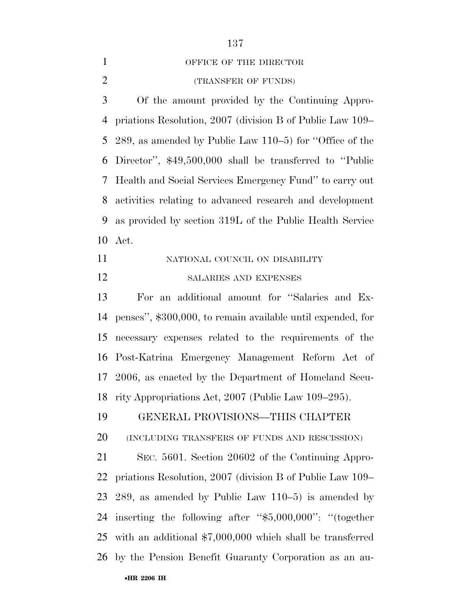#### 1 OFFICE OF THE DIRECTOR

(TRANSFER OF FUNDS)

 Of the amount provided by the Continuing Appro- priations Resolution, 2007 (division B of Public Law 109– 289, as amended by Public Law 110–5) for ''Office of the Director'', \$49,500,000 shall be transferred to ''Public Health and Social Services Emergency Fund'' to carry out activities relating to advanced research and development as provided by section 319L of the Public Health Service Act.

11 NATIONAL COUNCIL ON DISABILITY SALARIES AND EXPENSES

 For an additional amount for ''Salaries and Ex- penses'', \$300,000, to remain available until expended, for necessary expenses related to the requirements of the Post-Katrina Emergency Management Reform Act of 2006, as enacted by the Department of Homeland Secu-rity Appropriations Act, 2007 (Public Law 109–295).

GENERAL PROVISIONS—THIS CHAPTER

(INCLUDING TRANSFERS OF FUNDS AND RESCISSION)

 SEC. 5601. Section 20602 of the Continuing Appro- priations Resolution, 2007 (division B of Public Law 109– 289, as amended by Public Law 110–5) is amended by inserting the following after ''\$5,000,000'': ''(together with an additional \$7,000,000 which shall be transferred by the Pension Benefit Guaranty Corporation as an au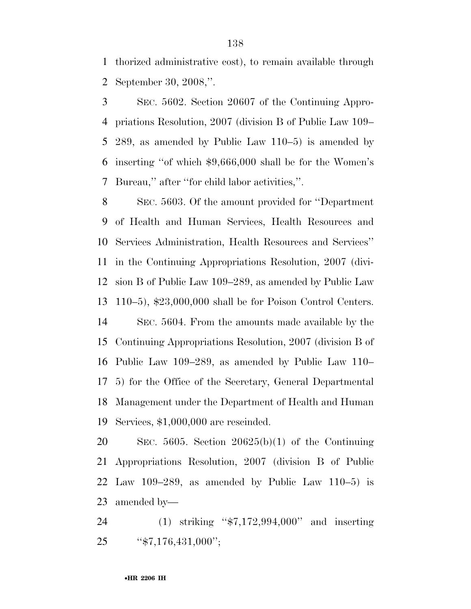thorized administrative cost), to remain available through September 30, 2008,''.

 SEC. 5602. Section 20607 of the Continuing Appro- priations Resolution, 2007 (division B of Public Law 109– 289, as amended by Public Law 110–5) is amended by inserting ''of which \$9,666,000 shall be for the Women's Bureau,'' after ''for child labor activities,''.

 SEC. 5603. Of the amount provided for ''Department of Health and Human Services, Health Resources and Services Administration, Health Resources and Services'' in the Continuing Appropriations Resolution, 2007 (divi- sion B of Public Law 109–289, as amended by Public Law 110–5), \$23,000,000 shall be for Poison Control Centers. SEC. 5604. From the amounts made available by the Continuing Appropriations Resolution, 2007 (division B of Public Law 109–289, as amended by Public Law 110– 5) for the Office of the Secretary, General Departmental Management under the Department of Health and Human Services, \$1,000,000 are rescinded.

 SEC. 5605. Section 20625(b)(1) of the Continuing Appropriations Resolution, 2007 (division B of Public 22 Law 109–289, as amended by Public Law  $110-5$  is amended by—

 (1) striking ''\$7,172,994,000'' and inserting 25 "\$7,176,431,000";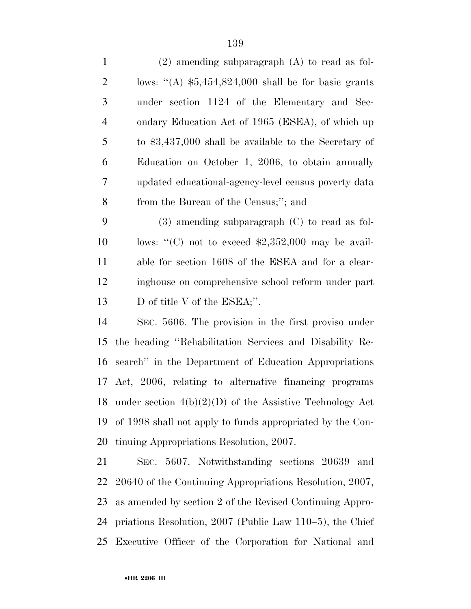| $\mathbf{1}$   | $(2)$ amending subparagraph $(A)$ to read as fol-       |
|----------------|---------------------------------------------------------|
| $\overline{2}$ | lows: "(A) $$5,454,824,000$ shall be for basic grants   |
| 3              | under section 1124 of the Elementary and Sec-           |
| $\overline{4}$ | ondary Education Act of 1965 (ESEA), of which up        |
| 5              | to $$3,437,000$ shall be available to the Secretary of  |
| 6              | Education on October 1, 2006, to obtain annually        |
| $\tau$         | updated educational-agency-level census poverty data    |
| 8              | from the Bureau of the Census;"; and                    |
| 9              | $(3)$ amending subparagraph $(C)$ to read as fol-       |
| 10             | lows: "(C) not to exceed $$2,352,000$ may be avail-     |
| 11             | able for section 1608 of the ESEA and for a clear-      |
| 12             | inghouse on comprehensive school reform under part      |
| 13             | D of title V of the ESEA;".                             |
| 14             | SEC. 5606. The provision in the first proviso under     |
| 15             | the heading "Rehabilitation Services and Disability Re- |
| 16             | search" in the Department of Education Appropriations   |
| 17             | Act, 2006, relating to alternative financing programs   |
|                |                                                         |

18 under section  $4(b)(2)(D)$  of the Assistive Technology Act of 1998 shall not apply to funds appropriated by the Con-tinuing Appropriations Resolution, 2007.

 SEC. 5607. Notwithstanding sections 20639 and 20640 of the Continuing Appropriations Resolution, 2007, as amended by section 2 of the Revised Continuing Appro- priations Resolution, 2007 (Public Law 110–5), the Chief Executive Officer of the Corporation for National and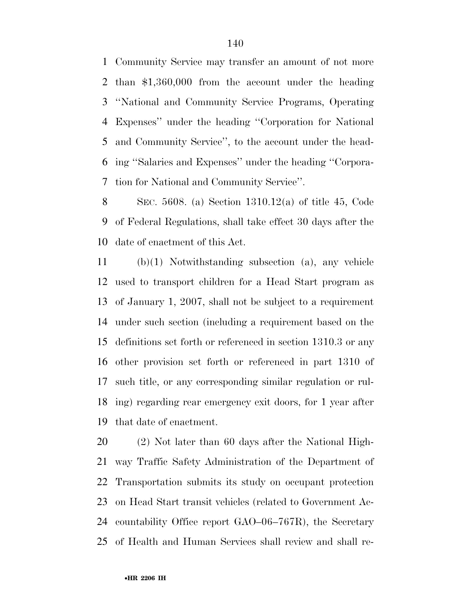Community Service may transfer an amount of not more than \$1,360,000 from the account under the heading ''National and Community Service Programs, Operating Expenses'' under the heading ''Corporation for National and Community Service'', to the account under the head- ing ''Salaries and Expenses'' under the heading ''Corpora-tion for National and Community Service''.

 SEC. 5608. (a) Section 1310.12(a) of title 45, Code of Federal Regulations, shall take effect 30 days after the date of enactment of this Act.

 (b)(1) Notwithstanding subsection (a), any vehicle used to transport children for a Head Start program as of January 1, 2007, shall not be subject to a requirement under such section (including a requirement based on the definitions set forth or referenced in section 1310.3 or any other provision set forth or referenced in part 1310 of such title, or any corresponding similar regulation or rul- ing) regarding rear emergency exit doors, for 1 year after that date of enactment.

 (2) Not later than 60 days after the National High- way Traffic Safety Administration of the Department of Transportation submits its study on occupant protection on Head Start transit vehicles (related to Government Ac- countability Office report GAO–06–767R), the Secretary of Health and Human Services shall review and shall re-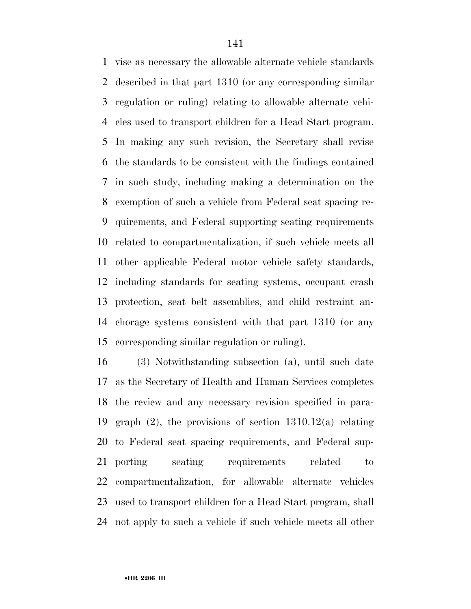vise as necessary the allowable alternate vehicle standards described in that part 1310 (or any corresponding similar regulation or ruling) relating to allowable alternate vehi- cles used to transport children for a Head Start program. In making any such revision, the Secretary shall revise the standards to be consistent with the findings contained in such study, including making a determination on the exemption of such a vehicle from Federal seat spacing re- quirements, and Federal supporting seating requirements related to compartmentalization, if such vehicle meets all other applicable Federal motor vehicle safety standards, including standards for seating systems, occupant crash protection, seat belt assemblies, and child restraint an- chorage systems consistent with that part 1310 (or any corresponding similar regulation or ruling).

 (3) Notwithstanding subsection (a), until such date as the Secretary of Health and Human Services completes the review and any necessary revision specified in para- graph (2), the provisions of section 1310.12(a) relating to Federal seat spacing requirements, and Federal sup-21 porting seating requirements related to compartmentalization, for allowable alternate vehicles used to transport children for a Head Start program, shall not apply to such a vehicle if such vehicle meets all other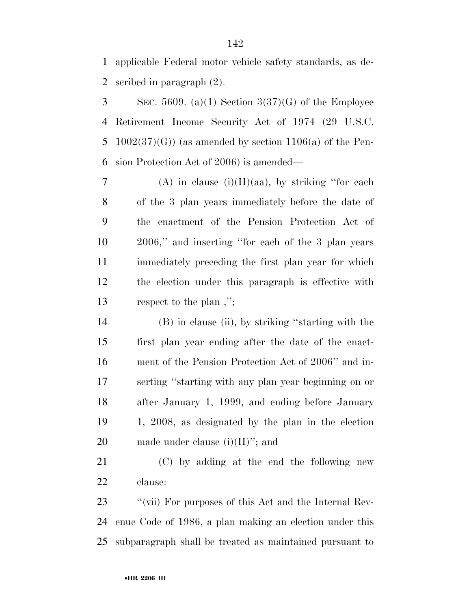applicable Federal motor vehicle safety standards, as de-scribed in paragraph (2).

 $3 \qquad \text{SEC. } 5609. \text{ (a)(1) Section } 3(37)(G) \text{ of the Employee}$  Retirement Income Security Act of 1974 (29 U.S.C. 5 1002(37)(G)) (as amended by section 1106(a) of the Pen-sion Protection Act of 2006) is amended—

7 (A) in clause (i)(II)(aa), by striking "for each of the 3 plan years immediately before the date of the enactment of the Pension Protection Act of 2006,'' and inserting ''for each of the 3 plan years immediately preceding the first plan year for which the election under this paragraph is effective with respect to the plan ,'';

 (B) in clause (ii), by striking ''starting with the first plan year ending after the date of the enact- ment of the Pension Protection Act of 2006'' and in- serting ''starting with any plan year beginning on or after January 1, 1999, and ending before January 1, 2008, as designated by the plan in the election 20 made under clause  $(i)(II)$ "; and

 (C) by adding at the end the following new clause:

23 ''(vii) For purposes of this Act and the Internal Rev- enue Code of 1986, a plan making an election under this subparagraph shall be treated as maintained pursuant to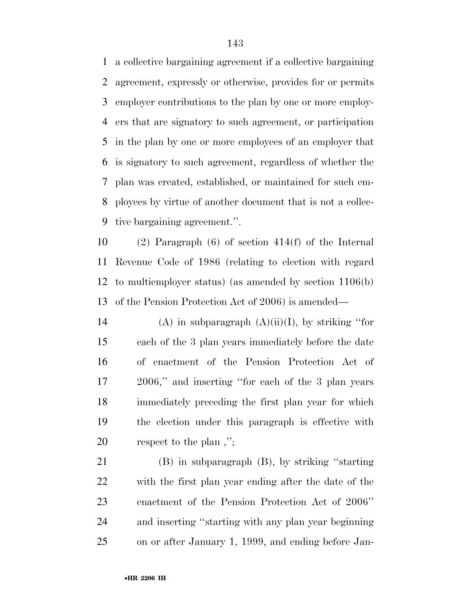a collective bargaining agreement if a collective bargaining agreement, expressly or otherwise, provides for or permits employer contributions to the plan by one or more employ- ers that are signatory to such agreement, or participation in the plan by one or more employees of an employer that is signatory to such agreement, regardless of whether the plan was created, established, or maintained for such em- ployees by virtue of another document that is not a collec-tive bargaining agreement.''.

 (2) Paragraph (6) of section 414(f) of the Internal Revenue Code of 1986 (relating to election with regard to multiemployer status) (as amended by section 1106(b) of the Pension Protection Act of 2006) is amended—

14 (A) in subparagraph  $(A)(ii)(I)$ , by striking "for each of the 3 plan years immediately before the date of enactment of the Pension Protection Act of 2006,'' and inserting ''for each of the 3 plan years immediately preceding the first plan year for which the election under this paragraph is effective with respect to the plan ,'';

 (B) in subparagraph (B), by striking ''starting with the first plan year ending after the date of the enactment of the Pension Protection Act of 2006'' and inserting ''starting with any plan year beginning on or after January 1, 1999, and ending before Jan-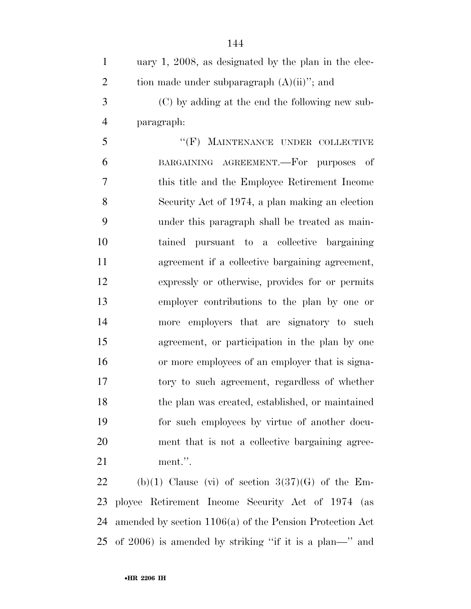| $\mathbf{1}$   | uary $1, 2008$ , as designated by the plan in the elec-  |
|----------------|----------------------------------------------------------|
| $\overline{2}$ | tion made under subparagraph $(A)(ii)$ "; and            |
| 3              | (C) by adding at the end the following new sub-          |
| $\overline{4}$ | paragraph:                                               |
| 5              | "(F) MAINTENANCE UNDER COLLECTIVE                        |
| 6              | BARGAINING AGREEMENT.—For purposes of                    |
| 7              | this title and the Employee Retirement Income            |
| 8              | Security Act of 1974, a plan making an election          |
| 9              | under this paragraph shall be treated as main-           |
| 10             | tained pursuant to a collective bargaining               |
| 11             | agreement if a collective bargaining agreement,          |
| 12             | expressly or otherwise, provides for or permits          |
| 13             | employer contributions to the plan by one or             |
| 14             | more employers that are signatory to such                |
| 15             | agreement, or participation in the plan by one           |
| 16             | or more employees of an employer that is signa-          |
| 17             | tory to such agreement, regardless of whether            |
| 18             | the plan was created, established, or maintained         |
| 19             | for such employees by virtue of another docu-            |
| 20             | ment that is not a collective bargaining agree-          |
| 21             | ment.".                                                  |
| 22             | (b)(1) Clause (vi) of section $3(37)(G)$ of the Em-      |
| 23             | ployee Retirement Income Security Act of 1974 (as        |
| 24             | amended by section 1106(a) of the Pension Protection Act |

of 2006) is amended by striking ''if it is a plan—'' and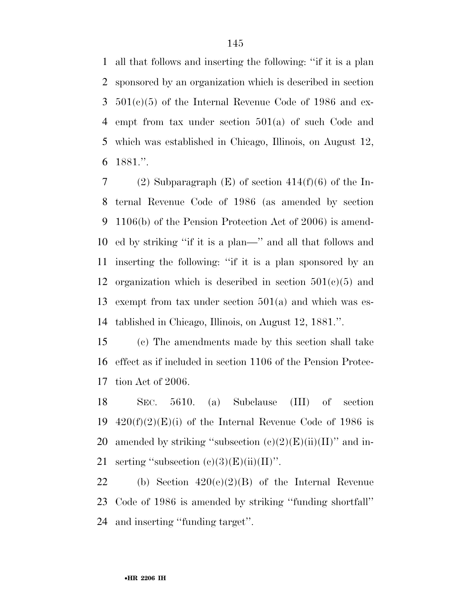all that follows and inserting the following: ''if it is a plan sponsored by an organization which is described in section  $3\quad 501(c)(5)$  of the Internal Revenue Code of 1986 and ex- empt from tax under section 501(a) of such Code and which was established in Chicago, Illinois, on August 12, 1881.''.

7 (2) Subparagraph  $(E)$  of section 414(f)(6) of the In- ternal Revenue Code of 1986 (as amended by section 1106(b) of the Pension Protection Act of 2006) is amend- ed by striking ''if it is a plan—'' and all that follows and inserting the following: ''if it is a plan sponsored by an 12 organization which is described in section  $501(c)(5)$  and exempt from tax under section 501(a) and which was es-tablished in Chicago, Illinois, on August 12, 1881.''.

 (c) The amendments made by this section shall take effect as if included in section 1106 of the Pension Protec-tion Act of 2006.

 SEC. 5610. (a) Subclause (III) of section 19  $420(f)(2)(E)(i)$  of the Internal Revenue Code of 1986 is 20 amended by striking "subsection  $(c)(2)(E)(ii)(II)$ " and in-21 serting "subsection  $(c)(3)(E)(ii)(II)$ ".

22 (b) Section  $420(e)(2)(B)$  of the Internal Revenue Code of 1986 is amended by striking ''funding shortfall'' and inserting ''funding target''.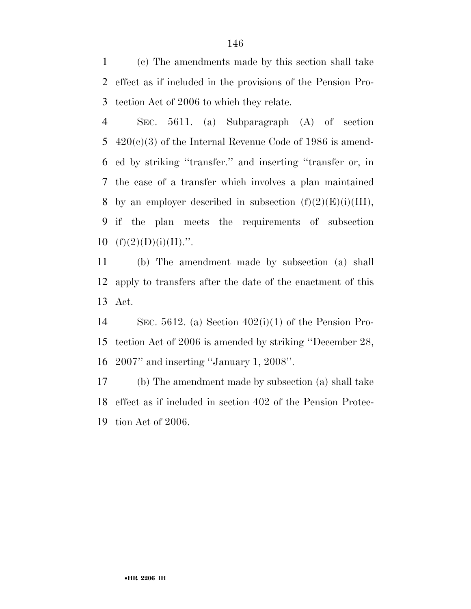(c) The amendments made by this section shall take effect as if included in the provisions of the Pension Pro-tection Act of 2006 to which they relate.

 SEC. 5611. (a) Subparagraph (A) of section  $420(c)(3)$  of the Internal Revenue Code of 1986 is amend- ed by striking ''transfer.'' and inserting ''transfer or, in the case of a transfer which involves a plan maintained 8 by an employer described in subsection  $(f)(2)(E)(i)(III)$ , if the plan meets the requirements of subsection  $(f)(2)(D)(i)(II)$ .".

 (b) The amendment made by subsection (a) shall apply to transfers after the date of the enactment of this Act.

 SEC. 5612. (a) Section 402(i)(1) of the Pension Pro- tection Act of 2006 is amended by striking ''December 28, 2007'' and inserting ''January 1, 2008''.

 (b) The amendment made by subsection (a) shall take effect as if included in section 402 of the Pension Protec-tion Act of 2006.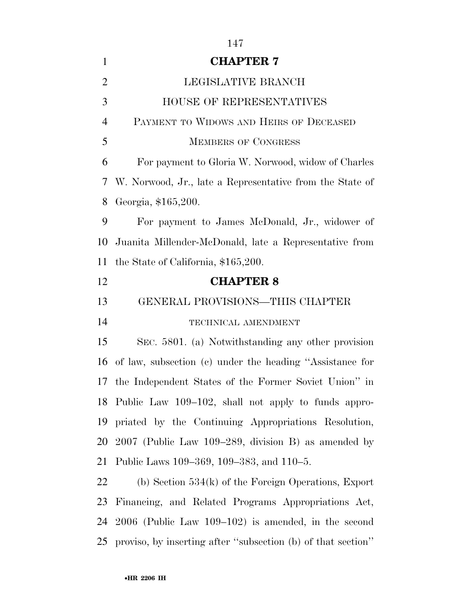| $\mathbf{1}$   | <b>CHAPTER 7</b>                                             |
|----------------|--------------------------------------------------------------|
| $\overline{2}$ | LEGISLATIVE BRANCH                                           |
| 3              | HOUSE OF REPRESENTATIVES                                     |
| $\overline{4}$ | PAYMENT TO WIDOWS AND HEIRS OF DECEASED                      |
| 5              | <b>MEMBERS OF CONGRESS</b>                                   |
| 6              | For payment to Gloria W. Norwood, widow of Charles           |
| 7              | W. Norwood, Jr., late a Representative from the State of     |
| 8              | Georgia, \$165,200.                                          |
| 9              | For payment to James McDonald, Jr., widower of               |
| 10             | Juanita Millender-McDonald, late a Representative from       |
| 11             | the State of California, \$165,200.                          |
| 12             | <b>CHAPTER 8</b>                                             |
| 13             | GENERAL PROVISIONS—THIS CHAPTER                              |
| 14             | TECHNICAL AMENDMENT                                          |
| 15             | SEC. 5801. (a) Notwithstanding any other provision           |
| 16             | of law, subsection (c) under the heading "Assistance for     |
|                | 17 the Independent States of the Former Soviet Union" in     |
|                | 18 Public Law 109-102, shall not apply to funds appro-       |
| 19             | priated by the Continuing Appropriations Resolution,         |
| 20             | $2007$ (Public Law 109–289, division B) as amended by        |
| 21             | Public Laws 109–369, 109–383, and 110–5.                     |
| 22             | (b) Section $534(k)$ of the Foreign Operations, Export       |
| 23             | Financing, and Related Programs Appropriations Act,          |
| 24             | $2006$ (Public Law 109–102) is amended, in the second        |
| 25             | proviso, by inserting after "subsection (b) of that section" |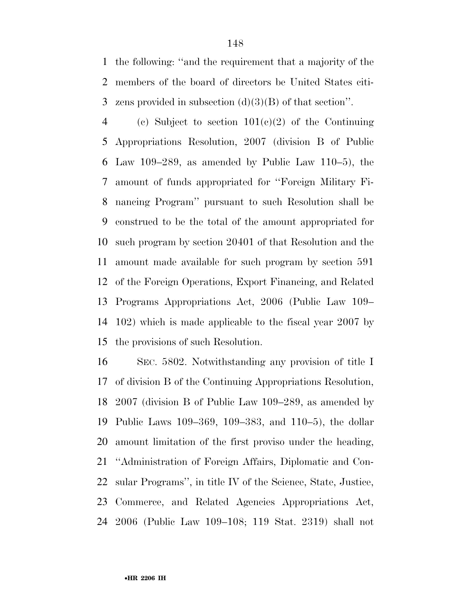the following: ''and the requirement that a majority of the members of the board of directors be United States citi-3 zens provided in subsection  $(d)(3)(B)$  of that section".

4 (c) Subject to section  $101(c)(2)$  of the Continuing Appropriations Resolution, 2007 (division B of Public Law 109–289, as amended by Public Law 110–5), the amount of funds appropriated for ''Foreign Military Fi- nancing Program'' pursuant to such Resolution shall be construed to be the total of the amount appropriated for such program by section 20401 of that Resolution and the amount made available for such program by section 591 of the Foreign Operations, Export Financing, and Related Programs Appropriations Act, 2006 (Public Law 109– 102) which is made applicable to the fiscal year 2007 by the provisions of such Resolution.

 SEC. 5802. Notwithstanding any provision of title I of division B of the Continuing Appropriations Resolution, 2007 (division B of Public Law 109–289, as amended by Public Laws 109–369, 109–383, and 110–5), the dollar amount limitation of the first proviso under the heading, ''Administration of Foreign Affairs, Diplomatic and Con- sular Programs'', in title IV of the Science, State, Justice, Commerce, and Related Agencies Appropriations Act, 2006 (Public Law 109–108; 119 Stat. 2319) shall not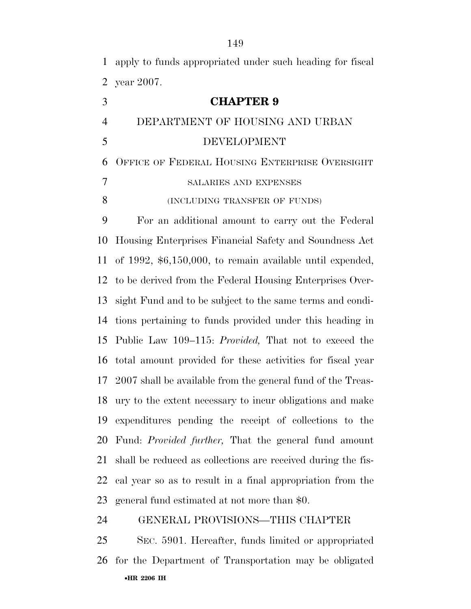apply to funds appropriated under such heading for fiscal year 2007.

| 3              | <b>CHAPTER 9</b>                                                |
|----------------|-----------------------------------------------------------------|
| $\overline{4}$ | DEPARTMENT OF HOUSING AND URBAN                                 |
| 5              | DEVELOPMENT                                                     |
| 6              | OFFICE OF FEDERAL HOUSING ENTERPRISE OVERSIGHT                  |
| $\overline{7}$ | SALARIES AND EXPENSES                                           |
| 8              | (INCLUDING TRANSFER OF FUNDS)                                   |
| 9              | For an additional amount to carry out the Federal               |
| 10             | Housing Enterprises Financial Safety and Soundness Act          |
| 11             | of $1992, $6,150,000$ , to remain available until expended,     |
| 12             | to be derived from the Federal Housing Enterprises Over-        |
| 13             | sight Fund and to be subject to the same terms and condi-       |
| 14             | tions pertaining to funds provided under this heading in        |
| 15             | Public Law 109–115: <i>Provided</i> , That not to exceed the    |
|                | 16 total amount provided for these activities for fiscal year   |
|                | 17 2007 shall be available from the general fund of the Treas-  |
| 18             | ury to the extent necessary to incur obligations and make       |
| 19             | expenditures pending the receipt of collections to the          |
|                | 20 Fund: <i>Provided further</i> , That the general fund amount |
| 21             | shall be reduced as collections are received during the fis-    |
| 22             | cal year so as to result in a final appropriation from the      |
| 23             | general fund estimated at not more than \$0.                    |

## GENERAL PROVISIONS—THIS CHAPTER

•**HR 2206 IH**  SEC. 5901. Hereafter, funds limited or appropriated for the Department of Transportation may be obligated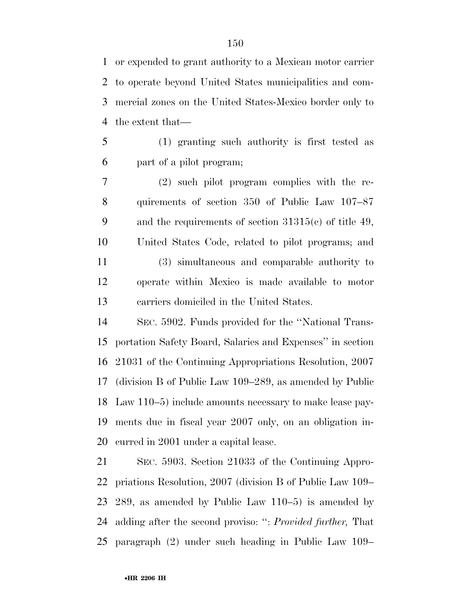or expended to grant authority to a Mexican motor carrier to operate beyond United States municipalities and com- mercial zones on the United States-Mexico border only to the extent that—

 (1) granting such authority is first tested as part of a pilot program;

 (2) such pilot program complies with the re- quirements of section 350 of Public Law 107–87 and the requirements of section 31315(c) of title 49, United States Code, related to pilot programs; and (3) simultaneous and comparable authority to operate within Mexico is made available to motor carriers domiciled in the United States.

 SEC. 5902. Funds provided for the ''National Trans- portation Safety Board, Salaries and Expenses'' in section 21031 of the Continuing Appropriations Resolution, 2007 (division B of Public Law 109–289, as amended by Public Law 110–5) include amounts necessary to make lease pay- ments due in fiscal year 2007 only, on an obligation in-curred in 2001 under a capital lease.

 SEC. 5903. Section 21033 of the Continuing Appro- priations Resolution, 2007 (division B of Public Law 109– 289, as amended by Public Law 110–5) is amended by adding after the second proviso: '': *Provided further,* That paragraph (2) under such heading in Public Law 109–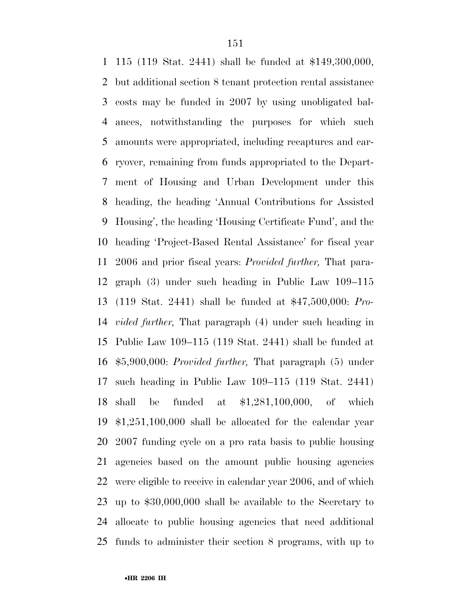115 (119 Stat. 2441) shall be funded at \$149,300,000, but additional section 8 tenant protection rental assistance costs may be funded in 2007 by using unobligated bal- ances, notwithstanding the purposes for which such amounts were appropriated, including recaptures and car- ryover, remaining from funds appropriated to the Depart- ment of Housing and Urban Development under this heading, the heading 'Annual Contributions for Assisted Housing', the heading 'Housing Certificate Fund', and the heading 'Project-Based Rental Assistance' for fiscal year 2006 and prior fiscal years: *Provided further,* That para- graph (3) under such heading in Public Law 109–115 (119 Stat. 2441) shall be funded at \$47,500,000: *Pro- vided further,* That paragraph (4) under such heading in Public Law 109–115 (119 Stat. 2441) shall be funded at \$5,900,000: *Provided further,* That paragraph (5) under such heading in Public Law 109–115 (119 Stat. 2441) shall be funded at \$1,281,100,000, of which \$1,251,100,000 shall be allocated for the calendar year 2007 funding cycle on a pro rata basis to public housing agencies based on the amount public housing agencies were eligible to receive in calendar year 2006, and of which up to \$30,000,000 shall be available to the Secretary to allocate to public housing agencies that need additional funds to administer their section 8 programs, with up to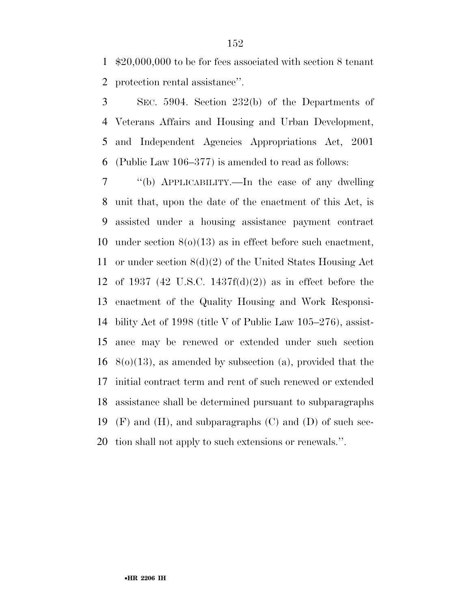\$20,000,000 to be for fees associated with section 8 tenant protection rental assistance''.

 SEC. 5904. Section 232(b) of the Departments of Veterans Affairs and Housing and Urban Development, and Independent Agencies Appropriations Act, 2001 (Public Law 106–377) is amended to read as follows:

 ''(b) APPLICABILITY.—In the case of any dwelling unit that, upon the date of the enactment of this Act, is assisted under a housing assistance payment contract under section 8(o)(13) as in effect before such enactment, or under section 8(d)(2) of the United States Housing Act of 1937 (42 U.S.C. 1437f(d)(2)) as in effect before the enactment of the Quality Housing and Work Responsi- bility Act of 1998 (title V of Public Law 105–276), assist- ance may be renewed or extended under such section  $8(0)(13)$ , as amended by subsection (a), provided that the initial contract term and rent of such renewed or extended assistance shall be determined pursuant to subparagraphs 19 (F) and (H), and subparagraphs  $(C)$  and  $(D)$  of such sec-tion shall not apply to such extensions or renewals.''.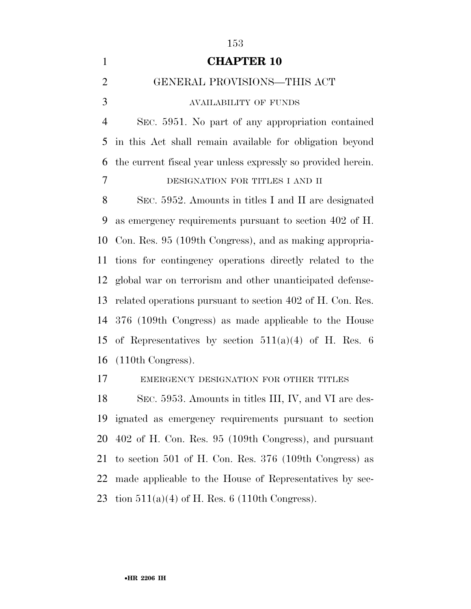| $\mathbf{1}$   | <b>CHAPTER 10</b>                                            |
|----------------|--------------------------------------------------------------|
| $\overline{2}$ | GENERAL PROVISIONS-THIS ACT                                  |
| 3              | <b>AVAILABILITY OF FUNDS</b>                                 |
| $\overline{4}$ | SEC. 5951. No part of any appropriation contained            |
| 5              | in this Act shall remain available for obligation beyond     |
| 6              | the current fiscal year unless expressly so provided herein. |
| 7              | DESIGNATION FOR TITLES I AND II                              |
| 8              | SEC. 5952. Amounts in titles I and II are designated         |
| 9              | as emergency requirements pursuant to section 402 of H.      |
| 10             | Con. Res. 95 (109th Congress), and as making appropria-      |
| 11             | tions for contingency operations directly related to the     |
| 12             | global war on terrorism and other unanticipated defense-     |
| 13             | related operations pursuant to section 402 of H. Con. Res.   |
| 14             | 376 (109th Congress) as made applicable to the House         |
| 15             | of Representatives by section $511(a)(4)$ of H. Res. 6       |
| 16             | (110th Congress).                                            |
| 17             | EMERGENCY DESIGNATION FOR OTHER TITLES                       |
| 18             | SEC. 5953. Amounts in titles III, IV, and VI are des-        |
| 19             | ignated as emergency requirements pursuant to section        |
| 20             | 402 of H. Con. Res. 95 (109th Congress), and pursuant        |
| 21             | to section 501 of H. Con. Res. $376$ (109th Congress) as     |
| 22             | made applicable to the House of Representatives by sec-      |
| 23             | tion $511(a)(4)$ of H. Res. 6 (110th Congress).              |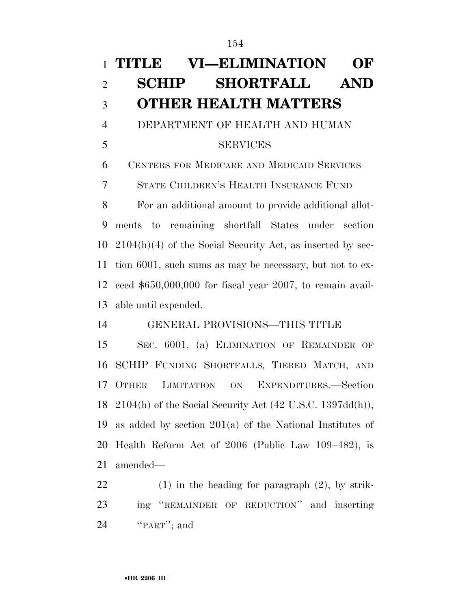# **TITLE VI—ELIMINATION OF SCHIP SHORTFALL AND OTHER HEALTH MATTERS**

 DEPARTMENT OF HEALTH AND HUMAN SERVICES

CENTERS FOR MEDICARE AND MEDICAID SERVICES

STATE CHILDREN'S HEALTH INSURANCE FUND

 For an additional amount to provide additional allot- ments to remaining shortfall States under section 2104(h)(4) of the Social Security Act, as inserted by sec- tion 6001, such sums as may be necessary, but not to ex- ceed \$650,000,000 for fiscal year 2007, to remain avail-able until expended.

GENERAL PROVISIONS—THIS TITLE

 SEC. 6001. (a) ELIMINATION OF REMAINDER OF SCHIP FUNDING SHORTFALLS, TIERED MATCH, AND OTHER LIMITATION ON EXPENDITURES.—Section 2104(h) of the Social Security Act (42 U.S.C. 1397dd(h)), as added by section 201(a) of the National Institutes of Health Reform Act of 2006 (Public Law 109–482), is amended—

 (1) in the heading for paragraph (2), by strik- ing ''REMAINDER OF REDUCTION'' and inserting 24 "PART"; and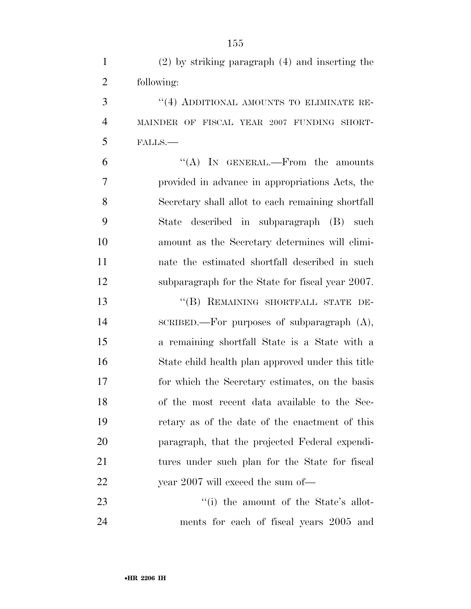| $(2)$ by striking paragraph $(4)$ and inserting the |
|-----------------------------------------------------|
| following:                                          |

 ''(4) ADDITIONAL AMOUNTS TO ELIMINATE RE- MAINDER OF FISCAL YEAR 2007 FUNDING SHORT-FALLS.—

6 "(A) IN GENERAL.—From the amounts provided in advance in appropriations Acts, the Secretary shall allot to each remaining shortfall State described in subparagraph (B) such amount as the Secretary determines will elimi- nate the estimated shortfall described in such subparagraph for the State for fiscal year 2007.

13 "(B) REMAINING SHORTFALL STATE DE- SCRIBED.—For purposes of subparagraph (A), a remaining shortfall State is a State with a State child health plan approved under this title for which the Secretary estimates, on the basis of the most recent data available to the Sec- retary as of the date of the enactment of this paragraph, that the projected Federal expendi- tures under such plan for the State for fiscal 22 year 2007 will exceed the sum of—

23 ''(i) the amount of the State's allot-ments for each of fiscal years 2005 and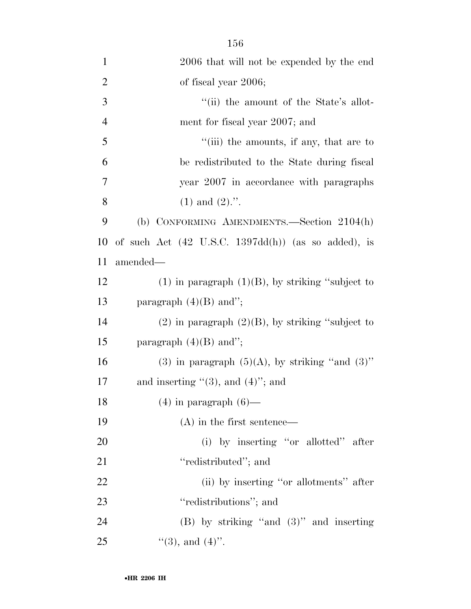| $\mathbf{1}$   | 2006 that will not be expended by the end                             |
|----------------|-----------------------------------------------------------------------|
| $\overline{2}$ | of fiscal year 2006;                                                  |
| 3              | "(ii) the amount of the State's allot-                                |
| $\overline{4}$ | ment for fiscal year 2007; and                                        |
| 5              | "(iii) the amounts, if any, that are to                               |
| 6              | be redistributed to the State during fiscal                           |
| 7              | year 2007 in accordance with paragraphs                               |
| 8              | $(1)$ and $(2)$ .".                                                   |
| 9              | (b) CONFORMING AMENDMENTS.—Section 2104(h)                            |
| 10             | of such Act $(42 \text{ U.S.C. } 1397\text{dd(h)})$ (as so added), is |
| 11             | amended-                                                              |
| 12             | $(1)$ in paragraph $(1)(B)$ , by striking "subject to                 |
| 13             | paragraph $(4)(B)$ and";                                              |
| 14             | $(2)$ in paragraph $(2)(B)$ , by striking "subject to                 |
| 15             | paragraph $(4)(B)$ and";                                              |
| 16             | (3) in paragraph $(5)(A)$ , by striking "and $(3)$ "                  |
| 17             | and inserting $\lq(3)$ , and $(4)$ "; and                             |
| 18             | $(4)$ in paragraph $(6)$ —                                            |
| 19             | $(A)$ in the first sentence—                                          |
| 20             | (i) by inserting "or allotted" after                                  |
| 21             | "redistributed"; and                                                  |
| 22             | (ii) by inserting "or allotments" after                               |
| 23             | "redistributions"; and                                                |
| 24             | $(B)$ by striking "and $(3)$ " and inserting                          |
| 25             | $\lq(3)$ , and $(4)$ ".                                               |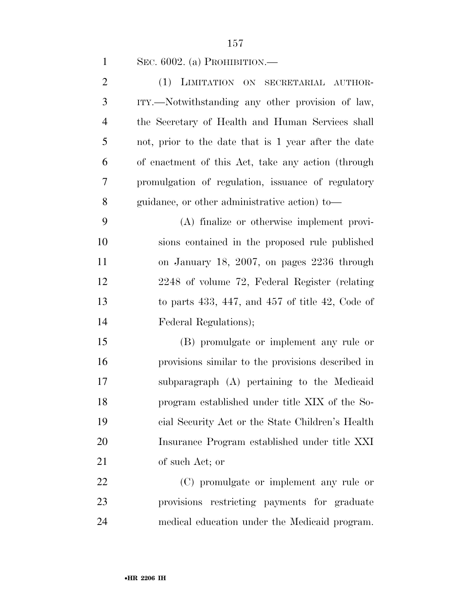SEC. 6002. (a) PROHIBITION.—

| $\overline{2}$ | (1) LIMITATION ON SECRETARIAL AUTHOR-                 |
|----------------|-------------------------------------------------------|
| 3              | ITY.—Notwithstanding any other provision of law,      |
| $\overline{4}$ | the Secretary of Health and Human Services shall      |
| 5              | not, prior to the date that is 1 year after the date  |
| 6              | of enactment of this Act, take any action (through    |
| 7              | promulgation of regulation, issuance of regulatory    |
| 8              | guidance, or other administrative action) to—         |
| 9              | (A) finalize or otherwise implement provi-            |
| 10             | sions contained in the proposed rule published        |
| 11             | on January 18, 2007, on pages 2236 through            |
| 12             | 2248 of volume 72, Federal Register (relating         |
| 13             | to parts $433, 447,$ and $457$ of title $42,$ Code of |
| 14             | Federal Regulations);                                 |
| 15             | (B) promulgate or implement any rule or               |
| 16             | provisions similar to the provisions described in     |
| 17             | subparagraph (A) pertaining to the Medicaid           |
| 18             | program established under title XIX of the So-        |
| 19             | cial Security Act or the State Children's Health      |
| 20             | Insurance Program established under title XXI         |
| 21             | of such Act; or                                       |
| 22             | (C) promulgate or implement any rule or               |
| 23             | provisions restricting payments for graduate          |

medical education under the Medicaid program.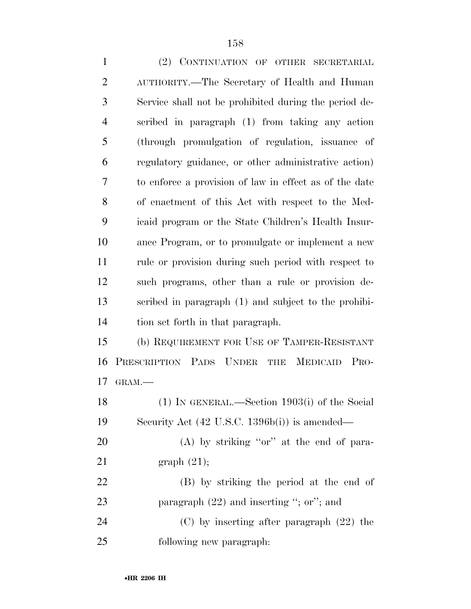| $\mathbf{1}$   | (2) CONTINUATION OF OTHER SECRETARIAL                  |
|----------------|--------------------------------------------------------|
| $\overline{2}$ | AUTHORITY.—The Secretary of Health and Human           |
| 3              | Service shall not be prohibited during the period de-  |
| $\overline{4}$ | scribed in paragraph (1) from taking any action        |
| 5              | (through promulgation of regulation, issuance of       |
| 6              | regulatory guidance, or other administrative action)   |
| 7              | to enforce a provision of law in effect as of the date |
| 8              | of enactment of this Act with respect to the Med-      |
| 9              | icaid program or the State Children's Health Insur-    |
| 10             | ance Program, or to promulgate or implement a new      |
| 11             | rule or provision during such period with respect to   |
| 12             | such programs, other than a rule or provision de-      |
| 13             | scribed in paragraph (1) and subject to the prohibi-   |
| 14             | tion set forth in that paragraph.                      |
| 15             | (b) REQUIREMENT FOR USE OF TAMPER-RESISTANT            |
| 16             | PRESCRIPTION PADS UNDER<br>THE MEDICAID<br>PRO-        |
| 17             | GRAM.                                                  |
| 18             | (1) IN GENERAL.—Section $1903(i)$ of the Social        |
| 19             | Security Act (42 U.S.C. 1396b(i)) is amended—          |
| 20             | $(A)$ by striking "or" at the end of para-             |
| 21             | graph $(21)$ ;                                         |
| 22             | (B) by striking the period at the end of               |
| 23             | paragraph $(22)$ and inserting "; or"; and             |

 (C) by inserting after paragraph (22) the following new paragraph: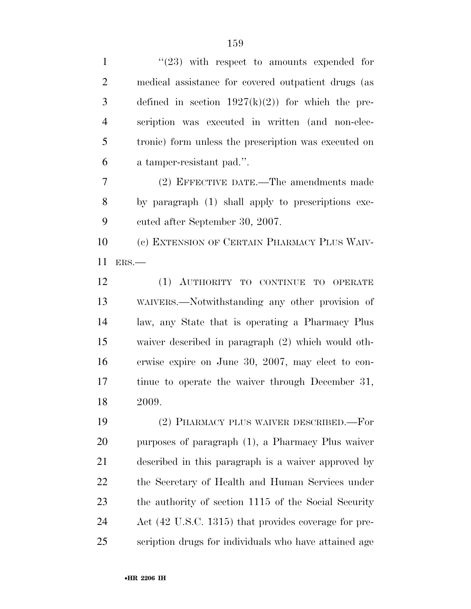1 ''(23) with respect to amounts expended for medical assistance for covered outpatient drugs (as 3 defined in section  $1927(k)(2)$  for which the pre- scription was executed in written (and non-elec- tronic) form unless the prescription was executed on a tamper-resistant pad.''. (2) EFFECTIVE DATE.—The amendments made by paragraph (1) shall apply to prescriptions exe- cuted after September 30, 2007. (c) EXTENSION OF CERTAIN PHARMACY PLUS WAIV- ERS.— (1) AUTHORITY TO CONTINUE TO OPERATE WAIVERS.—Notwithstanding any other provision of law, any State that is operating a Pharmacy Plus waiver described in paragraph (2) which would oth-

 erwise expire on June 30, 2007, may elect to con- tinue to operate the waiver through December 31, 2009.

 (2) PHARMACY PLUS WAIVER DESCRIBED.—For purposes of paragraph (1), a Pharmacy Plus waiver described in this paragraph is a waiver approved by the Secretary of Health and Human Services under the authority of section 1115 of the Social Security Act (42 U.S.C. 1315) that provides coverage for pre-scription drugs for individuals who have attained age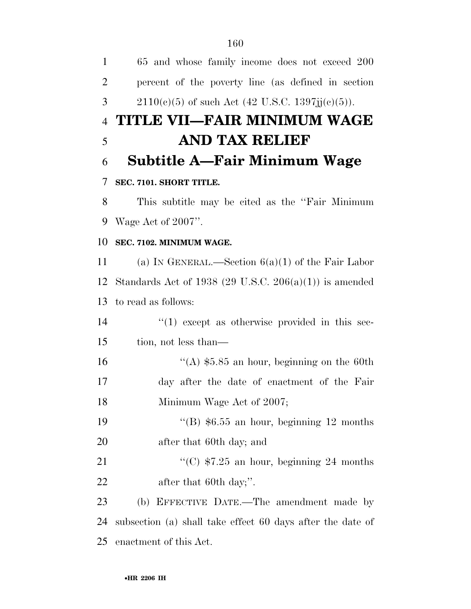65 and whose family income does not exceed 200 percent of the poverty line (as defined in section 3 2110(e)(5) of such Act (42 U.S.C. 1397 $jj(c)(5)$ ). **TITLE VII—FAIR MINIMUM WAGE AND TAX RELIEF Subtitle A—Fair Minimum Wage SEC. 7101. SHORT TITLE.**  This subtitle may be cited as the ''Fair Minimum Wage Act of 2007''. **SEC. 7102. MINIMUM WAGE.**  (a) IN GENERAL.—Section 6(a)(1) of the Fair Labor Standards Act of 1938 (29 U.S.C. 206(a)(1)) is amended to read as follows:  $\frac{1}{2}$  (1) except as otherwise provided in this sec- tion, not less than—  $\frac{16}{16}$   $\frac{16}{16}$   $\frac{16}{16}$   $\frac{16}{16}$   $\frac{16}{16}$   $\frac{16}{16}$   $\frac{16}{16}$   $\frac{16}{16}$   $\frac{16}{16}$   $\frac{16}{16}$   $\frac{16}{16}$   $\frac{16}{16}$   $\frac{16}{16}$   $\frac{16}{16}$   $\frac{16}{16}$   $\frac{16}{16}$   $\frac{16}{16}$   $\frac{16}{16}$   $\$  day after the date of enactment of the Fair 18 Minimum Wage Act of 2007;  $\frac{1}{2}$  (B) \$6.55 an hour, beginning 12 months after that 60th day; and  $\frac{1}{25}$  an hour, beginning 24 months 22 after that 60th day;". (b) EFFECTIVE DATE.—The amendment made by subsection (a) shall take effect 60 days after the date of enactment of this Act.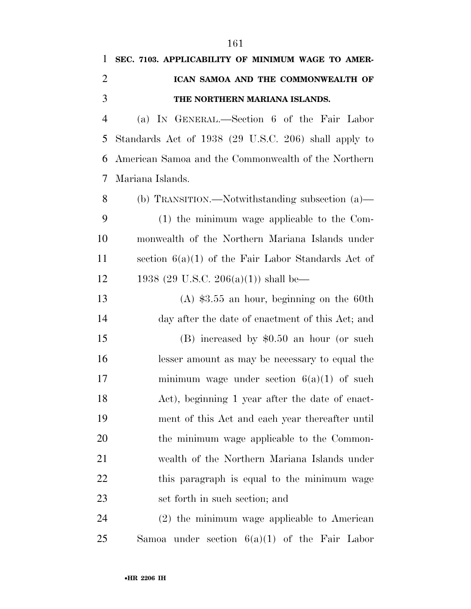| 1              | SEC. 7103. APPLICABILITY OF MINIMUM WAGE TO AMER-    |
|----------------|------------------------------------------------------|
| $\overline{2}$ | ICAN SAMOA AND THE COMMONWEALTH OF                   |
| 3              | THE NORTHERN MARIANA ISLANDS.                        |
| $\overline{4}$ | (a) IN GENERAL.—Section 6 of the Fair Labor          |
| 5              | Standards Act of 1938 (29 U.S.C. 206) shall apply to |
| 6              | American Samoa and the Commonwealth of the Northern  |
| 7              | Mariana Islands.                                     |
| 8              | (b) TRANSITION.—Notwithstanding subsection (a)—      |
| 9              | $(1)$ the minimum wage applicable to the Com-        |
| 10             | monwealth of the Northern Mariana Islands under      |
| 11             | section $6(a)(1)$ of the Fair Labor Standards Act of |
| 12             | 1938 (29 U.S.C. 206(a)(1)) shall be—                 |
| 13             | $(A)$ \$3.55 an hour, beginning on the 60th          |
| 14             | day after the date of enactment of this Act; and     |
| 15             | $(B)$ increased by \$0.50 an hour (or such           |
| 16             | lesser amount as may be necessary to equal the       |
| 17             | minimum wage under section $6(a)(1)$ of such         |
| 18             | Act), beginning 1 year after the date of enact-      |
| 19             | ment of this Act and each year thereafter until      |
| 20             | the minimum wage applicable to the Common-           |
| 21             | wealth of the Northern Mariana Islands under         |
| 22             | this paragraph is equal to the minimum wage          |
| 23             | set forth in such section; and                       |
| 24             | $(2)$ the minimum wage applicable to American        |
| 25             | Samoa under section $6(a)(1)$ of the Fair Labor      |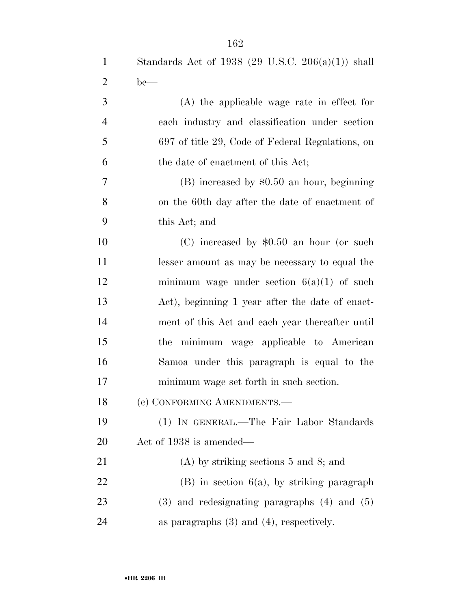| $\mathbf{1}$   | Standards Act of 1938 (29 U.S.C. $206(a)(1)$ ) shall |
|----------------|------------------------------------------------------|
| $\overline{2}$ | $be$ —                                               |
| 3              | $(A)$ the applicable wage rate in effect for         |
| $\overline{4}$ | each industry and classification under section       |
| 5              | 697 of title 29, Code of Federal Regulations, on     |
| 6              | the date of enactment of this Act;                   |
| 7              | $(B)$ increased by \$0.50 an hour, beginning         |
| 8              | on the 60th day after the date of enactment of       |
| 9              | this Act; and                                        |
| 10             | (C) increased by $$0.50$ an hour (or such            |
| 11             | lesser amount as may be necessary to equal the       |
| 12             | minimum wage under section $6(a)(1)$ of such         |
| 13             | Act), beginning 1 year after the date of enact-      |
| 14             | ment of this Act and each year thereafter until      |
| 15             | the minimum wage applicable to American              |
| 16             | Samona under this paragraph is equal to the          |
| 17             | minimum wage set forth in such section.              |
| 18             | (c) CONFORMING AMENDMENTS.-                          |
| 19             | (1) IN GENERAL.—The Fair Labor Standards             |
| 20             | Act of 1938 is amended—                              |
| 21             | $(A)$ by striking sections 5 and 8; and              |

 (B) in section 6(a), by striking paragraph (3) and redesignating paragraphs (4) and (5) 24 as paragraphs (3) and (4), respectively.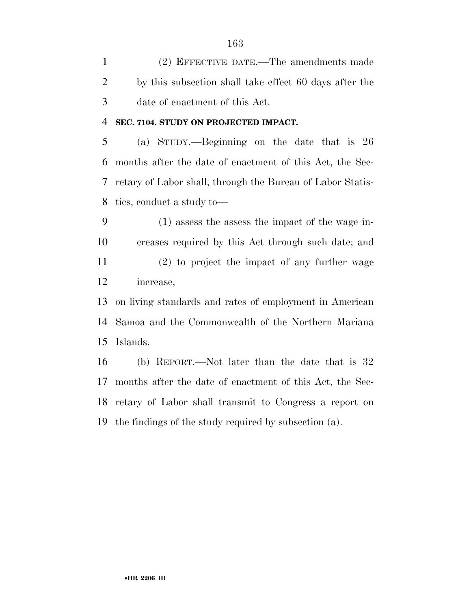(2) EFFECTIVE DATE.—The amendments made by this subsection shall take effect 60 days after the date of enactment of this Act.

## **SEC. 7104. STUDY ON PROJECTED IMPACT.**

 (a) STUDY.—Beginning on the date that is 26 months after the date of enactment of this Act, the Sec- retary of Labor shall, through the Bureau of Labor Statis-tics, conduct a study to—

 (1) assess the assess the impact of the wage in- creases required by this Act through such date; and (2) to project the impact of any further wage increase,

 on living standards and rates of employment in American Samoa and the Commonwealth of the Northern Mariana Islands.

 (b) REPORT.—Not later than the date that is 32 months after the date of enactment of this Act, the Sec- retary of Labor shall transmit to Congress a report on the findings of the study required by subsection (a).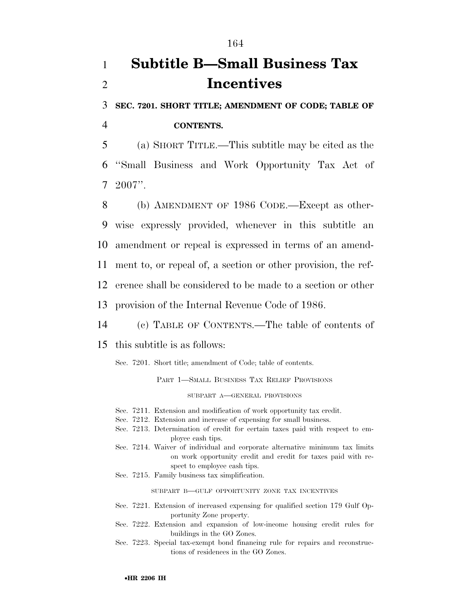## 1 **Subtitle B—Small Business Tax**  2 **Incentives**

3 **SEC. 7201. SHORT TITLE; AMENDMENT OF CODE; TABLE OF** 

4 **CONTENTS.** 

5 (a) SHORT TITLE.—This subtitle may be cited as the 6 ''Small Business and Work Opportunity Tax Act of 7 2007''.

 (b) AMENDMENT OF 1986 CODE.—Except as other- wise expressly provided, whenever in this subtitle an amendment or repeal is expressed in terms of an amend- ment to, or repeal of, a section or other provision, the ref- erence shall be considered to be made to a section or other provision of the Internal Revenue Code of 1986.

14 (c) TABLE OF CONTENTS.—The table of contents of

15 this subtitle is as follows:

Sec. 7201. Short title; amendment of Code; table of contents.

PART 1—SMALL BUSINESS TAX RELIEF PROVISIONS

SUBPART A—GENERAL PROVISIONS

- Sec. 7211. Extension and modification of work opportunity tax credit.
- Sec. 7212. Extension and increase of expensing for small business.
- Sec. 7213. Determination of credit for certain taxes paid with respect to employee cash tips.
- Sec. 7214. Waiver of individual and corporate alternative minimum tax limits on work opportunity credit and credit for taxes paid with respect to employee cash tips.
- Sec. 7215. Family business tax simplification.

SUBPART B—GULF OPPORTUNITY ZONE TAX INCENTIVES

- Sec. 7221. Extension of increased expensing for qualified section 179 Gulf Opportunity Zone property.
- Sec. 7222. Extension and expansion of low-income housing credit rules for buildings in the GO Zones.
- Sec. 7223. Special tax-exempt bond financing rule for repairs and reconstructions of residences in the GO Zones.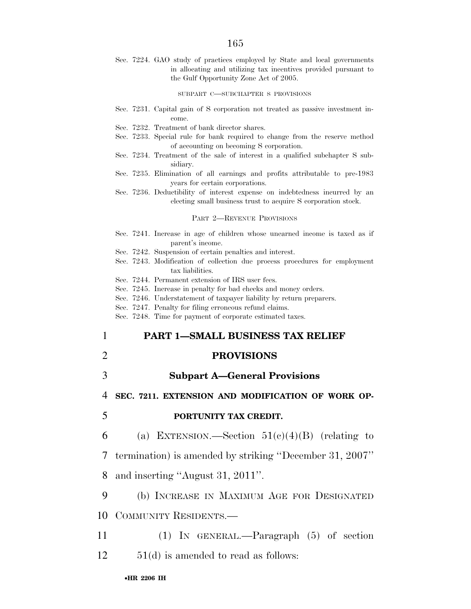Sec. 7224. GAO study of practices employed by State and local governments in allocating and utilizing tax incentives provided pursuant to the Gulf Opportunity Zone Act of 2005.

SUBPART C—SUBCHAPTER S PROVISIONS

- Sec. 7231. Capital gain of S corporation not treated as passive investment income.
- Sec. 7232. Treatment of bank director shares.
- Sec. 7233. Special rule for bank required to change from the reserve method of accounting on becoming S corporation.
- Sec. 7234. Treatment of the sale of interest in a qualified subchapter S subsidiary.
- Sec. 7235. Elimination of all earnings and profits attributable to pre-1983 years for certain corporations.
- Sec. 7236. Deductibility of interest expense on indebtedness incurred by an electing small business trust to acquire S corporation stock.

PART 2—REVENUE PROVISIONS

- Sec. 7241. Increase in age of children whose unearned income is taxed as if parent's income.
- Sec. 7242. Suspension of certain penalties and interest.
- Sec. 7243. Modification of collection due process procedures for employment tax liabilities.
- Sec. 7244. Permanent extension of IRS user fees.
- Sec. 7245. Increase in penalty for bad checks and money orders.
- Sec. 7246. Understatement of taxpayer liability by return preparers.
- Sec. 7247. Penalty for filing erroneous refund claims.
- Sec. 7248. Time for payment of corporate estimated taxes.

### 1 **PART 1—SMALL BUSINESS TAX RELIEF**

- 2 **PROVISIONS**
- 3 **Subpart A—General Provisions**

4 **SEC. 7211. EXTENSION AND MODIFICATION OF WORK OP-**

#### 5 **PORTUNITY TAX CREDIT.**

6 (a) EXTENSION.—Section  $51(c)(4)(B)$  (relating to

7 termination) is amended by striking ''December 31, 2007''

8 and inserting ''August 31, 2011''.

9 (b) INCREASE IN MAXIMUM AGE FOR DESIGNATED

- 10 COMMUNITY RESIDENTS.—
- 11 (1) IN GENERAL.—Paragraph (5) of section 12 51(d) is amended to read as follows: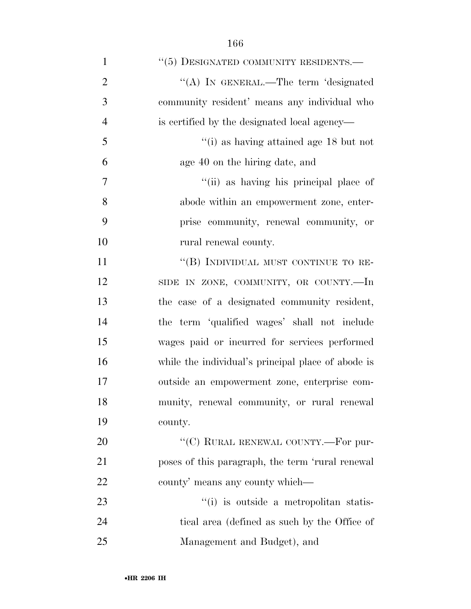| $\mathbf{1}$   | "(5) DESIGNATED COMMUNITY RESIDENTS.-              |
|----------------|----------------------------------------------------|
| $\overline{2}$ | "(A) IN GENERAL.—The term 'designated              |
| 3              | community resident' means any individual who       |
| $\overline{4}$ | is certified by the designated local agency—       |
| 5              | "(i) as having attained age $18$ but not           |
| 6              | age 40 on the hiring date, and                     |
| 7              | "(ii) as having his principal place of             |
| 8              | abode within an empowerment zone, enter-           |
| 9              | prise community, renewal community, or             |
| 10             | rural renewal county.                              |
| 11             | "(B) INDIVIDUAL MUST CONTINUE TO RE-               |
| 12             | SIDE IN ZONE, COMMUNITY, OR COUNTY.-In             |
| 13             | the case of a designated community resident,       |
| 14             | the term 'qualified wages' shall not include       |
| 15             | wages paid or incurred for services performed      |
| 16             | while the individual's principal place of abode is |
| 17             | outside an empowerment zone, enterprise com-       |
| 18             | munity, renewal community, or rural renewal        |
| 19             | county.                                            |
| 20             | "(C) RURAL RENEWAL COUNTY.-For pur-                |
| 21             | poses of this paragraph, the term 'rural renewal   |
| 22             | county' means any county which—                    |
| 23             | "(i) is outside a metropolitan statis-             |

 tical area (defined as such by the Office of Management and Budget), and

•**HR 2206 IH**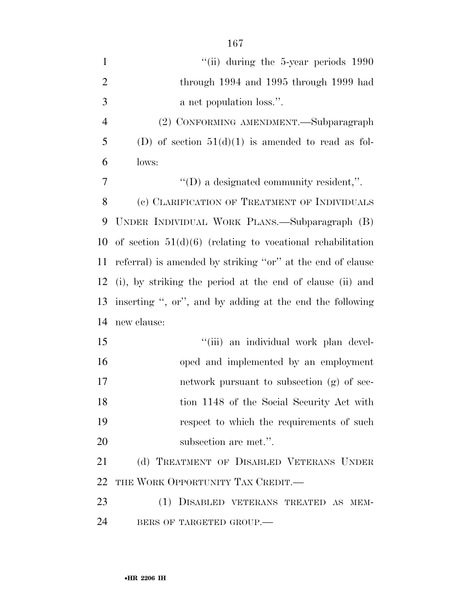| $\mathbf{1}$   | $``$ (ii) during the 5-year periods $1990$                   |
|----------------|--------------------------------------------------------------|
| $\overline{2}$ | through 1994 and 1995 through 1999 had                       |
| 3              | a net population loss.".                                     |
| $\overline{4}$ | (2) CONFORMING AMENDMENT.-Subparagraph                       |
| 5              | (D) of section $51(d)(1)$ is amended to read as fol-         |
| 6              | lows:                                                        |
| 7              | $\lq\lq$ a designated community resident,".                  |
| 8              | (c) CLARIFICATION OF TREATMENT OF INDIVIDUALS                |
| 9              | UNDER INDIVIDUAL WORK PLANS.—Subparagraph (B)                |
| 10             | of section $51(d)(6)$ (relating to vocational rehabilitation |
| 11             | referral) is amended by striking "or" at the end of clause   |
| 12             | (i), by striking the period at the end of clause (ii) and    |
| 13             | inserting ", or", and by adding at the end the following     |
| 14             | new clause:                                                  |
| 15             | "(iii) an individual work plan devel-                        |
| 16             | oped and implemented by an employment                        |
| 17             | network pursuant to subsection (g) of sec-                   |
| 18             | tion 1148 of the Social Security Act with                    |
| 19             | respect to which the requirements of such                    |
| 20             | subsection are met.".                                        |
| 21             | (d) TREATMENT OF DISABLED VETERANS UNDER                     |
| 22             | THE WORK OPPORTUNITY TAX CREDIT.                             |
| 23             | (1) DISABLED VETERANS TREATED AS MEM-                        |
| 24             | BERS OF TARGETED GROUP.-                                     |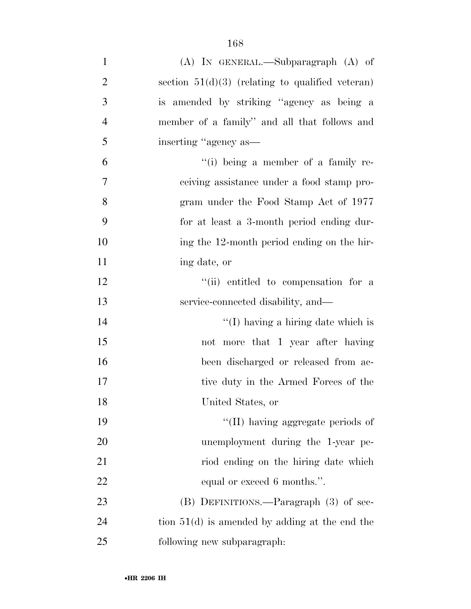| $\mathbf{1}$     | (A) IN GENERAL.—Subparagraph (A) of                |
|------------------|----------------------------------------------------|
| $\overline{2}$   | section $51(d)(3)$ (relating to qualified veteran) |
| 3                | is amended by striking "agency as being a          |
| $\overline{4}$   | member of a family" and all that follows and       |
| 5                | inserting "agency as—                              |
| 6                | $``(i)$ being a member of a family re-             |
| $\boldsymbol{7}$ | ceiving assistance under a food stamp pro-         |
| 8                | gram under the Food Stamp Act of 1977              |
| 9                | for at least a 3-month period ending dur-          |
| 10               | ing the 12-month period ending on the hir-         |
| 11               | ing date, or                                       |
| 12               | "(ii) entitled to compensation for a               |
| 13               | service-connected disability, and—                 |
| 14               | "(I) having a hiring date which is                 |
| 15               | not more that 1 year after having                  |
| 16               | been discharged or released from ac-               |
| 17               | tive duty in the Armed Forces of the               |
| 18               | United States, or                                  |
| 19               | "(II) having aggregate periods of                  |
| 20               | unemployment during the 1-year pe-                 |
| 21               | riod ending on the hiring date which               |
| 22               | equal or exceed 6 months.".                        |
| 23               | (B) DEFINITIONS.—Paragraph (3) of sec-             |
| 24               | tion $51(d)$ is amended by adding at the end the   |
| 25               | following new subparagraph:                        |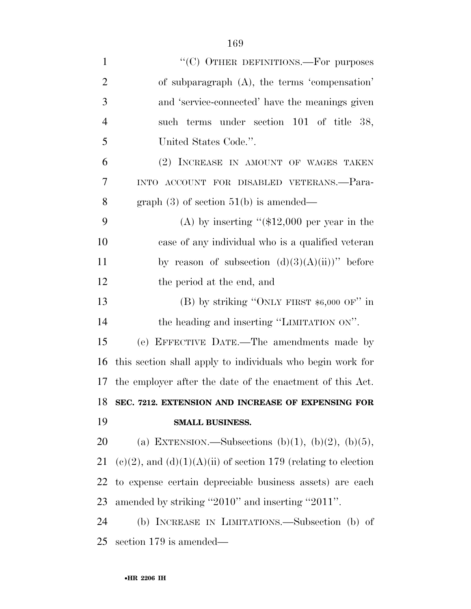| $\mathbf{1}$   | "(C) OTHER DEFINITIONS.—For purposes                                |
|----------------|---------------------------------------------------------------------|
| $\overline{2}$ | of subparagraph (A), the terms 'compensation'                       |
| 3              | and 'service-connected' have the meanings given                     |
| $\overline{4}$ | such terms under section 101 of title 38,                           |
| 5              | United States Code.".                                               |
| 6              | (2) INCREASE IN AMOUNT OF WAGES TAKEN                               |
| 7              | INTO ACCOUNT FOR DISABLED VETERANS.-Para-                           |
| 8              | graph $(3)$ of section $51(b)$ is amended—                          |
| 9              | (A) by inserting " $($12,000$ per year in the                       |
| 10             | case of any individual who is a qualified veteran                   |
| 11             | by reason of subsection $(d)(3)(A)(ii)$ " before                    |
| 12             | the period at the end, and                                          |
| 13             | (B) by striking "ONLY FIRST $$6,000$ OF" in                         |
| 14             | the heading and inserting "LIMITATION ON".                          |
| 15             | (e) EFFECTIVE DATE.—The amendments made by                          |
| 16             | this section shall apply to individuals who begin work for          |
| 17             | the employer after the date of the enactment of this Act.           |
| 18             | SEC. 7212. EXTENSION AND INCREASE OF EXPENSING FOR                  |
| 19             | SMALL BUSINESS.                                                     |
| 20             | (a) EXTENSION.—Subsections (b)(1), (b)(2), (b)(5),                  |
| 21             | $(e)(2)$ , and $(d)(1)(A)(ii)$ of section 179 (relating to election |
| 22             | to expense certain depreciable business assets) are each            |
| 23             | amended by striking "2010" and inserting "2011".                    |
| 24             | (b) INCREASE IN LIMITATIONS.—Subsection (b) of                      |
| 25             | section 179 is amended—                                             |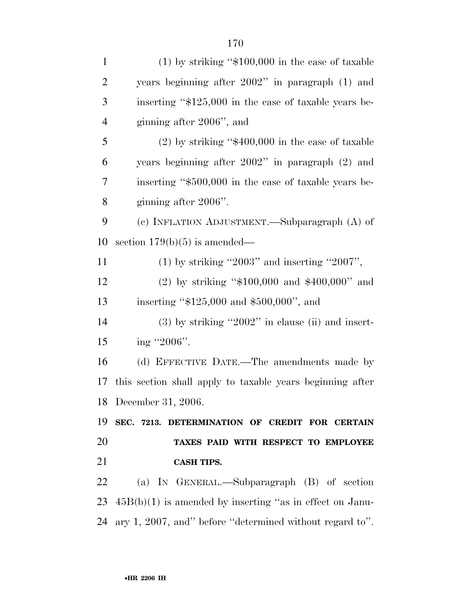| $\mathbf{1}$   | $(1)$ by striking "\$100,000 in the case of taxable        |
|----------------|------------------------------------------------------------|
| $\overline{2}$ | years beginning after 2002" in paragraph (1) and           |
| 3              | inserting "\$125,000 in the case of taxable years be-      |
| $\overline{4}$ | ginning after 2006", and                                   |
| 5              | $(2)$ by striking "\$400,000 in the case of taxable        |
| 6              | years beginning after 2002" in paragraph (2) and           |
| 7              | inserting "\$500,000 in the case of taxable years be-      |
| 8              | ginning after 2006".                                       |
| 9              | (c) INFLATION ADJUSTMENT.—Subparagraph (A) of              |
| 10             | section $179(b)(5)$ is amended—                            |
| 11             | $(1)$ by striking "2003" and inserting "2007",             |
| 12             | (2) by striking " $$100,000$ and $$400,000$ " and          |
| 13             | inserting "\$125,000 and \$500,000", and                   |
| 14             | $(3)$ by striking "2002" in clause (ii) and insert-        |
| 15             | ing "2006".                                                |
| 16             | (d) EFFECTIVE DATE.—The amendments made by                 |
| 17             | this section shall apply to taxable years beginning after  |
|                | 18 December 31, 2006.                                      |
| 19             | SEC. 7213. DETERMINATION OF CREDIT FOR CERTAIN             |
| 20             | TAXES PAID WITH RESPECT TO EMPLOYEE                        |
| 21             | <b>CASH TIPS.</b>                                          |
| 22             | (a) IN GENERAL.—Subparagraph (B) of section                |
| 23             | $45B(b)(1)$ is amended by inserting "as in effect on Janu- |
| 24             | ary 1, 2007, and" before "determined without regard to".   |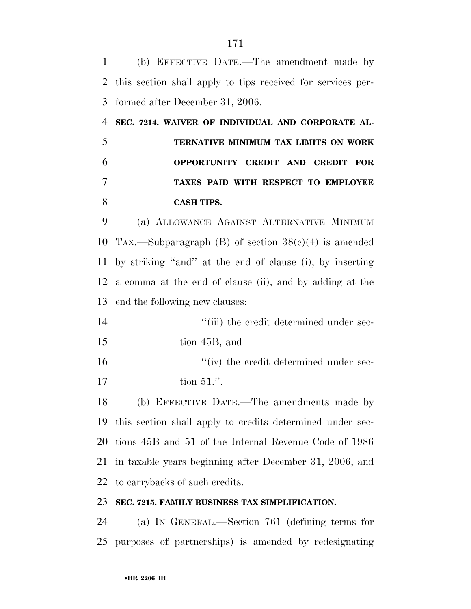(b) EFFECTIVE DATE.—The amendment made by this section shall apply to tips received for services per- formed after December 31, 2006. **SEC. 7214. WAIVER OF INDIVIDUAL AND CORPORATE AL- TERNATIVE MINIMUM TAX LIMITS ON WORK OPPORTUNITY CREDIT AND CREDIT FOR TAXES PAID WITH RESPECT TO EMPLOYEE CASH TIPS.**  (a) ALLOWANCE AGAINST ALTERNATIVE MINIMUM 10 TAX.—Subparagraph (B) of section  $38(e)(4)$  is amended by striking ''and'' at the end of clause (i), by inserting a comma at the end of clause (ii), and by adding at the end the following new clauses:  $\frac{1}{2}$  (iii) the credit determined under sec- tion 45B, and  $''(iv)$  the credit determined under sec- tion 51.''. (b) EFFECTIVE DATE.—The amendments made by this section shall apply to credits determined under sec- tions 45B and 51 of the Internal Revenue Code of 1986 in taxable years beginning after December 31, 2006, and to carrybacks of such credits. **SEC. 7215. FAMILY BUSINESS TAX SIMPLIFICATION.**  (a) IN GENERAL.—Section 761 (defining terms for

purposes of partnerships) is amended by redesignating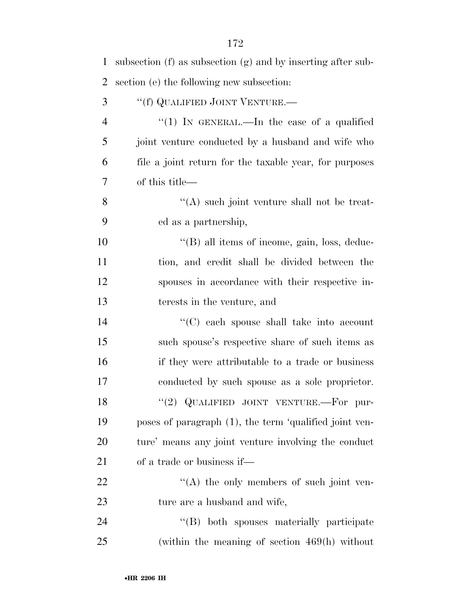| $\mathbf{1}$   | subsection $(f)$ as subsection $(g)$ and by inserting after sub- |
|----------------|------------------------------------------------------------------|
| $\overline{2}$ | section (e) the following new subsection:                        |
| 3              | "(f) QUALIFIED JOINT VENTURE.—                                   |
| $\overline{4}$ | "(1) IN GENERAL.—In the case of a qualified                      |
| 5              | joint venture conducted by a husband and wife who                |
| 6              | file a joint return for the taxable year, for purposes           |
| 7              | of this title—                                                   |
| 8              | $\lq\lq$ such joint venture shall not be treat-                  |
| 9              | ed as a partnership,                                             |
| 10             | "(B) all items of income, gain, loss, deduc-                     |
| 11             | tion, and credit shall be divided between the                    |
| 12             | spouses in accordance with their respective in-                  |
| 13             | terests in the venture, and                                      |
| 14             | "(C) each spouse shall take into account                         |
| 15             | such spouse's respective share of such items as                  |
| 16             | if they were attributable to a trade or business                 |
| 17             | conducted by such spouse as a sole proprietor.                   |
| 18             | "(2) QUALIFIED JOINT VENTURE.-For pur-                           |
| 19             | poses of paragraph (1), the term 'qualified joint ven-           |
| 20             | ture' means any joint venture involving the conduct              |
| 21             | of a trade or business if—                                       |
| 22             | $\lq\lq$ the only members of such joint ven-                     |
| 23             | ture are a husband and wife,                                     |
| 24             | "(B) both spouses materially participate                         |
| 25             | (within the meaning of section $469(h)$ without                  |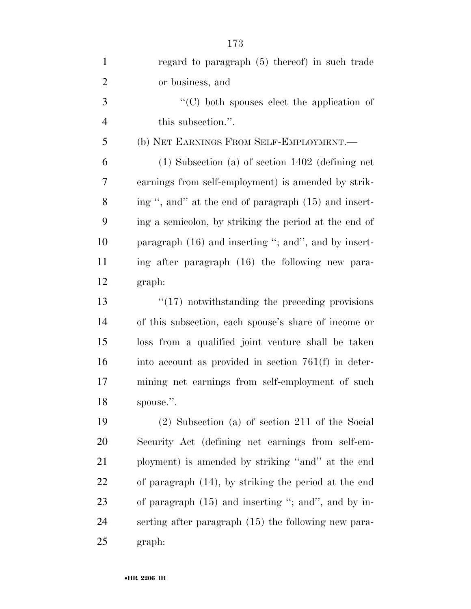| $\mathbf{1}$   | regard to paragraph (5) thereof) in such trade         |
|----------------|--------------------------------------------------------|
| $\overline{2}$ | or business, and                                       |
| 3              | $\cdot$ (C) both spouses elect the application of      |
| $\overline{4}$ | this subsection.".                                     |
| 5              | (b) NET EARNINGS FROM SELF-EMPLOYMENT.—                |
| 6              | $(1)$ Subsection $(a)$ of section 1402 (defining net   |
| 7              | earnings from self-employment) is amended by strik-    |
| 8              | ing ", and" at the end of paragraph (15) and insert-   |
| 9              | ing a semicolon, by striking the period at the end of  |
| 10             | paragraph $(16)$ and inserting "; and", and by insert- |
| 11             | ing after paragraph (16) the following new para-       |
| 12             | graph:                                                 |
| 13             | $\lq(17)$ notwithstanding the preceding provisions     |
| 14             | of this subsection, each spouse's share of income or   |
| 15             | loss from a qualified joint venture shall be taken     |
| 16             | into account as provided in section $761(f)$ in deter- |
| 17             | mining net earnings from self-employment of such       |
| 18             | spouse.".                                              |
| 19             | $(2)$ Subsection (a) of section 211 of the Social      |
| <b>20</b>      | Security Act (defining net earnings from self-em-      |
| 21             | ployment) is amended by striking "and" at the end      |
| <u>22</u>      | of paragraph (14), by striking the period at the end   |
| 23             | of paragraph $(15)$ and inserting "; and", and by in-  |
| 24             | serting after paragraph (15) the following new para-   |
| 25             | graph:                                                 |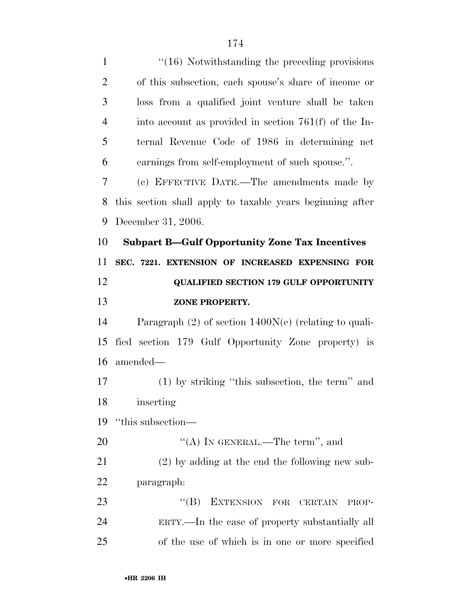1 ''(16) Notwithstanding the preceding provisions of this subsection, each spouse's share of income or loss from a qualified joint venture shall be taken into account as provided in section 761(f) of the In- ternal Revenue Code of 1986 in determining net earnings from self-employment of such spouse.''. (c) EFFECTIVE DATE.—The amendments made by this section shall apply to taxable years beginning after December 31, 2006. **Subpart B—Gulf Opportunity Zone Tax Incentives SEC. 7221. EXTENSION OF INCREASED EXPENSING FOR QUALIFIED SECTION 179 GULF OPPORTUNITY ZONE PROPERTY.**  Paragraph (2) of section 1400N(e) (relating to quali- fied section 179 Gulf Opportunity Zone property) is amended— (1) by striking ''this subsection, the term'' and inserting ''this subsection—  $((A)$  In GENERAL.—The term", and (2) by adding at the end the following new sub- paragraph: 23 "(B) EXTENSION FOR CERTAIN PROP-ERTY.—In the case of property substantially all

of the use of which is in one or more specified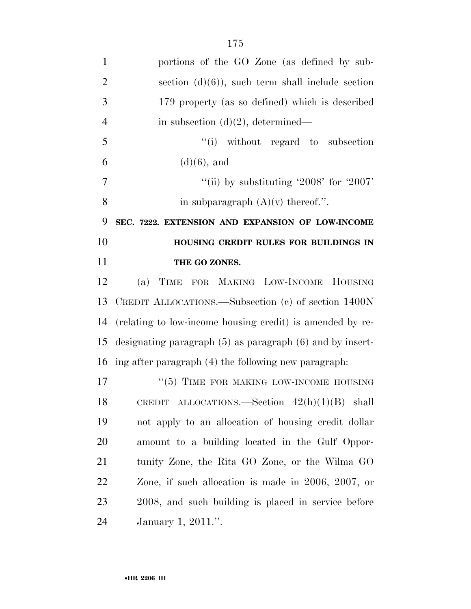| $\mathbf{1}$   | portions of the GO Zone (as defined by sub-                   |
|----------------|---------------------------------------------------------------|
| $\overline{2}$ | section $(d)(6)$ , such term shall include section            |
| 3              | 179 property (as so defined) which is described               |
| $\overline{4}$ | in subsection $(d)(2)$ , determined—                          |
| 5              | "(i) without regard to subsection                             |
| 6              | $(d)(6)$ , and                                                |
| 7              | "(ii) by substituting '2008' for '2007'                       |
| 8              | in subparagraph $(A)(v)$ thereof.".                           |
| 9              | SEC. 7222. EXTENSION AND EXPANSION OF LOW-INCOME              |
| 10             | HOUSING CREDIT RULES FOR BUILDINGS IN                         |
| 11             | THE GO ZONES.                                                 |
| 12             | (a) TIME FOR MAKING LOW-INCOME HOUSING                        |
| 13             | CREDIT ALLOCATIONS.—Subsection (c) of section 1400N           |
| 14             | (relating to low-income housing credit) is amended by re-     |
| 15             | designating paragraph $(5)$ as paragraph $(6)$ and by insert- |
| 16             | ing after paragraph (4) the following new paragraph.          |
| 17             | $``(5)$ TIME FOR MAKING LOW-INCOME HOUSING                    |
| 18             | CREDIT ALLOCATIONS. Section $42(h)(1)(B)$ shall               |
| 19             | not apply to an allocation of housing credit dollar           |
| 20             | amount to a building located in the Gulf Oppor-               |
| 21             | tunity Zone, the Rita GO Zone, or the Wilma GO                |
| 22             | Zone, if such allocation is made in $2006$ , $2007$ , or      |
| 23             | 2008, and such building is placed in service before           |
| 24             | January 1, 2011.".                                            |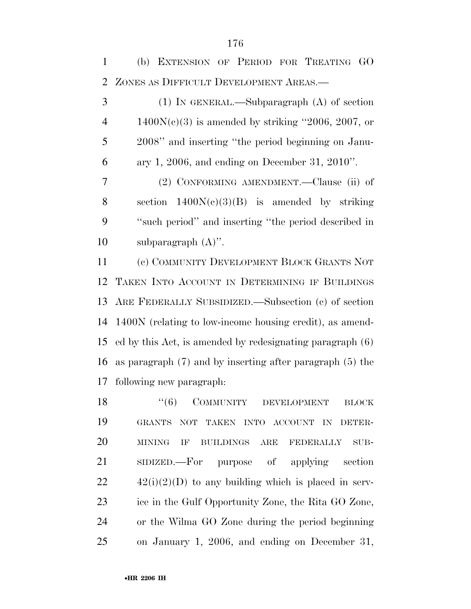(b) EXTENSION OF PERIOD FOR TREATING GO ZONES AS DIFFICULT DEVELOPMENT AREAS.— (1) IN GENERAL.—Subparagraph (A) of section  $4 \qquad 1400N(c)(3)$  is amended by striking "2006, 2007, or 2008'' and inserting ''the period beginning on Janu- ary 1, 2006, and ending on December 31, 2010''. (2) CONFORMING AMENDMENT.—Clause (ii) of 8 section  $1400N(c)(3)(B)$  is amended by striking ''such period'' and inserting ''the period described in subparagraph (A)''. (c) COMMUNITY DEVELOPMENT BLOCK GRANTS NOT TAKEN INTO ACCOUNT IN DETERMINING IF BUILDINGS ARE FEDERALLY SUBSIDIZED.—Subsection (c) of section 1400N (relating to low-income housing credit), as amend- ed by this Act, is amended by redesignating paragraph (6) as paragraph (7) and by inserting after paragraph (5) the

following new paragraph:

18 "(6) COMMUNITY DEVELOPMENT BLOCK GRANTS NOT TAKEN INTO ACCOUNT IN DETER- MINING IF BUILDINGS ARE FEDERALLY SUB- SIDIZED.—For purpose of applying section  $22 \qquad \qquad 42(i)(2)(D)$  to any building which is placed in serv- ice in the Gulf Opportunity Zone, the Rita GO Zone, or the Wilma GO Zone during the period beginning on January 1, 2006, and ending on December 31,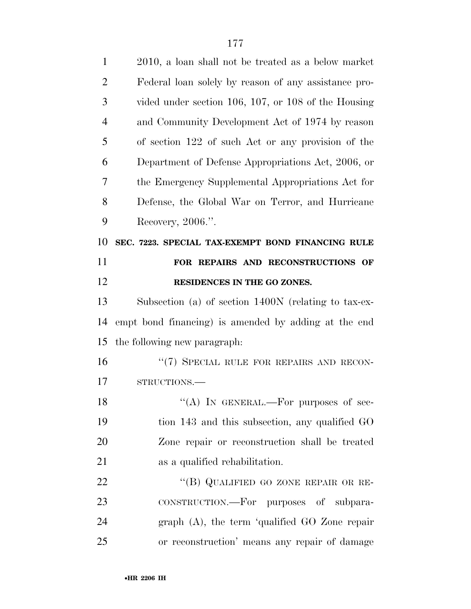| $\mathbf{1}$   | 2010, a loan shall not be treated as a below market  |
|----------------|------------------------------------------------------|
| $\overline{2}$ | Federal loan solely by reason of any assistance pro- |
| 3              | vided under section 106, 107, or 108 of the Housing  |
| $\overline{4}$ | and Community Development Act of 1974 by reason      |
| 5              | of section 122 of such Act or any provision of the   |
| 6              | Department of Defense Appropriations Act, 2006, or   |
| 7              | the Emergency Supplemental Appropriations Act for    |
| 8              | Defense, the Global War on Terror, and Hurricane     |
| 9              | Recovery, 2006.".                                    |
| 10             | SEC. 7223. SPECIAL TAX-EXEMPT BOND FINANCING RULE    |
| 11             | FOR REPAIRS AND RECONSTRUCTIONS OF                   |
| 12             | RESIDENCES IN THE GO ZONES.                          |
| 13             | Subsection (a) of section 1400N (relating to tax-ex- |
| 14             | empt bond financing) is amended by adding at the end |
| 15             | the following new paragraph:                         |
| 16             | "(7) SPECIAL RULE FOR REPAIRS AND RECON-             |
| 17             | STRUCTIONS.-                                         |
| 18             | "(A) IN GENERAL.—For purposes of sec-                |
| 19             | tion 143 and this subsection, any qualified GO       |
| 20             | Zone repair or reconstruction shall be treated       |
| 21             | as a qualified rehabilitation.                       |
| 22             | "(B) QUALIFIED GO ZONE REPAIR OR RE-                 |
| 23             | CONSTRUCTION.—For purposes of subpara-               |
| 24             | graph (A), the term 'qualified GO Zone repair        |
| 25             | or reconstruction' means any repair of damage        |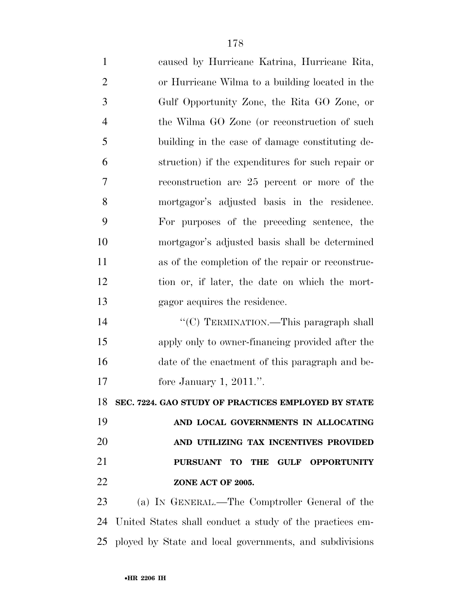| $\mathbf{1}$   | caused by Hurricane Katrina, Hurricane Rita,             |
|----------------|----------------------------------------------------------|
| $\overline{2}$ | or Hurricane Wilma to a building located in the          |
| 3              | Gulf Opportunity Zone, the Rita GO Zone, or              |
| $\overline{4}$ | the Wilma GO Zone (or reconstruction of such             |
| 5              | building in the case of damage constituting de-          |
| 6              | struction) if the expenditures for such repair or        |
| 7              | reconstruction are 25 percent or more of the             |
| 8              | mortgagor's adjusted basis in the residence.             |
| 9              | For purposes of the preceding sentence, the              |
| 10             | mortgagor's adjusted basis shall be determined           |
| 11             | as of the completion of the repair or reconstruc-        |
| 12             | tion or, if later, the date on which the mort-           |
| 13             | gagor acquires the residence.                            |
| 14             | "(C) TERMINATION.—This paragraph shall                   |
| 15             | apply only to owner-financing provided after the         |
| 16             | date of the enactment of this paragraph and be-          |
| 17             | fore January 1, $2011$ .".                               |
| 18             | SEC. 7224. GAO STUDY OF PRACTICES EMPLOYED BY STATE      |
| 19             | AND LOCAL GOVERNMENTS IN ALLOCATING                      |
| 20             | AND UTILIZING TAX INCENTIVES PROVIDED                    |
| 21             | PURSUANT TO THE GULF OPPORTUNITY                         |
| 22             | ZONE ACT OF 2005.                                        |
| 23             | (a) IN GENERAL.—The Comptroller General of the           |
| 24             | United States shall conduct a study of the practices em- |

ployed by State and local governments, and subdivisions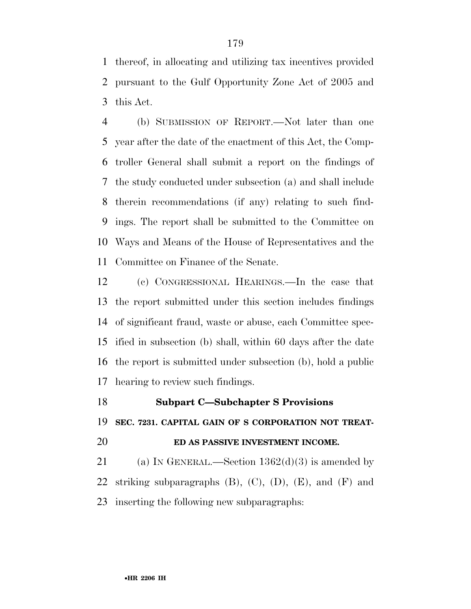thereof, in allocating and utilizing tax incentives provided pursuant to the Gulf Opportunity Zone Act of 2005 and this Act.

 (b) SUBMISSION OF REPORT.—Not later than one year after the date of the enactment of this Act, the Comp- troller General shall submit a report on the findings of the study conducted under subsection (a) and shall include therein recommendations (if any) relating to such find- ings. The report shall be submitted to the Committee on Ways and Means of the House of Representatives and the Committee on Finance of the Senate.

 (c) CONGRESSIONAL HEARINGS.—In the case that the report submitted under this section includes findings of significant fraud, waste or abuse, each Committee spec- ified in subsection (b) shall, within 60 days after the date the report is submitted under subsection (b), hold a public hearing to review such findings.

 **Subpart C—Subchapter S Provisions SEC. 7231. CAPITAL GAIN OF S CORPORATION NOT TREAT-ED AS PASSIVE INVESTMENT INCOME.** 

21 (a) IN GENERAL.—Section  $1362(d)(3)$  is amended by 22 striking subparagraphs  $(B)$ ,  $(C)$ ,  $(D)$ ,  $(E)$ , and  $(F)$  and inserting the following new subparagraphs: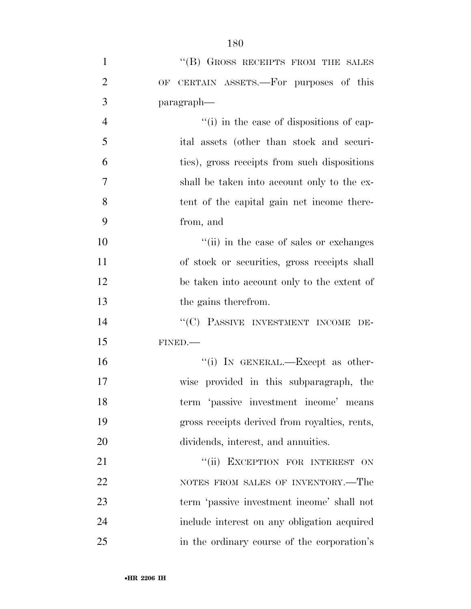| $\mathbf{1}$   | "(B) GROSS RECEIPTS FROM THE SALES            |
|----------------|-----------------------------------------------|
| $\overline{2}$ | OF CERTAIN ASSETS.—For purposes of this       |
| 3              | paragraph—                                    |
| $\overline{4}$ | "(i) in the case of dispositions of cap-      |
| 5              | ital assets (other than stock and securi-     |
| 6              | ties), gross receipts from such dispositions  |
| 7              | shall be taken into account only to the ex-   |
| 8              | tent of the capital gain net income there-    |
| 9              | from, and                                     |
| 10             | "(ii) in the case of sales or exchanges       |
| 11             | of stock or securities, gross receipts shall  |
| 12             | be taken into account only to the extent of   |
| 13             | the gains therefrom.                          |
| 14             | "(C) PASSIVE INVESTMENT INCOME DE-            |
| 15             | FINED.                                        |
| 16             | "(i) IN GENERAL.—Except as other-             |
| 17             | wise provided in this subparagraph, the       |
| 18             | term 'passive investment income' means        |
| 19             | gross receipts derived from royalties, rents, |
| 20             | dividends, interest, and annuities.           |
| 21             | "(ii) EXCEPTION FOR INTEREST ON               |
| 22             | NOTES FROM SALES OF INVENTORY.—The            |
| 23             | term 'passive investment income' shall not    |
| 24             | include interest on any obligation acquired   |
| 25             | in the ordinary course of the corporation's   |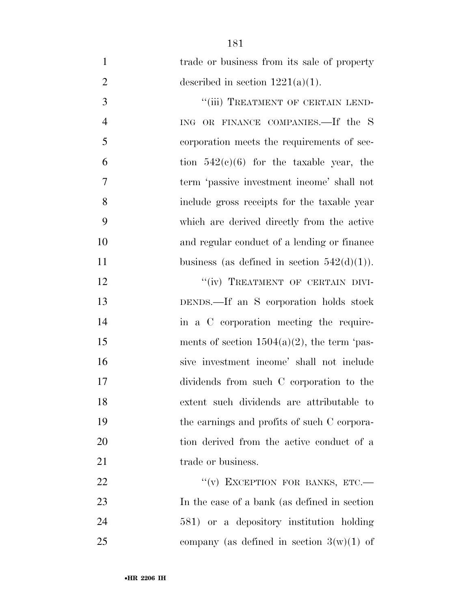| $\mathbf{1}$   | trade or business from its sale of property    |
|----------------|------------------------------------------------|
| $\overline{2}$ | described in section $1221(a)(1)$ .            |
| 3              | "(iii) TREATMENT OF CERTAIN LEND-              |
| $\overline{4}$ | ING OR FINANCE COMPANIES.—If the S             |
| 5              | corporation meets the requirements of sec-     |
| 6              | tion $542(e)(6)$ for the taxable year, the     |
| 7              | term 'passive investment income' shall not     |
| 8              | include gross receipts for the taxable year    |
| 9              | which are derived directly from the active     |
| 10             | and regular conduct of a lending or finance    |
| 11             | business (as defined in section $542(d)(1)$ ). |
| 12             | "(iv) TREATMENT OF CERTAIN DIVI-               |
| 13             | DENDS.—If an S corporation holds stock         |
| 14             | in a C corporation meeting the require-        |
| 15             | ments of section $1504(a)(2)$ , the term 'pas- |
| 16             | sive investment income' shall not include      |
| 17             | dividends from such C corporation to the       |
| 18             | extent such dividends are attributable to      |
| 19             | the earnings and profits of such C corpora-    |
| 20             | tion derived from the active conduct of a      |
| 21             | trade or business.                             |
| 22             | "(v) EXCEPTION FOR BANKS, ETC.-                |
| 23             | In the case of a bank (as defined in section   |
| 24             | 581) or a depository institution holding       |
| 25             | company (as defined in section $3(w)(1)$ of    |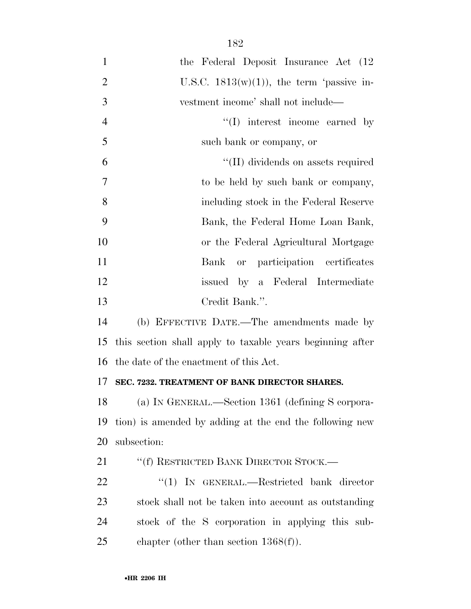| $\mathbf{1}$   | the Federal Deposit Insurance Act (12)                    |
|----------------|-----------------------------------------------------------|
| $\overline{2}$ | U.S.C. $1813(w)(1)$ , the term 'passive in-               |
| 3              | vestment income' shall not include—                       |
| $\overline{4}$ | $\lq\lq$ . interest income earned by                      |
| 5              | such bank or company, or                                  |
| 6              | "(II) dividends on assets required                        |
| 7              | to be held by such bank or company,                       |
| 8              | including stock in the Federal Reserve                    |
| 9              | Bank, the Federal Home Loan Bank,                         |
| 10             | or the Federal Agricultural Mortgage                      |
| 11             | or participation certificates<br>Bank                     |
| 12             | issued by a Federal Intermediate                          |
| 13             | Credit Bank.".                                            |
| 14             | (b) EFFECTIVE DATE.—The amendments made by                |
| 15             | this section shall apply to taxable years beginning after |
| 16             | the date of the enactment of this Act.                    |
| 17             | SEC. 7232. TREATMENT OF BANK DIRECTOR SHARES.             |
| 18             | (a) IN GENERAL.—Section 1361 (defining S corpora-         |
| 19             | tion) is amended by adding at the end the following new   |
| 20             | subsection:                                               |
| 21             | "(f) RESTRICTED BANK DIRECTOR STOCK.—                     |
| 22             | "(1) IN GENERAL.—Restricted bank director                 |
| 23             | stock shall not be taken into account as outstanding      |
| 24             | stock of the S corporation in applying this sub-          |
| 25             | chapter (other than section $1368(f)$ ).                  |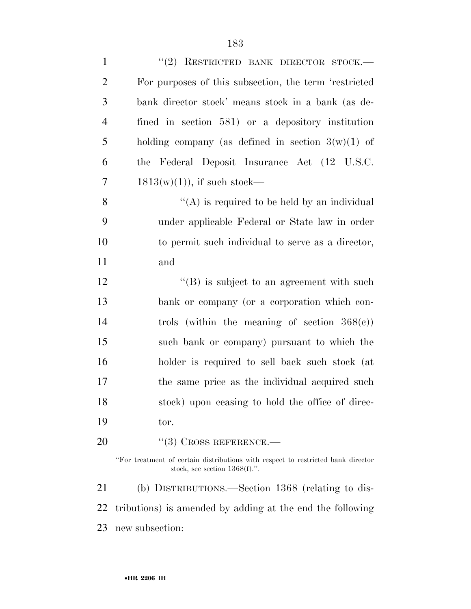| $\mathbf{1}$   | "(2) RESTRICTED BANK DIRECTOR STOCK.-                                                                                |
|----------------|----------------------------------------------------------------------------------------------------------------------|
| $\overline{2}$ | For purposes of this subsection, the term 'restricted                                                                |
| 3              | bank director stock' means stock in a bank (as de-                                                                   |
| 4              | fined in section 581) or a depository institution                                                                    |
| 5              | holding company (as defined in section $3(w)(1)$ of                                                                  |
| 6              | Federal Deposit Insurance Act (12 U.S.C.<br>the                                                                      |
| 7              | $1813(w)(1)$ , if such stock—                                                                                        |
| 8              | "(A) is required to be held by an individual                                                                         |
| 9              | under applicable Federal or State law in order                                                                       |
| 10             | to permit such individual to serve as a director,                                                                    |
| 11             | and                                                                                                                  |
| 12             | $\lq\lq (B)$ is subject to an agreement with such                                                                    |
| 13             | bank or company (or a corporation which con-                                                                         |
| 14             | trols (within the meaning of section $368(e)$ )                                                                      |
| 15             | such bank or company) pursuant to which the                                                                          |
| 16             | holder is required to sell back such stock (at                                                                       |
| 17             | the same price as the individual acquired such                                                                       |
| 18             | stock) upon ceasing to hold the office of direc-                                                                     |
| 19             | tor.                                                                                                                 |
| 20             | $\cdot$ (3) CROSS REFERENCE.—                                                                                        |
|                | "For treatment of certain distributions with respect to restricted bank director<br>stock, see section $1368(f)$ .". |
| 21             | (b) DISTRIBUTIONS.—Section 1368 (relating to dis-                                                                    |
| 22             | tributions) is amended by adding at the end the following                                                            |
| 23             | new subsection:                                                                                                      |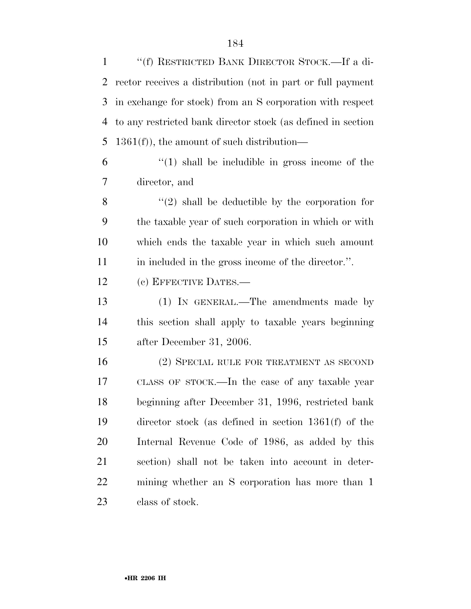''(f) RESTRICTED BANK DIRECTOR STOCK.—If a di- rector receives a distribution (not in part or full payment in exchange for stock) from an S corporation with respect to any restricted bank director stock (as defined in section 5 1361(f)), the amount of such distribution—  $(1)$  shall be includible in gross income of the director, and  $\mathbf{8}$  (2) shall be deductible by the corporation for the taxable year of such corporation in which or with which ends the taxable year in which such amount in included in the gross income of the director.''. (c) EFFECTIVE DATES.— (1) IN GENERAL.—The amendments made by this section shall apply to taxable years beginning after December 31, 2006. (2) SPECIAL RULE FOR TREATMENT AS SECOND CLASS OF STOCK.—In the case of any taxable year beginning after December 31, 1996, restricted bank director stock (as defined in section 1361(f) of the Internal Revenue Code of 1986, as added by this section) shall not be taken into account in deter- mining whether an S corporation has more than 1 class of stock.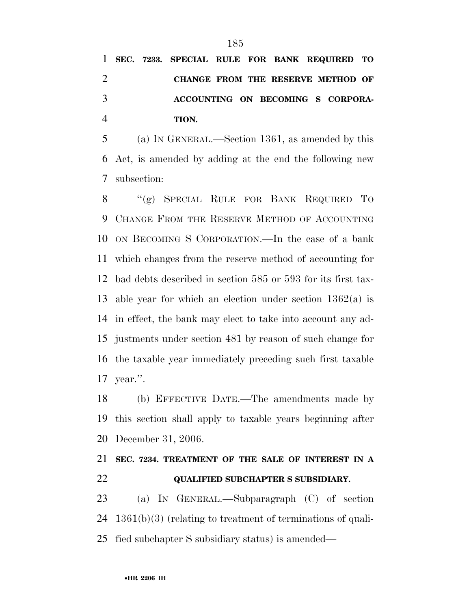**SEC. 7233. SPECIAL RULE FOR BANK REQUIRED TO CHANGE FROM THE RESERVE METHOD OF ACCOUNTING ON BECOMING S CORPORA-TION.** 

 (a) IN GENERAL.—Section 1361, as amended by this Act, is amended by adding at the end the following new subsection:

 ''(g) SPECIAL RULE FOR BANK REQUIRED TO CHANGE FROM THE RESERVE METHOD OF ACCOUNTING ON BECOMING S CORPORATION.—In the case of a bank which changes from the reserve method of accounting for bad debts described in section 585 or 593 for its first tax- able year for which an election under section 1362(a) is in effect, the bank may elect to take into account any ad- justments under section 481 by reason of such change for the taxable year immediately preceding such first taxable year.''.

 (b) EFFECTIVE DATE.—The amendments made by this section shall apply to taxable years beginning after December 31, 2006.

## **SEC. 7234. TREATMENT OF THE SALE OF INTEREST IN A QUALIFIED SUBCHAPTER S SUBSIDIARY.**

 (a) IN GENERAL.—Subparagraph (C) of section 1361(b)(3) (relating to treatment of terminations of quali-fied subchapter S subsidiary status) is amended—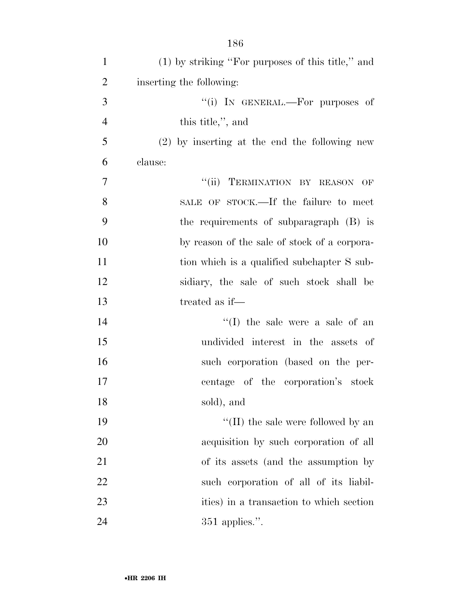| $\mathbf{1}$   | (1) by striking "For purposes of this title," and |
|----------------|---------------------------------------------------|
| $\overline{2}$ | inserting the following:                          |
| 3              | "(i) IN GENERAL.—For purposes of                  |
| $\overline{4}$ | this title,", and                                 |
| 5              | $(2)$ by inserting at the end the following new   |
| 6              | clause:                                           |
| 7              | "(ii) TERMINATION BY REASON OF                    |
| 8              | SALE OF STOCK.—If the failure to meet             |
| 9              | the requirements of subparagraph (B) is           |
| 10             | by reason of the sale of stock of a corpora-      |
| 11             | tion which is a qualified subchapter S sub-       |
| 12             | sidiary, the sale of such stock shall be          |
| 13             | treated as if—                                    |
| 14             | $\lq\lq$ (I) the sale were a sale of an           |
| 15             | undivided interest in the assets of               |
| 16             | such corporation (based on the per-               |
| 17             | centage of the corporation's stock                |
| 18             | sold), and                                        |
| 19             | $\lq\lq$ (II) the sale were followed by an        |
| 20             | acquisition by such corporation of all            |
| 21             | of its assets (and the assumption by              |
| 22             | such corporation of all of its liabil-            |
| 23             | ities) in a transaction to which section          |
| 24             | $351$ applies.".                                  |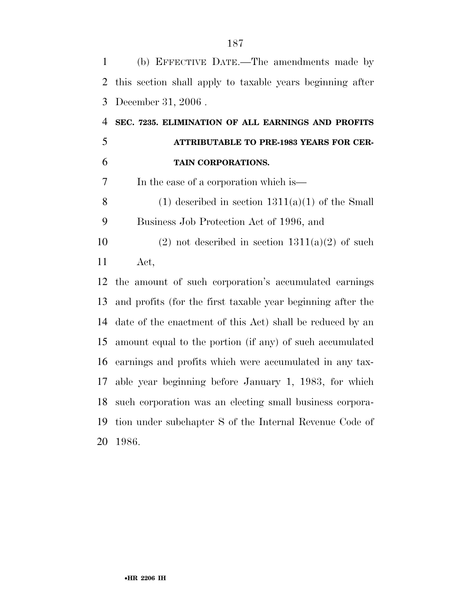(b) EFFECTIVE DATE.—The amendments made by this section shall apply to taxable years beginning after December 31, 2006 . **SEC. 7235. ELIMINATION OF ALL EARNINGS AND PROFITS ATTRIBUTABLE TO PRE-1983 YEARS FOR CER- TAIN CORPORATIONS.**  In the case of a corporation which is— 8 (1) described in section  $1311(a)(1)$  of the Small Business Job Protection Act of 1996, and 10 (2) not described in section  $1311(a)(2)$  of such Act, the amount of such corporation's accumulated earnings and profits (for the first taxable year beginning after the date of the enactment of this Act) shall be reduced by an amount equal to the portion (if any) of such accumulated earnings and profits which were accumulated in any tax- able year beginning before January 1, 1983, for which such corporation was an electing small business corpora- tion under subchapter S of the Internal Revenue Code of 1986.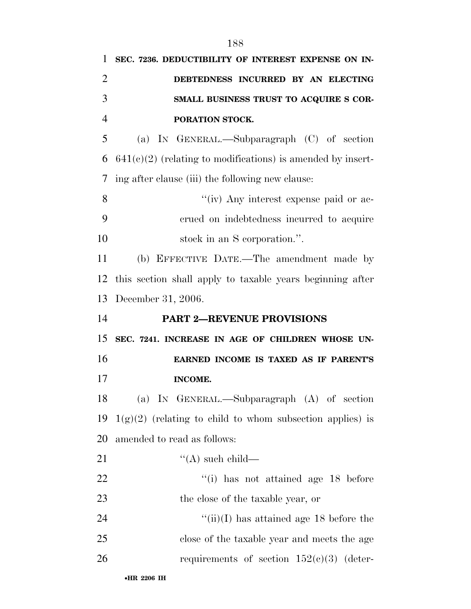| $\mathbf{1}$   | SEC. 7236. DEDUCTIBILITY OF INTEREST EXPENSE ON IN-           |
|----------------|---------------------------------------------------------------|
| $\overline{2}$ | DEBTEDNESS INCURRED BY AN ELECTING                            |
| 3              | SMALL BUSINESS TRUST TO ACQUIRE S COR-                        |
| $\overline{4}$ | PORATION STOCK.                                               |
| 5              | (a) IN GENERAL.—Subparagraph (C) of section                   |
| 6              | $641(c)(2)$ (relating to modifications) is amended by insert- |
| 7              | ing after clause (iii) the following new clause:              |
| 8              | "(iv) Any interest expense paid or ac-                        |
| 9              | crued on indebtedness incurred to acquire                     |
| 10             | stock in an S corporation.".                                  |
| 11             | (b) EFFECTIVE DATE.—The amendment made by                     |
| 12             | this section shall apply to taxable years beginning after     |
| 13             | December 31, 2006.                                            |
|                |                                                               |
|                | <b>PART 2-REVENUE PROVISIONS</b>                              |
| 14<br>15       | SEC. 7241. INCREASE IN AGE OF CHILDREN WHOSE UN-              |
| 16             | EARNED INCOME IS TAXED AS IF PARENT'S                         |
| 17             | INCOME.                                                       |
| 18             | (a) IN GENERAL.—Subparagraph (A) of section                   |
| 19             | $1(g)(2)$ (relating to child to whom subsection applies) is   |
|                | amended to read as follows:                                   |
| 20<br>21       | $\lq\lq$ such child—                                          |
| 22             | $\lq\lq$ (i) has not attained age 18 before                   |
| 23             | the close of the taxable year, or                             |
| 24             | "(ii)(I) has attained age 18 before the                       |
| 25             | close of the taxable year and meets the age                   |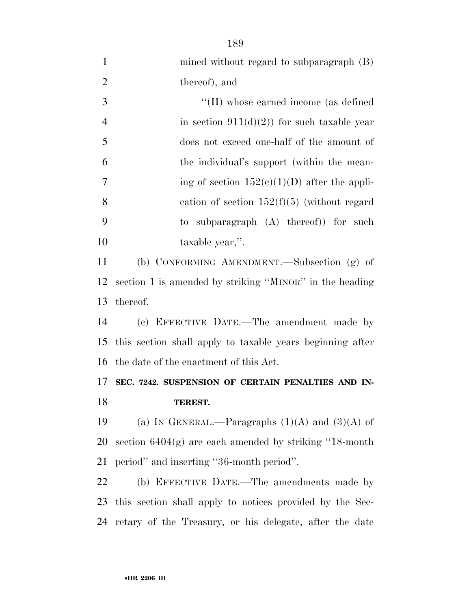| $\mathbf{1}$   | mined without regard to subparagraph (B)                  |
|----------------|-----------------------------------------------------------|
| $\overline{2}$ | thereof), and                                             |
| 3              | "(II) whose earned income (as defined                     |
| $\overline{4}$ | in section $911(d)(2)$ for such taxable year              |
| 5              | does not exceed one-half of the amount of                 |
| 6              | the individual's support (within the mean-                |
| 7              | ing of section $152(c)(1)(D)$ after the appli-            |
| 8              | cation of section $152(f)(5)$ (without regard             |
| 9              | to subparagraph $(A)$ thereof) for such                   |
| 10             | taxable year,".                                           |
| 11             | (b) CONFORMING AMENDMENT.—Subsection (g) of               |
| 12             | section 1 is amended by striking "MINOR" in the heading   |
| 13             | thereof.                                                  |
| 14             | (c) EFFECTIVE DATE.—The amendment made by                 |
| 15             | this section shall apply to taxable years beginning after |
| 16             | the date of the enactment of this Act.                    |
| 17             | SEC. 7242. SUSPENSION OF CERTAIN PENALTIES AND IN-        |
| 18             | TEREST.                                                   |
| 19             | (a) IN GENERAL.—Paragraphs $(1)(A)$ and $(3)(A)$ of       |
| 20             | section $6404(g)$ are each amended by striking "18-month" |
| 21             | period" and inserting "36-month period".                  |
| 22             | (b) EFFECTIVE DATE.—The amendments made by                |
| 23             | this section shall apply to notices provided by the Sec-  |
| 24             | retary of the Treasury, or his delegate, after the date   |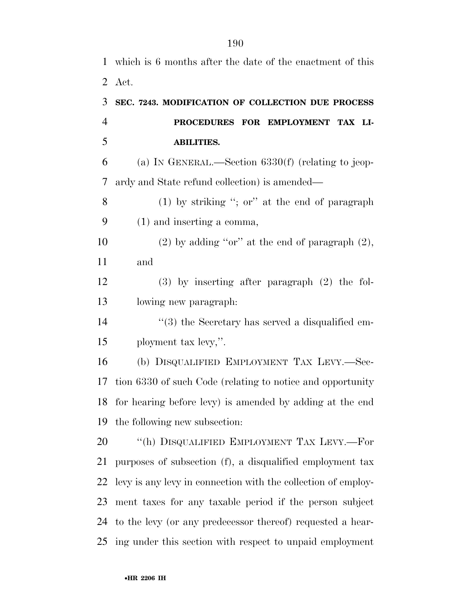which is 6 months after the date of the enactment of this Act. **SEC. 7243. MODIFICATION OF COLLECTION DUE PROCESS PROCEDURES FOR EMPLOYMENT TAX LI- ABILITIES.**  (a) IN GENERAL.—Section 6330(f) (relating to jeop- ardy and State refund collection) is amended— (1) by striking ''; or'' at the end of paragraph (1) and inserting a comma, 10 (2) by adding "or" at the end of paragraph  $(2)$ , and (3) by inserting after paragraph (2) the fol- lowing new paragraph:  $\frac{1}{3}$  the Secretary has served a disqualified em- ployment tax levy,''. (b) DISQUALIFIED EMPLOYMENT TAX LEVY.—Sec- tion 6330 of such Code (relating to notice and opportunity for hearing before levy) is amended by adding at the end the following new subsection: 20 <sup>''</sup>(h) DISQUALIFIED EMPLOYMENT TAX LEVY.—For purposes of subsection (f), a disqualified employment tax levy is any levy in connection with the collection of employ- ment taxes for any taxable period if the person subject to the levy (or any predecessor thereof) requested a hear-ing under this section with respect to unpaid employment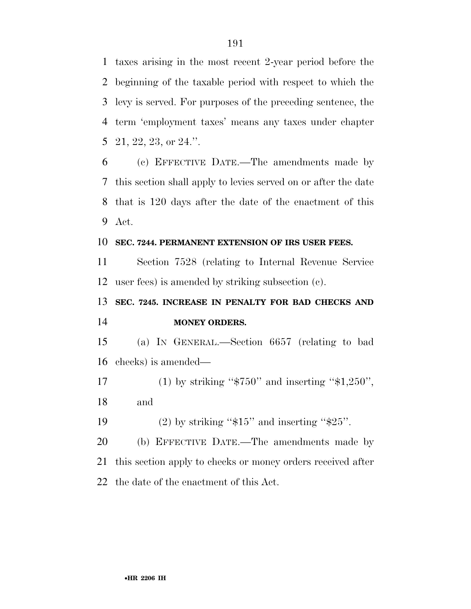taxes arising in the most recent 2-year period before the beginning of the taxable period with respect to which the levy is served. For purposes of the preceding sentence, the term 'employment taxes' means any taxes under chapter 21, 22, 23, or 24.''.

 (c) EFFECTIVE DATE.—The amendments made by this section shall apply to levies served on or after the date that is 120 days after the date of the enactment of this Act.

## **SEC. 7244. PERMANENT EXTENSION OF IRS USER FEES.**

 Section 7528 (relating to Internal Revenue Service user fees) is amended by striking subsection (c).

## **SEC. 7245. INCREASE IN PENALTY FOR BAD CHECKS AND MONEY ORDERS.**

 (a) IN GENERAL.—Section 6657 (relating to bad checks) is amended—

17 (1) by striking " $$750"$  and inserting " $$1,250"$ , and

19 (2) by striking " $$15"$  and inserting " $$25"$ .

 (b) EFFECTIVE DATE.—The amendments made by this section apply to checks or money orders received after the date of the enactment of this Act.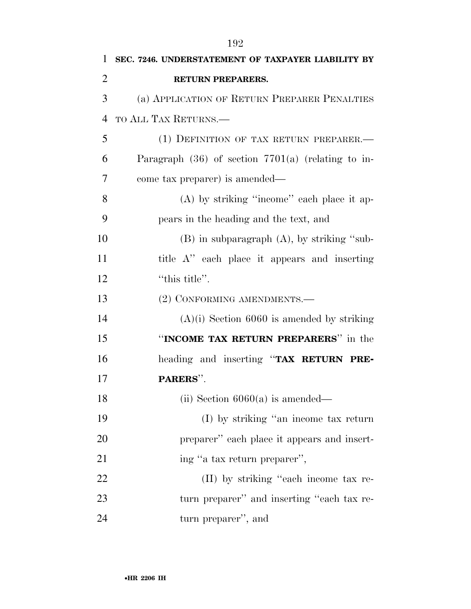| 1              | SEC. 7246. UNDERSTATEMENT OF TAXPAYER LIABILITY BY     |
|----------------|--------------------------------------------------------|
| $\overline{2}$ | <b>RETURN PREPARERS.</b>                               |
| 3              | (a) APPLICATION OF RETURN PREPARER PENALTIES           |
| 4              | TO ALL TAX RETURNS.—                                   |
| 5              | (1) DEFINITION OF TAX RETURN PREPARER.-                |
| 6              | Paragraph $(36)$ of section $7701(a)$ (relating to in- |
| 7              | come tax preparer) is amended—                         |
| 8              | $(A)$ by striking "income" each place it ap-           |
| 9              | pears in the heading and the text, and                 |
| 10             | $(B)$ in subparagraph $(A)$ , by striking "sub-        |
| 11             | title A" each place it appears and inserting           |
| 12             | "this title".                                          |
| 13             | (2) CONFORMING AMENDMENTS.-                            |
| 14             | $(A)(i)$ Section 6060 is amended by striking           |
| 15             | "INCOME TAX RETURN PREPARERS" in the                   |
| 16             | heading and inserting "TAX RETURN PRE-                 |
| 17             | PARERS".                                               |
| 18             | (ii) Section $6060(a)$ is amended—                     |
| 19             | (I) by striking "an income tax return                  |
| 20             | preparer" each place it appears and insert-            |
| 21             | ing "a tax return preparer",                           |
| 22             | (II) by striking "each income tax re-                  |
| 23             | turn preparer" and inserting "each tax re-             |
| 24             | turn preparer", and                                    |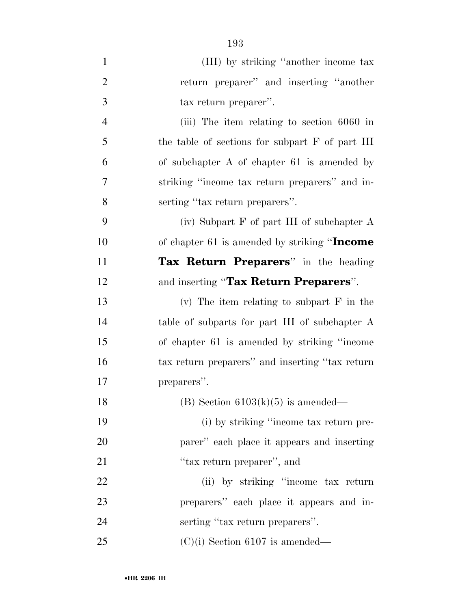| $\mathbf{1}$   | (III) by striking "another income tax           |
|----------------|-------------------------------------------------|
| $\overline{2}$ | return preparer" and inserting "another         |
| 3              | tax return preparer".                           |
| $\overline{4}$ | (iii) The item relating to section 6060 in      |
| 5              | the table of sections for subpart F of part III |
| 6              | of subchapter $A$ of chapter 61 is amended by   |
| 7              | striking "income tax return preparers" and in-  |
| 8              | serting "tax return preparers".                 |
| 9              | (iv) Subpart $F$ of part III of subchapter $A$  |
| 10             | of chapter 61 is amended by striking "Income    |
| 11             | Tax Return Preparers" in the heading            |
| 12             | and inserting "Tax Return Preparers".           |
| 13             | (v) The item relating to subpart $F$ in the     |
| 14             | table of subparts for part III of subchapter A  |
| 15             | of chapter 61 is amended by striking "income"   |
| 16             | tax return preparers" and inserting "tax return |
| 17             | preparers".                                     |
| 18             | (B) Section $6103(k)(5)$ is amended—            |
| 19             | (i) by striking "income tax return pre-         |
| 20             | parer" each place it appears and inserting      |
| 21             | "tax return preparer", and                      |
| 22             | (ii) by striking "income tax return             |
| 23             | preparers" each place it appears and in-        |
| 24             | serting "tax return preparers".                 |
| 25             | $(C)(i)$ Section 6107 is amended—               |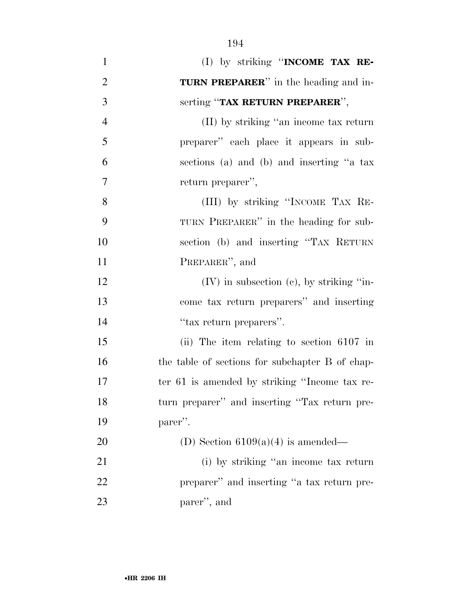| $\mathbf{1}$     | (I) by striking "INCOME TAX RE-                 |
|------------------|-------------------------------------------------|
| $\overline{2}$   | <b>TURN PREPARER</b> " in the heading and in-   |
| 3                | serting "TAX RETURN PREPARER",                  |
| $\overline{4}$   | (II) by striking "an income tax return          |
| 5                | preparer" each place it appears in sub-         |
| 6                | sections (a) and (b) and inserting "a tax       |
| $\boldsymbol{7}$ | return preparer",                               |
| 8                | (III) by striking "INCOME TAX RE-               |
| 9                | TURN PREPARER" in the heading for sub-          |
| 10               | section (b) and inserting "TAX RETURN           |
| 11               | PREPARER", and                                  |
| 12               | $(V)$ in subsection $(e)$ , by striking "in-    |
| 13               | come tax return preparers" and inserting        |
| 14               | "tax return preparers".                         |
| 15               | (ii) The item relating to section $6107$ in     |
| 16               | the table of sections for subchapter B of chap- |
| $17\,$           | ter 61 is amended by striking "Income tax re-   |
| 18               | turn preparer" and inserting "Tax return pre-   |
| 19               | parer".                                         |
| 20               | (D) Section $6109(a)(4)$ is amended—            |
| 21               | (i) by striking "an income tax return           |
| 22               | preparer" and inserting "a tax return pre-      |
| 23               | parer", and                                     |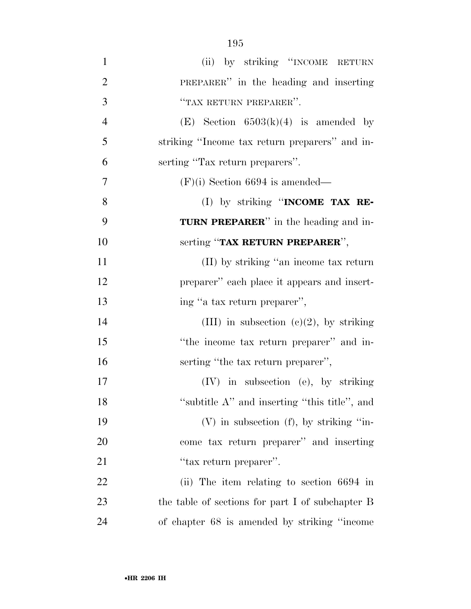| $\mathbf{1}$   | (ii) by striking "INCOME RETURN                  |
|----------------|--------------------------------------------------|
| $\overline{2}$ | PREPARER" in the heading and inserting           |
| 3              | "TAX RETURN PREPARER".                           |
| $\overline{4}$ | (E) Section $6503(k)(4)$ is amended by           |
| 5              | striking "Income tax return preparers" and in-   |
| 6              | serting "Tax return preparers".                  |
| 7              | $(F)(i)$ Section 6694 is amended—                |
| 8              | (I) by striking "INCOME TAX RE-                  |
| 9              | <b>TURN PREPARER</b> " in the heading and in-    |
| 10             | serting "TAX RETURN PREPARER",                   |
| 11             | (II) by striking "an income tax return           |
| 12             | preparer" each place it appears and insert-      |
| 13             | ing "a tax return preparer",                     |
| 14             | (III) in subsection (c)(2), by striking          |
| 15             | "the income tax return preparer" and in-         |
| 16             | serting "the tax return preparer",               |
| 17             | $(IV)$ in subsection (e), by striking            |
| 18             | "subtitle A" and inserting "this title", and     |
| 19             | $(V)$ in subsection $(f)$ , by striking "in-     |
| 20             | come tax return preparer" and inserting          |
| 21             | "tax return preparer".                           |
| 22             | (ii) The item relating to section 6694 in        |
| 23             | the table of sections for part I of subchapter B |
| 24             | of chapter 68 is amended by striking "income"    |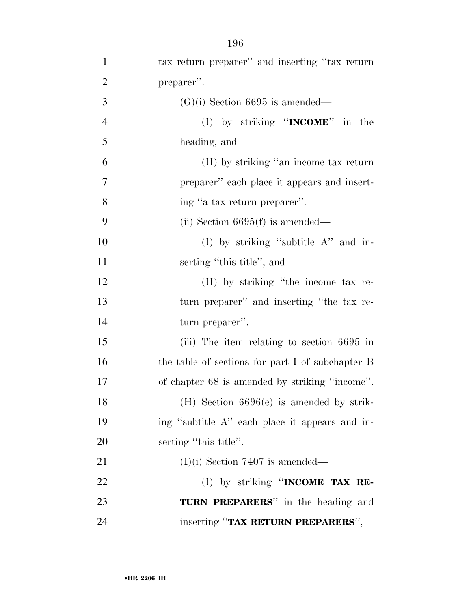| $\mathbf{1}$   | tax return preparer" and inserting "tax return   |
|----------------|--------------------------------------------------|
| $\overline{2}$ | preparer".                                       |
| 3              | $(G)(i)$ Section 6695 is amended—                |
| $\overline{4}$ | (I) by striking " <b>INCOME</b> " in the         |
| 5              | heading, and                                     |
| 6              | (II) by striking "an income tax return           |
| 7              | preparer" each place it appears and insert-      |
| 8              | ing "a tax return preparer".                     |
| 9              | (ii) Section $6695(f)$ is amended—               |
| 10             | (I) by striking "subtitle $A$ " and in-          |
| 11             | serting "this title", and                        |
| 12             | (II) by striking "the income tax re-             |
| 13             | turn preparer" and inserting "the tax re-        |
| 14             | turn preparer".                                  |
| 15             | (iii) The item relating to section 6695 in       |
| 16             | the table of sections for part I of subchapter B |
| 17             | of chapter 68 is amended by striking "income".   |
| 18             | $(H)$ Section 6696(e) is amended by strik-       |
| 19             | ing "subtitle A" each place it appears and in-   |
| 20             | serting "this title".                            |
| 21             | $(I)(i)$ Section 7407 is amended—                |
| 22             | (I) by striking "INCOME TAX RE-                  |
| 23             | TURN PREPARERS" in the heading and               |
| 24             | inserting "TAX RETURN PREPARERS",                |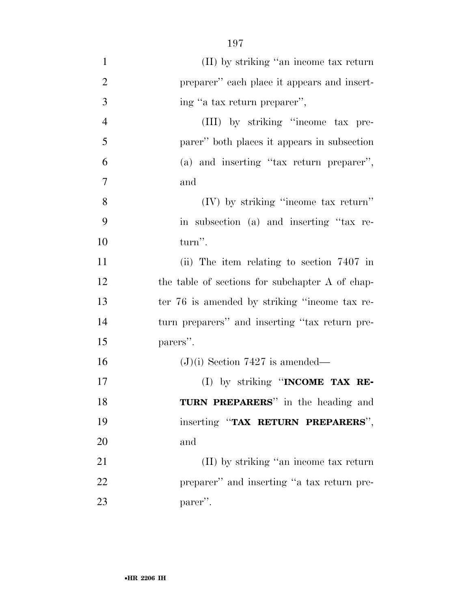| $\mathbf{1}$   | (II) by striking "an income tax return          |
|----------------|-------------------------------------------------|
| $\overline{2}$ | preparer" each place it appears and insert-     |
| 3              | ing "a tax return preparer",                    |
| $\overline{4}$ | (III) by striking "income tax pre-              |
| 5              | parer" both places it appears in subsection     |
| 6              | (a) and inserting "tax return preparer",        |
| $\overline{7}$ | and                                             |
| 8              | (IV) by striking "income tax return"            |
| 9              | in subsection (a) and inserting "tax re-        |
| 10             | turn".                                          |
| 11             | (ii) The item relating to section 7407 in       |
| 12             | the table of sections for subchapter A of chap- |
| 13             | ter 76 is amended by striking "income tax re-   |
| 14             | turn preparers" and inserting "tax return pre-  |
| 15             | parers".                                        |
| 16             | $(J)(i)$ Section 7427 is amended—               |
| 17             | (I) by striking "INCOME TAX RE-                 |
| 18             | TURN PREPARERS" in the heading and              |
| 19             | inserting "TAX RETURN PREPARERS",               |
| 20             | and                                             |
| 21             | (II) by striking "an income tax return          |
| 22             | preparer" and inserting "a tax return pre-      |
| 23             | parer".                                         |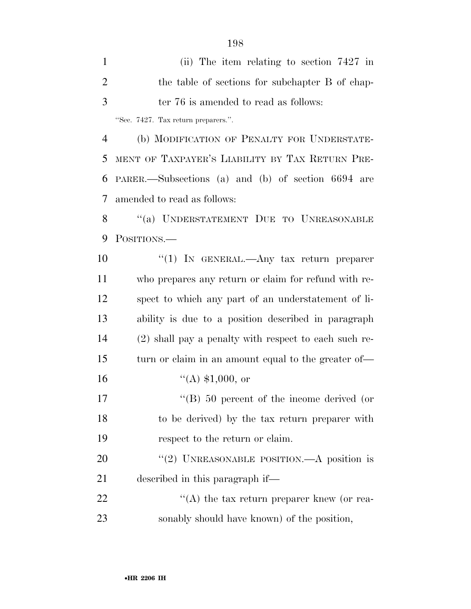(ii) The item relating to section 7427 in the table of sections for subchapter B of chap- ter 76 is amended to read as follows: ''Sec. 7427. Tax return preparers.''.

 (b) MODIFICATION OF PENALTY FOR UNDERSTATE- MENT OF TAXPAYER'S LIABILITY BY TAX RETURN PRE- PARER.—Subsections (a) and (b) of section 6694 are amended to read as follows:

 ''(a) UNDERSTATEMENT DUE TO UNREASONABLE 9 POSITIONS.

10 "(1) IN GENERAL.—Any tax return preparer who prepares any return or claim for refund with re- spect to which any part of an understatement of li- ability is due to a position described in paragraph (2) shall pay a penalty with respect to each such re- turn or claim in an amount equal to the greater of—  $((A)$  \$1,000, or 17 ''(B) 50 percent of the income derived (or to be derived) by the tax return preparer with respect to the return or claim. 20 "(2) UNREASONABLE POSITION.—A position is described in this paragraph if— 22 "(A) the tax return preparer knew (or rea-sonably should have known) of the position,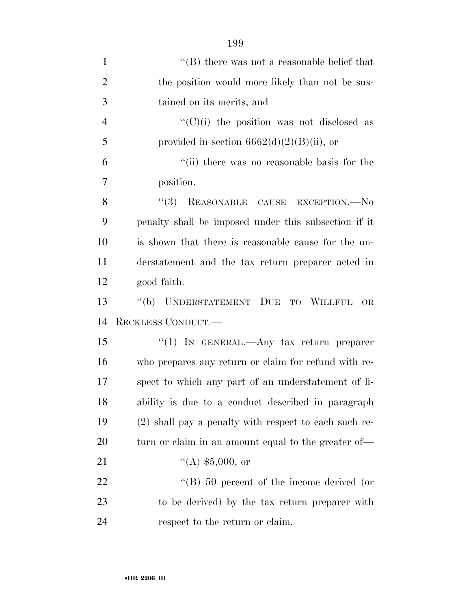| $\mathbf{1}$   | $\lq\lq$ there was not a reasonable belief that       |
|----------------|-------------------------------------------------------|
| $\overline{2}$ | the position would more likely than not be sus-       |
| 3              | tained on its merits, and                             |
| $\overline{4}$ | " $(C)(i)$ the position was not disclosed as          |
| 5              | provided in section $6662(d)(2)(B)(ii)$ , or          |
| 6              | "(ii) there was no reasonable basis for the           |
| 7              | position.                                             |
| 8              | (3)<br>REASONABLE CAUSE EXCEPTION.-- No               |
| 9              | penalty shall be imposed under this subsection if it  |
| 10             | is shown that there is reasonable cause for the un-   |
| 11             | derstatement and the tax return preparer acted in     |
| 12             | good faith.                                           |
| 13             | "(b) UNDERSTATEMENT DUE<br>TO WILLFUL<br><b>OR</b>    |
| 14             | RECKLESS CONDUCT.                                     |
| 15             | "(1) IN GENERAL.—Any tax return preparer              |
| 16             | who prepares any return or claim for refund with re-  |
| 17             | spect to which any part of an understatement of li-   |
| 18             | ability is due to a conduct described in paragraph    |
| 19             | (2) shall pay a penalty with respect to each such re- |
| 20             | turn or claim in an amount equal to the greater of—   |
| 21             | $(4)$ \$5,000, or                                     |
| 22             | "(B) $50$ percent of the income derived (or           |
| 23             |                                                       |
|                | to be derived) by the tax return preparer with        |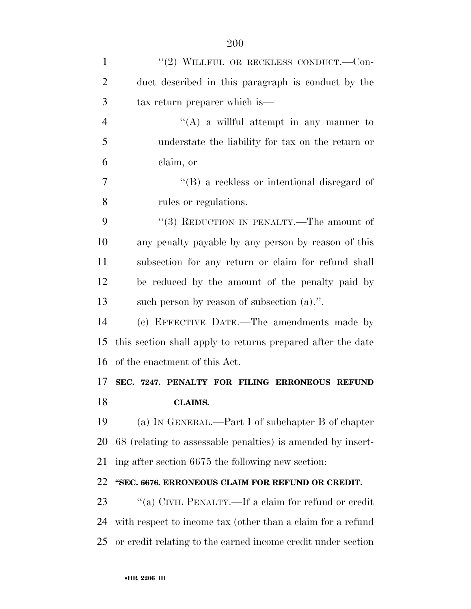| $\mathbf{1}$   | "(2) WILLFUL OR RECKLESS CONDUCT.--Con-                      |
|----------------|--------------------------------------------------------------|
| $\overline{2}$ | duct described in this paragraph is conduct by the           |
| 3              | tax return preparer which is—                                |
| $\overline{4}$ | "(A) a willful attempt in any manner to                      |
| 5              | understate the liability for tax on the return or            |
| 6              | claim, or                                                    |
| 7              | $\lq\lq (B)$ a reckless or intentional disregard of          |
| 8              | rules or regulations.                                        |
| 9              | "(3) REDUCTION IN PENALTY.—The amount of                     |
| 10             | any penalty payable by any person by reason of this          |
| 11             | subsection for any return or claim for refund shall          |
| 12             | be reduced by the amount of the penalty paid by              |
| 13             | such person by reason of subsection $(a)$ .".                |
| 14             | (c) EFFECTIVE DATE.—The amendments made by                   |
| 15             | this section shall apply to returns prepared after the date  |
| 16             | of the enactment of this Act.                                |
| 17             | SEC. 7247. PENALTY FOR FILING ERRONEOUS REFUND               |
| 18             | <b>CLAIMS.</b>                                               |
| 19             | (a) IN GENERAL.—Part I of subchapter B of chapter            |
| 20             | 68 (relating to assessable penalties) is amended by insert-  |
| 21             | ing after section 6675 the following new section:            |
| 22             | "SEC. 6676. ERRONEOUS CLAIM FOR REFUND OR CREDIT.            |
| 23             | "(a) CIVIL PENALTY.—If a claim for refund or credit          |
| 24             | with respect to income tax (other than a claim for a refund  |
| 25             | or credit relating to the earned income credit under section |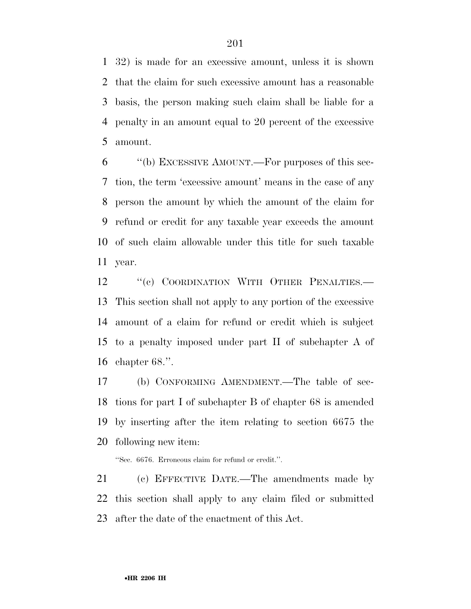32) is made for an excessive amount, unless it is shown that the claim for such excessive amount has a reasonable basis, the person making such claim shall be liable for a penalty in an amount equal to 20 percent of the excessive amount.

 ''(b) EXCESSIVE AMOUNT.—For purposes of this sec- tion, the term 'excessive amount' means in the case of any person the amount by which the amount of the claim for refund or credit for any taxable year exceeds the amount of such claim allowable under this title for such taxable year.

12 "(c) COORDINATION WITH OTHER PENALTIES.— This section shall not apply to any portion of the excessive amount of a claim for refund or credit which is subject to a penalty imposed under part II of subchapter A of chapter 68.''.

 (b) CONFORMING AMENDMENT.—The table of sec- tions for part I of subchapter B of chapter 68 is amended by inserting after the item relating to section 6675 the following new item:

''Sec. 6676. Erroneous claim for refund or credit.''.

 (c) EFFECTIVE DATE.—The amendments made by this section shall apply to any claim filed or submitted after the date of the enactment of this Act.